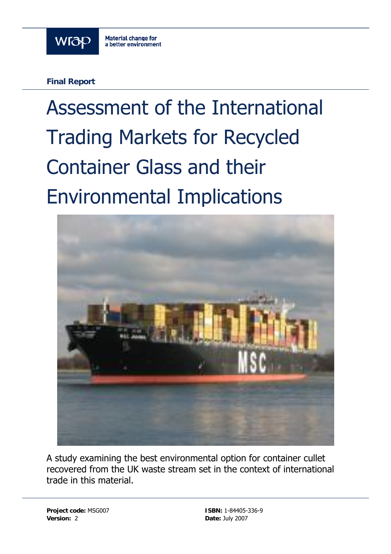

**Final Report** 

# Assessment of the International Trading Markets for Recycled Container Glass and their Environmental Implications



A study examining the best environmental option for container cullet recovered from the UK waste stream set in the context of international trade in this material.

**Project code:** MSG007 **ISBN:** 1-84405-336-9 **Version:** 2 **Date:** July 2007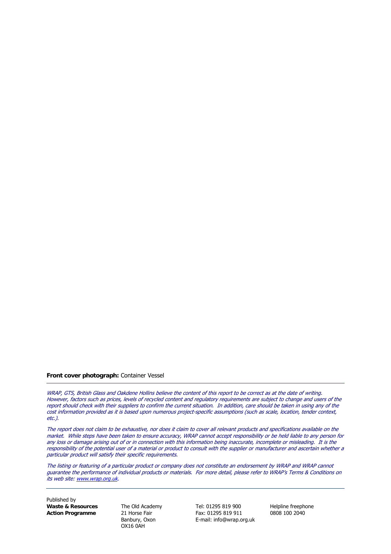#### **Front cover photograph:** Container Vessel

WRAP, GTS, British Glass and Oakdene Hollins believe the content of this report to be correct as at the date of writing. However, factors such as prices, levels of recycled content and regulatory requirements are subject to change and users of the report should check with their suppliers to confirm the current situation. In addition, care should be taken in using any of the cost information provided as it is based upon numerous project-specific assumptions (such as scale, location, tender context, etc.).

The report does not claim to be exhaustive, nor does it claim to cover all relevant products and specifications available on the market. While steps have been taken to ensure accuracy, WRAP cannot accept responsibility or be held liable to any person for any loss or damage arising out of or in connection with this information being inaccurate, incomplete or misleading. It is the responsibility of the potential user of a material or product to consult with the supplier or manufacturer and ascertain whether a particular product will satisfy their specific requirements.

The listing or featuring of a particular product or company does not constitute an endorsement by WRAP and WRAP cannot guarantee the performance of individual products or materials. For more detail, please refer to WRAP's Terms & Conditions on its web site: [www.wrap.org.uk](http://www.wrap.org.uk/).

Published by **Waste & Resources** The Old Academy Tel: 01295 819 900 Helpline freephone

OX16 0AH

**Action Programme** 21 Horse Fair Fax: 01295 819 911 0808 100 2040 Banbury, Oxon E-mail: info@wrap.org.uk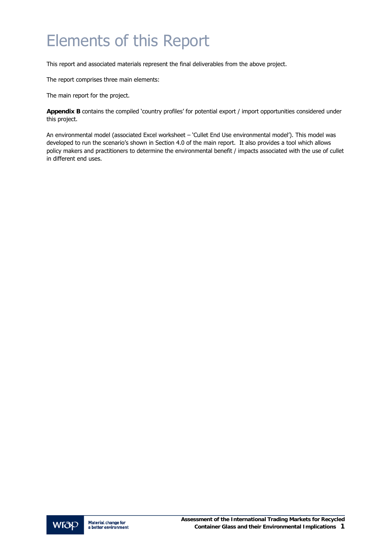### <span id="page-2-0"></span>Elements of this Report

This report and associated materials represent the final deliverables from the above project.

The report comprises three main elements:

The main report for the project.

**Appendix B** contains the compiled 'country profiles' for potential export / import opportunities considered under this project.

An environmental model (associated Excel worksheet – 'Cullet End Use environmental model'). This model was developed to run the scenario's shown in Section 4.0 of the main report. It also provides a tool which allows policy makers and practitioners to determine the environmental benefit / impacts associated with the use of cullet in different end uses.

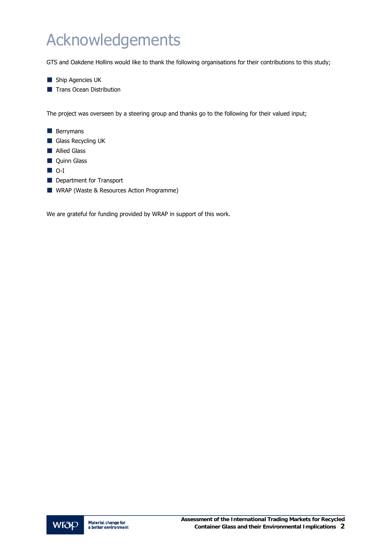## <span id="page-3-0"></span>Acknowledgements

GTS and Oakdene Hollins would like to thank the following organisations for their contributions to this study;

- Ship Agencies UK
- **Trans Ocean Distribution**

The project was overseen by a steering group and thanks go to the following for their valued input;

- **Berrymans** Glass Recycling UK **Allied Glass Quinn Glass** D-I
- Department for Transport
- WRAP (Waste & Resources Action Programme)

We are grateful for funding provided by WRAP in support of this work.

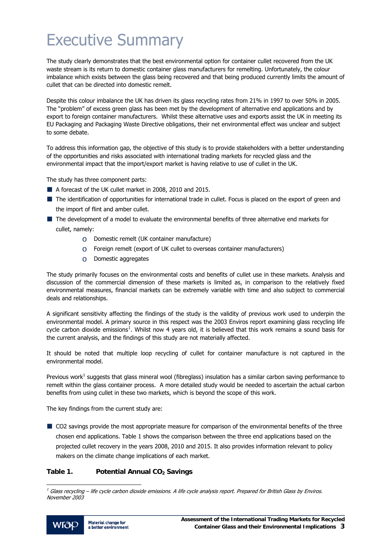### <span id="page-4-1"></span>Executive Summary

The study clearly demonstrates that the best environmental option for container cullet recovered from the UK waste stream is its return to domestic container glass manufacturers for remelting. Unfortunately, the colour imbalance which exists between the glass being recovered and that being produced currently limits the amount of cullet that can be directed into domestic remelt.

Despite this colour imbalance the UK has driven its glass recycling rates from 21% in 1997 to over 50% in 2005. The "problem" of excess green glass has been met by the development of alternative end applications and by export to foreign container manufacturers. Whilst these alternative uses and exports assist the UK in meeting its EU Packaging and Packaging Waste Directive obligations, their net environmental effect was unclear and subject to some debate.

To address this information gap, the objective of this study is to provide stakeholders with a better understanding of the opportunities and risks associated with international trading markets for recycled glass and the environmental impact that the import/export market is having relative to use of cullet in the UK.

The study has three component parts:

- A forecast of the UK cullet market in 2008, 2010 and 2015.
- The identification of opportunities for international trade in cullet. Focus is placed on the export of green and the import of flint and amber cullet.
- The development of a model to evaluate the environmental benefits of three alternative end markets for cullet, namely:
	- o Domestic remelt (UK container manufacture)
	- $\circ$  Foreign remelt (export of UK cullet to overseas container manufacturers)
	- o Domestic aggregates

The study primarily focuses on the environmental costs and benefits of cullet use in these markets. Analysis and discussion of the commercial dimension of these markets is limited as, in comparison to the relatively fixed environmental measures, financial markets can be extremely variable with time and also subject to commercial deals and relationships.

A significant sensitivity affecting the findings of the study is the validity of previous work used to underpin the environmental model. A primary source in this respect was the 2003 Enviros report examining glass recycling life cycle carbon dioxide emissions<sup>[1](#page-4-0)</sup>. Whilst now 4 years old, it is believed that this work remains a sound basis for the current analysis, and the findings of this study are not materially affected.

It should be noted that multiple loop recycling of cullet for container manufacture is not captured in the environmental model.

Previous work<sup>1</sup> suggests that glass mineral wool (fibreglass) insulation has a similar carbon saving performance to remelt within the glass container process. A more detailed study would be needed to ascertain the actual carbon benefits from using cullet in these two markets, which is beyond the scope of this work.

The key findings from the current study are:

CO2 savings provide the most appropriate measure for comparison of the environmental benefits of the three chosen end applications. Table 1 shows the comparison between the three end applications based on the projected cullet recovery in the years 2008, 2010 and 2015. It also provides information relevant to policy makers on the climate change implications of each market.

#### Table 1. Potential Annual CO<sub>2</sub> Savings

<span id="page-4-0"></span> $<sup>1</sup>$  Glass recycling – life cycle carbon dioxide emissions. A life cycle analysis report. Prepared for British Glass by Enviros.</sup> November 2003

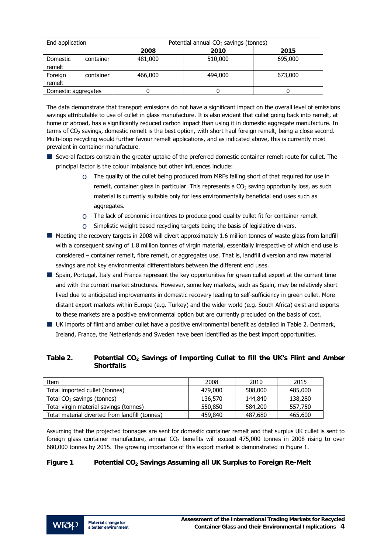| End application     |           | Potential annual CO <sub>2</sub> savings (tonnes) |         |         |  |
|---------------------|-----------|---------------------------------------------------|---------|---------|--|
|                     |           | 2008                                              | 2010    | 2015    |  |
| Domestic<br>remelt  | container | 481,000                                           | 510,000 | 695,000 |  |
| Foreign<br>remelt   | container | 466,000                                           | 494,000 | 673,000 |  |
| Domestic aggregates |           |                                                   |         |         |  |

The data demonstrate that transport emissions do not have a significant impact on the overall level of emissions savings attributable to use of cullet in glass manufacture. It is also evident that cullet going back into remelt, at home or abroad, has a significantly reduced carbon impact than using it in domestic aggregate manufacture. In terms of CO<sub>2</sub> savings, domestic remelt is the best option, with short haul foreign remelt, being a close second. Multi-loop recycling would further favour remelt applications, and as indicated above, this is currently most prevalent in container manufacture.

- Several factors constrain the greater uptake of the preferred domestic container remelt route for cullet. The principal factor is the colour imbalance but other influences include:
	- $\circ$  The quality of the cullet being produced from MRFs falling short of that required for use in remelt, container glass in particular. This represents a  $CO<sub>2</sub>$  saving opportunity loss, as such material is currently suitable only for less environmentally beneficial end uses such as aggregates.
	- $\circ$  The lack of economic incentives to produce good quality cullet fit for container remelt.
	- $\circ$  Simplistic weight based recycling targets being the basis of legislative drivers.
- Meeting the recovery targets in 2008 will divert approximately 1.6 million tonnes of waste glass from landfill with a consequent saving of 1.8 million tonnes of virgin material, essentially irrespective of which end use is considered – container remelt, fibre remelt, or aggregates use. That is, landfill diversion and raw material savings are not key environmental differentiators between the different end uses.
- Spain, Portugal, Italy and France represent the key opportunities for green cullet export at the current time and with the current market structures. However, some key markets, such as Spain, may be relatively short lived due to anticipated improvements in domestic recovery leading to self-sufficiency in green cullet. More distant export markets within Europe (e.g. Turkey) and the wider world (e.g. South Africa) exist and exports to these markets are a positive environmental option but are currently precluded on the basis of cost.
- UK imports of flint and amber cullet have a positive environmental benefit as detailed in Table 2. Denmark, Ireland, France, the Netherlands and Sweden have been identified as the best import opportunities.

#### Table 2. Potential CO<sub>2</sub> Savings of Importing Cullet to fill the UK's Flint and Amber **Shortfalls**

| Item                                           | 2008    | 2010    | 2015    |
|------------------------------------------------|---------|---------|---------|
| Total imported cullet (tonnes)                 | 479,000 | 508,000 | 485,000 |
| Total $CO2$ savings (tonnes)                   | 136,570 | 144,840 | 138,280 |
| Total virgin material savings (tonnes)         | 550,850 | 584,200 | 557,750 |
| Total material diverted from landfill (tonnes) | 459,840 | 487,680 | 465,600 |

Assuming that the projected tonnages are sent for domestic container remelt and that surplus UK cullet is sent to foreign glass container manufacture, annual  $CO<sub>2</sub>$  benefits will exceed 475,000 tonnes in 2008 rising to over 680,000 tonnes by 2015. The growing importance of this export market is demonstrated in Figure 1.

#### **Figure 1 Potential CO2 Savings Assuming all UK Surplus to Foreign Re-Melt**

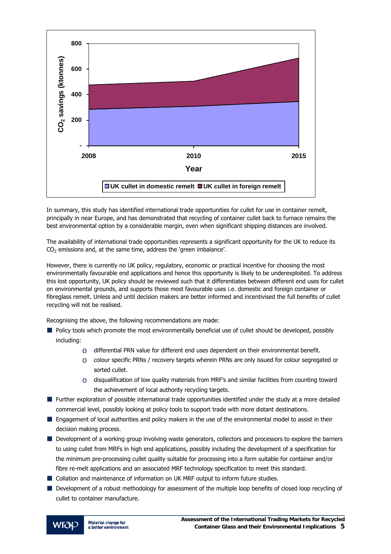

In summary, this study has identified international trade opportunities for cullet for use in container remelt, principally in near Europe, and has demonstrated that recycling of container cullet back to furnace remains the best environmental option by a considerable margin, even when significant shipping distances are involved.

The availability of international trade opportunities represents a significant opportunity for the UK to reduce its  $CO<sub>2</sub>$  emissions and, at the same time, address the 'green imbalance'.

However, there is currently no UK policy, regulatory, economic or practical incentive for choosing the most environmentally favourable end applications and hence this opportunity is likely to be underexploited. To address this lost opportunity, UK policy should be reviewed such that it differentiates between different end uses for cullet on environmental grounds, and supports those most favourable uses i.e. domestic and foreign container or fibreglass remelt. Unless and until decision makers are better informed and incentivised the full benefits of cullet recycling will not be realised.

Recognising the above, the following recommendations are made:

- **Policy tools which promote the most environmentally beneficial use of cullet should be developed, possibly** including:
	- $\circ$  differential PRN value for different end uses dependent on their environmental benefit.
	- $\circ$  colour specific PRNs / recovery targets wherein PRNs are only issued for colour segregated or sorted cullet.
	- $\circ$  disqualification of low quality materials from MRF's and similar facilities from counting toward the achievement of local authority recycling targets.
- Further exploration of possible international trade opportunities identified under the study at a more detailed commercial level, possibly looking at policy tools to support trade with more distant destinations.
- **E** Engagement of local authorities and policy makers in the use of the environmental model to assist in their decision making process.
- Development of a working group involving waste generators, collectors and processors to explore the barriers to using cullet from MRFs in high end applications, possibly including the development of a specification for the minimum pre-processing cullet quality suitable for processing into a form suitable for container and/or fibre re-melt applications and an associated MRF technology specification to meet this standard.
- Collation and maintenance of information on UK MRF output to inform future studies.
- Development of a robust methodology for assessment of the multiple loop benefits of closed loop recycling of cullet to container manufacture.

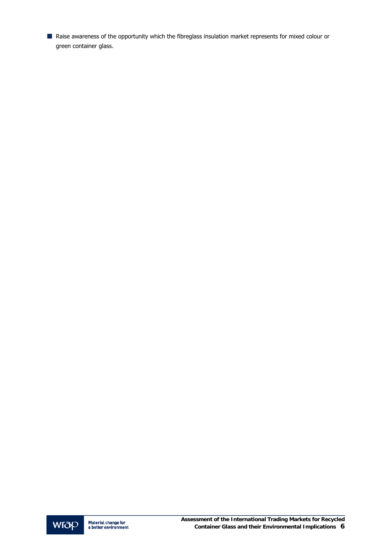■ Raise awareness of the opportunity which the fibreglass insulation market represents for mixed colour or green container glass.

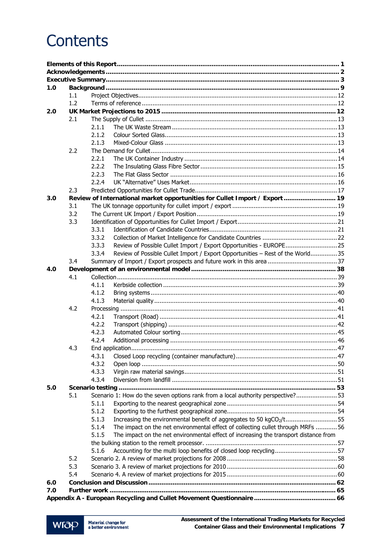### **Contents**

| 1.0 |     |       |                                                                                      |  |
|-----|-----|-------|--------------------------------------------------------------------------------------|--|
|     | 1.1 |       |                                                                                      |  |
|     | 1.2 |       |                                                                                      |  |
| 2.0 |     |       |                                                                                      |  |
|     | 2.1 |       |                                                                                      |  |
|     |     | 2.1.1 |                                                                                      |  |
|     |     | 2.1.2 |                                                                                      |  |
|     |     | 2.1.3 |                                                                                      |  |
|     | 2.2 |       |                                                                                      |  |
|     |     | 2.2.1 |                                                                                      |  |
|     |     | 2.2.2 |                                                                                      |  |
|     |     | 2.2.3 |                                                                                      |  |
|     |     | 2.2.4 |                                                                                      |  |
|     | 2.3 |       |                                                                                      |  |
| 3.0 |     |       | Review of International market opportunities for Cullet Import / Export  19          |  |
|     | 3.1 |       |                                                                                      |  |
|     | 3.2 |       |                                                                                      |  |
|     | 3.3 |       |                                                                                      |  |
|     |     | 3.3.1 |                                                                                      |  |
|     |     | 3.3.2 |                                                                                      |  |
|     |     | 3.3.3 | Review of Possible Cullet Import / Export Opportunities - EUROPE25                   |  |
|     |     | 3.3.4 | Review of Possible Cullet Import / Export Opportunities - Rest of the World35        |  |
|     | 3.4 |       |                                                                                      |  |
| 4.0 | 4.1 |       |                                                                                      |  |
|     |     | 4.1.1 |                                                                                      |  |
|     |     | 4.1.2 |                                                                                      |  |
|     |     | 4.1.3 |                                                                                      |  |
|     | 4.2 |       |                                                                                      |  |
|     |     | 4.2.1 |                                                                                      |  |
|     |     | 4.2.2 |                                                                                      |  |
|     |     | 4.2.3 |                                                                                      |  |
|     |     | 4.2.4 |                                                                                      |  |
|     | 4.3 |       |                                                                                      |  |
|     |     | 4.3.1 |                                                                                      |  |
|     |     | 4.3.2 |                                                                                      |  |
|     |     | 4.3.3 |                                                                                      |  |
|     |     | 4.3.4 |                                                                                      |  |
| 5.0 |     |       |                                                                                      |  |
|     | 5.1 |       | Scenario 1: How do the seven options rank from a local authority perspective? 53     |  |
|     |     | 5.1.1 |                                                                                      |  |
|     |     | 5.1.2 |                                                                                      |  |
|     |     | 5.1.3 | Increasing the environmental benefit of aggregates to 50 kgCO <sub>2</sub> /t55      |  |
|     |     | 5.1.4 | The impact on the net environmental effect of collecting cullet through MRFs 56      |  |
|     |     | 5.1.5 | The impact on the net environmental effect of increasing the transport distance from |  |
|     |     |       |                                                                                      |  |
|     |     | 5.1.6 | Accounting for the multi loop benefits of closed loop recycling57                    |  |
|     | 5.2 |       |                                                                                      |  |
|     | 5.3 |       |                                                                                      |  |
|     | 5.4 |       |                                                                                      |  |
| 6.0 |     |       |                                                                                      |  |
| 7.0 |     |       |                                                                                      |  |
|     |     |       |                                                                                      |  |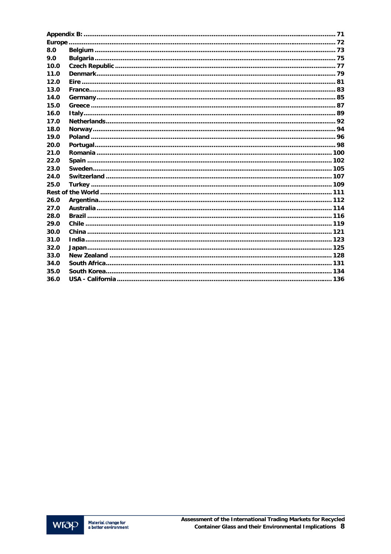| 8.0  |  |
|------|--|
| 9.0  |  |
| 10.0 |  |
| 11.0 |  |
| 12.0 |  |
| 13.0 |  |
| 14.0 |  |
| 15.0 |  |
| 16.0 |  |
| 17.0 |  |
| 18.0 |  |
| 19.0 |  |
| 20.0 |  |
| 21.0 |  |
| 22.0 |  |
| 23.0 |  |
| 24.0 |  |
| 25.0 |  |
|      |  |
| 26.0 |  |
| 27.0 |  |
| 28.0 |  |
| 29.0 |  |
| 30.0 |  |
| 31.0 |  |
| 32.0 |  |
| 33.0 |  |
| 34.0 |  |
| 35.0 |  |
| 36.0 |  |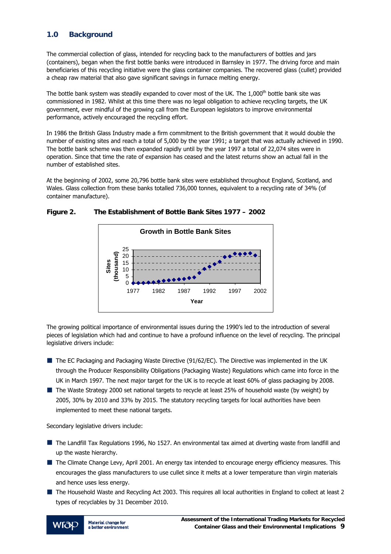#### <span id="page-10-0"></span>**1.0 Background**

The commercial collection of glass, intended for recycling back to the manufacturers of bottles and jars (containers), began when the first bottle banks were introduced in Barnsley in 1977. The driving force and main beneficiaries of this recycling initiative were the glass container companies. The recovered glass (cullet) provided a cheap raw material that also gave significant savings in furnace melting energy.

The bottle bank system was steadily expanded to cover most of the UK. The 1,000<sup>th</sup> bottle bank site was commissioned in 1982. Whilst at this time there was no legal obligation to achieve recycling targets, the UK government, ever mindful of the growing call from the European legislators to improve environmental performance, actively encouraged the recycling effort.

In 1986 the British Glass Industry made a firm commitment to the British government that it would double the number of existing sites and reach a total of 5,000 by the year 1991; a target that was actually achieved in 1990. The bottle bank scheme was then expanded rapidly until by the year 1997 a total of 22,074 sites were in operation. Since that time the rate of expansion has ceased and the latest returns show an actual fall in the number of established sites.

At the beginning of 2002, some 20,796 bottle bank sites were established throughout England, Scotland, and Wales. Glass collection from these banks totalled 736,000 tonnes, equivalent to a recycling rate of 34% (of container manufacture).



#### **Figure 2. The Establishment of Bottle Bank Sites 1977 – 2002**

The growing political importance of environmental issues during the 1990's led to the introduction of several pieces of legislation which had and continue to have a profound influence on the level of recycling. The principal legislative drivers include:

- The EC Packaging and Packaging Waste Directive (91/62/EC). The Directive was implemented in the UK through the Producer Responsibility Obligations (Packaging Waste) Regulations which came into force in the UK in March 1997. The next major target for the UK is to recycle at least 60% of glass packaging by 2008.
- The Waste Strategy 2000 set national targets to recycle at least 25% of household waste (by weight) by 2005, 30% by 2010 and 33% by 2015. The statutory recycling targets for local authorities have been implemented to meet these national targets.

Secondary legislative drivers include:

- The Landfill Tax Regulations 1996, No 1527. An environmental tax aimed at diverting waste from landfill and up the waste hierarchy.
- **The Climate Change Levy, April 2001. An energy tax intended to encourage energy efficiency measures. This** encourages the glass manufacturers to use cullet since it melts at a lower temperature than virgin materials and hence uses less energy.
- The Household Waste and Recycling Act 2003. This requires all local authorities in England to collect at least 2 types of recyclables by 31 December 2010.

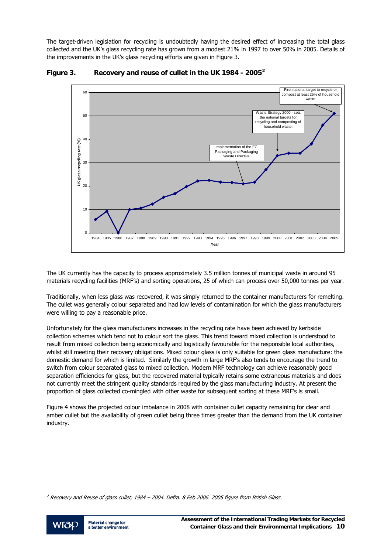<span id="page-11-0"></span>The target-driven legislation for recycling is undoubtedly having the desired effect of increasing the total glass collected and the UK's glass recycling rate has grown from a modest 21% in 1997 to over 50% in 2005. Details of the improvements in the UK's glass recycling efforts are given in Figure 3.



**Figure 3. Recovery and reuse of cullet in the UK 1984 - 2005[2](#page-11-0)**

The UK currently has the capacity to process approximately 3.5 million tonnes of municipal waste in around 95 materials recycling facilities (MRF's) and sorting operations, 25 of which can process over 50,000 tonnes per year.

Traditionally, when less glass was recovered, it was simply returned to the container manufacturers for remelting. The cullet was generally colour separated and had low levels of contamination for which the glass manufacturers were willing to pay a reasonable price.

Unfortunately for the glass manufacturers increases in the recycling rate have been achieved by kerbside collection schemes which tend not to colour sort the glass. This trend toward mixed collection is understood to result from mixed collection being economically and logistically favourable for the responsible local authorities, whilst still meeting their recovery obligations. Mixed colour glass is only suitable for green glass manufacture: the domestic demand for which is limited. Similarly the growth in large MRF's also tends to encourage the trend to switch from colour separated glass to mixed collection. Modern MRF technology can achieve reasonably good separation efficiencies for glass, but the recovered material typically retains some extraneous materials and does not currently meet the stringent quality standards required by the glass manufacturing industry. At present the proportion of glass collected co-mingled with other waste for subsequent sorting at these MRF's is small.

Figure 4 shows the projected colour imbalance in 2008 with container cullet capacity remaining for clear and amber cullet but the availability of green cullet being three times greater than the demand from the UK container industry.

 $^2$  Recovery and Reuse of glass cullet, 1984 – 2004. Defra. 8 Feb 2006. 2005 figure from British Glass.

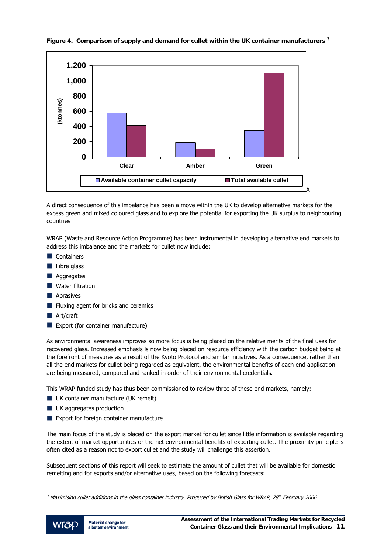

#### <span id="page-12-0"></span>**Figure 4. Comparison of supply and demand for cullet within the UK container manufacturers [3](#page-12-0)**

A direct consequence of this imbalance has been a move within the UK to develop alternative markets for the excess green and mixed coloured glass and to explore the potential for exporting the UK surplus to neighbouring countries

WRAP (Waste and Resource Action Programme) has been instrumental in developing alternative end markets to address this imbalance and the markets for cullet now include:

- Containers
- $\blacksquare$  Fibre glass
- **Aggregates**
- **Nater filtration**
- **N** Abrasives
- Fluxing agent for bricks and ceramics
- **N** Art/craft
- Export (for container manufacture)

As environmental awareness improves so more focus is being placed on the relative merits of the final uses for recovered glass. Increased emphasis is now being placed on resource efficiency with the carbon budget being at the forefront of measures as a result of the Kyoto Protocol and similar initiatives. As a consequence, rather than all the end markets for cullet being regarded as equivalent, the environmental benefits of each end application are being measured, compared and ranked in order of their environmental credentials.

This WRAP funded study has thus been commissioned to review three of these end markets, namely:

- **UK container manufacture (UK remelt)**
- **UK** aggregates production
- Export for foreign container manufacture

The main focus of the study is placed on the export market for cullet since little information is available regarding the extent of market opportunities or the net environmental benefits of exporting cullet. The proximity principle is often cited as a reason not to export cullet and the study will challenge this assertion.

Subsequent sections of this report will seek to estimate the amount of cullet that will be available for domestic remelting and for exports and/or alternative uses, based on the following forecasts:

 $^3$  Maximising cullet additions in the glass container industry. Produced by British Glass for WRAP, 28th February 2006.

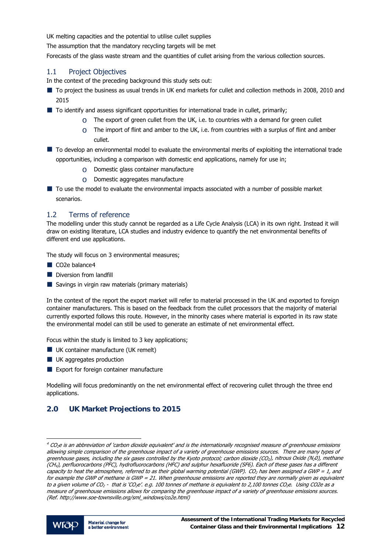<span id="page-13-0"></span>UK melting capacities and the potential to utilise cullet supplies

The assumption that the mandatory recycling targets will be met

Forecasts of the glass waste stream and the quantities of cullet arising from the various collection sources.

#### 1.1 Project Objectives

In the context of the preceding background this study sets out:

- To project the business as usual trends in UK end markets for cullet and collection methods in 2008, 2010 and 2015
- To identify and assess significant opportunities for international trade in cullet, primarily;
	- $\circ$  The export of green cullet from the UK, i.e. to countries with a demand for green cullet
	- $\circ$  The import of flint and amber to the UK, i.e. from countries with a surplus of flint and amber cullet.
- $\blacksquare$  To develop an environmental model to evaluate the environmental merits of exploiting the international trade opportunities, including a comparison with domestic end applications, namely for use in;
	- o Domestic glass container manufacture
	- o Domestic aggregates manufacture
- $\blacksquare$  To use the model to evaluate the environmental impacts associated with a number of possible market scenarios.

#### 1.2 Terms of reference

The modelling under this study cannot be regarded as a Life Cycle Analysis (LCA) in its own right. Instead it will draw on existing literature, LCA studies and industry evidence to quantify the net environmental benefits of different end use applications.

The study will focus on 3 environmental measures;

- CO<sub>2</sub>e balance[4](#page-13-0)
- Diversion from landfill
- Savings in virgin raw materials (primary materials)

In the context of the report the export market will refer to material processed in the UK and exported to foreign container manufacturers. This is based on the feedback from the cullet processors that the majority of material currently exported follows this route. However, in the minority cases where material is exported in its raw state the environmental model can still be used to generate an estimate of net environmental effect.

Focus within the study is limited to 3 key applications;

- **UK container manufacture (UK remelt)**
- **UK** aggregates production
- Export for foreign container manufacture

Modelling will focus predominantly on the net environmental effect of recovering cullet through the three end applications.

#### **2.0 UK Market Projections to 2015**

 $4$  CO<sub>2</sub>e is an abbreviation of 'carbon dioxide equivalent' and is the internationally recognised measure of greenhouse emissions allowing simple comparison of the greenhouse impact of a variety of greenhouse emissions sources. There are many types of greenhouse gases, including the six gases controlled by the Kyoto protocol; carbon dioxide (CO<sub>2</sub>), nitrous Oxide (N20), methane (CH4), perfluorocarbons (PFC), hydrofluorocarbons (HFC) and sulphur hexafluoride (SF6). Each of these gases has a different capacity to heat the atmosphere, referred to as their global warming potential (GWP).  $CO<sub>2</sub>$  has been assigned a GWP = 1, and for example the GWP of methane is GWP = 21. When greenhouse emissions are reported they are normally given as equivalent to a given volume of CO<sub>2</sub> - that is 'CO<sub>2</sub>e'. e.g. 100 tonnes of methane is equivalent to 2,100 tonnes CO<sub>2</sub>e. Using CO2e as a measure of greenhouse emissions allows for comparing the greenhouse impact of a variety of greenhouse emissions sources. (Ref. http://www.soe-townsville.org/sml\_windows/co2e.html)

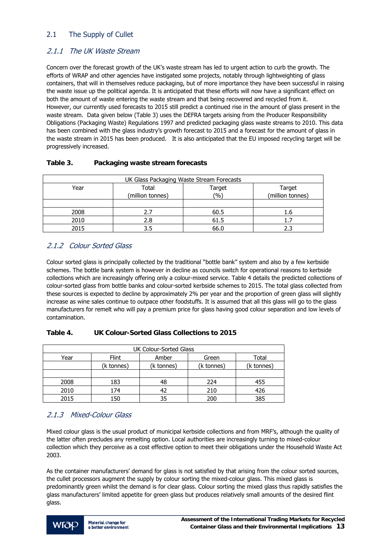#### <span id="page-14-0"></span>2.1 The Supply of Cullet

#### 2.1.1 The UK Waste Stream

Concern over the forecast growth of the UK's waste stream has led to urgent action to curb the growth. The efforts of WRAP and other agencies have instigated some projects, notably through lightweighting of glass containers, that will in themselves reduce packaging, but of more importance they have been successful in raising the waste issue up the political agenda. It is anticipated that these efforts will now have a significant effect on both the amount of waste entering the waste stream and that being recovered and recycled from it. However, our currently used forecasts to 2015 still predict a continued rise in the amount of glass present in the waste stream. Data given below (Table 3) uses the DEFRA targets arising from the Producer Responsibility Obligations (Packaging Waste) Regulations 1997 and predicted packaging glass waste streams to 2010. This data has been combined with the glass industry's growth forecast to 2015 and a forecast for the amount of glass in the waste stream in 2015 has been produced. It is also anticipated that the EU imposed recycling target will be progressively increased.

| UK Glass Packaging Waste Stream Forecasts |                           |               |                            |  |  |
|-------------------------------------------|---------------------------|---------------|----------------------------|--|--|
| Year                                      | Total<br>(million tonnes) | Target<br>(%) | Target<br>(million tonnes) |  |  |
|                                           |                           |               |                            |  |  |
| 2008                                      | 2.7                       | 60.5          | 1.6                        |  |  |
| 2010                                      | 2.8                       | 61.5          |                            |  |  |
| 2015                                      | 3.5                       | 66.0          |                            |  |  |

#### **Table 3. Packaging waste stream forecasts**

#### 2.1.2 Colour Sorted Glass

Colour sorted glass is principally collected by the traditional "bottle bank" system and also by a few kerbside schemes. The bottle bank system is however in decline as councils switch for operational reasons to kerbside collections which are increasingly offering only a colour-mixed service. Table 4 details the predicted collections of colour-sorted glass from bottle banks and colour-sorted kerbside schemes to 2015. The total glass collected from these sources is expected to decline by approximately 2% per year and the proportion of green glass will slightly increase as wine sales continue to outpace other foodstuffs. It is assumed that all this glass will go to the glass manufacturers for remelt who will pay a premium price for glass having good colour separation and low levels of contamination.

#### **Table 4. UK Colour-Sorted Glass Collections to 2015**

| <b>UK Colour-Sorted Glass</b> |              |            |            |            |  |
|-------------------------------|--------------|------------|------------|------------|--|
| Year                          | <b>Flint</b> | Amber      | Green      | Total      |  |
|                               | (k tonnes)   | (k tonnes) | (k tonnes) | (k tonnes) |  |
|                               |              |            |            |            |  |
| 2008                          | 183          | 48         | 224        | 455        |  |
| 2010                          | 174          |            | 210        | 426        |  |
| 2015                          | 150          | 35         | 200        | 385        |  |

#### 2.1.3 Mixed-Colour Glass

Mixed colour glass is the usual product of municipal kerbside collections and from MRF's, although the quality of the latter often precludes any remelting option. Local authorities are increasingly turning to mixed-colour collection which they perceive as a cost effective option to meet their obligations under the Household Waste Act 2003.

As the container manufacturers' demand for glass is not satisfied by that arising from the colour sorted sources, the cullet processors augment the supply by colour sorting the mixed-colour glass. This mixed glass is predominantly green whilst the demand is for clear glass. Colour sorting the mixed glass thus rapidly satisfies the glass manufacturers' limited appetite for green glass but produces relatively small amounts of the desired flint glass.

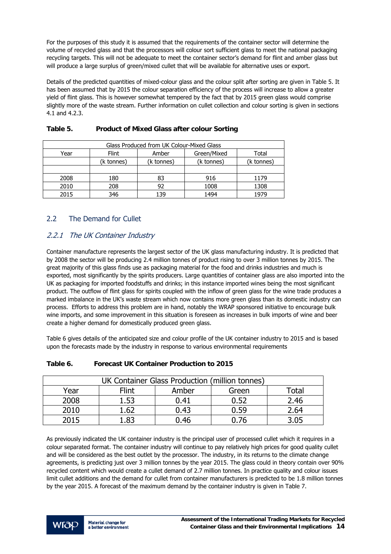<span id="page-15-0"></span>For the purposes of this study it is assumed that the requirements of the container sector will determine the volume of recycled glass and that the processors will colour sort sufficient glass to meet the national packaging recycling targets. This will not be adequate to meet the container sector's demand for flint and amber glass but will produce a large surplus of green/mixed cullet that will be available for alternative uses or export.

Details of the predicted quantities of mixed-colour glass and the colour split after sorting are given in Table 5. It has been assumed that by 2015 the colour separation efficiency of the process will increase to allow a greater yield of flint glass. This is however somewhat tempered by the fact that by 2015 green glass would comprise slightly more of the waste stream. Further information on cullet collection and colour sorting is given in sections 4.1 and 4.2.3.

| Glass Produced from UK Colour-Mixed Glass |                                        |            |            |            |  |  |
|-------------------------------------------|----------------------------------------|------------|------------|------------|--|--|
| Year                                      | Green/Mixed<br>Flint<br>Amber<br>Total |            |            |            |  |  |
|                                           | (k tonnes)                             | (k tonnes) | (k tonnes) | (k tonnes) |  |  |
|                                           |                                        |            |            |            |  |  |
| 2008                                      | 180                                    | 83         | 916        | 1179       |  |  |
| 2010                                      | 208                                    | 92         | 1008       | 1308       |  |  |
| 2015                                      | 346                                    | 139        | 1494       | 1979       |  |  |

#### **Table 5. Product of Mixed Glass after colour Sorting**

#### 2.2 The Demand for Cullet

#### 2.2.1 The UK Container Industry

Container manufacture represents the largest sector of the UK glass manufacturing industry. It is predicted that by 2008 the sector will be producing 2.4 million tonnes of product rising to over 3 million tonnes by 2015. The great majority of this glass finds use as packaging material for the food and drinks industries and much is exported, most significantly by the spirits producers. Large quantities of container glass are also imported into the UK as packaging for imported foodstuffs and drinks; in this instance imported wines being the most significant product. The outflow of flint glass for spirits coupled with the inflow of green glass for the wine trade produces a marked imbalance in the UK's waste stream which now contains more green glass than its domestic industry can process. Efforts to address this problem are in hand, notably the WRAP sponsored initiative to encourage bulk wine imports, and some improvement in this situation is foreseen as increases in bulk imports of wine and beer create a higher demand for domestically produced green glass.

Table 6 gives details of the anticipated size and colour profile of the UK container industry to 2015 and is based upon the forecasts made by the industry in response to various environmental requirements

| UK Container Glass Production (million tonnes) |       |       |       |                   |  |
|------------------------------------------------|-------|-------|-------|-------------------|--|
| Year                                           | Flint | Amber | Green | <sup>-</sup> otal |  |
| 2008                                           | L.53  | 0.41  | 0.52  | 2.46              |  |
| 2010                                           | .62   | 0.43  | 0.59  | 2.64              |  |
| 2015                                           | 83    | 0.46  | በ.76  | 3 በ5              |  |

#### **Table 6. Forecast UK Container Production to 2015**

As previously indicated the UK container industry is the principal user of processed cullet which it requires in a colour separated format. The container industry will continue to pay relatively high prices for good quality cullet and will be considered as the best outlet by the processor. The industry, in its returns to the climate change agreements, is predicting just over 3 million tonnes by the year 2015. The glass could in theory contain over 90% recycled content which would create a cullet demand of 2.7 million tonnes. In practice quality and colour issues limit cullet additions and the demand for cullet from container manufacturers is predicted to be 1.8 million tonnes by the year 2015. A forecast of the maximum demand by the container industry is given in Table 7.

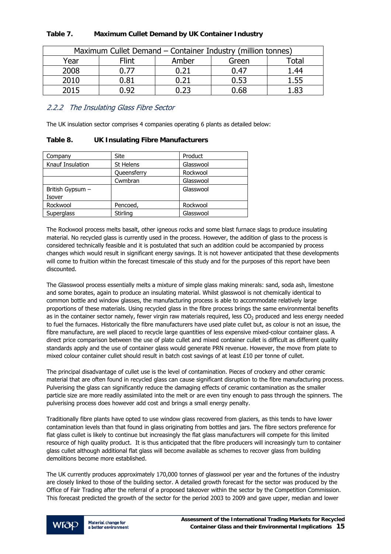|      | Maximum Cullet Demand – Container Industry (million tonnes) |       |       |                   |  |  |
|------|-------------------------------------------------------------|-------|-------|-------------------|--|--|
| Year | Flint                                                       | Amber | Green | otal <sup>-</sup> |  |  |
| 2008 |                                                             |       | ባ.47  | 1.44              |  |  |
| 2010 | ว.81                                                        |       | ን.53  |                   |  |  |
| 2015 |                                                             |       | N.68  |                   |  |  |

#### <span id="page-16-0"></span>**Table 7. Maximum Cullet Demand by UK Container Industry**

#### 2.2.2 The Insulating Glass Fibre Sector

The UK insulation sector comprises 4 companies operating 6 plants as detailed below:

#### **Table 8. UK Insulating Fibre Manufacturers**

| Company          | Site        | Product   |
|------------------|-------------|-----------|
| Knauf Insulation | St Helens   | Glasswool |
|                  | Queensferry | Rockwool  |
|                  | Cwmbran     | Glasswool |
| British Gypsum - |             | Glasswool |
| Isover           |             |           |
| Rockwool         | Pencoed,    | Rockwool  |
| Superglass       | Stirling    | Glasswool |

The Rockwool process melts basalt, other igneous rocks and some blast furnace slags to produce insulating material. No recycled glass is currently used in the process. However, the addition of glass to the process is considered technically feasible and it is postulated that such an addition could be accompanied by process changes which would result in significant energy savings. It is not however anticipated that these developments will come to fruition within the forecast timescale of this study and for the purposes of this report have been discounted.

The Glasswool process essentially melts a mixture of simple glass making minerals: sand, soda ash, limestone and some borates, again to produce an insulating material. Whilst glasswool is not chemically identical to common bottle and window glasses, the manufacturing process is able to accommodate relatively large proportions of these materials. Using recycled glass in the fibre process brings the same environmental benefits as in the container sector namely, fewer virgin raw materials required, less  $CO<sub>2</sub>$  produced and less energy needed to fuel the furnaces. Historically the fibre manufacturers have used plate cullet but, as colour is not an issue, the fibre manufacture, are well placed to recycle large quantities of less expensive mixed-colour container glass. A direct price comparison between the use of plate cullet and mixed container cullet is difficult as different quality standards apply and the use of container glass would generate PRN revenue. However, the move from plate to mixed colour container cullet should result in batch cost savings of at least £10 per tonne of cullet.

The principal disadvantage of cullet use is the level of contamination. Pieces of crockery and other ceramic material that are often found in recycled glass can cause significant disruption to the fibre manufacturing process. Pulverising the glass can significantly reduce the damaging effects of ceramic contamination as the smaller particle size are more readily assimilated into the melt or are even tiny enough to pass through the spinners. The pulverising process does however add cost and brings a small energy penalty.

Traditionally fibre plants have opted to use window glass recovered from glaziers, as this tends to have lower contamination levels than that found in glass originating from bottles and jars. The fibre sectors preference for flat glass cullet is likely to continue but increasingly the flat glass manufacturers will compete for this limited resource of high quality product. It is thus anticipated that the fibre producers will increasingly turn to container glass cullet although additional flat glass will become available as schemes to recover glass from building demolitions become more established.

The UK currently produces approximately 170,000 tonnes of glasswool per year and the fortunes of the industry are closely linked to those of the building sector. A detailed growth forecast for the sector was produced by the Office of Fair Trading after the referral of a proposed takeover within the sector by the Competition Commission. This forecast predicted the growth of the sector for the period 2003 to 2009 and gave upper, median and lower

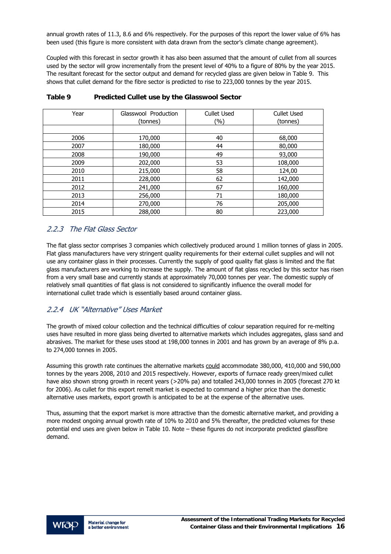<span id="page-17-0"></span>annual growth rates of 11.3, 8.6 and 6% respectively. For the purposes of this report the lower value of 6% has been used (this figure is more consistent with data drawn from the sector's climate change agreement).

Coupled with this forecast in sector growth it has also been assumed that the amount of cullet from all sources used by the sector will grow incrementally from the present level of 40% to a figure of 80% by the year 2015. The resultant forecast for the sector output and demand for recycled glass are given below in Table 9. This shows that cullet demand for the fibre sector is predicted to rise to 223,000 tonnes by the year 2015.

| Year | Glasswool Production | <b>Cullet Used</b> | <b>Cullet Used</b> |
|------|----------------------|--------------------|--------------------|
|      | (tonnes)             | $(\%)$             | (tonnes)           |
|      |                      |                    |                    |
| 2006 | 170,000              | 40                 | 68,000             |
| 2007 | 180,000              | 44                 | 80,000             |
| 2008 | 190,000              | 49                 | 93,000             |
| 2009 | 202,000              | 53                 | 108,000            |
| 2010 | 215,000              | 58                 | 124,00             |
| 2011 | 228,000              | 62                 | 142,000            |
| 2012 | 241,000              | 67                 | 160,000            |
| 2013 | 256,000              | 71                 | 180,000            |
| 2014 | 270,000              | 76                 | 205,000            |
| 2015 | 288,000              | 80                 | 223,000            |

**Table 9 Predicted Cullet use by the Glasswool Sector** 

#### 2.2.3 The Flat Glass Sector

The flat glass sector comprises 3 companies which collectively produced around 1 million tonnes of glass in 2005. Flat glass manufacturers have very stringent quality requirements for their external cullet supplies and will not use any container glass in their processes. Currently the supply of good quality flat glass is limited and the flat glass manufacturers are working to increase the supply. The amount of flat glass recycled by this sector has risen from a very small base and currently stands at approximately 70,000 tonnes per year. The domestic supply of relatively small quantities of flat glass is not considered to significantly influence the overall model for international cullet trade which is essentially based around container glass.

#### 2.2.4 UK "Alternative" Uses Market

The growth of mixed colour collection and the technical difficulties of colour separation required for re-melting uses have resulted in more glass being diverted to alternative markets which includes aggregates, glass sand and abrasives. The market for these uses stood at 198,000 tonnes in 2001 and has grown by an average of 8% p.a. to 274,000 tonnes in 2005.

Assuming this growth rate continues the alternative markets could accommodate 380,000, 410,000 and 590,000 tonnes by the years 2008, 2010 and 2015 respectively. However, exports of furnace ready green/mixed cullet have also shown strong growth in recent years (>20% pa) and totalled 243,000 tonnes in 2005 (forecast 270 kt for 2006). As cullet for this export remelt market is expected to command a higher price than the domestic alternative uses markets, export growth is anticipated to be at the expense of the alternative uses.

Thus, assuming that the export market is more attractive than the domestic alternative market, and providing a more modest ongoing annual growth rate of 10% to 2010 and 5% thereafter, the predicted volumes for these potential end uses are given below in Table 10. Note – these figures do not incorporate predicted glassfibre demand.

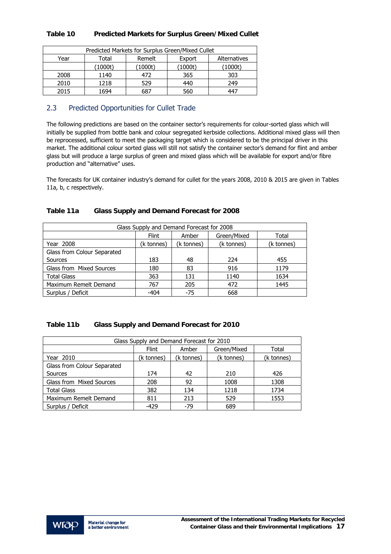#### <span id="page-18-0"></span>**Table 10 Predicted Markets for Surplus Green/Mixed Cullet**

| Predicted Markets for Surplus Green/Mixed Cullet |                                           |         |         |         |  |
|--------------------------------------------------|-------------------------------------------|---------|---------|---------|--|
| Year                                             | Remelt<br>Alternatives<br>Total<br>Export |         |         |         |  |
|                                                  | (1000t)                                   | (1000t) | (1000t) | (1000t) |  |
| 2008                                             | 1140                                      | 472     | 365     | 303     |  |
| 2010                                             | 1218                                      | 529     | 440     | 249     |  |
| 2015                                             | 1694                                      | 687     | 560     | 447     |  |

#### 2.3 Predicted Opportunities for Cullet Trade

The following predictions are based on the container sector's requirements for colour-sorted glass which will initially be supplied from bottle bank and colour segregated kerbside collections. Additional mixed glass will then be reprocessed, sufficient to meet the packaging target which is considered to be the principal driver in this market. The additional colour sorted glass will still not satisfy the container sector's demand for flint and amber glass but will produce a large surplus of green and mixed glass which will be available for export and/or fibre production and "alternative" uses.

The forecasts for UK container industry's demand for cullet for the years 2008, 2010 & 2015 are given in Tables 11a, b, c respectively.

| Glass Supply and Demand Forecast for 2008 |              |            |             |            |  |
|-------------------------------------------|--------------|------------|-------------|------------|--|
|                                           | <b>Flint</b> | Amber      | Green/Mixed | Total      |  |
| Year 2008                                 | (k tonnes)   | (k tonnes) | (k tonnes)  | (k tonnes) |  |
| Glass from Colour Separated               |              |            |             |            |  |
| Sources                                   | 183          | 48         | 224         | 455        |  |
| Glass from Mixed Sources                  | 180          | 83         | 916         | 1179       |  |
| <b>Total Glass</b>                        | 363          | 131        | 1140        | 1634       |  |
| Maximum Remelt Demand                     | 767          | 205        | 472         | 1445       |  |
| Surplus / Deficit                         | $-404$       | $-75$      | 668         |            |  |

| Table 11b | Glass Supply and Demand Forecast for 2010 |
|-----------|-------------------------------------------|
|-----------|-------------------------------------------|

| Glass Supply and Demand Forecast for 2010 |              |            |             |            |  |
|-------------------------------------------|--------------|------------|-------------|------------|--|
|                                           | <b>Flint</b> | Amber      | Green/Mixed | Total      |  |
| Year 2010                                 | (k tonnes)   | (k tonnes) | (k tonnes)  | (k tonnes) |  |
| Glass from Colour Separated               |              |            |             |            |  |
| Sources                                   | 174          | 42         | 210         | 426        |  |
| Glass from Mixed Sources                  | 208          | 92         | 1008        | 1308       |  |
| <b>Total Glass</b>                        | 382          | 134        | 1218        | 1734       |  |
| Maximum Remelt Demand                     | 811          | 213        | 529         | 1553       |  |
| Surplus / Deficit                         | $-429$       | $-79$      | 689         |            |  |

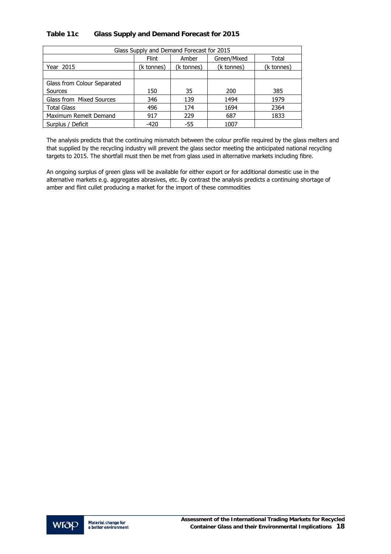#### **Table 11c Glass Supply and Demand Forecast for 2015**

| Glass Supply and Demand Forecast for 2015 |              |            |             |            |  |
|-------------------------------------------|--------------|------------|-------------|------------|--|
|                                           | <b>Flint</b> | Amber      | Green/Mixed | Total      |  |
| Year 2015                                 | (k tonnes)   | (k tonnes) | (k tonnes)  | (k tonnes) |  |
|                                           |              |            |             |            |  |
| Glass from Colour Separated               |              |            |             |            |  |
| Sources                                   | 150          | 35         | 200         | 385        |  |
| Glass from Mixed Sources                  | 346          | 139        | 1494        | 1979       |  |
| <b>Total Glass</b>                        | 496          | 174        | 1694        | 2364       |  |
| Maximum Remelt Demand                     | 917          | 229        | 687         | 1833       |  |
| Surplus / Deficit                         | $-420$       | $-55$      | 1007        |            |  |

The analysis predicts that the continuing mismatch between the colour profile required by the glass melters and that supplied by the recycling industry will prevent the glass sector meeting the anticipated national recycling targets to 2015. The shortfall must then be met from glass used in alternative markets including fibre.

An ongoing surplus of green glass will be available for either export or for additional domestic use in the alternative markets e.g. aggregates abrasives, etc. By contrast the analysis predicts a continuing shortage of amber and flint cullet producing a market for the import of these commodities

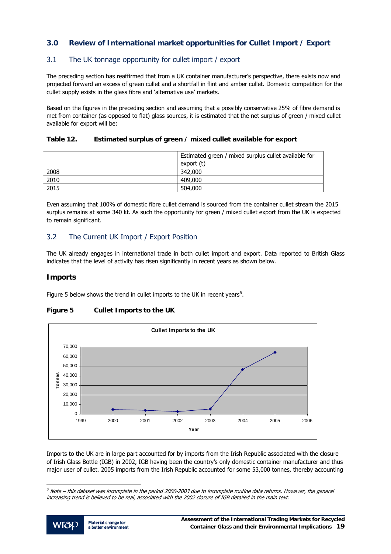#### <span id="page-20-0"></span>**3.0 Review of International market opportunities for Cullet Import / Export**

#### 3.1 The UK tonnage opportunity for cullet import / export

The preceding section has reaffirmed that from a UK container manufacturer's perspective, there exists now and projected forward an excess of green cullet and a shortfall in flint and amber cullet. Domestic competition for the cullet supply exists in the glass fibre and 'alternative use' markets.

Based on the figures in the preceding section and assuming that a possibly conservative 25% of fibre demand is met from container (as opposed to flat) glass sources, it is estimated that the net surplus of green / mixed cullet available for export will be:

#### **Table 12. Estimated surplus of green / mixed cullet available for export**

|      | Estimated green / mixed surplus cullet available for<br>export (t) |
|------|--------------------------------------------------------------------|
| 2008 | 342,000                                                            |
| 2010 | 409,000                                                            |
| 2015 | 504,000                                                            |

Even assuming that 100% of domestic fibre cullet demand is sourced from the container cullet stream the 2015 surplus remains at some 340 kt. As such the opportunity for green / mixed cullet export from the UK is expected to remain significant.

#### 3.2 The Current UK Import / Export Position

The UK already engages in international trade in both cullet import and export. Data reported to British Glass indicates that the level of activity has risen significantly in recent years as shown below.

#### **Imports**

Figure [5](#page-20-0) below shows the trend in cullet imports to the UK in recent years<sup>5</sup>.

### **Figure 5 Cullet Imports to the UK**



Imports to the UK are in large part accounted for by imports from the Irish Republic associated with the closure of Irish Glass Bottle (IGB) in 2002, IGB having been the country's only domestic container manufacturer and thus major user of cullet. 2005 imports from the Irish Republic accounted for some 53,000 tonnes, thereby accounting

 $5$  Note – this dataset was incomplete in the period 2000-2003 due to incomplete routine data returns. However, the general increasing trend is believed to be real, associated with the 2002 closure of IGB detailed in the main text.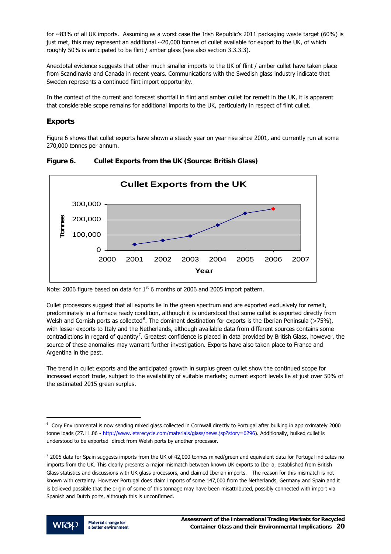<span id="page-21-0"></span>for ~83% of all UK imports. Assuming as a worst case the Irish Republic's 2011 packaging waste target (60%) is just met, this may represent an additional ~20,000 tonnes of cullet available for export to the UK, of which roughly 50% is anticipated to be flint / amber glass (see also section 3.3.3.3).

Anecdotal evidence suggests that other much smaller imports to the UK of flint / amber cullet have taken place from Scandinavia and Canada in recent years. Communications with the Swedish glass industry indicate that Sweden represents a continued flint import opportunity.

In the context of the current and forecast shortfall in flint and amber cullet for remelt in the UK, it is apparent that considerable scope remains for additional imports to the UK, particularly in respect of flint cullet.

#### **Exports**

Figure 6 shows that cullet exports have shown a steady year on year rise since 2001, and currently run at some 270,000 tonnes per annum.



**Figure 6. Cullet Exports from the UK (Source: British Glass)** 

Note: 2006 figure based on data for  $1<sup>st</sup>$  6 months of 2006 and 2005 import pattern.

Cullet processors suggest that all exports lie in the green spectrum and are exported exclusively for remelt, predominately in a furnace ready condition, although it is understood that some cullet is exported directly from Welsh and Cornish ports as collected<sup>[6](#page-21-0)</sup>. The dominant destination for exports is the Iberian Peninsula (>75%), with lesser exports to Italy and the Netherlands, although available data from different sources contains some contradictions in regard of quantity<sup>[7](#page-21-0)</sup>. Greatest confidence is placed in data provided by British Glass, however, the source of these anomalies may warrant further investigation. Exports have also taken place to France and Argentina in the past.

The trend in cullet exports and the anticipated growth in surplus green cullet show the continued scope for increased export trade, subject to the availability of suitable markets; current export levels lie at just over 50% of the estimated 2015 green surplus.

 $^7$  2005 data for Spain suggests imports from the UK of 42,000 tonnes mixed/green and equivalent data for Portugal indicates no imports from the UK. This clearly presents a major mismatch between known UK exports to Iberia, established from British Glass statistics and discussions with UK glass processors, and claimed Iberian imports. The reason for this mismatch is not known with certainty. However Portugal does claim imports of some 147,000 from the Netherlands, Germany and Spain and it is believed possible that the origin of some of this tonnage may have been misattributed, possibly connected with import via Spanish and Dutch ports, although this is unconfirmed.



l

<sup>6</sup> Cory Environmental is now sending mixed glass collected in Cornwall directly to Portugal after bulking in approximately 2000 tonne loads (27.11.06 - http://www.letsrecycle.com/materials/glass/news.jsp?story=6296). Additionally, bulked cullet is understood to be exported direct from Welsh ports by another processor.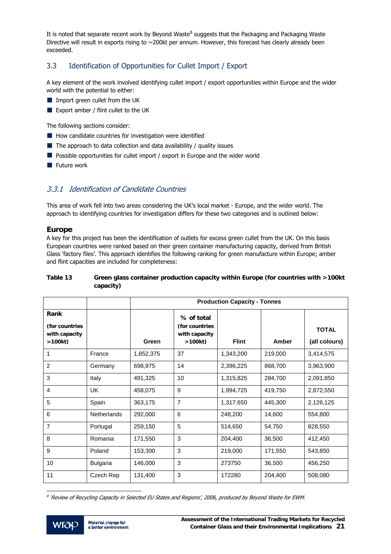<span id="page-22-0"></span>It is noted that separate recent work by Beyond Waste<sup>[8](#page-22-0)</sup> suggests that the Packaging and Packaging Waste Directive will result in exports rising to  $\sim$  200kt per annum. However, this forecast has clearly already been exceeded.

#### 3.3 Identification of Opportunities for Cullet Import / Export

A key element of the work involved identifying cullet import / export opportunities within Europe and the wider world with the potential to either:

- **IMPORT GREET CULLET FROM THE UK**
- Export amber / flint cullet to the UK

The following sections consider:

- $\blacksquare$  How candidate countries for investigation were identified
- $\blacksquare$  The approach to data collection and data availability / quality issues
- **Possible opportunities for cullet import / export in Europe and the wider world**
- $\blacksquare$  Future work

#### 3.3.1 Identification of Candidate Countries

This area of work fell into two areas considering the UK's local market - Europe, and the wider world. The approach to identifying countries for investigation differs for these two categories and is outlined below:

#### **Europe**

A key for this project has been the identification of outlets for excess green cullet from the UK. On this basis European countries were ranked based on their green container manufacturing capacity, derived from British Glass 'factory files'. This approach identifies the following ranking for green manufacture within Europe; amber and flint capacities are included for completeness:

#### **Table 13 Green glass container production capacity within Europe (for countries with >100kt capacity)**

|                                                   |                    | <b>Production Capacity - Tonnes</b> |                                                         |              |         |                               |
|---------------------------------------------------|--------------------|-------------------------------------|---------------------------------------------------------|--------------|---------|-------------------------------|
| Rank<br>(for countries<br>with capacity<br>>100kt |                    | Green                               | % of total<br>(for countries<br>with capacity<br>>100kt | <b>Flint</b> | Amber   | <b>TOTAL</b><br>(all colours) |
| 1                                                 | France             | 1,852,375                           | 37                                                      | 1,343,200    | 219,000 | 3,414,575                     |
| $\overline{2}$                                    | Germany            | 698,975                             | 14                                                      | 2,396,225    | 868,700 | 3,963,900                     |
| 3                                                 | Italy              | 491,325                             | 10                                                      | 1,315,825    | 284,700 | 2,091,850                     |
| 4                                                 | <b>UK</b>          | 458,075                             | 9                                                       | 1,994,725    | 419,750 | 2,872,550                     |
| 5                                                 | Spain              | 363,175                             | 7                                                       | 1,317,650    | 445,300 | 2,126,125                     |
| 6                                                 | <b>Netherlands</b> | 292,000                             | 6                                                       | 248,200      | 14,600  | 554,800                       |
| $\overline{7}$                                    | Portugal           | 259,150                             | 5                                                       | 514,650      | 54,750  | 828,550                       |
| 8                                                 | Romania            | 171,550                             | 3                                                       | 204,400      | 36,500  | 412,450                       |
| 9                                                 | Poland             | 153,300                             | 3                                                       | 219,000      | 171,550 | 543,850                       |
| 10                                                | <b>Bulgaria</b>    | 146,000                             | 3                                                       | 273750       | 36,500  | 456,250                       |
| 11                                                | Czech Rep          | 131,400                             | 3                                                       | 172280       | 204,400 | 508,080                       |

j  $^8$  'Review of Recycling Capacity in Selected EU States and Regions', 2006, produced by Beyond Waste for EWM.

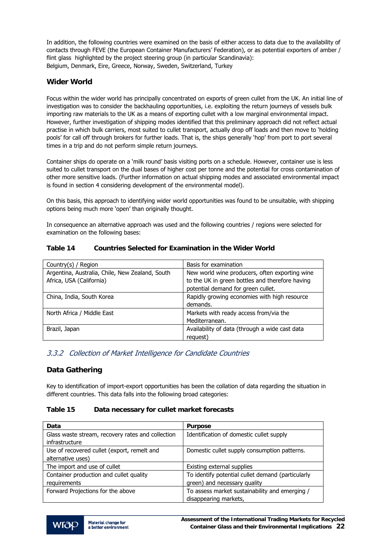<span id="page-23-0"></span>In addition, the following countries were examined on the basis of either access to data due to the availability of contacts through FEVE (the European Container Manufacturers' Federation), or as potential exporters of amber / flint glass highlighted by the project steering group (in particular Scandinavia): Belgium, Denmark, Eire, Greece, Norway, Sweden, Switzerland, Turkey

#### **Wider World**

Focus within the wider world has principally concentrated on exports of green cullet from the UK. An initial line of investigation was to consider the backhauling opportunities, i.e. exploiting the return journeys of vessels bulk importing raw materials to the UK as a means of exporting cullet with a low marginal environmental impact. However, further investigation of shipping modes identified that this preliminary approach did not reflect actual practise in which bulk carriers, most suited to cullet transport, actually drop off loads and then move to 'holding pools' for call off through brokers for further loads. That is, the ships generally 'hop' from port to port several times in a trip and do not perform simple return journeys.

Container ships do operate on a 'milk round' basis visiting ports on a schedule. However, container use is less suited to cullet transport on the dual bases of higher cost per tonne and the potential for cross contamination of other more sensitive loads. (Further information on actual shipping modes and associated environmental impact is found in section 4 considering development of the environmental model).

On this basis, this approach to identifying wider world opportunities was found to be unsuitable, with shipping options being much more 'open' than originally thought.

In consequence an alternative approach was used and the following countries / regions were selected for examination on the following bases:

| Country(s) / Region                             | Basis for examination                           |
|-------------------------------------------------|-------------------------------------------------|
| Argentina, Australia, Chile, New Zealand, South | New world wine producers, often exporting wine  |
| Africa, USA (California)                        | to the UK in green bottles and therefore having |
|                                                 | potential demand for green cullet.              |
| China, India, South Korea                       | Rapidly growing economies with high resource    |
|                                                 | demands.                                        |
| North Africa / Middle East                      | Markets with ready access from/via the          |
|                                                 | Mediterranean.                                  |
| Brazil, Japan                                   | Availability of data (through a wide cast data  |
|                                                 | request)                                        |

#### **Table 14 Countries Selected for Examination in the Wider World**

#### 3.3.2 Collection of Market Intelligence for Candidate Countries

#### **Data Gathering**

Key to identification of import-export opportunities has been the collation of data regarding the situation in different countries. This data falls into the following broad categories:

#### **Table 15 Data necessary for cullet market forecasts**

| Data                                              | <b>Purpose</b>                                    |
|---------------------------------------------------|---------------------------------------------------|
| Glass waste stream, recovery rates and collection | Identification of domestic cullet supply          |
| infrastructure                                    |                                                   |
| Use of recovered cullet (export, remelt and       | Domestic cullet supply consumption patterns.      |
| alternative uses)                                 |                                                   |
| The import and use of cullet                      | Existing external supplies                        |
| Container production and cullet quality           | To identify potential cullet demand (particularly |
| requirements                                      | green) and necessary quality                      |
| Forward Projections for the above                 | To assess market sustainability and emerging /    |
|                                                   | disappearing markets,                             |

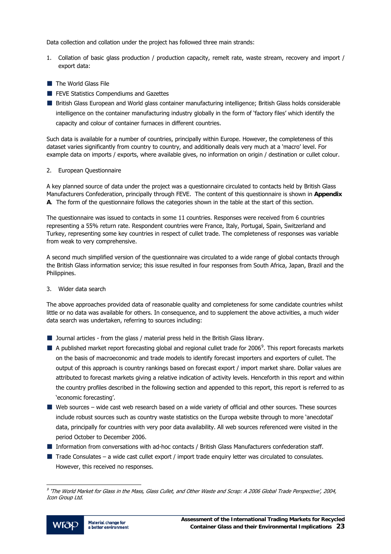<span id="page-24-0"></span>Data collection and collation under the project has followed three main strands:

- 1. Collation of basic glass production / production capacity, remelt rate, waste stream, recovery and import / export data:
- $\blacksquare$  The World Glass File
- **FEVE Statistics Compendiums and Gazettes**
- British Glass European and World glass container manufacturing intelligence; British Glass holds considerable intelligence on the container manufacturing industry globally in the form of 'factory files' which identify the capacity and colour of container furnaces in different countries.

Such data is available for a number of countries, principally within Europe. However, the completeness of this dataset varies significantly from country to country, and additionally deals very much at a 'macro' level. For example data on imports / exports, where available gives, no information on origin / destination or cullet colour.

#### 2. European Questionnaire

A key planned source of data under the project was a questionnaire circulated to contacts held by British Glass Manufacturers Confederation, principally through FEVE. The content of this questionnaire is shown in **Appendix A**. The form of the questionnaire follows the categories shown in the table at the start of this section.

The questionnaire was issued to contacts in some 11 countries. Responses were received from 6 countries representing a 55% return rate. Respondent countries were France, Italy, Portugal, Spain, Switzerland and Turkey, representing some key countries in respect of cullet trade. The completeness of responses was variable from weak to very comprehensive.

A second much simplified version of the questionnaire was circulated to a wide range of global contacts through the British Glass information service; this issue resulted in four responses from South Africa, Japan, Brazil and the Philippines.

#### 3. Wider data search

The above approaches provided data of reasonable quality and completeness for some candidate countries whilst little or no data was available for others. In consequence, and to supplement the above activities, a much wider data search was undertaken, referring to sources including:

- Journal articles from the glass / material press held in the British Glass library.
- A published market report forecasting global and regional cullet trade for 2006<sup>[9](#page-24-0)</sup>. This report forecasts markets on the basis of macroeconomic and trade models to identify forecast importers and exporters of cullet. The output of this approach is country rankings based on forecast export / import market share. Dollar values are attributed to forecast markets giving a relative indication of activity levels. Henceforth in this report and within the country profiles described in the following section and appended to this report, this report is referred to as 'economic forecasting'.
- Web sources wide cast web research based on a wide variety of official and other sources. These sources include robust sources such as country waste statistics on the Europa website through to more 'anecdotal' data, principally for countries with very poor data availability. All web sources referenced were visited in the period October to December 2006.
- **Information from conversations with ad-hoc contacts / British Glass Manufacturers confederation staff.**
- $\blacksquare$  Trade Consulates a wide cast cullet export / import trade enquiry letter was circulated to consulates. However, this received no responses.

<sup>9</sup> 'The World Market for Glass in the Mass, Glass Cullet, and Other Waste and Scrap: A 2006 Global Trade Perspective', 2004, Icon Group Ltd.

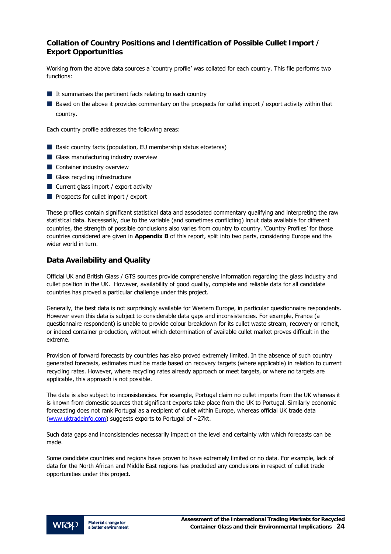#### **Collation of Country Positions and Identification of Possible Cullet Import / Export Opportunities**

Working from the above data sources a 'country profile' was collated for each country. This file performs two functions:

- $\blacksquare$  It summarises the pertinent facts relating to each country
- Based on the above it provides commentary on the prospects for cullet import / export activity within that country.

Each country profile addresses the following areas:

- Basic country facts (population, EU membership status etceteras)
- Glass manufacturing industry overview
- **Container industry overview**
- Glass recycling infrastructure
- $\blacksquare$  Current glass import / export activity
- **Prospects for cullet import / export**

These profiles contain significant statistical data and associated commentary qualifying and interpreting the raw statistical data. Necessarily, due to the variable (and sometimes conflicting) input data available for different countries, the strength of possible conclusions also varies from country to country. 'Country Profiles' for those countries considered are given in **Appendix B** of this report, split into two parts, considering Europe and the wider world in turn.

#### **Data Availability and Quality**

Official UK and British Glass / GTS sources provide comprehensive information regarding the glass industry and cullet position in the UK. However, availability of good quality, complete and reliable data for all candidate countries has proved a particular challenge under this project.

Generally, the best data is not surprisingly available for Western Europe, in particular questionnaire respondents. However even this data is subject to considerable data gaps and inconsistencies. For example, France (a questionnaire respondent) is unable to provide colour breakdown for its cullet waste stream, recovery or remelt, or indeed container production, without which determination of available cullet market proves difficult in the extreme.

Provision of forward forecasts by countries has also proved extremely limited. In the absence of such country generated forecasts, estimates must be made based on recovery targets (where applicable) in relation to current recycling rates. However, where recycling rates already approach or meet targets, or where no targets are applicable, this approach is not possible.

The data is also subject to inconsistencies. For example, Portugal claim no cullet imports from the UK whereas it is known from domestic sources that significant exports take place from the UK to Portugal. Similarly economic forecasting does not rank Portugal as a recipient of cullet within Europe, whereas official UK trade data [\(www.uktradeinfo.com](http://www.uktradeinfo.com/)) suggests exports to Portugal of ~27kt.

Such data gaps and inconsistencies necessarily impact on the level and certainty with which forecasts can be made.

Some candidate countries and regions have proven to have extremely limited or no data. For example, lack of data for the North African and Middle East regions has precluded any conclusions in respect of cullet trade opportunities under this project.

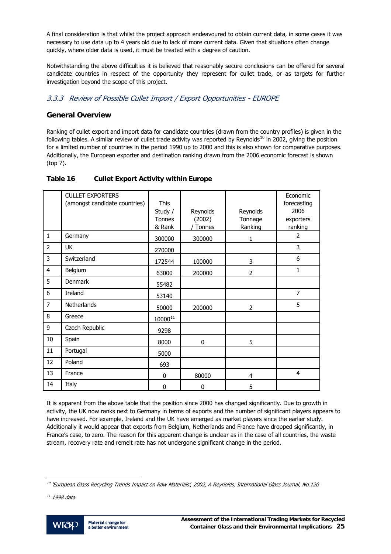<span id="page-26-0"></span>A final consideration is that whilst the project approach endeavoured to obtain current data, in some cases it was necessary to use data up to 4 years old due to lack of more current data. Given that situations often change quickly, where older data is used, it must be treated with a degree of caution.

Notwithstanding the above difficulties it is believed that reasonably secure conclusions can be offered for several candidate countries in respect of the opportunity they represent for cullet trade, or as targets for further investigation beyond the scope of this project.

#### 3.3.3 Review of Possible Cullet Import / Export Opportunities - EUROPE

#### **General Overview**

Ranking of cullet export and import data for candidate countries (drawn from the country profiles) is given in the following tables. A similar review of cullet trade activity was reported by Reynolds<sup>[1](#page-26-0)0</sup> in 2002, giving the position for a limited number of countries in the period 1990 up to 2000 and this is also shown for comparative purposes. Additionally, the European exporter and destination ranking drawn from the 2006 economic forecast is shown (top 7).

|                | <b>CULLET EXPORTERS</b>       |                   |                    |                     | Economic          |
|----------------|-------------------------------|-------------------|--------------------|---------------------|-------------------|
|                | (amongst candidate countries) | <b>This</b>       |                    |                     | forecasting       |
|                |                               | Study /<br>Tonnes | Reynolds<br>(2002) | Reynolds<br>Tonnage | 2006<br>exporters |
|                |                               | & Rank            | <b>Tonnes</b>      | Ranking             | ranking           |
| $\mathbf{1}$   | Germany                       | 300000            | 300000             | 1                   | $\overline{2}$    |
| $\overline{2}$ | UK                            | 270000            |                    |                     | 3                 |
| 3              | Switzerland                   | 172544            | 100000             | 3                   | 6                 |
| $\overline{4}$ | Belgium                       | 63000             | 200000             | $\overline{2}$      | 1                 |
| 5              | <b>Denmark</b>                | 55482             |                    |                     |                   |
| 6              | Ireland                       | 53140             |                    |                     | $\overline{7}$    |
| $\overline{7}$ | Netherlands                   | 50000             | 200000             | 2                   | 5                 |
| 8              | Greece                        | $10000^{11}$      |                    |                     |                   |
| 9              | Czech Republic                | 9298              |                    |                     |                   |
| 10             | Spain                         | 8000              | 0                  | 5                   |                   |
| 11             | Portugal                      | 5000              |                    |                     |                   |
| 12             | Poland                        | 693               |                    |                     |                   |
| 13             | France                        | $\bf{0}$          | 80000              | $\overline{4}$      | $\overline{4}$    |
| 14             | Italy                         | 0                 | 0                  | 5                   |                   |

#### **Table 16 Cullet Export Activity within Europe**

It is apparent from the above table that the position since 2000 has changed significantly. Due to growth in activity, the UK now ranks next to Germany in terms of exports and the number of significant players appears to have increased. For example, Ireland and the UK have emerged as market players since the earlier study. Additionally it would appear that exports from Belgium, Netherlands and France have dropped significantly, in France's case, to zero. The reason for this apparent change is unclear as in the case of all countries, the waste stream, recovery rate and remelt rate has not undergone significant change in the period.

 $11$  1998 data.



 $^{10}$  'European Glass Recycling Trends Impact on Raw Materials', 2002, A Reynolds, International Glass Journal, No.120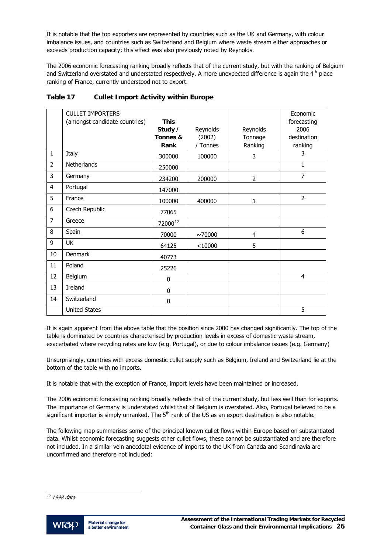<span id="page-27-0"></span>It is notable that the top exporters are represented by countries such as the UK and Germany, with colour imbalance issues, and countries such as Switzerland and Belgium where waste stream either approaches or exceeds production capacity; this effect was also previously noted by Reynolds.

The 2006 economic forecasting ranking broadly reflects that of the current study, but with the ranking of Belgium and Switzerland overstated and understated respectively. A more unexpected difference is again the 4<sup>th</sup> place ranking of France, currently understood not to export.

|                | <b>CULLET IMPORTERS</b><br>(amongst candidate countries) | <b>This</b>      |                  |                    | Economic<br>forecasting |
|----------------|----------------------------------------------------------|------------------|------------------|--------------------|-------------------------|
|                |                                                          | Study /          | Reynolds         | Reynolds           | 2006                    |
|                |                                                          | Tonnes &<br>Rank | (2002)<br>Tonnes | Tonnage<br>Ranking | destination<br>ranking  |
| $\mathbf{1}$   | Italy                                                    |                  |                  |                    | 3                       |
|                |                                                          | 300000           | 100000           | 3                  |                         |
| $\overline{2}$ | Netherlands                                              | 250000           |                  |                    | 1                       |
| 3              | Germany                                                  | 234200           | 200000           | 2                  | $\overline{7}$          |
| 4              | Portugal                                                 | 147000           |                  |                    |                         |
| 5              | France                                                   | 100000           | 400000           | 1                  | 2                       |
| 6              | Czech Republic                                           | 77065            |                  |                    |                         |
| $\overline{7}$ | Greece                                                   | 7200012          |                  |                    |                         |
| 8              | Spain                                                    | 70000            | ~10000           | 4                  | 6                       |
| 9              | <b>UK</b>                                                | 64125            | < 10000          | 5                  |                         |
| 10             | Denmark                                                  | 40773            |                  |                    |                         |
| 11             | Poland                                                   | 25226            |                  |                    |                         |
| 12             | Belgium                                                  | 0                |                  |                    | $\overline{4}$          |
| 13             | Ireland                                                  | 0                |                  |                    |                         |
| 14             | Switzerland                                              | 0                |                  |                    |                         |
|                | <b>United States</b>                                     |                  |                  |                    | 5                       |

#### **Table 17 Cullet Import Activity within Europe**

It is again apparent from the above table that the position since 2000 has changed significantly. The top of the table is dominated by countries characterised by production levels in excess of domestic waste stream, exacerbated where recycling rates are low (e.g. Portugal), or due to colour imbalance issues (e.g. Germany)

Unsurprisingly, countries with excess domestic cullet supply such as Belgium, Ireland and Switzerland lie at the bottom of the table with no imports.

It is notable that with the exception of France, import levels have been maintained or increased.

The 2006 economic forecasting ranking broadly reflects that of the current study, but less well than for exports. The importance of Germany is understated whilst that of Belgium is overstated. Also, Portugal believed to be a significant importer is simply unranked. The 5<sup>th</sup> rank of the US as an export destination is also notable.

The following map summarises some of the principal known cullet flows within Europe based on substantiated data. Whilst economic forecasting suggests other cullet flows, these cannot be substantiated and are therefore not included. In a similar vein anecdotal evidence of imports to the UK from Canada and Scandinavia are unconfirmed and therefore not included:



<sup>&</sup>lt;sup>12</sup> 1998 data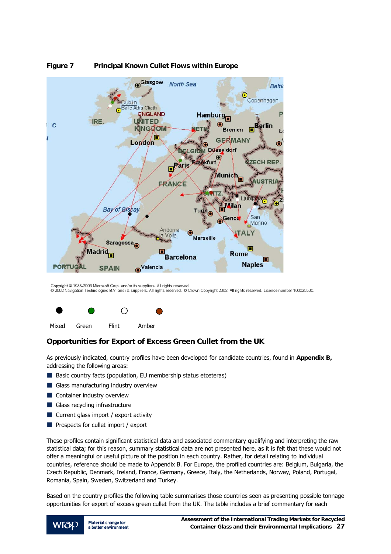

#### **Figure 7 Principal Known Cullet Flows within Europe**

Copyright © 1988-2003 Microsoft Corp. and/or its suppliers. All rights reserved.<br>© 2002 Navigation Technologies B.V. and its suppliers. All rights reserved. © Crown Copyright 2002. All rights reserved. Licence number 1000



#### **Opportunities for Export of Excess Green Cullet from the UK**

As previously indicated, country profiles have been developed for candidate countries, found in **Appendix B,**  addressing the following areas:

- Basic country facts (population, EU membership status etceteras)
- Glass manufacturing industry overview
- **Container industry overview**
- Glass recycling infrastructure
- Current glass import / export activity
- **Prospects for cullet import / export**

These profiles contain significant statistical data and associated commentary qualifying and interpreting the raw statistical data; for this reason, summary statistical data are not presented here, as it is felt that these would not offer a meaningful or useful picture of the position in each country. Rather, for detail relating to individual countries, reference should be made to Appendix B. For Europe, the profiled countries are: Belgium, Bulgaria, the Czech Republic, Denmark, Ireland, France, Germany, Greece, Italy, the Netherlands, Norway, Poland, Portugal, Romania, Spain, Sweden, Switzerland and Turkey.

Based on the country profiles the following table summarises those countries seen as presenting possible tonnage opportunities for export of excess green cullet from the UK. The table includes a brief commentary for each

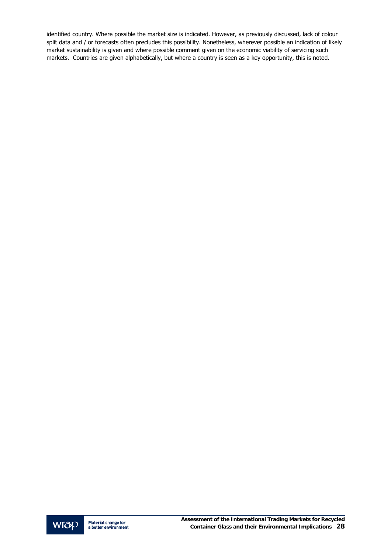identified country. Where possible the market size is indicated. However, as previously discussed, lack of colour split data and / or forecasts often precludes this possibility. Nonetheless, wherever possible an indication of likely market sustainability is given and where possible comment given on the economic viability of servicing such markets. Countries are given alphabetically, but where a country is seen as a key opportunity, this is noted.

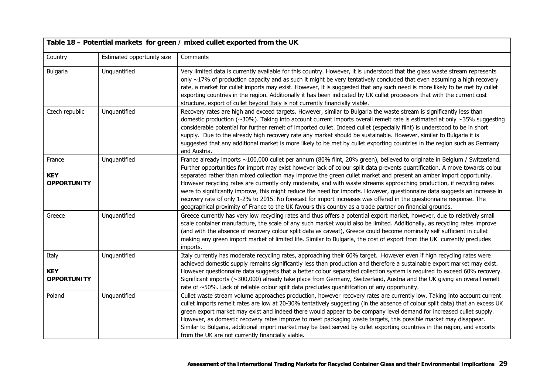|                                            | Table 18 - Potential markets for green / mixed cullet exported from the UK |                                                                                                                                                                                                                                                                                                                                                                                                                                                                                                                                                                                                                                                                                                                                                                                                                                                                           |  |  |  |
|--------------------------------------------|----------------------------------------------------------------------------|---------------------------------------------------------------------------------------------------------------------------------------------------------------------------------------------------------------------------------------------------------------------------------------------------------------------------------------------------------------------------------------------------------------------------------------------------------------------------------------------------------------------------------------------------------------------------------------------------------------------------------------------------------------------------------------------------------------------------------------------------------------------------------------------------------------------------------------------------------------------------|--|--|--|
| Country                                    | Estimated opportunity size                                                 | Comments                                                                                                                                                                                                                                                                                                                                                                                                                                                                                                                                                                                                                                                                                                                                                                                                                                                                  |  |  |  |
| Bulgaria                                   | Unquantified                                                               | Very limited data is currently available for this country. However, it is understood that the glass waste stream represents<br>only ~17% of production capacity and as such it might be very tentatively concluded that even assuming a high recovery<br>rate, a market for cullet imports may exist. However, it is suggested that any such need is more likely to be met by cullet<br>exporting countries in the region. Additionally it has been indicated by UK cullet processors that with the current cost<br>structure, export of cullet beyond Italy is not currently financially viable.                                                                                                                                                                                                                                                                         |  |  |  |
| Czech republic                             | Unquantified                                                               | Recovery rates are high and exceed targets. However, similar to Bulgaria the waste stream is significantly less than<br>domestic production ( $\sim$ 30%). Taking into account current imports overall remelt rate is estimated at only $\sim$ 35% suggesting<br>considerable potential for further remelt of imported cullet. Indeed cullet (especially flint) is understood to be in short<br>supply. Due to the already high recovery rate any market should be sustainable. However, similar to Bulgaria it is<br>suggested that any additional market is more likely to be met by cullet exporting countries in the region such as Germany<br>and Austria.                                                                                                                                                                                                           |  |  |  |
| France<br><b>KEY</b><br><b>OPPORTUNITY</b> | Unquantified                                                               | France already imports ~100,000 cullet per annum (80% flint, 20% green), believed to originate in Belgium / Switzerland.<br>Further opportunities for import may exist however lack of colour split data prevents quantification. A move towards colour<br>separated rather than mixed collection may improve the green cullet market and present an amber import opportunity.<br>However recycling rates are currently only moderate, and with waste streams approaching production, if recycling rates<br>were to significantly improve, this might reduce the need for imports. However, questionnaire data suggests an increase in<br>recovery rate of only 1-2% to 2015. No forecast for import increases was offered in the questionnaire response. The<br>geographical proximity of France to the UK favours this country as a trade partner on financial grounds. |  |  |  |
| Greece                                     | Unquantified                                                               | Greece currently has very low recycling rates and thus offers a potential export market, however, due to relatively small<br>scale container manufacture, the scale of any such market would also be limited. Additionally, as recycling rates improve<br>(and with the absence of recovery colour split data as caveat), Greece could become nominally self sufficient in cullet<br>making any green import market of limited life. Similar to Bulgaria, the cost of export from the UK currently precludes<br>imports.                                                                                                                                                                                                                                                                                                                                                  |  |  |  |
| Italy<br><b>KEY</b><br><b>OPPORTUNITY</b>  | Unquantified                                                               | Italy currently has moderate recycling rates, approaching their 60% target. However even if high recycling rates were<br>achieved domestic supply remains significantly less than production and therefore a sustainable export market may exist.<br>However questionnaire data suggests that a better colour separated collection system is required to exceed 60% recovery.<br>Significant imports (~300,000) already take place from Germany, Switzerland, Austria and the UK giving an overall remelt<br>rate of ~50%. Lack of reliable colour split data precludes quanitifcation of any opportunity.                                                                                                                                                                                                                                                                |  |  |  |
| Poland                                     | Unquantified                                                               | Cullet waste stream volume approaches production, however recovery rates are currently low. Taking into account current<br>cullet imports remelt rates are low at 20-30% tentatively suggesting (in the absence of colour split data) that an excess UK<br>green export market may exist and indeed there would appear to be company level demand for increased cullet supply.<br>However, as domestic recovery rates improve to meet packaging waste targets, this possible market may disappear.<br>Similar to Bulgaria, additional import market may be best served by cullet exporting countries in the region, and exports<br>from the UK are not currently financially viable.                                                                                                                                                                                      |  |  |  |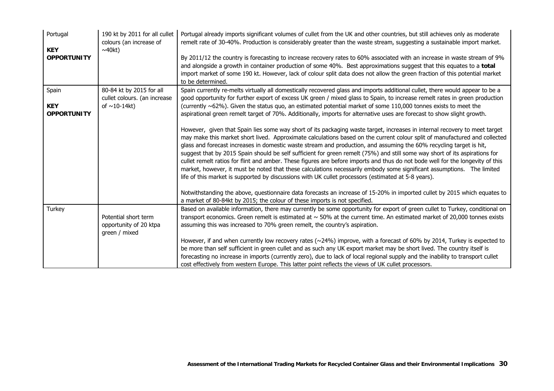| Portugal<br><b>KEY</b><br><b>OPPORTUNITY</b> | 190 kt by 2011 for all cullet<br>colours (an increase of<br>$\sim$ 40kt) | Portugal already imports significant volumes of cullet from the UK and other countries, but still achieves only as moderate<br>remelt rate of 30-40%. Production is considerably greater than the waste stream, suggesting a sustainable import market.<br>By 2011/12 the country is forecasting to increase recovery rates to 60% associated with an increase in waste stream of 9%<br>and alongside a growth in container production of some 40%. Best approximations suggest that this equates to a total<br>import market of some 190 kt. However, lack of colour split data does not allow the green fraction of this potential market<br>to be determined.                                                                                                                                                                                                                  |
|----------------------------------------------|--------------------------------------------------------------------------|-----------------------------------------------------------------------------------------------------------------------------------------------------------------------------------------------------------------------------------------------------------------------------------------------------------------------------------------------------------------------------------------------------------------------------------------------------------------------------------------------------------------------------------------------------------------------------------------------------------------------------------------------------------------------------------------------------------------------------------------------------------------------------------------------------------------------------------------------------------------------------------|
| Spain                                        | 80-84 kt by 2015 for all<br>cullet colours. (an increase                 | Spain currently re-melts virtually all domestically recovered glass and imports additional cullet, there would appear to be a<br>good opportunity for further export of excess UK green / mixed glass to Spain, to increase remelt rates in green production                                                                                                                                                                                                                                                                                                                                                                                                                                                                                                                                                                                                                      |
| <b>KEY</b><br><b>OPPORTUNITY</b>             | of $\sim$ 10-14kt)                                                       | (currently ~62%). Given the status quo, an estimated potential market of some 110,000 tonnes exists to meet the<br>aspirational green remelt target of 70%. Additionally, imports for alternative uses are forecast to show slight growth.                                                                                                                                                                                                                                                                                                                                                                                                                                                                                                                                                                                                                                        |
|                                              |                                                                          | However, given that Spain lies some way short of its packaging waste target, increases in internal recovery to meet target<br>may make this market short lived. Approximate calculations based on the current colour split of manufactured and collected<br>glass and forecast increases in domestic waste stream and production, and assuming the 60% recycling target is hit,<br>suggest that by 2015 Spain should be self sufficient for green remelt (75%) and still some way short of its aspirations for<br>cullet remelt ratios for flint and amber. These figures are before imports and thus do not bode well for the longevity of this<br>market, however, it must be noted that these calculations necessarily embody some significant assumptions. The limited<br>life of this market is supported by discussions with UK cullet processors (estimated at 5-8 years). |
|                                              |                                                                          | Notwithstanding the above, questionnaire data forecasts an increase of 15-20% in imported cullet by 2015 which equates to<br>a market of 80-84kt by 2015; the colour of these imports is not specified.                                                                                                                                                                                                                                                                                                                                                                                                                                                                                                                                                                                                                                                                           |
| Turkey                                       | Potential short term<br>opportunity of 20 ktpa<br>green / mixed          | Based on available information, there may currently be some opportunity for export of green cullet to Turkey, conditional on<br>transport economics. Green remelt is estimated at $\sim$ 50% at the current time. An estimated market of 20,000 tonnes exists<br>assuming this was increased to 70% green remelt, the country's aspiration.                                                                                                                                                                                                                                                                                                                                                                                                                                                                                                                                       |
|                                              |                                                                          | However, if and when currently low recovery rates ( $\sim$ 24%) improve, with a forecast of 60% by 2014, Turkey is expected to<br>be more than self sufficient in green cullet and as such any UK export market may be short lived. The country itself is<br>forecasting no increase in imports (currently zero), due to lack of local regional supply and the inability to transport cullet<br>cost effectively from western Europe. This latter point reflects the views of UK cullet processors.                                                                                                                                                                                                                                                                                                                                                                               |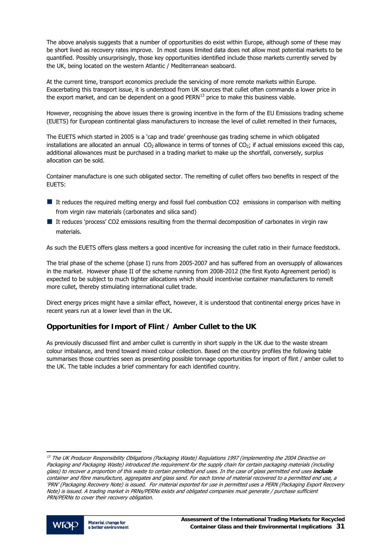<span id="page-32-0"></span>The above analysis suggests that a number of opportunities do exist within Europe, although some of these may be short lived as recovery rates improve. In most cases limited data does not allow most potential markets to be quantified. Possibly unsurprisingly, those key opportunities identified include those markets currently served by the UK, being located on the western Atlantic / Mediterranean seaboard.

At the current time, transport economics preclude the servicing of more remote markets within Europe. Exacerbating this transport issue, it is understood from UK sources that cullet often commands a lower price in the export market, and can be dependent on a good  $PERN<sup>13</sup>$  $PERN<sup>13</sup>$  $PERN<sup>13</sup>$  price to make this business viable.

However, recognising the above issues there is growing incentive in the form of the EU Emissions trading scheme (EUETS) for European continental glass manufacturers to increase the level of cullet remelted in their furnaces,

The EUETS which started in 2005 is a 'cap and trade' greenhouse gas trading scheme in which obligated installations are allocated an annual  $CO<sub>2</sub>$  allowance in terms of tonnes of  $CO<sub>2</sub>$ ; if actual emissions exceed this cap, additional allowances must be purchased in a trading market to make up the shortfall, conversely, surplus allocation can be sold.

Container manufacture is one such obligated sector. The remelting of cullet offers two benefits in respect of the EUETS:

- It reduces the required melting energy and fossil fuel combustion CO2 emissions in comparison with melting from virgin raw materials (carbonates and silica sand)
- If reduces 'process' CO2 emissions resulting from the thermal decomposition of carbonates in virgin raw materials.

As such the EUETS offers glass melters a good incentive for increasing the cullet ratio in their furnace feedstock.

The trial phase of the scheme (phase I) runs from 2005-2007 and has suffered from an oversupply of allowances in the market. However phase II of the scheme running from 2008-2012 (the first Kyoto Agreement period) is expected to be subject to much tighter allocations which should incentivise container manufacturers to remelt more cullet, thereby stimulating international cullet trade.

Direct energy prices might have a similar effect, however, it is understood that continental energy prices have in recent years run at a lower level than in the UK.

#### **Opportunities for Import of Flint / Amber Cullet to the UK**

As previously discussed flint and amber cullet is currently in short supply in the UK due to the waste stream colour imbalance, and trend toward mixed colour collection. Based on the country profiles the following table summarises those countries seen as presenting possible tonnage opportunities for import of flint / amber cullet to the UK. The table includes a brief commentary for each identified country.

 $^{13}$  The UK Producer Responsibility Obligations (Packaging Waste) Regulations 1997 (implementing the 2004 Directive on Packaging and Packaging Waste) introduced the requirement for the supply chain for certain packaging materials (including glass) to recover a proportion of this waste to certain permitted end uses. In the case of glass permitted end uses **include** container and fibre manufacture, aggregates and glass sand. For each tonne of material recovered to a permitted end use, a 'PRN' (Packaging Recovery Note) is issued. For material exported for use in permitted uses a PERN (Packaging Export Recovery Note) is issued. A trading market in PRNs/PERNs exists and obligated companies must generate / purchase sufficient PRN/PERNs to cover their recovery obligation.

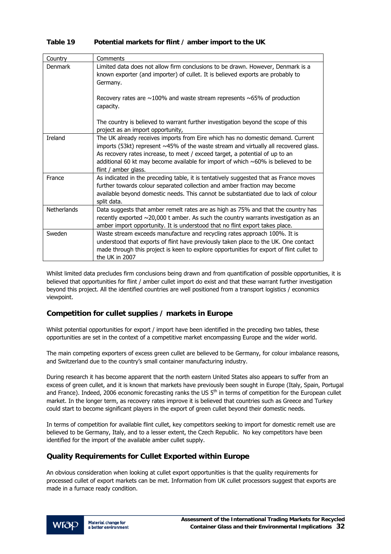#### **Table 19 Potential markets for flint / amber import to the UK**

| Country            | Comments                                                                                                                                                                                                                                                                                                                                                                     |
|--------------------|------------------------------------------------------------------------------------------------------------------------------------------------------------------------------------------------------------------------------------------------------------------------------------------------------------------------------------------------------------------------------|
| Denmark            | Limited data does not allow firm conclusions to be drawn. However, Denmark is a<br>known exporter (and importer) of cullet. It is believed exports are probably to<br>Germany.<br>Recovery rates are $\sim$ 100% and waste stream represents $\sim$ 65% of production                                                                                                        |
|                    | capacity.                                                                                                                                                                                                                                                                                                                                                                    |
|                    | The country is believed to warrant further investigation beyond the scope of this<br>project as an import opportunity,                                                                                                                                                                                                                                                       |
| Ireland            | The UK already receives imports from Eire which has no domestic demand. Current<br>imports (53kt) represent $~45\%$ of the waste stream and virtually all recovered glass.<br>As recovery rates increase, to meet / exceed target, a potential of up to an<br>additional 60 kt may become available for import of which $\sim$ 60% is believed to be<br>flint / amber glass. |
| France             | As indicated in the preceding table, it is tentatively suggested that as France moves<br>further towards colour separated collection and amber fraction may become<br>available beyond domestic needs. This cannot be substantiated due to lack of colour<br>split data.                                                                                                     |
| <b>Netherlands</b> | Data suggests that amber remelt rates are as high as 75% and that the country has<br>recently exported $\sim$ 20,000 t amber. As such the country warrants investigation as an<br>amber import opportunity. It is understood that no flint export takes place.                                                                                                               |
| Sweden             | Waste stream exceeds manufacture and recycling rates approach 100%. It is<br>understood that exports of flint have previously taken place to the UK. One contact<br>made through this project is keen to explore opportunities for export of flint cullet to<br>the UK in 2007                                                                                               |

Whilst limited data precludes firm conclusions being drawn and from quantification of possible opportunities, it is believed that opportunities for flint / amber cullet import do exist and that these warrant further investigation beyond this project. All the identified countries are well positioned from a transport logistics / economics viewpoint.

#### **Competition for cullet supplies / markets in Europe**

Whilst potential opportunities for export / import have been identified in the preceding two tables, these opportunities are set in the context of a competitive market encompassing Europe and the wider world.

The main competing exporters of excess green cullet are believed to be Germany, for colour imbalance reasons, and Switzerland due to the country's small container manufacturing industry.

During research it has become apparent that the north eastern United States also appears to suffer from an excess of green cullet, and it is known that markets have previously been sought in Europe (Italy, Spain, Portugal and France). Indeed, 2006 economic forecasting ranks the US 5<sup>th</sup> in terms of competition for the European cullet market. In the longer term, as recovery rates improve it is believed that countries such as Greece and Turkey could start to become significant players in the export of green cullet beyond their domestic needs.

In terms of competition for available flint cullet, key competitors seeking to import for domestic remelt use are believed to be Germany, Italy, and to a lesser extent, the Czech Republic. No key competitors have been identified for the import of the available amber cullet supply.

#### **Quality Requirements for Cullet Exported within Europe**

An obvious consideration when looking at cullet export opportunities is that the quality requirements for processed cullet of export markets can be met. Information from UK cullet processors suggest that exports are made in a furnace ready condition.

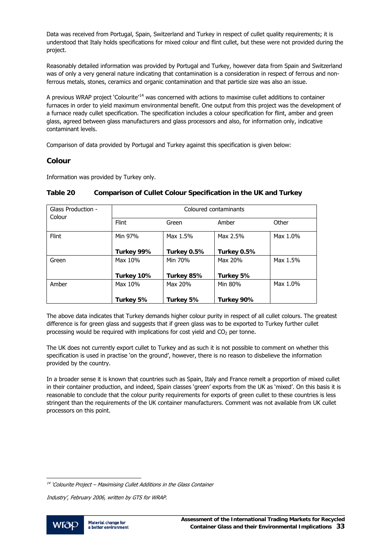<span id="page-34-0"></span>Data was received from Portugal, Spain, Switzerland and Turkey in respect of cullet quality requirements; it is understood that Italy holds specifications for mixed colour and flint cullet, but these were not provided during the project.

Reasonably detailed information was provided by Portugal and Turkey, however data from Spain and Switzerland was of only a very general nature indicating that contamination is a consideration in respect of ferrous and nonferrous metals, stones, ceramics and organic contamination and that particle size was also an issue.

A previous WRAP project 'Colourite'<sup>[14](#page-34-0)</sup> was concerned with actions to maximise cullet additions to container furnaces in order to yield maximum environmental benefit. One output from this project was the development of a furnace ready cullet specification. The specification includes a colour specification for flint, amber and green glass, agreed between glass manufacturers and glass processors and also, for information only, indicative contaminant levels.

Comparison of data provided by Portugal and Turkey against this specification is given below:

#### **Colour**

Information was provided by Turkey only.

| Glass Production - | Coloured contaminants |             |             |          |  |
|--------------------|-----------------------|-------------|-------------|----------|--|
| Colour             | <b>Flint</b>          | Green       | Amber       | Other    |  |
| <b>Flint</b>       | Min 97%               | Max 1.5%    | Max 2.5%    | Max 1.0% |  |
|                    | Turkey 99%            | Turkey 0.5% | Turkey 0.5% |          |  |
| Green              | Max 10%               | Min 70%     | Max 20%     | Max 1.5% |  |
|                    | Turkey 10%            | Turkey 85%  | Turkey 5%   |          |  |
| Amber              | Max 10%               | Max 20%     | Min 80%     | Max 1.0% |  |
|                    | Turkey 5%             | Turkey 5%   | Turkey 90%  |          |  |

#### **Table 20 Comparison of Cullet Colour Specification in the UK and Turkey**

The above data indicates that Turkey demands higher colour purity in respect of all cullet colours. The greatest difference is for green glass and suggests that if green glass was to be exported to Turkey further cullet processing would be required with implications for cost yield and  $CO<sub>2</sub>$  per tonne.

The UK does not currently export cullet to Turkey and as such it is not possible to comment on whether this specification is used in practise 'on the ground', however, there is no reason to disbelieve the information provided by the country.

In a broader sense it is known that countries such as Spain, Italy and France remelt a proportion of mixed cullet in their container production, and indeed, Spain classes 'green' exports from the UK as 'mixed'. On this basis it is reasonable to conclude that the colour purity requirements for exports of green cullet to these countries is less stringent than the requirements of the UK container manufacturers. Comment was not available from UK cullet processors on this point.

Industry', February 2006, written by GTS for WRAP.



j <sup>14</sup> 'Colourite Project – Maximising Cullet Additions in the Glass Container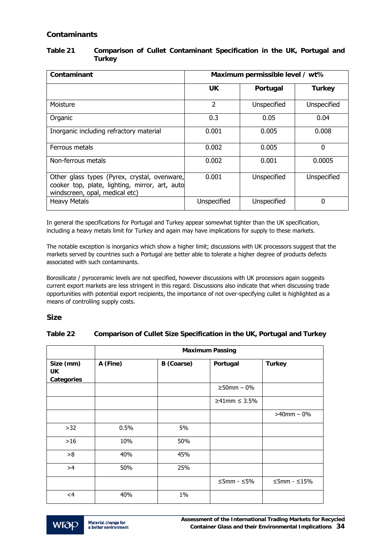#### **Contaminants**

| Contaminant                                                                                                                      | Maximum permissible level / wt% |             |               |
|----------------------------------------------------------------------------------------------------------------------------------|---------------------------------|-------------|---------------|
|                                                                                                                                  | UK.                             | Portugal    | <b>Turkey</b> |
| Moisture                                                                                                                         | 2                               | Unspecified | Unspecified   |
| Organic                                                                                                                          | 0.3                             | 0.05        | 0.04          |
| Inorganic including refractory material                                                                                          | 0.001                           | 0.005       | 0.008         |
| Ferrous metals                                                                                                                   | 0.002                           | 0.005       | 0             |
| Non-ferrous metals                                                                                                               | 0.002                           | 0.001       | 0.0005        |
| Other glass types (Pyrex, crystal, ovenware,<br>cooker top, plate, lighting, mirror, art, auto<br>windscreen, opal, medical etc) | 0.001                           | Unspecified | Unspecified   |
| <b>Heavy Metals</b>                                                                                                              | Unspecified                     | Unspecified | 0             |

#### **Table 21 Comparison of Cullet Contaminant Specification in the UK, Portugal and Turkey**

In general the specifications for Portugal and Turkey appear somewhat tighter than the UK specification, including a heavy metals limit for Turkey and again may have implications for supply to these markets.

The notable exception is inorganics which show a higher limit; discussions with UK processors suggest that the markets served by countries such a Portugal are better able to tolerate a higher degree of products defects associated with such contaminants.

Borosilicate / pyroceramic levels are not specified, however discussions with UK processors again suggests current export markets are less stringent in this regard. Discussions also indicate that when discussing trade opportunities with potential export recipients, the importance of not over-specifying cullet is highlighted as a means of controlling supply costs.

#### **Size**

#### **Table 22 Comparison of Cullet Size Specification in the UK, Portugal and Turkey**

|                                       | <b>Maximum Passing</b> |            |                        |                         |  |  |
|---------------------------------------|------------------------|------------|------------------------|-------------------------|--|--|
| Size (mm)<br>UK.<br><b>Categories</b> | A (Fine)               | B (Coarse) | Portugal               | <b>Turkey</b>           |  |  |
|                                       |                        |            | $≥50mm - 0%$           |                         |  |  |
|                                       |                        |            | ≥41mm ≤ 3.5%           |                         |  |  |
|                                       |                        |            |                        | $>40$ mm $-0\%$         |  |  |
| $>32$                                 | 0.5%                   | 5%         |                        |                         |  |  |
| $>16$                                 | 10%                    | 50%        |                        |                         |  |  |
| >8                                    | 40%                    | 45%        |                        |                         |  |  |
| >4                                    | 50%                    | 25%        |                        |                         |  |  |
|                                       |                        |            | $\leq$ 5mm - $\leq$ 5% | $\leq$ 5mm - $\leq$ 15% |  |  |
| <4                                    | 40%                    | 1%         |                        |                         |  |  |

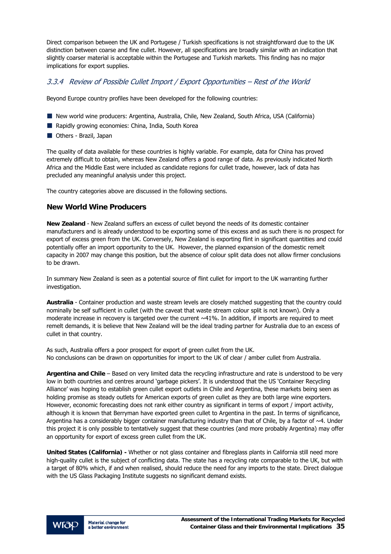Direct comparison between the UK and Portugese / Turkish specifications is not straightforward due to the UK distinction between coarse and fine cullet. However, all specifications are broadly similar with an indication that slightly coarser material is acceptable within the Portugese and Turkish markets. This finding has no major implications for export supplies.

# 3.3.4 Review of Possible Cullet Import / Export Opportunities – Rest of the World

Beyond Europe country profiles have been developed for the following countries:

- New world wine producers: Argentina, Australia, Chile, New Zealand, South Africa, USA (California)
- Rapidly growing economies: China, India, South Korea
- **Others Brazil, Japan**

The quality of data available for these countries is highly variable. For example, data for China has proved extremely difficult to obtain, whereas New Zealand offers a good range of data. As previously indicated North Africa and the Middle East were included as candidate regions for cullet trade, however, lack of data has precluded any meaningful analysis under this project.

The country categories above are discussed in the following sections.

#### **New World Wine Producers**

**New Zealand** - New Zealand suffers an excess of cullet beyond the needs of its domestic container manufacturers and is already understood to be exporting some of this excess and as such there is no prospect for export of excess green from the UK. Conversely, New Zealand is exporting flint in significant quantities and could potentially offer an import opportunity to the UK. However, the planned expansion of the domestic remelt capacity in 2007 may change this position, but the absence of colour split data does not allow firmer conclusions to be drawn.

In summary New Zealand is seen as a potential source of flint cullet for import to the UK warranting further investigation.

**Australia** - Container production and waste stream levels are closely matched suggesting that the country could nominally be self sufficient in cullet (with the caveat that waste stream colour split is not known). Only a moderate increase in recovery is targeted over the current ~41%. In addition, if imports are required to meet remelt demands, it is believe that New Zealand will be the ideal trading partner for Australia due to an excess of cullet in that country.

As such, Australia offers a poor prospect for export of green cullet from the UK. No conclusions can be drawn on opportunities for import to the UK of clear / amber cullet from Australia.

**Argentina and Chile** – Based on very limited data the recycling infrastructure and rate is understood to be very low in both countries and centres around 'garbage pickers'. It is understood that the US 'Container Recycling Alliance' was hoping to establish green cullet export outlets in Chile and Argentina, these markets being seen as holding promise as steady outlets for American exports of green cullet as they are both large wine exporters. However, economic forecasting does not rank either country as significant in terms of export / import activity, although it is known that Berryman have exported green cullet to Argentina in the past. In terms of significance, Argentina has a considerably bigger container manufacturing industry than that of Chile, by a factor of  $\sim$ 4. Under this project it is only possible to tentatively suggest that these countries (and more probably Argentina) may offer an opportunity for export of excess green cullet from the UK.

**United States (California) -** Whether or not glass container and fibreglass plants in California still need more high-quality cullet is the subject of conflicting data. The state has a recycling rate comparable to the UK, but with a target of 80% which, if and when realised, should reduce the need for any imports to the state. Direct dialogue with the US Glass Packaging Institute suggests no significant demand exists.

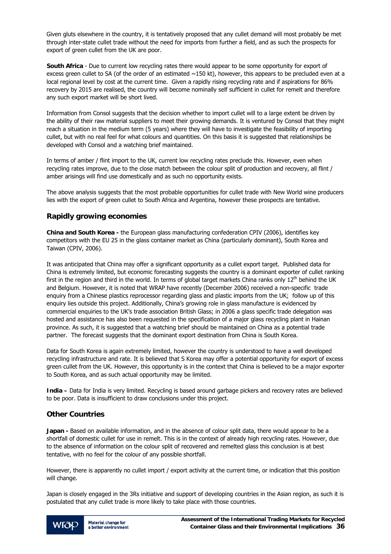Given gluts elsewhere in the country, it is tentatively proposed that any cullet demand will most probably be met through inter-state cullet trade without the need for imports from further a field, and as such the prospects for export of green cullet from the UK are poor.

**South Africa** - Due to current low recycling rates there would appear to be some opportunity for export of excess green cullet to SA (of the order of an estimated  $\sim$ 150 kt), however, this appears to be precluded even at a local regional level by cost at the current time. Given a rapidly rising recycling rate and if aspirations for 86% recovery by 2015 are realised, the country will become nominally self sufficient in cullet for remelt and therefore any such export market will be short lived.

Information from Consol suggests that the decision whether to import cullet will to a large extent be driven by the ability of their raw material suppliers to meet their growing demands. It is ventured by Consol that they might reach a situation in the medium term (5 years) where they will have to investigate the feasibility of importing cullet, but with no real feel for what colours and quantities. On this basis it is suggested that relationships be developed with Consol and a watching brief maintained.

In terms of amber / flint import to the UK, current low recycling rates preclude this. However, even when recycling rates improve, due to the close match between the colour split of production and recovery, all flint / amber arisings will find use domestically and as such no opportunity exists.

The above analysis suggests that the most probable opportunities for cullet trade with New World wine producers lies with the export of green cullet to South Africa and Argentina, however these prospects are tentative.

## **Rapidly growing economies**

**China and South Korea -** the European glass manufacturing confederation CPIV (2006), identifies key competitors with the EU 25 in the glass container market as China (particularly dominant), South Korea and Taiwan (CPIV, 2006).

It was anticipated that China may offer a significant opportunity as a cullet export target. Published data for China is extremely limited, but economic forecasting suggests the country is a dominant exporter of cullet ranking first in the region and third in the world. In terms of global target markets China ranks only  $12^{th}$  behind the UK and Belgium. However, it is noted that WRAP have recently (December 2006) received a non-specific trade enquiry from a Chinese plastics reprocessor regarding glass and plastic imports from the UK; follow up of this enquiry lies outside this project. Additionally, China's growing role in glass manufacture is evidenced by commercial enquiries to the UK's trade association British Glass; in 2006 a glass specific trade delegation was hosted and assistance has also been requested in the specification of a major glass recycling plant in Hainan province. As such, it is suggested that a watching brief should be maintained on China as a potential trade partner. The forecast suggests that the dominant export destination from China is South Korea.

Data for South Korea is again extremely limited, however the country is understood to have a well developed recycling infrastructure and rate. It is believed that S Korea may offer a potential opportunity for export of excess green cullet from the UK. However, this opportunity is in the context that China is believed to be a major exporter to South Korea, and as such actual opportunity may be limited.

**India –** Data for India is very limited. Recycling is based around garbage pickers and recovery rates are believed to be poor. Data is insufficient to draw conclusions under this project.

## **Other Countries**

**Japan -** Based on available information, and in the absence of colour split data, there would appear to be a shortfall of domestic cullet for use in remelt. This is in the context of already high recycling rates. However, due to the absence of information on the colour split of recovered and remelted glass this conclusion is at best tentative, with no feel for the colour of any possible shortfall.

However, there is apparently no cullet import / export activity at the current time, or indication that this position will change.

Japan is closely engaged in the 3Rs initiative and support of developing countries in the Asian region, as such it is postulated that any cullet trade is more likely to take place with those countries.

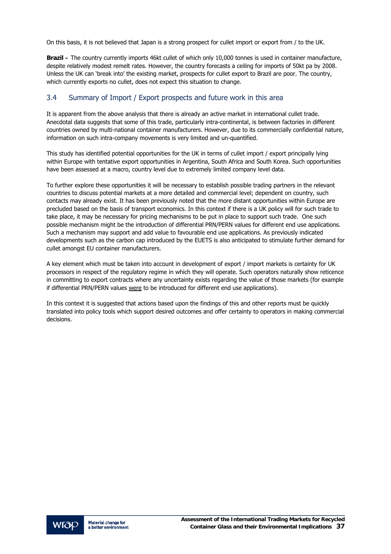On this basis, it is not believed that Japan is a strong prospect for cullet import or export from / to the UK.

**Brazil –** The country currently imports 46kt cullet of which only 10,000 tonnes is used in container manufacture, despite relatively modest remelt rates. However, the country forecasts a ceiling for imports of 50kt pa by 2008. Unless the UK can 'break into' the existing market, prospects for cullet export to Brazil are poor. The country, which currently exports no cullet, does not expect this situation to change.

# 3.4 Summary of Import / Export prospects and future work in this area

It is apparent from the above analysis that there is already an active market in international cullet trade. Anecdotal data suggests that some of this trade, particularly intra-continental, is between factories in different countries owned by multi-national container manufacturers. However, due to its commercially confidential nature, information on such intra-company movements is very limited and un-quantified.

This study has identified potential opportunities for the UK in terms of cullet import / export principally lying within Europe with tentative export opportunities in Argentina, South Africa and South Korea. Such opportunities have been assessed at a macro, country level due to extremely limited company level data.

To further explore these opportunities it will be necessary to establish possible trading partners in the relevant countries to discuss potential markets at a more detailed and commercial level; dependent on country, such contacts may already exist. It has been previously noted that the more distant opportunities within Europe are precluded based on the basis of transport economics. In this context if there is a UK policy will for such trade to take place, it may be necessary for pricing mechanisms to be put in place to support such trade. One such possible mechanism might be the introduction of differential PRN/PERN values for different end use applications. Such a mechanism may support and add value to favourable end use applications. As previously indicated developments such as the carbon cap introduced by the EUETS is also anticipated to stimulate further demand for cullet amongst EU container manufacturers.

A key element which must be taken into account in development of export / import markets is certainty for UK processors in respect of the regulatory regime in which they will operate. Such operators naturally show reticence in committing to export contracts where any uncertainty exists regarding the value of those markets (for example if differential PRN/PERN values were to be introduced for different end use applications).

In this context it is suggested that actions based upon the findings of this and other reports must be quickly translated into policy tools which support desired outcomes and offer certainty to operators in making commercial decisions.

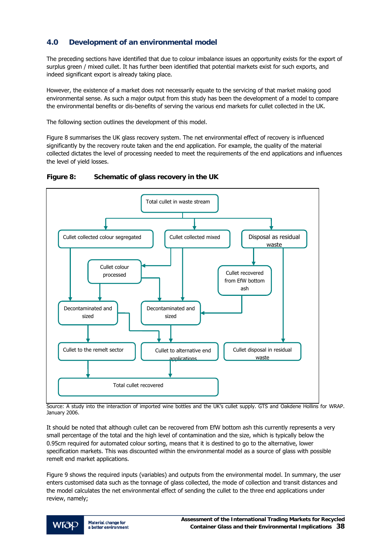# **4.0 Development of an environmental model**

The preceding sections have identified that due to colour imbalance issues an opportunity exists for the export of surplus green / mixed cullet. It has further been identified that potential markets exist for such exports, and indeed significant export is already taking place.

However, the existence of a market does not necessarily equate to the servicing of that market making good environmental sense. As such a major output from this study has been the development of a model to compare the environmental benefits or dis-benefits of serving the various end markets for cullet collected in the UK.

The following section outlines the development of this model.

Figure 8 summarises the UK glass recovery system. The net environmental effect of recovery is influenced significantly by the recovery route taken and the end application. For example, the quality of the material collected dictates the level of processing needed to meet the requirements of the end applications and influences the level of yield losses.





Source: A study into the interaction of imported wine bottles and the UK's cullet supply. GTS and Oakdene Hollins for WRAP. January 2006.

It should be noted that although cullet can be recovered from EfW bottom ash this currently represents a very small percentage of the total and the high level of contamination and the size, which is typically below the 0.95cm required for automated colour sorting, means that it is destined to go to the alternative, lower specification markets. This was discounted within the environmental model as a source of glass with possible remelt end market applications.

Figure 9 shows the required inputs (variables) and outputs from the environmental model. In summary, the user enters customised data such as the tonnage of glass collected, the mode of collection and transit distances and the model calculates the net environmental effect of sending the cullet to the three end applications under review, namely;

Material change for WIOP a better environment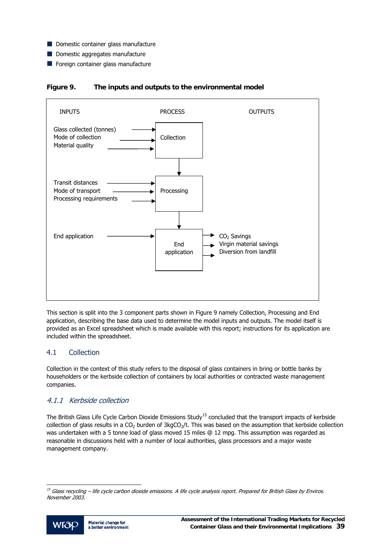- <span id="page-40-0"></span>Domestic container glass manufacture
- Domestic aggregates manufacture
- Foreign container glass manufacture





This section is split into the 3 component parts shown in Figure 9 namely Collection, Processing and End application, describing the base data used to determine the model inputs and outputs. The model itself is provided as an Excel spreadsheet which is made available with this report; instructions for its application are included within the spreadsheet.

## 4.1 Collection

Collection in the context of this study refers to the disposal of glass containers in bring or bottle banks by householders or the kerbside collection of containers by local authorities or contracted waste management companies.

## 4.1.1 Kerbside collection

The British Glass Life Cycle Carbon Dioxide Emissions Study<sup>[1](#page-40-0)5</sup> concluded that the transport impacts of kerbside collection of glass results in a  $CO<sub>2</sub>$  burden of 3kg $CO<sub>2</sub>/t$ . This was based on the assumption that kerbside collection was undertaken with a 5 tonne load of glass moved 15 miles @ 12 mpg. This assumption was regarded as reasonable in discussions held with a number of local authorities, glass processors and a major waste management company.

<sup>&</sup>lt;sup>15</sup> Glass recycling – life cycle carbon dioxide emissions. A life cycle analysis report. Prepared for British Glass by Enviros. November 2003.



1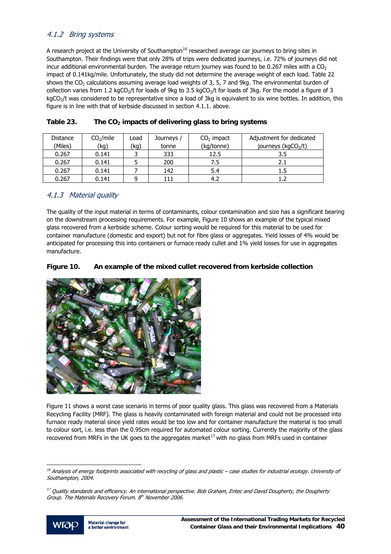## <span id="page-41-0"></span>4.1.2 Bring systems

A research project at the University of Southampton<sup>[16](#page-41-0)</sup> researched average car journeys to bring sites in Southampton. Their findings were that only 28% of trips were dedicated journeys, i.e. 72% of journeys did not incur additional environmental burden. The average return journey was found to be 0.267 miles with a  $CO<sub>2</sub>$ impact of 0.141kg/mile. Unfortunately, the study did not determine the average weight of each load. Table 22 shows the  $CO<sub>2</sub>$  calculations assuming average load weights of 3, 5, 7 and 9kg. The environmental burden of collection varies from 1.2 kgCO<sub>2</sub>/t for loads of 9kg to 3.5 kgCO<sub>2</sub>/t for loads of 3kg. For the model a figure of 3 kgCO<sub>2</sub>/t was considered to be representative since a load of 3kg is equivalent to six wine bottles. In addition, this figure is in line with that of kerbside discussed in section 4.1.1. above.

| <b>Distance</b><br>(Miles) | CO <sub>2</sub> /mile<br>(kg) | Load<br>(kg) | Journeys /<br>tonne | $CO2$ impact<br>(kg/tonne) | Adjustment for dedicated<br>journeys (kgCO2/t) |
|----------------------------|-------------------------------|--------------|---------------------|----------------------------|------------------------------------------------|
| 0.267                      | 0.141                         |              | 333                 | 12.5                       | 3.5                                            |
| 0.267                      | 0.141                         |              | 200                 | 7.5                        | 2.1                                            |
| 0.267                      | 0.141                         |              | 142                 | 5.4                        | 1.5                                            |
| 0.267                      | 0.141                         | q            | 111                 | 4.2                        |                                                |

## Table 23. The CO<sub>2</sub> impacts of delivering glass to bring systems

## 4.1.3 Material quality

The quality of the input material in terms of contaminants, colour contamination and size has a significant bearing on the downstream processing requirements. For example, Figure 10 shows an example of the typical mixed glass recovered from a kerbside scheme. Colour sorting would be required for this material to be used for container manufacture (domestic and export) but not for fibre glass or aggregates. Yield losses of 4% would be anticipated for processing this into containers or furnace ready cullet and 1% yield losses for use in aggregates manufacture.

#### **Figure 10. An example of the mixed cullet recovered from kerbside collection**



Figure 11 shows a worst case scenario in terms of poor quality glass. This glass was recovered from a Materials Recycling Facility (MRF). The glass is heavily contaminated with foreign material and could not be processed into furnace ready material since yield rates would be too low and for container manufacture the material is too small to colour sort, i.e. less than the 0.95cm required for automated colour sorting. Currently the majority of the glass recovered from MRFs in the UK goes to the aggregates market<sup>[17](#page-41-0)</sup> with no glass from MRFs used in container

<sup>&</sup>lt;sup>17</sup> Quality standards and efficiency. An international perspective. Bob Graham, Entec and David Dougherty, the Dougherty Group. The Materials Recovery Forum. 8<sup>th</sup> November 2006.



j

<sup>&</sup>lt;sup>16</sup> Analysis of energy footprints associated with recycling of glass and plastic – case studies for industrial ecology. University of Southampton, 2004.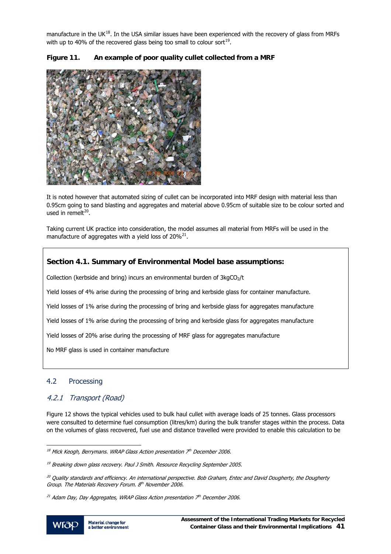<span id="page-42-0"></span>manufacture in the UK $^{18}$  $^{18}$  $^{18}$ . In the USA similar issues have been experienced with the recovery of glass from MRFs with up to 40% of the recovered glass being too small to colour sort<sup>[1](#page-42-0)9</sup>.



## **Figure 11. An example of poor quality cullet collected from a MRF**

It is noted however that automated sizing of cullet can be incorporated into MRF design with material less than 0.95cm going to sand blasting and aggregates and material above 0.95cm of suitable size to be colour sorted and used in remelt $20$ .

Taking current UK practice into consideration, the model assumes all material from MRFs will be used in the manufacture of aggregates with a yield loss of  $20\%^{21}$  $20\%^{21}$ .

## **Section 4.1. Summary of Environmental Model base assumptions:**

Collection (kerbside and bring) incurs an environmental burden of  $3kgCO<sub>2</sub>/t$ 

Yield losses of 4% arise during the processing of bring and kerbside glass for container manufacture.

Yield losses of 1% arise during the processing of bring and kerbside glass for aggregates manufacture

Yield losses of 1% arise during the processing of bring and kerbside glass for aggregates manufacture

Yield losses of 20% arise during the processing of MRF glass for aggregates manufacture

No MRF glass is used in container manufacture

## 4.2 Processing

## 4.2.1 Transport (Road)

Figure 12 shows the typical vehicles used to bulk haul cullet with average loads of 25 tonnes. Glass processors were consulted to determine fuel consumption (litres/km) during the bulk transfer stages within the process. Data on the volumes of glass recovered, fuel use and distance travelled were provided to enable this calculation to be

l

 $18$  Mick Keogh, Berrymans. WRAP Glass Action presentation  $\bar{Z}^{th}$  December 2006.

<sup>&</sup>lt;sup>19</sup> Breaking down glass recovery. Paul J Smith. Resource Recycling September 2005.

<sup>&</sup>lt;sup>20</sup> Quality standards and efficiency. An international perspective. Bob Graham, Entec and David Dougherty, the Dougherty Group. The Materials Recovery Forum. 8th November 2006.

<sup>&</sup>lt;sup>21</sup> Adam Day, Day Aggregates, WRAP Glass Action presentation  $Z<sup>th</sup>$  December 2006.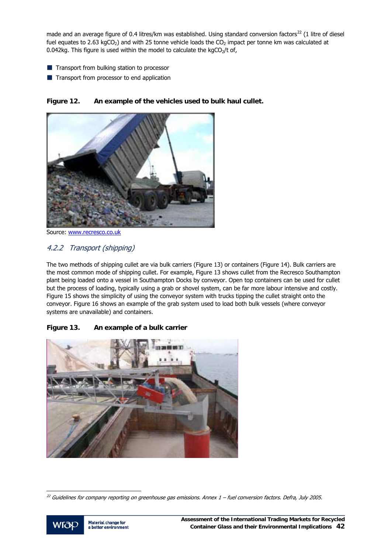<span id="page-43-0"></span>made and an average figure of 0.4 litres/km was established. Using standard conversion factors<sup>[22](#page-43-0)</sup> (1 litre of diesel fuel equates to 2.63 kgCO<sub>2</sub>) and with 25 tonne vehicle loads the CO<sub>2</sub> impact per tonne km was calculated at 0.042kg. This figure is used within the model to calculate the kgCO<sub>2</sub>/t of,

- **Transport from bulking station to processor**
- **Transport from processor to end application**



**Figure 12. An example of the vehicles used to bulk haul cullet.** 

Source: [www.recresco.co.uk](http://www.recresco.co.uk/)

# 4.2.2 Transport (shipping)

The two methods of shipping cullet are via bulk carriers (Figure 13) or containers (Figure 14). Bulk carriers are the most common mode of shipping cullet. For example, Figure 13 shows cullet from the Recresco Southampton plant being loaded onto a vessel in Southampton Docks by conveyor. Open top containers can be used for cullet but the process of loading, typically using a grab or shovel system, can be far more labour intensive and costly. Figure 15 shows the simplicity of using the conveyor system with trucks tipping the cullet straight onto the conveyor. Figure 16 shows an example of the grab system used to load both bulk vessels (where conveyor systems are unavailable) and containers.

# **Figure 13. An example of a bulk carrier**



 $^{22}$  Guidelines for company reporting on greenhouse gas emissions. Annex  $1$  – fuel conversion factors. Defra, July 2005.



j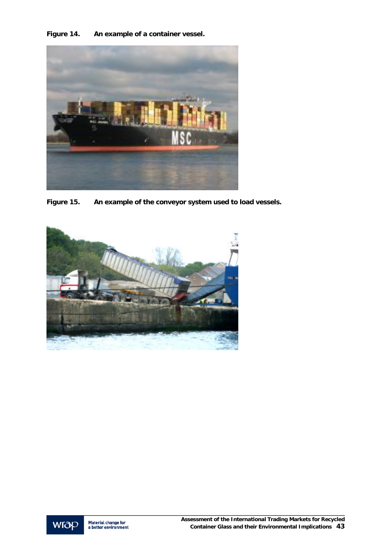**Figure 14. An example of a container vessel.** 



**Figure 15. An example of the conveyor system used to load vessels.** 



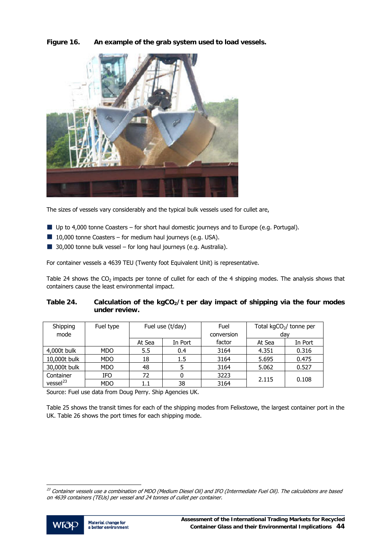<span id="page-45-0"></span>**Figure 16. An example of the grab system used to load vessels.** 



The sizes of vessels vary considerably and the typical bulk vessels used for cullet are,

- Up to 4,000 tonne Coasters for short haul domestic journeys and to Europe (e.g. Portugal).
- $\blacksquare$  10,000 tonne Coasters for medium haul journeys (e.g. USA).
- 30,000 tonne bulk vessel for long haul journeys (e.g. Australia).

For container vessels a 4639 TEU (Twenty foot Equivalent Unit) is representative.

Table 24 shows the  $CO<sub>2</sub>$  impacts per tonne of cullet for each of the 4 shipping modes. The analysis shows that containers cause the least environmental impact.

#### Table 24. Calculation of the kgCO<sub>2</sub>/t per day impact of shipping via the four modes **under review.**

| Shipping             | Fuel type  | Fuel use (t/day) |         | Fuel       | Total $kgCO2/$ tonne per |         |
|----------------------|------------|------------------|---------|------------|--------------------------|---------|
| mode                 |            |                  |         | conversion | day                      |         |
|                      |            | At Sea           | In Port | factor     | At Sea                   | In Port |
| 4,000t bulk          | <b>MDO</b> | 5.5              | 0.4     | 3164       | 4.351                    | 0.316   |
| 10,000t bulk         | <b>MDO</b> | 18               | $1.5\,$ | 3164       | 5.695                    | 0.475   |
| 30,000t bulk         | <b>MDO</b> | 48               |         | 3164       | 5.062                    | 0.527   |
| Container            | IFO        | 72               |         | 3223       | 2.115                    |         |
| vessel <sup>23</sup> | MDO        |                  | 38      | 3164       |                          | 0.108   |

Source: Fuel use data from Doug Perry. Ship Agencies UK.

Table 25 shows the transit times for each of the shipping modes from Felixstowe, the largest container port in the UK. Table 26 shows the port times for each shipping mode.

<sup>&</sup>lt;sup>23</sup> Container vessels use a combination of MDO (Medium Diesel Oil) and IFO (Intermediate Fuel Oil). The calculations are based on 4639 containers (TEUs) per vessel and 24 tonnes of cullet per container.



j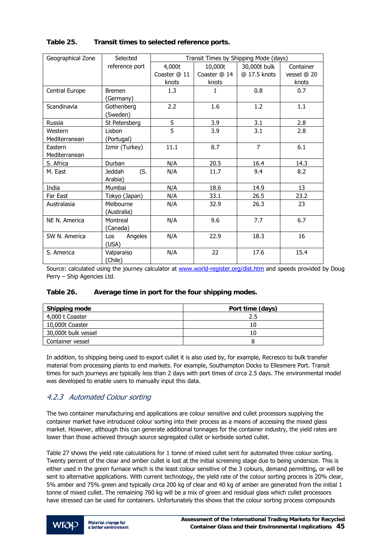| Geographical Zone | Selected             |              | Transit Times by Shipping Mode (days) |                |             |
|-------------------|----------------------|--------------|---------------------------------------|----------------|-------------|
|                   | reference port       | 4,000t       | 10,000t                               | 30,000t bulk   | Container   |
|                   |                      | Coaster @ 11 | Coaster @ 14                          | @ 17.5 knots   | vessel @ 20 |
|                   |                      | knots        | knots                                 |                | knots       |
| Central Europe    | <b>Bremen</b>        | 1.3          | 1                                     | 0.8            | 0.7         |
|                   | (Germany)            |              |                                       |                |             |
| Scandinavia       | Gothenberg           | 2.2          | 1.6                                   | 1.2            | 1.1         |
|                   | (Sweden)             |              |                                       |                |             |
| Russia            | St Petersberg        | 5            | 3.9                                   | 3.1            | 2.8         |
| Western           | Lisbon               | 5            | 3.9                                   | 3.1            | 2.8         |
| Mediterranean     | (Portugal)           |              |                                       |                |             |
| Eastern           | Izmir (Turkey)       | 11.1         | 8.7                                   | $\overline{7}$ | 6.1         |
| Mediterranean     |                      |              |                                       |                |             |
| S. Africa         | Durban               | N/A          | 20.5                                  | 16.4           | 14.3        |
| M. East           | (S.<br><b>Jeddah</b> | N/A          | 11.7                                  | 9.4            | 8.2         |
|                   | Arabia)              |              |                                       |                |             |
| India             | Mumbai               | N/A          | 18.6                                  | 14.9           | 13          |
| Far East          | Tokyo (Japan)        | N/A          | 33.1                                  | 26.5           | 23.2        |
| Australasia       | Melbourne            | N/A          | 32.9                                  | 26.3           | 23          |
|                   | (Australia)          |              |                                       |                |             |
| NE N. America     | Montreal             | N/A          | 9.6                                   | 7.7            | 6.7         |
|                   | (Canada)             |              |                                       |                |             |
| SW N. America     | Angeles<br>Los       | N/A          | 22.9                                  | 18.3           | 16          |
|                   | (USA)                |              |                                       |                |             |
| S. America        | Valparaiso           | N/A          | 22                                    | 17.6           | 15.4        |
|                   | (Chile)              |              |                                       |                |             |

#### **Table 25. Transit times to selected reference ports.**

Source: calculated using the journey calculator at [www.world-register.org/dist.htm](http://www.world-register.org/dist.htm) and speeds provided by Doug Perry – Ship Agencies Ltd.

#### **Table 26. Average time in port for the four shipping modes.**

| <b>Shipping mode</b> | Port time (days) |
|----------------------|------------------|
| 4,000 t Coaster      | 2.5              |
| 10,000t Coaster      | 10               |
| 30,000t bulk vessel  | 10               |
| Container vessel     |                  |

In addition, to shipping being used to export cullet it is also used by, for example, Recresco to bulk transfer material from processing plants to end markets. For example, Southampton Docks to Ellesmere Port. Transit times for such journeys are typically less than 2 days with port times of circa 2.5 days. The environmental model was developed to enable users to manually input this data.

# 4.2.3 Automated Colour sorting

The two container manufacturing end applications are colour sensitive and cullet processors supplying the container market have introduced colour sorting into their process as a means of accessing the mixed glass market. However, although this can generate additional tonnages for the container industry, the yield rates are lower than those achieved through source segregated cullet or kerbside sorted cullet.

Table 27 shows the yield rate calculations for 1 tonne of mixed cullet sent for automated three colour sorting. Twenty percent of the clear and amber cullet is lost at the initial screening stage due to being undersize. This is either used in the green furnace which is the least colour sensitive of the 3 colours, demand permitting, or will be sent to alternative applications. With current technology, the yield rate of the colour sorting process is 20% clear, 5% amber and 75% green and typically circa 200 kg of clear and 40 kg of amber are generated from the initial 1 tonne of mixed cullet. The remaining 760 kg will be a mix of green and residual glass which cullet processors have stressed can be used for containers. Unfortunately this shows that the colour sorting process compounds

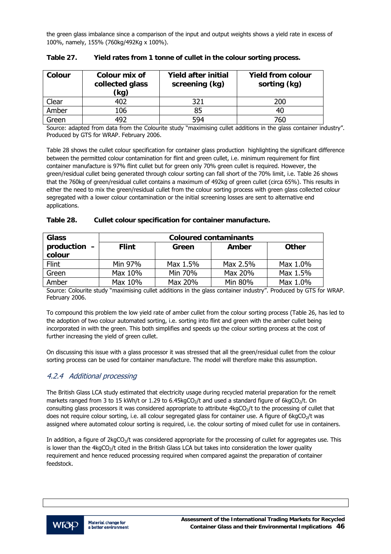the green glass imbalance since a comparison of the input and output weights shows a yield rate in excess of 100%, namely, 155% (760kg/492Kg x 100%).

| Colour | Colour mix of<br>collected glass<br>(kg) | <b>Yield after initial</b><br>screening (kg) | <b>Yield from colour</b><br>sorting (kg) |
|--------|------------------------------------------|----------------------------------------------|------------------------------------------|
| Clear  | 402                                      | 321                                          | 200                                      |
| Amber  | 106                                      | 85                                           | 40                                       |
| Green  | 492                                      | 594                                          | 760                                      |

| Table 27. | Yield rates from 1 tonne of cullet in the colour sorting process. |  |  |
|-----------|-------------------------------------------------------------------|--|--|
|           |                                                                   |  |  |

Source: adapted from data from the Colourite study "maximising cullet additions in the glass container industry". Produced by GTS for WRAP. February 2006.

Table 28 shows the cullet colour specification for container glass production highlighting the significant difference between the permitted colour contamination for flint and green cullet, i.e. minimum requirement for flint container manufacture is 97% flint cullet but for green only 70% green cullet is required. However, the green/residual cullet being generated through colour sorting can fall short of the 70% limit, i.e. Table 26 shows that the 760kg of green/residual cullet contains a maximum of 492kg of green cullet (circa 65%). This results in either the need to mix the green/residual cullet from the colour sorting process with green glass collected colour segregated with a lower colour contamination or the initial screening losses are sent to alternative end applications.

| Table 28. | Cullet colour specification for container manufacture. |  |  |
|-----------|--------------------------------------------------------|--|--|
|           |                                                        |  |  |

| <b>Glass</b>           | <b>Coloured contaminants</b> |          |                       |          |  |
|------------------------|------------------------------|----------|-----------------------|----------|--|
| production -<br>colour | <b>Flint</b>                 | Green    | Amber<br><b>Other</b> |          |  |
| Flint                  | Min 97%                      | Max 1.5% | Max 2.5%              | Max 1.0% |  |
| Green                  | Max 10%                      | Min 70%  | Max 20%               | Max 1.5% |  |
| Amber                  | Max 10%                      | Max 20%  | Min 80%               | Max 1.0% |  |

Source: Colourite study "maximising cullet additions in the glass container industry". Produced by GTS for WRAP. February 2006.

To compound this problem the low yield rate of amber cullet from the colour sorting process (Table 26, has led to the adoption of two colour automated sorting, i.e. sorting into flint and green with the amber cullet being incorporated in with the green. This both simplifies and speeds up the colour sorting process at the cost of further increasing the yield of green cullet.

On discussing this issue with a glass processor it was stressed that all the green/residual cullet from the colour sorting process can be used for container manufacture. The model will therefore make this assumption.

## 4.2.4 Additional processing

The British Glass LCA study estimated that electricity usage during recycled material preparation for the remelt markets ranged from 3 to 15 kWh/t or 1.29 to 6.45 kgCO<sub>2</sub>/t and used a standard figure of  $6$  kgCO<sub>2</sub>/t. On consulting glass processors it was considered appropriate to attribute  $4kgCO<sub>2</sub>/t$  to the processing of cullet that does not require colour sorting, i.e. all colour segregated glass for container use. A figure of 6kgCO<sub>2</sub>/t was assigned where automated colour sorting is required, i.e. the colour sorting of mixed cullet for use in containers.

In addition, a figure of  $2kgCO<sub>2</sub>/t$  was considered appropriate for the processing of cullet for aggregates use. This is lower than the  $4kgCO<sub>2</sub>/t$  cited in the British Glass LCA but takes into consideration the lower quality requirement and hence reduced processing required when compared against the preparation of container feedstock.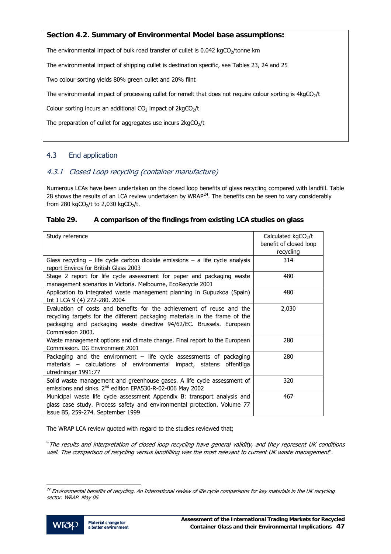## <span id="page-48-0"></span>**Section 4.2. Summary of Environmental Model base assumptions:**

The environmental impact of bulk road transfer of cullet is  $0.042$  kgCO<sub>2</sub>/tonne km

The environmental impact of shipping cullet is destination specific, see Tables 23, 24 and 25

Two colour sorting yields 80% green cullet and 20% flint

The environmental impact of processing cullet for remelt that does not require colour sorting is 4kgCO<sub>2</sub>/t

Colour sorting incurs an additional  $CO<sub>2</sub>$  impact of 2kg $CO<sub>2</sub>/t$ 

The preparation of cullet for aggregates use incurs  $2kgCO<sub>2</sub>/t$ 

# 4.3 End application

# 4.3.1 Closed Loop recycling (container manufacture)

Numerous LCAs have been undertaken on the closed loop benefits of glass recycling compared with landfill. Table [2](#page-48-0)8 shows the results of an LCA review undertaken by WRAP $^{24}$ . The benefits can be seen to vary considerably from 280 kgCO<sub>2</sub>/t to 2,030 kgCO<sub>2</sub>/t.

## **Table 29. A comparison of the findings from existing LCA studies on glass**

| Study reference                                                               | Calculated $kgCO2/t$   |
|-------------------------------------------------------------------------------|------------------------|
|                                                                               | benefit of closed loop |
|                                                                               | recycling              |
| Glass recycling – life cycle carbon dioxide emissions – a life cycle analysis | 314                    |
| report Enviros for British Glass 2003                                         |                        |
| Stage 2 report for life cycle assessment for paper and packaging waste        | 480                    |
| management scenarios in Victoria. Melbourne, EcoRecycle 2001                  |                        |
| Application to integrated waste management planning in Gupuzkoa (Spain)       | 480                    |
| Int J LCA 9 (4) 272-280, 2004                                                 |                        |
| Evaluation of costs and benefits for the achievement of reuse and the         | 2,030                  |
| recycling targets for the different packaging materials in the frame of the   |                        |
| packaging and packaging waste directive 94/62/EC. Brussels. European          |                        |
| Commission 2003.                                                              |                        |
| Waste management options and climate change. Final report to the European     | 280                    |
| Commission, DG Environment 2001                                               |                        |
| Packaging and the environment $-$ life cycle assessments of packaging         | 280                    |
| materials - calculations of environmental impact, statens offentliga          |                        |
| utredningar 1991:77                                                           |                        |
| Solid waste management and greenhouse gases. A life cycle assessment of       | 320                    |
| emissions and sinks. 2 <sup>nd</sup> edition EPA530-R-02-006 May 2002         |                        |
| Municipal waste life cycle assessment Appendix B: transport analysis and      | 467                    |
| glass case study. Process safety and environmental protection. Volume 77      |                        |
| issue B5, 259-274. September 1999                                             |                        |

The WRAP LCA review quoted with regard to the studies reviewed that;

"The results and interpretation of closed loop recycling have general validity, and they represent UK conditions well. The comparison of recycling versus landfilling was the most relevant to current UK waste management".

<sup>&</sup>lt;sup>24</sup> Environmental benefits of recycling. An International review of life cycle comparisons for key materials in the UK recycling sector. WRAP. May 06.



j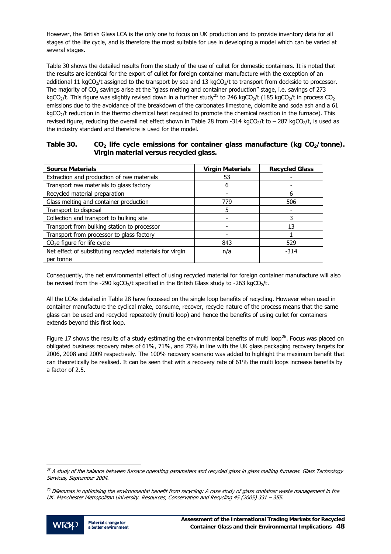<span id="page-49-0"></span>However, the British Glass LCA is the only one to focus on UK production and to provide inventory data for all stages of the life cycle, and is therefore the most suitable for use in developing a model which can be varied at several stages.

Table 30 shows the detailed results from the study of the use of cullet for domestic containers. It is noted that the results are identical for the export of cullet for foreign container manufacture with the exception of an additional 11 kgCO<sub>2</sub>/t assigned to the transport by sea and 13 kgCO<sub>2</sub>/t to transport from dockside to processor. The majority of  $CO<sub>2</sub>$  savings arise at the "glass melting and container production" stage, i.e. savings of 273 kgCO<sub>[2](#page-49-0)</sub>/t. This figure was slightly revised down in a further study<sup>25</sup> to 246 kgCO<sub>2</sub>/t (185 kgCO<sub>2</sub>/t in process CO<sub>2</sub> emissions due to the avoidance of the breakdown of the carbonates limestone, dolomite and soda ash and a 61 kgCO<sub>2</sub>/t reduction in the thermo chemical heat required to promote the chemical reaction in the furnace). This revised figure, reducing the overall net effect shown in Table 28 from -314 kgCO<sub>2</sub>/t to – 287 kgCO<sub>2</sub>/t, is used as the industry standard and therefore is used for the model.

| Table 30. | $CO2$ life cycle emissions for container glass manufacture (kg $CO2/tonne$ ). |
|-----------|-------------------------------------------------------------------------------|
|           | Virgin material versus recycled glass.                                        |

| <b>Source Materials</b>                                  | <b>Virgin Materials</b> | <b>Recycled Glass</b> |
|----------------------------------------------------------|-------------------------|-----------------------|
| Extraction and production of raw materials               | 53                      |                       |
| Transport raw materials to glass factory                 | 6                       |                       |
| Recycled material preparation                            |                         | 6                     |
| Glass melting and container production                   | 779                     | 506                   |
| Transport to disposal                                    | 5                       |                       |
| Collection and transport to bulking site                 |                         | 3                     |
| Transport from bulking station to processor              |                         | 13                    |
| Transport from processor to glass factory                |                         |                       |
| $CO2e$ figure for life cycle                             | 843                     | 529                   |
| Net effect of substituting recycled materials for virgin | n/a                     | $-314$                |
| per tonne                                                |                         |                       |

Consequently, the net environmental effect of using recycled material for foreign container manufacture will also be revised from the -290 kgCO<sub>2</sub>/t specified in the British Glass study to -263 kgCO<sub>2</sub>/t.

All the LCAs detailed in Table 28 have focussed on the single loop benefits of recycling. However when used in container manufacture the cyclical make, consume, recover, recycle nature of the process means that the same glass can be used and recycled repeatedly (multi loop) and hence the benefits of using cullet for containers extends beyond this first loop.

Figure 17 shows the results of a study estimating the environmental benefits of multi loop<sup>[2](#page-49-0)6</sup>. Focus was placed on obligated business recovery rates of 61%, 71%, and 75% in line with the UK glass packaging recovery targets for 2006, 2008 and 2009 respectively. The 100% recovery scenario was added to highlight the maximum benefit that can theoretically be realised. It can be seen that with a recovery rate of 61% the multi loops increase benefits by a factor of 2.5.

 $^{26}$  Dilemmas in optimising the environmental benefit from recycling: A case study of glass container waste management in the UK. Manchester Metropolitan University. Resources, Conservation and Recycling 45 (2005) 331 – 355.



l

<sup>&</sup>lt;sup>25</sup> A study of the balance between furnace operating parameters and recycled glass in glass melting furnaces. Glass Technology Services, September 2004.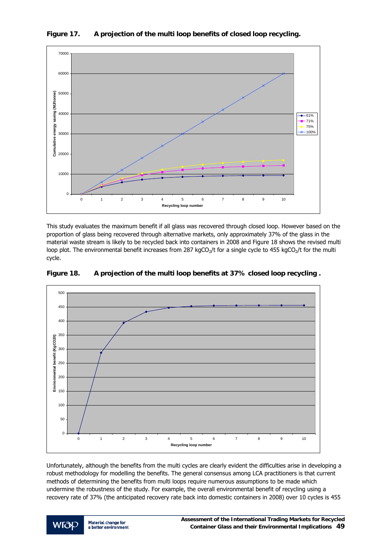

**Figure 17. A projection of the multi loop benefits of closed loop recycling.** 

This study evaluates the maximum benefit if all glass was recovered through closed loop. However based on the proportion of glass being recovered through alternative markets, only approximately 37% of the glass in the material waste stream is likely to be recycled back into containers in 2008 and Figure 18 shows the revised multi loop plot. The environmental benefit increases from 287 kgCO<sub>2</sub>/t for a single cycle to 455 kgCO<sub>2</sub>/t for the multi cycle.



**Figure 18. A projection of the multi loop benefits at 37% closed loop recycling .** 

Unfortunately, although the benefits from the multi cycles are clearly evident the difficulties arise in developing a robust methodology for modelling the benefits. The general consensus among LCA practitioners is that current methods of determining the benefits from multi loops require numerous assumptions to be made which undermine the robustness of the study. For example, the overall environmental benefit of recycling using a recovery rate of 37% (the anticipated recovery rate back into domestic containers in 2008) over 10 cycles is 455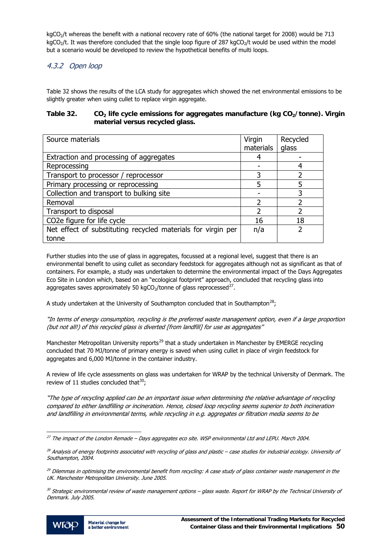<span id="page-51-0"></span>kgCO<sub>2</sub>/t whereas the benefit with a national recovery rate of 60% (the national target for 2008) would be 713 kgCO<sub>2</sub>/t. It was therefore concluded that the single loop figure of 287 kgCO<sub>2</sub>/t would be used within the model but a scenario would be developed to review the hypothetical benefits of multi loops.

# 4.3.2 Open loop

Table 32 shows the results of the LCA study for aggregates which showed the net environmental emissions to be slightly greater when using cullet to replace virgin aggregate.

#### Table 32. CO<sub>2</sub> life cycle emissions for aggregates manufacture (kg CO<sub>2</sub>/tonne). Virgin **material versus recycled glass.**

| Source materials                                             | Virgin    | Recycled |
|--------------------------------------------------------------|-----------|----------|
|                                                              | materials | glass    |
| Extraction and processing of aggregates                      | 4         |          |
| Reprocessing                                                 |           |          |
| Transport to processor / reprocessor                         | 3         |          |
| Primary processing or reprocessing                           | 5         | 5        |
| Collection and transport to bulking site                     |           | 3        |
| Removal                                                      | っ         | ר        |
| Transport to disposal                                        | 2         | っ        |
| CO2e figure for life cycle                                   | 16        | 18       |
| Net effect of substituting recycled materials for virgin per | n/a       |          |
| tonne                                                        |           |          |

Further studies into the use of glass in aggregates, focussed at a regional level, suggest that there is an environmental benefit to using cullet as secondary feedstock for aggregates although not as significant as that of containers. For example, a study was undertaken to determine the environmental impact of the Days Aggregates Eco Site in London which, based on an "ecological footprint" approach, concluded that recycling glass into aggregates saves approximately 50 kgCO<sub>[2](#page-51-0)</sub>/tonne of glass reprocessed<sup>27</sup>.

A study undertaken at the University of Southampton concluded that in Southampton<sup>[28](#page-51-0)</sup>;

"In terms of energy consumption, recycling is the preferred waste management option, even if a large proportion (but not all!) of this recycled glass is diverted [from landfill] for use as aggregates"

Manchester Metropolitan University reports<sup>[2](#page-51-0)9</sup> that a study undertaken in Manchester by EMERGE recycling concluded that 70 MJ/tonne of primary energy is saved when using cullet in place of virgin feedstock for aggregates and 6,000 MJ/tonne in the container industry.

A review of life cycle assessments on glass was undertaken for WRAP by the technical University of Denmark. The review of 11 studies concluded that  $30$ ;

"The type of recycling applied can be an important issue when determining the relative advantage of recycling compared to either landfilling or incineration. Hence, closed loop recycling seems superior to both incineration and landfilling in environmental terms, while recycling in e.g. aggregates or filtration media seems to be

 $30$  Strategic environmental review of waste management options – glass waste. Report for WRAP by the Technical University of Denmark. July 2005.



j

<sup>&</sup>lt;sup>27</sup> The impact of the London Remade – Days aggregates eco site. WSP environmental Ltd and LEPU. March 2004.

<sup>&</sup>lt;sup>28</sup> Analysis of energy footprints associated with recycling of glass and plastic – case studies for industrial ecology. University of Southampton, 2004.

<sup>&</sup>lt;sup>29</sup> Dilemmas in optimising the environmental benefit from recycling: A case study of glass container waste management in the UK. Manchester Metropolitan University. June 2005.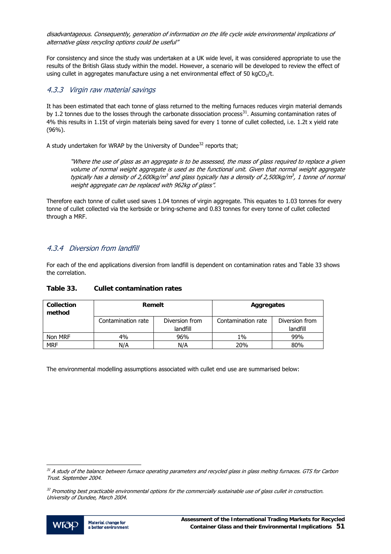<span id="page-52-0"></span>disadvantageous. Consequently, generation of information on the life cycle wide environmental implications of alternative glass recycling options could be useful"

For consistency and since the study was undertaken at a UK wide level, it was considered appropriate to use the results of the British Glass study within the model. However, a scenario will be developed to review the effect of using cullet in aggregates manufacture using a net environmental effect of 50 kgCO<sub>2</sub>/t.

## 4.3.3 Virgin raw material savings

It has been estimated that each tonne of glass returned to the melting furnaces reduces virgin material demands by 1.2 tonnes due to the losses through the carbonate dissociation process<sup>[31](#page-52-0)</sup>. Assuming contamination rates of 4% this results in 1.15t of virgin materials being saved for every 1 tonne of cullet collected, i.e. 1.2t x yield rate (96%).

A study undertaken for WRAP by the University of Dundee $32$  $32$  reports that;

"Where the use of glass as an aggregate is to be assessed, the mass of glass required to replace a given volume of normal weight aggregate is used as the functional unit. Given that normal weight aggregate typically has a density of 2,600kg/m<sup>3</sup> and glass typically has a density of 2,500kg/m<sup>3</sup>, 1 tonne of normal weight aggregate can be replaced with 962kg of glass".

Therefore each tonne of cullet used saves 1.04 tonnes of virgin aggregate. This equates to 1.03 tonnes for every tonne of cullet collected via the kerbside or bring-scheme and 0.83 tonnes for every tonne of cullet collected through a MRF.

# 4.3.4 Diversion from landfill

For each of the end applications diversion from landfill is dependent on contamination rates and Table 33 shows the correlation.

| <b>Collection</b><br>method | Remelt             |                | Aggregates         |                |
|-----------------------------|--------------------|----------------|--------------------|----------------|
|                             | Contamination rate | Diversion from | Contamination rate | Diversion from |
|                             |                    | landfill       |                    | landfill       |
| Non MRF                     | 4%                 | 96%            | $1\%$              | 99%            |
| <b>MRF</b>                  | N/A                | N/A            | 20%                | 80%            |

#### **Table 33. Cullet contamination rates**

The environmental modelling assumptions associated with cullet end use are summarised below:

 $32$  Promoting best practicable environmental options for the commercially sustainable use of glass cullet in construction. University of Dundee, March 2004.



l

<sup>&</sup>lt;sup>31</sup> A study of the balance between furnace operating parameters and recycled glass in glass melting furnaces. GTS for Carbon Trust. September 2004.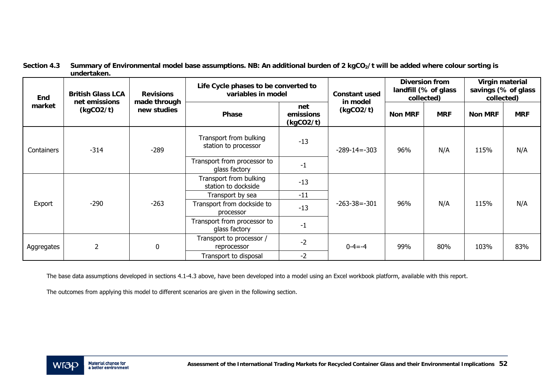| <b>British Glass LCA</b><br><b>Revisions</b><br>End<br>net emissions<br>made through<br>market<br>(kgCO2/t)<br>new studies<br>Phase |                                              |                                                          | Life Cycle phases to be converted to<br>variables in model |                       | <b>Constant used</b> | <b>Diversion from</b><br>landfill (% of glass<br>collected) |                | Virgin material<br>savings (% of glass<br>collected) |     |
|-------------------------------------------------------------------------------------------------------------------------------------|----------------------------------------------|----------------------------------------------------------|------------------------------------------------------------|-----------------------|----------------------|-------------------------------------------------------------|----------------|------------------------------------------------------|-----|
|                                                                                                                                     |                                              |                                                          | net<br>emissions<br>(kgCO2/t)                              | in model<br>(kgCO2/t) | <b>Non MRF</b>       | <b>MRF</b>                                                  | <b>Non MRF</b> | <b>MRF</b>                                           |     |
| Containers                                                                                                                          | $-314$                                       | Transport from bulking<br>station to processor<br>$-289$ |                                                            | $-13$                 | $-289 - 14 = -303$   | 96%                                                         | N/A            | 115%                                                 | N/A |
|                                                                                                                                     | Transport from processor to<br>glass factory | $-1$                                                     |                                                            |                       |                      |                                                             |                |                                                      |     |
|                                                                                                                                     |                                              |                                                          | Transport from bulking<br>station to dockside              | $-13$                 |                      |                                                             |                |                                                      |     |
|                                                                                                                                     |                                              |                                                          | Transport by sea                                           | $-11$                 |                      |                                                             |                |                                                      |     |
| $-290$<br>Export                                                                                                                    | $-263$                                       | Transport from dockside to<br>processor                  | $-13$                                                      | $-263-38=-301$        | 96%                  | N/A                                                         | 115%           | N/A                                                  |     |
|                                                                                                                                     |                                              | Transport from processor to<br>glass factory             | $-1$                                                       |                       |                      |                                                             |                |                                                      |     |
| Aggregates                                                                                                                          |                                              | 0                                                        | Transport to processor /<br>reprocessor                    | $-2$                  | $0 - 4 = -4$         | 99%                                                         | 80%            | 103%                                                 | 83% |
|                                                                                                                                     |                                              |                                                          | Transport to disposal                                      | $-2$                  |                      |                                                             |                |                                                      |     |

| Section 4.3 | Summary of Environmental model base assumptions. NB: An additional burden of 2 kgCO <sub>2</sub> /t will be added where colour sorting is |
|-------------|-------------------------------------------------------------------------------------------------------------------------------------------|
|             | undertaken.                                                                                                                               |

The base data assumptions developed in sections 4.1-4.3 above, have been developed into a model using an Excel workbook platform, available with this report.

The outcomes from applying this model to different scenarios are given in the following section.

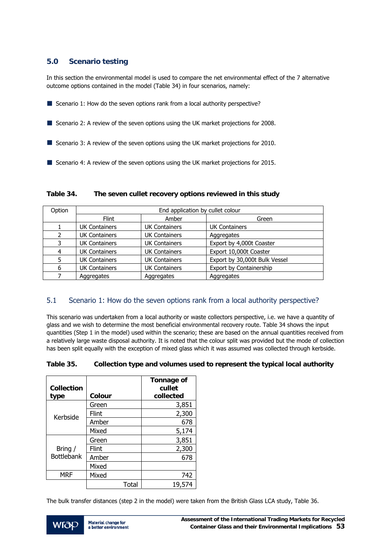## **5.0 Scenario testing**

In this section the environmental model is used to compare the net environmental effect of the 7 alternative outcome options contained in the model (Table 34) in four scenarios, namely:

- Scenario 1: How do the seven options rank from a local authority perspective?
- Scenario 2: A review of the seven options using the UK market projections for 2008.
- Scenario 3: A review of the seven options using the UK market projections for 2010.
- Scenario 4: A review of the seven options using the UK market projections for 2015.

| Option | End application by cullet colour |                      |                               |  |  |
|--------|----------------------------------|----------------------|-------------------------------|--|--|
|        | <b>Flint</b>                     | Amber                | Green                         |  |  |
|        | <b>UK Containers</b>             | <b>UK Containers</b> | <b>UK Containers</b>          |  |  |
|        | <b>UK Containers</b>             | <b>UK Containers</b> | Aggregates                    |  |  |
| 3      | <b>UK Containers</b>             | <b>UK Containers</b> | Export by 4,000t Coaster      |  |  |
| 4      | <b>UK Containers</b>             | <b>UK Containers</b> | Export 10,000t Coaster        |  |  |
| 5      | <b>UK Containers</b>             | <b>UK Containers</b> | Export by 30,000t Bulk Vessel |  |  |
| 6      | <b>UK Containers</b>             | <b>UK Containers</b> | Export by Containership       |  |  |
|        | Aggregates                       | Aggregates           | Aggregates                    |  |  |

#### **Table 34. The seven cullet recovery options reviewed in this study**

## 5.1 Scenario 1: How do the seven options rank from a local authority perspective?

This scenario was undertaken from a local authority or waste collectors perspective, i.e. we have a quantity of glass and we wish to determine the most beneficial environmental recovery route. Table 34 shows the input quantities (Step 1 in the model) used within the scenario; these are based on the annual quantities received from a relatively large waste disposal authority. It is noted that the colour split was provided but the mode of collection has been split equally with the exception of mixed glass which it was assumed was collected through kerbside.

#### **Table 35. Collection type and volumes used to represent the typical local authority**

| <b>Collection</b><br>type | Colour       | Tonnage of<br>cullet<br>collected |
|---------------------------|--------------|-----------------------------------|
|                           | Green        | 3,851                             |
| Kerbside                  | <b>Flint</b> | 2,300                             |
|                           | Amber        | 678                               |
|                           | Mixed        | 5,174                             |
|                           | Green        | 3,851                             |
| Bring /                   | <b>Flint</b> | 2,300                             |
| <b>Bottlebank</b>         | Amber        | 678                               |
|                           | Mixed        |                                   |
| MRF                       | Mixed        | 742                               |
|                           | Total        | 19,574                            |

The bulk transfer distances (step 2 in the model) were taken from the British Glass LCA study, Table 36.

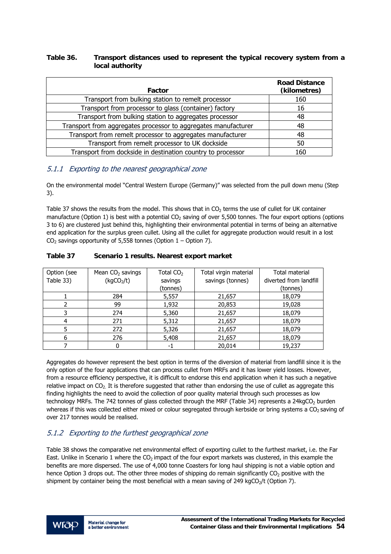## **Table 36. Transport distances used to represent the typical recovery system from a local authority**

| Factor                                                         | <b>Road Distance</b><br>(kilometres) |
|----------------------------------------------------------------|--------------------------------------|
| Transport from bulking station to remelt processor             | 160                                  |
| Transport from processor to glass (container) factory          | 16                                   |
| Transport from bulking station to aggregates processor         | 48                                   |
| Transport from aggregates processor to aggregates manufacturer | 48                                   |
| Transport from remelt processor to aggregates manufacturer     | 48                                   |
| Transport from remelt processor to UK dockside                 | 50                                   |
| Transport from dockside in destination country to processor    | 160                                  |

## 5.1.1 Exporting to the nearest geographical zone

On the environmental model "Central Western Europe (Germany)" was selected from the pull down menu (Step 3).

Table 37 shows the results from the model. This shows that in CO<sub>2</sub> terms the use of cullet for UK container manufacture (Option 1) is best with a potential  $CO<sub>2</sub>$  saving of over 5,500 tonnes. The four export options (options 3 to 6) are clustered just behind this, highlighting their environmental potential in terms of being an alternative end application for the surplus green cullet. Using all the cullet for aggregate production would result in a lost  $CO<sub>2</sub>$  savings opportunity of 5,558 tonnes (Option 1 – Option 7).

| Option (see<br>Table 33) | Mean $CO2$ savings<br>(kgCO <sub>2</sub> /t) | Total CO <sub>2</sub><br>savings | Total virgin material<br>savings (tonnes) | Total material<br>diverted from landfill |
|--------------------------|----------------------------------------------|----------------------------------|-------------------------------------------|------------------------------------------|
|                          |                                              | (tonnes)                         |                                           | (tonnes)                                 |
|                          | 284                                          | 5,557                            | 21,657                                    | 18,079                                   |
|                          | 99                                           | 1,932                            | 20,853                                    | 19,028                                   |
|                          | 274                                          | 5,360                            | 21,657                                    | 18,079                                   |
| 4                        | 271                                          | 5,312                            | 21,657                                    | 18,079                                   |
|                          | 272                                          | 5,326                            | 21,657                                    | 18,079                                   |
| 6                        | 276                                          | 5,408                            | 21,657                                    | 18,079                                   |
|                          |                                              | - 1                              | 20,014                                    | 19,237                                   |

**Table 37 Scenario 1 results. Nearest export market** 

Aggregates do however represent the best option in terms of the diversion of material from landfill since it is the only option of the four applications that can process cullet from MRFs and it has lower yield losses. However, from a resource efficiency perspective, it is difficult to endorse this end application when it has such a negative relative impact on  $CO<sub>2</sub>$ . It is therefore suggested that rather than endorsing the use of cullet as aggregate this finding highlights the need to avoid the collection of poor quality material through such processes as low technology MRFs. The 742 tonnes of glass collected through the MRF (Table 34) represents a 24kgCO<sub>2</sub> burden whereas if this was collected either mixed or colour segregated through kerbside or bring systems a CO<sub>2</sub> saving of over 217 tonnes would be realised.

# 5.1.2 Exporting to the furthest geographical zone

Table 38 shows the comparative net environmental effect of exporting cullet to the furthest market, i.e. the Far East. Unlike in Scenario 1 where the CO<sub>2</sub> impact of the four export markets was clustered, in this example the benefits are more dispersed. The use of 4,000 tonne Coasters for long haul shipping is not a viable option and hence Option 3 drops out. The other three modes of shipping do remain significantly CO<sub>2</sub> positive with the shipment by container being the most beneficial with a mean saving of 249 kgCO<sub>2</sub>/t (Option 7).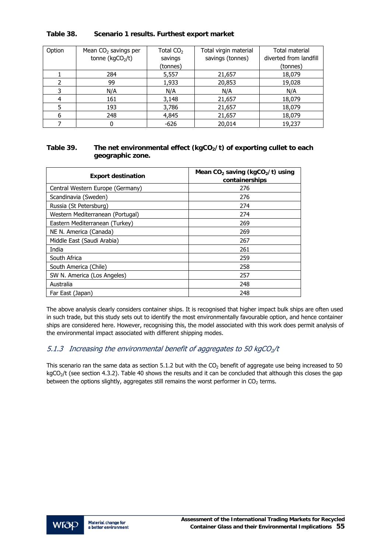| Option | Mean $CO2$ savings per<br>tonne ( $kgCO2/t$ ) | Total CO <sub>2</sub><br>savings<br>(tonnes) | Total virgin material<br>savings (tonnes) | <b>Total material</b><br>diverted from landfill<br>(tonnes) |
|--------|-----------------------------------------------|----------------------------------------------|-------------------------------------------|-------------------------------------------------------------|
|        | 284                                           | 5,557                                        | 21,657                                    | 18,079                                                      |
|        | 99                                            | 1,933                                        | 20,853                                    | 19,028                                                      |
| 3      | N/A                                           | N/A                                          | N/A                                       | N/A                                                         |
|        | 161                                           | 3,148                                        | 21,657                                    | 18,079                                                      |
|        | 193                                           | 3,786                                        | 21,657                                    | 18,079                                                      |
| 6      | 248                                           | 4,845                                        | 21,657                                    | 18,079                                                      |
|        | 0                                             | $-626$                                       | 20,014                                    | 19,237                                                      |

#### **Table 38. Scenario 1 results. Furthest export market**

#### Table 39. The net environmental effect (kgCO<sub>2</sub>/t) of exporting cullet to each **geographic zone.**

| <b>Export destination</b>        | Mean $CO2$ saving (kgCO <sub>2</sub> /t) using<br>containerships |
|----------------------------------|------------------------------------------------------------------|
| Central Western Europe (Germany) | 276                                                              |
| Scandinavia (Sweden)             | 276                                                              |
| Russia (St Petersburg)           | 274                                                              |
| Western Mediterranean (Portugal) | 274                                                              |
| Eastern Mediterranean (Turkey)   | 269                                                              |
| NE N. America (Canada)           | 269                                                              |
| Middle East (Saudi Arabia)       | 267                                                              |
| India                            | 261                                                              |
| South Africa                     | 259                                                              |
| South America (Chile)            | 258                                                              |
| SW N. America (Los Angeles)      | 257                                                              |
| Australia                        | 248                                                              |
| Far East (Japan)                 | 248                                                              |

The above analysis clearly considers container ships. It is recognised that higher impact bulk ships are often used in such trade, but this study sets out to identify the most environmentally favourable option, and hence container ships are considered here. However, recognising this, the model associated with this work does permit analysis of the environmental impact associated with different shipping modes.

## 5.1.3 Increasing the environmental benefit of aggregates to 50 kgCO<sub>2</sub>/t

This scenario ran the same data as section 5.1.2 but with the  $CO<sub>2</sub>$  benefit of aggregate use being increased to 50 kgCO<sub>2</sub>/t (see section 4.3.2). Table 40 shows the results and it can be concluded that although this closes the gap between the options slightly, aggregates still remains the worst performer in  $CO<sub>2</sub>$  terms.

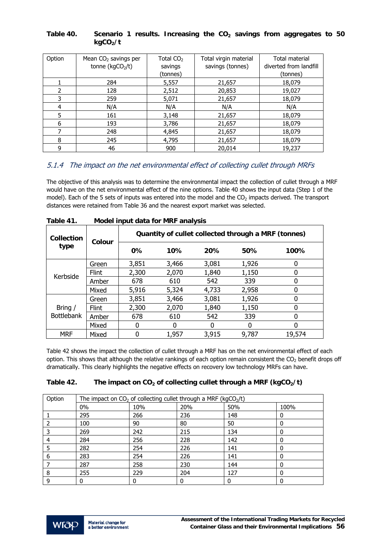#### Table 40. Scenario 1 results. Increasing the CO<sub>2</sub> savings from aggregates to 50 kgCO<sub>2</sub>/t

| Option | Mean CO <sub>2</sub> savings per | Total $CO2$ | Total virgin material | Total material         |
|--------|----------------------------------|-------------|-----------------------|------------------------|
|        | tonne ( $kgCO2/t$ )              | savings     | savings (tonnes)      | diverted from landfill |
|        |                                  | (tonnes)    |                       | (tonnes)               |
|        | 284                              | 5,557       | 21,657                | 18,079                 |
| 2      | 128                              | 2,512       | 20,853                | 19,027                 |
| 3      | 259                              | 5,071       | 21,657                | 18,079                 |
| 4      | N/A                              | N/A         | N/A                   | N/A                    |
| 5      | 161                              | 3,148       | 21,657                | 18,079                 |
| 6      | 193                              | 3,786       | 21,657                | 18,079                 |
|        | 248                              | 4,845       | 21,657                | 18,079                 |
| 8      | 245                              | 4,795       | 21,657                | 18,079                 |
| 9      | 46                               | 900         | 20,014                | 19,237                 |

## 5.1.4 The impact on the net environmental effect of collecting cullet through MRFs

The objective of this analysis was to determine the environmental impact the collection of cullet through a MRF would have on the net environmental effect of the nine options. Table 40 shows the input data (Step 1 of the model). Each of the 5 sets of inputs was entered into the model and the  $CO<sub>2</sub>$  impacts derived. The transport distances were retained from Table 36 and the nearest export market was selected.

| 1 GNIC 71.                |                                                               |       | <b>NOUCH IMPUT USES</b> IOF IVINT SHOPS |                    |       |        |  |  |
|---------------------------|---------------------------------------------------------------|-------|-----------------------------------------|--------------------|-------|--------|--|--|
| <b>Collection</b><br>type | Quantity of cullet collected through a MRF (tonnes)<br>Colour |       |                                         |                    |       |        |  |  |
|                           |                                                               | $0\%$ | 10%                                     | 20%<br>50%<br>100% |       |        |  |  |
|                           | Green                                                         | 3,851 | 3,466                                   | 3,081              | 1,926 |        |  |  |
| Kerbside                  | <b>Flint</b>                                                  | 2,300 | 2,070                                   | 1,840              | 1,150 | 0      |  |  |
|                           | Amber                                                         | 678   | 610                                     | 542                | 339   | 0      |  |  |
|                           | Mixed                                                         | 5,916 | 5,324                                   | 4,733              | 2,958 | 0      |  |  |
|                           | Green                                                         | 3,851 | 3,466                                   | 3,081              | 1,926 | O      |  |  |
| Bring /                   | <b>Flint</b>                                                  | 2,300 | 2,070                                   | 1,840              | 1,150 | 0      |  |  |
| <b>Bottlebank</b>         | Amber                                                         | 678   | 610                                     | 542                | 339   | O      |  |  |
|                           | Mixed                                                         | 0     | 0                                       | 0                  |       | 0      |  |  |
| <b>MRF</b>                | Mixed                                                         | 0     | 1,957                                   | 3,915              | 9,787 | 19,574 |  |  |

|  | Table 41. | Model input data for MRF analysis |  |
|--|-----------|-----------------------------------|--|
|--|-----------|-----------------------------------|--|

Table 42 shows the impact the collection of cullet through a MRF has on the net environmental effect of each option. This shows that although the relative rankings of each option remain consistent the  $CO<sub>2</sub>$  benefit drops off dramatically. This clearly highlights the negative effects on recovery low technology MRFs can have.

## Table 42. The impact on CO<sub>2</sub> of collecting cullet through a MRF (kgCO<sub>2</sub>/t)

| Option | The impact on $CO2$ of collecting cullet through a MRF (kgCO <sub>2</sub> /t) |     |     |     |      |
|--------|-------------------------------------------------------------------------------|-----|-----|-----|------|
|        | $0\%$                                                                         | 10% | 20% | 50% | 100% |
|        | 295                                                                           | 266 | 236 | 148 | 0    |
|        | 100                                                                           | 90  | 80  | 50  |      |
|        | 269                                                                           | 242 | 215 | 134 | 0    |
|        | 284                                                                           | 256 | 228 | 142 |      |
|        | 282                                                                           | 254 | 226 | 141 |      |
| 6      | 283                                                                           | 254 | 226 | 141 |      |
|        | 287                                                                           | 258 | 230 | 144 | 0    |
| 8      | 255                                                                           | 229 | 204 | 127 | 0    |
|        |                                                                               |     |     |     |      |

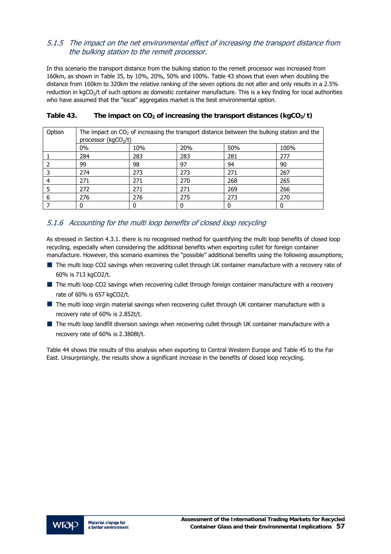## 5.1.5 The impact on the net environmental effect of increasing the transport distance from the bulking station to the remelt processor.

In this scenario the transport distance from the bulking station to the remelt processor was increased from 160km, as shown in Table 35, by 10%, 20%, 50% and 100%. Table 43 shows that even when doubling the distance from 160km to 320km the relative ranking of the seven options do not alter and only results in a 2.5% reduction in kgCO<sub>2</sub>/t of such options as domestic container manufacture. This is a key finding for local authorities who have assumed that the "local" aggregates market is the best environmental option.

| Option | The impact on $CO2$ of increasing the transport distance between the bulking station and the<br>processor ( $kgCO2/t$ ) |     |     |     |      |
|--------|-------------------------------------------------------------------------------------------------------------------------|-----|-----|-----|------|
|        | 0%                                                                                                                      | 10% | 20% | 50% | 100% |
|        | 284                                                                                                                     | 283 | 283 | 281 | 277  |
|        | 99                                                                                                                      | 98  | 97  | 94  | 90   |
|        | 274                                                                                                                     | 273 | 273 | 271 | 267  |
|        | 271                                                                                                                     | 271 | 270 | 268 | 265  |
|        | 272                                                                                                                     | 271 | 271 | 269 | 266  |
| 6      | 276                                                                                                                     | 276 | 275 | 273 | 270  |
|        |                                                                                                                         |     |     |     |      |

## Table 43. The impact on  $CO<sub>2</sub>$  of increasing the transport distances ( $kgCO<sub>2</sub>/t$ )

## 5.1.6 Accounting for the multi loop benefits of closed loop recycling

As stressed in Section 4.3.1. there is no recognised method for quantifying the multi loop benefits of closed loop recycling, especially when considering the additional benefits when exporting cullet for foreign container manufacture. However, this scenario examines the "possible" additional benefits using the following assumptions;

- The multi loop CO2 savings when recovering cullet through UK container manufacture with a recovery rate of 60% is 713 kgCO2/t.
- The multi loop CO2 savings when recovering cullet through foreign container manufacture with a recovery rate of 60% is 657 kgCO2/t.
- The multi loop virgin material savings when recovering cullet through UK container manufacture with a recovery rate of 60% is 2.852t/t.
- The multi loop landfill diversion savings when recovering cullet through UK container manufacture with a recovery rate of 60% is 2.3808t/t.

Table 44 shows the results of this analysis when exporting to Central Western Europe and Table 45 to the Far East. Unsurprisingly, the results show a significant increase in the benefits of closed loop recycling.

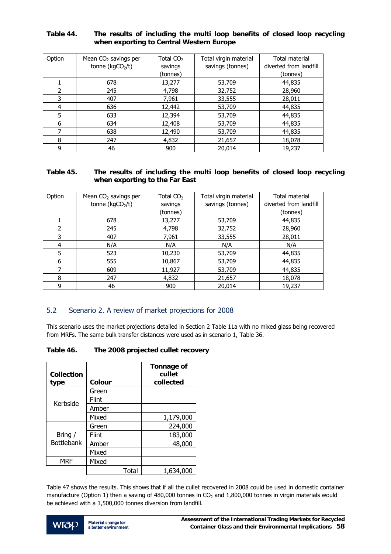#### **Table 44. The results of including the multi loop benefits of closed loop recycling when exporting to Central Western Europe**

| Option        | Mean $CO2$ savings per<br>tonne ( $kgCO2/t$ ) | Total CO <sub>2</sub><br>savings | Total virgin material<br>savings (tonnes) | <b>Total material</b><br>diverted from landfill |
|---------------|-----------------------------------------------|----------------------------------|-------------------------------------------|-------------------------------------------------|
|               |                                               | (tonnes)                         |                                           | (tonnes)                                        |
|               | 678                                           | 13,277                           | 53,709                                    | 44,835                                          |
| $\mathcal{P}$ | 245                                           | 4,798                            | 32,752                                    | 28,960                                          |
| 3             | 407                                           | 7,961                            | 33,555                                    | 28,011                                          |
| 4             | 636                                           | 12,442                           | 53,709                                    | 44,835                                          |
| 5             | 633                                           | 12,394                           | 53,709                                    | 44,835                                          |
| 6             | 634                                           | 12,408                           | 53,709                                    | 44,835                                          |
| 7             | 638                                           | 12,490                           | 53,709                                    | 44,835                                          |
| 8             | 247                                           | 4,832                            | 21,657                                    | 18,078                                          |
| 9             | 46                                            | 900                              | 20,014                                    | 19,237                                          |

#### **Table 45. The results of including the multi loop benefits of closed loop recycling when exporting to the Far East**

| Option | Mean CO <sub>2</sub> savings per<br>tonne ( $kgCO2/t$ ) | Total CO <sub>2</sub><br>savings<br>(tonnes) | Total virgin material<br>savings (tonnes) | Total material<br>diverted from landfill<br>(tonnes) |
|--------|---------------------------------------------------------|----------------------------------------------|-------------------------------------------|------------------------------------------------------|
|        | 678                                                     | 13,277                                       | 53,709                                    | 44,835                                               |
| 2      | 245                                                     | 4,798                                        | 32,752                                    | 28,960                                               |
| 3      | 407                                                     | 7,961                                        | 33,555                                    | 28,011                                               |
| 4      | N/A                                                     | N/A                                          | N/A                                       | N/A                                                  |
| 5      | 523                                                     | 10,230                                       | 53,709                                    | 44,835                                               |
| 6      | 555                                                     | 10,867                                       | 53,709                                    | 44,835                                               |
| 7      | 609                                                     | 11,927                                       | 53,709                                    | 44,835                                               |
| 8      | 247                                                     | 4,832                                        | 21,657                                    | 18,078                                               |
| ٩      | 46                                                      | 900                                          | 20,014                                    | 19,237                                               |

# 5.2 Scenario 2. A review of market projections for 2008

This scenario uses the market projections detailed in Section 2 Table 11a with no mixed glass being recovered from MRFs. The same bulk transfer distances were used as in scenario 1, Table 36.

#### **Table 46. The 2008 projected cullet recovery**

| <b>Collection</b><br>type | Colour | Tonnage of<br>cullet<br>collected |
|---------------------------|--------|-----------------------------------|
|                           | Green  |                                   |
| Kerbside                  | Flint  |                                   |
|                           | Amber  |                                   |
|                           | Mixed  | 1,179,000                         |
|                           | Green  | 224,000                           |
| Bring /                   | Flint  | 183,000                           |
| <b>Bottlebank</b>         | Amber  | 48,000                            |
|                           | Mixed  |                                   |
| <b>MRF</b>                | Mixed  |                                   |
|                           | Total  | 1,634,000                         |

Table 47 shows the results. This shows that if all the cullet recovered in 2008 could be used in domestic container manufacture (Option 1) then a saving of 480,000 tonnes in CO<sub>2</sub> and  $1,800,000$  tonnes in virgin materials would be achieved with a 1,500,000 tonnes diversion from landfill.

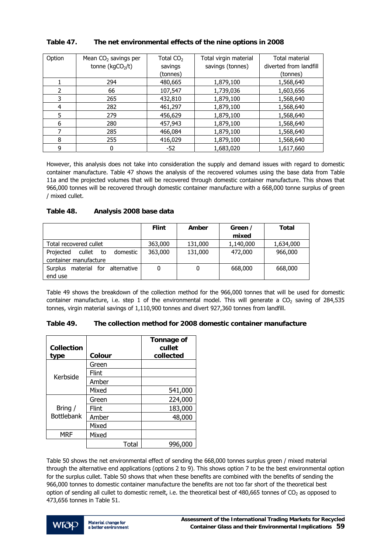| Option | Mean CO <sub>2</sub> savings per | Total CO <sub>2</sub> | Total virgin material | Total material         |
|--------|----------------------------------|-----------------------|-----------------------|------------------------|
|        | tonne ( $kgCO2/t$ )              | savings               | savings (tonnes)      | diverted from landfill |
|        |                                  | (tonnes)              |                       | (tonnes)               |
|        | 294                              | 480,665               | 1,879,100             | 1,568,640              |
| 2      | 66                               | 107,547               | 1,739,036             | 1,603,656              |
| 3      | 265                              | 432,810               | 1,879,100             | 1,568,640              |
| 4      | 282                              | 461,297               | 1,879,100             | 1,568,640              |
| 5      | 279                              | 456,629               | 1,879,100             | 1,568,640              |
| 6      | 280                              | 457,943               | 1,879,100             | 1,568,640              |
| 7      | 285                              | 466,084               | 1,879,100             | 1,568,640              |
| 8      | 255                              | 416,029               | 1,879,100             | 1,568,640              |
| 9      | 0                                | $-52$                 | 1,683,020             | 1,617,660              |

#### **Table 47. The net environmental effects of the nine options in 2008**

However, this analysis does not take into consideration the supply and demand issues with regard to domestic container manufacture. Table 47 shows the analysis of the recovered volumes using the base data from Table 11a and the projected volumes that will be recovered through domestic container manufacture. This shows that 966,000 tonnes will be recovered through domestic container manufacture with a 668,000 tonne surplus of green / mixed cullet.

#### **Table 48. Analysis 2008 base data**

|                                                                | <b>Flint</b> | Amber   | Green /<br>mixed | Total     |
|----------------------------------------------------------------|--------------|---------|------------------|-----------|
| Total recovered cullet                                         | 363,000      | 131,000 | 1,140,000        | 1,634,000 |
| Projected<br>cullet<br>domestic<br>to<br>container manufacture | 363,000      | 131,000 | 472,000          | 966,000   |
| material for alternative<br><b>Surplus</b><br>end use          | 0            |         | 668,000          | 668,000   |

Table 49 shows the breakdown of the collection method for the 966,000 tonnes that will be used for domestic container manufacture, i.e. step 1 of the environmental model. This will generate a  $CO<sub>2</sub>$  saving of 284,535 tonnes, virgin material savings of 1,110,900 tonnes and divert 927,360 tonnes from landfill.

| <b>Collection</b> | Colour |       | Tonnage of<br>cullet<br>collected |
|-------------------|--------|-------|-----------------------------------|
| type              |        |       |                                   |
|                   | Green  |       |                                   |
| Kerbside          | Flint  |       |                                   |
|                   | Amber  |       |                                   |
|                   | Mixed  |       | 541,000                           |
|                   | Green  |       | 224,000                           |
| Bring /           | Flint  |       | 183,000                           |
| <b>Bottlebank</b> | Amber  |       | 48,000                            |
|                   | Mixed  |       |                                   |
| MRF               | Mixed  |       |                                   |
|                   |        | Total | 996.000                           |

#### **Table 49. The collection method for 2008 domestic container manufacture**

Table 50 shows the net environmental effect of sending the 668,000 tonnes surplus green / mixed material through the alternative end applications (options 2 to 9). This shows option 7 to be the best environmental option for the surplus cullet. Table 50 shows that when these benefits are combined with the benefits of sending the 966,000 tonnes to domestic container manufacture the benefits are not too far short of the theoretical best option of sending all cullet to domestic remelt, i.e. the theoretical best of 480,665 tonnes of CO<sub>2</sub> as opposed to 473,656 tonnes in Table 51.

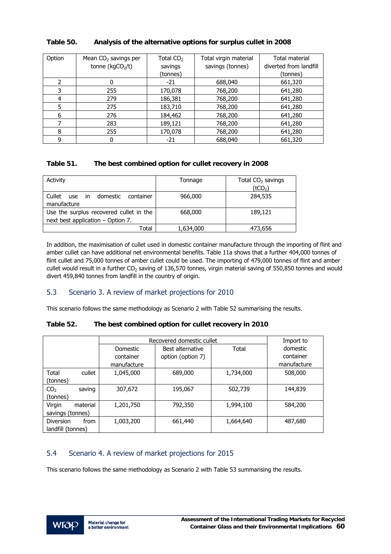| Option | Mean $CO2$ savings per<br>tonne ( $kgCO2/t$ ) | Total $CO2$<br>savings<br>(tonnes) | Total virgin material<br>savings (tonnes) | Total material<br>diverted from landfill<br>(tonnes) |
|--------|-----------------------------------------------|------------------------------------|-------------------------------------------|------------------------------------------------------|
| 2      | 0                                             | $-21$                              | 688,040                                   | 661,320                                              |
| 3      | 255                                           | 170,078                            | 768,200                                   | 641,280                                              |
| 4      | 279                                           | 186,381                            | 768,200                                   | 641,280                                              |
| 5      | 275                                           | 183,710                            | 768,200                                   | 641,280                                              |
| 6      | 276                                           | 184,462                            | 768,200                                   | 641,280                                              |
|        | 283                                           | 189,121                            | 768,200                                   | 641,280                                              |
| 8      | 255                                           | 170,078                            | 768,200                                   | 641,280                                              |
| 9      | 0                                             | -21                                | 688,040                                   | 661,320                                              |

#### **Table 50. Analysis of the alternative options for surplus cullet in 2008**

#### **Table 51. The best combined option for cullet recovery in 2008**

| Activity                                                                     | Tonnage   | Total $CO2$ savings<br>(tCO <sub>2</sub> ) |
|------------------------------------------------------------------------------|-----------|--------------------------------------------|
| Cullet<br>use in<br>domestic<br>container<br>manufacture                     | 966,000   | 284,535                                    |
| Use the surplus recovered cullet in the<br>next best application - Option 7. | 668,000   | 189,121                                    |
| Total                                                                        | 1,634,000 | 473,656                                    |

In addition, the maximisation of cullet used in domestic container manufacture through the importing of flint and amber cullet can have additional net environmental benefits. Table 11a shows that a further 404,000 tonnes of flint cullet and 75,000 tonnes of amber cullet could be used. The importing of 479,000 tonnes of flint and amber cullet would result in a further  $CO<sub>2</sub>$  saving of 136,570 tonnes, virgin material saving of 550,850 tonnes and would divert 459,840 tonnes from landfill in the country of origin.

## 5.3 Scenario 3. A review of market projections for 2010

This scenario follows the same methodology as Scenario 2 with Table 52 summarising the results.

#### **Table 52. The best combined option for cullet recovery in 2010**

|                           |             | Recovered domestic cullet |           |             |  |
|---------------------------|-------------|---------------------------|-----------|-------------|--|
|                           | Domestic    | Best alternative          | Total     | domestic    |  |
|                           | container   | option (option 7)         |           | container   |  |
|                           | manufacture |                           |           | manufacture |  |
| Total<br>cullet           | 1,045,000   | 689,000                   | 1,734,000 | 508,000     |  |
| (tonnes)                  |             |                           |           |             |  |
| saving<br>CO <sub>2</sub> | 307,672     | 195,067                   | 502,739   | 144,839     |  |
| (tonnes)                  |             |                           |           |             |  |
| Virgin<br>material        | 1,201,750   | 792,350                   | 1,994,100 | 584,200     |  |
| savings (tonnes)          |             |                           |           |             |  |
| <b>Diversion</b><br>from  | 1,003,200   | 661,440                   | 1,664,640 | 487,680     |  |
| landfill (tonnes)         |             |                           |           |             |  |

## 5.4 Scenario 4. A review of market projections for 2015

This scenario follows the same methodology as Scenario 2 with Table 53 summarising the results.

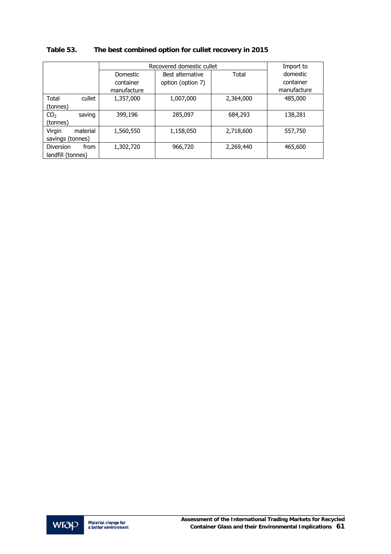|                           |             | Recovered domestic cullet |           |             |  |
|---------------------------|-------------|---------------------------|-----------|-------------|--|
|                           | Domestic    | Best alternative          | Total     | domestic    |  |
|                           | container   | option (option 7)         |           | container   |  |
|                           | manufacture |                           |           | manufacture |  |
| Total<br>cullet           | 1,357,000   | 1,007,000                 | 2,364,000 | 485,000     |  |
| (tonnes)                  |             |                           |           |             |  |
| CO <sub>2</sub><br>saving | 399,196     | 285,097                   | 684,293   | 138,281     |  |
| (tonnes)                  |             |                           |           |             |  |
| Virgin<br>material        | 1,560,550   | 1,158,050                 | 2,718,600 | 557,750     |  |
| savings (tonnes)          |             |                           |           |             |  |
| Diversion<br>from         | 1,302,720   | 966,720                   | 2,269,440 | 465,600     |  |
| landfill (tonnes)         |             |                           |           |             |  |

# **Table 53. The best combined option for cullet recovery in 2015**

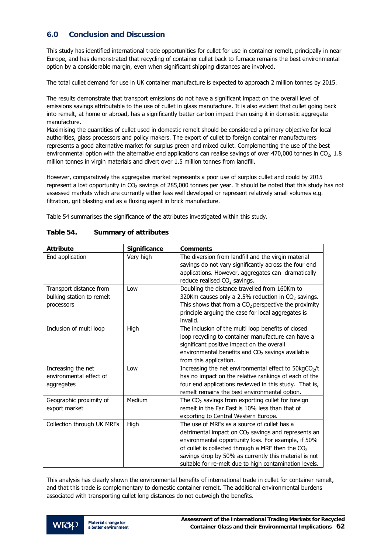## **6.0 Conclusion and Discussion**

This study has identified international trade opportunities for cullet for use in container remelt, principally in near Europe, and has demonstrated that recycling of container cullet back to furnace remains the best environmental option by a considerable margin, even when significant shipping distances are involved.

The total cullet demand for use in UK container manufacture is expected to approach 2 million tonnes by 2015.

The results demonstrate that transport emissions do not have a significant impact on the overall level of emissions savings attributable to the use of cullet in glass manufacture. It is also evident that cullet going back into remelt, at home or abroad, has a significantly better carbon impact than using it in domestic aggregate manufacture.

Maximising the quantities of cullet used in domestic remelt should be considered a primary objective for local authorities, glass processors and policy makers. The export of cullet to foreign container manufacturers represents a good alternative market for surplus green and mixed cullet. Complementing the use of the best environmental option with the alternative end applications can realise savings of over 470,000 tonnes in  $CO<sub>2</sub>$ , 1.8 million tonnes in virgin materials and divert over 1.5 million tonnes from landfill.

However, comparatively the aggregates market represents a poor use of surplus cullet and could by 2015 represent a lost opportunity in  $CO<sub>2</sub>$  savings of 285,000 tonnes per year. It should be noted that this study has not assessed markets which are currently either less well developed or represent relatively small volumes e.g. filtration, grit blasting and as a fluxing agent in brick manufacture.

Table 54 summarises the significance of the attributes investigated within this study.

| <b>Attribute</b>                                                   | Significance | <b>Comments</b>                                                                                                                                                                                                                                                                                                                       |
|--------------------------------------------------------------------|--------------|---------------------------------------------------------------------------------------------------------------------------------------------------------------------------------------------------------------------------------------------------------------------------------------------------------------------------------------|
| End application                                                    | Very high    | The diversion from landfill and the virgin material<br>savings do not vary significantly across the four end<br>applications. However, aggregates can dramatically<br>reduce realised CO <sub>2</sub> savings.                                                                                                                        |
| Transport distance from<br>bulking station to remelt<br>processors | Low          | Doubling the distance travelled from 160Km to<br>320Km causes only a 2.5% reduction in $CO2$ savings.<br>This shows that from a $CO2$ perspective the proximity<br>principle arguing the case for local aggregates is<br>invalid.                                                                                                     |
| Inclusion of multi loop                                            | High         | The inclusion of the multi loop benefits of closed<br>loop recycling to container manufacture can have a<br>significant positive impact on the overall<br>environmental benefits and CO <sub>2</sub> savings available<br>from this application.                                                                                      |
| Increasing the net<br>environmental effect of<br>aggregates        | Low          | Increasing the net environmental effect to 50kgCO <sub>2</sub> /t<br>has no impact on the relative rankings of each of the<br>four end applications reviewed in this study. That is,<br>remelt remains the best environmental option.                                                                                                 |
| Geographic proximity of<br>export market                           | Medium       | The $CO2$ savings from exporting cullet for foreign<br>remelt in the Far East is 10% less than that of<br>exporting to Central Western Europe.                                                                                                                                                                                        |
| Collection through UK MRFs                                         | High         | The use of MRFs as a source of cullet has a<br>detrimental impact on $CO2$ savings and represents an<br>environmental opportunity loss. For example, if 50%<br>of cullet is collected through a MRF then the $CO2$<br>savings drop by 50% as currently this material is not<br>suitable for re-melt due to high contamination levels. |

#### **Table 54. Summary of attributes**

This analysis has clearly shown the environmental benefits of international trade in cullet for container remelt, and that this trade is complementary to domestic container remelt. The additional environmental burdens associated with transporting cullet long distances do not outweigh the benefits.

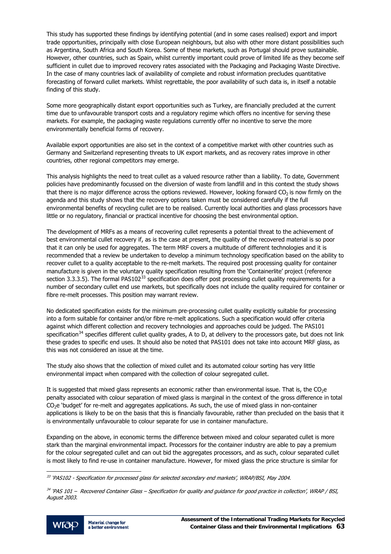<span id="page-64-0"></span>This study has supported these findings by identifying potential (and in some cases realised) export and import trade opportunities, principally with close European neighbours, but also with other more distant possibilities such as Argentina, South Africa and South Korea. Some of these markets, such as Portugal should prove sustainable. However, other countries, such as Spain, whilst currently important could prove of limited life as they become self sufficient in cullet due to improved recovery rates associated with the Packaging and Packaging Waste Directive. In the case of many countries lack of availability of complete and robust information precludes quantitative forecasting of forward cullet markets. Whilst regrettable, the poor availability of such data is, in itself a notable finding of this study.

Some more geographically distant export opportunities such as Turkey, are financially precluded at the current time due to unfavourable transport costs and a regulatory regime which offers no incentive for serving these markets. For example, the packaging waste regulations currently offer no incentive to serve the more environmentally beneficial forms of recovery.

Available export opportunities are also set in the context of a competitive market with other countries such as Germany and Switzerland representing threats to UK export markets, and as recovery rates improve in other countries, other regional competitors may emerge.

This analysis highlights the need to treat cullet as a valued resource rather than a liability. To date, Government policies have predominantly focussed on the diversion of waste from landfill and in this context the study shows that there is no major difference across the options reviewed. However, looking forward  $CO<sub>2</sub>$  is now firmly on the agenda and this study shows that the recovery options taken must be considered carefully if the full environmental benefits of recycling cullet are to be realised. Currently local authorities and glass processors have little or no regulatory, financial or practical incentive for choosing the best environmental option.

The development of MRFs as a means of recovering cullet represents a potential threat to the achievement of best environmental cullet recovery if, as is the case at present, the quality of the recovered material is so poor that it can only be used for aggregates. The term MRF covers a multitude of different technologies and it is recommended that a review be undertaken to develop a minimum technology specification based on the ability to recover cullet to a quality acceptable to the re-melt markets. The required post processing quality for container manufacture is given in the voluntary quality specification resulting from the 'Containerlite' project (reference section [3](#page-64-0).3.3.5). The formal PAS102<sup>33</sup> specification does offer post processing cullet quality requirements for a number of secondary cullet end use markets, but specifically does not include the quality required for container or fibre re-melt processes. This position may warrant review.

No dedicated specification exists for the minimum pre-processing cullet quality explicitly suitable for processing into a form suitable for container and/or fibre re-melt applications. Such a specification would offer criteria against which different collection and recovery technologies and approaches could be judged. The PAS101 specification<sup>[3](#page-64-0)4</sup> specifies different cullet quality grades, A to D, at delivery to the processors gate, but does not link these grades to specific end uses. It should also be noted that PAS101 does not take into account MRF glass, as this was not considered an issue at the time.

The study also shows that the collection of mixed cullet and its automated colour sorting has very little environmental impact when compared with the collection of colour segregated cullet.

It is suggested that mixed glass represents an economic rather than environmental issue. That is, the CO<sub>2</sub>e penalty associated with colour separation of mixed glass is marginal in the context of the gross difference in total  $CO<sub>2</sub>e$  'budget' for re-melt and aggregates applications. As such, the use of mixed glass in non-container applications is likely to be on the basis that this is financially favourable, rather than precluded on the basis that it is environmentally unfavourable to colour separate for use in container manufacture.

Expanding on the above, in economic terms the difference between mixed and colour separated cullet is more stark than the marginal environmental impact. Processors for the container industry are able to pay a premium for the colour segregated cullet and can out bid the aggregates processors, and as such, colour separated cullet is most likely to find re-use in container manufacture. However, for mixed glass the price structure is similar for

<sup>&</sup>lt;sup>34</sup> 'PAS 101 – Recovered Container Glass – Specification for quality and guidance for good practice in collection', WRAP / BSI, August 2003.



j  $^{33}$  'PAS102 - Specification for processed glass for selected secondary end markets', WRAP/BSI, May 2004.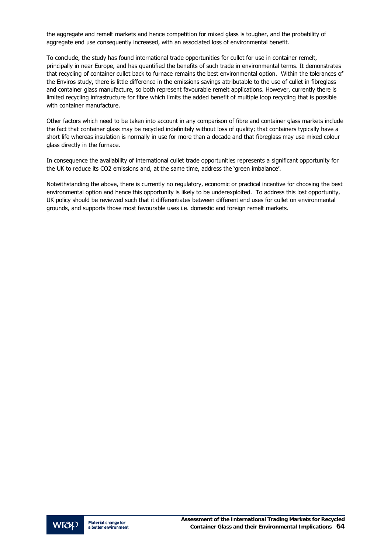the aggregate and remelt markets and hence competition for mixed glass is tougher, and the probability of aggregate end use consequently increased, with an associated loss of environmental benefit.

To conclude, the study has found international trade opportunities for cullet for use in container remelt, principally in near Europe, and has quantified the benefits of such trade in environmental terms. It demonstrates that recycling of container cullet back to furnace remains the best environmental option. Within the tolerances of the Enviros study, there is little difference in the emissions savings attributable to the use of cullet in fibreglass and container glass manufacture, so both represent favourable remelt applications. However, currently there is limited recycling infrastructure for fibre which limits the added benefit of multiple loop recycling that is possible with container manufacture.

Other factors which need to be taken into account in any comparison of fibre and container glass markets include the fact that container glass may be recycled indefinitely without loss of quality; that containers typically have a short life whereas insulation is normally in use for more than a decade and that fibreglass may use mixed colour glass directly in the furnace.

In consequence the availability of international cullet trade opportunities represents a significant opportunity for the UK to reduce its CO2 emissions and, at the same time, address the 'green imbalance'.

Notwithstanding the above, there is currently no regulatory, economic or practical incentive for choosing the best environmental option and hence this opportunity is likely to be underexploited. To address this lost opportunity, UK policy should be reviewed such that it differentiates between different end uses for cullet on environmental grounds, and supports those most favourable uses i.e. domestic and foreign remelt markets.

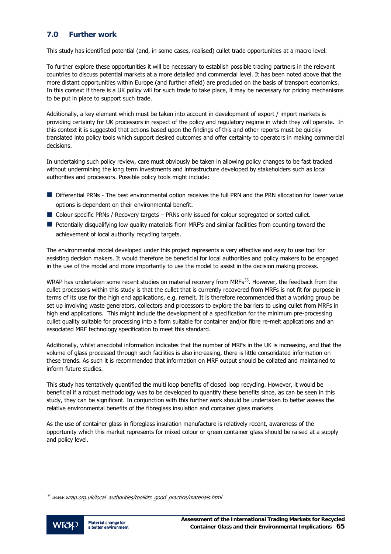## <span id="page-66-0"></span>**7.0 Further work**

This study has identified potential (and, in some cases, realised) cullet trade opportunities at a macro level.

To further explore these opportunities it will be necessary to establish possible trading partners in the relevant countries to discuss potential markets at a more detailed and commercial level. It has been noted above that the more distant opportunities within Europe (and further afield) are precluded on the basis of transport economics. In this context if there is a UK policy will for such trade to take place, it may be necessary for pricing mechanisms to be put in place to support such trade.

Additionally, a key element which must be taken into account in development of export / import markets is providing certainty for UK processors in respect of the policy and regulatory regime in which they will operate. In this context it is suggested that actions based upon the findings of this and other reports must be quickly translated into policy tools which support desired outcomes and offer certainty to operators in making commercial decisions.

In undertaking such policy review, care must obviously be taken in allowing policy changes to be fast tracked without undermining the long term investments and infrastructure developed by stakeholders such as local authorities and processors. Possible policy tools might include:

- Differential PRNs The best environmental option receives the full PRN and the PRN allocation for lower value options is dependent on their environmental benefit.
- Colour specific PRNs / Recovery targets PRNs only issued for colour segregated or sorted cullet.
- **Potentially disqualifying low quality materials from MRF's and similar facilities from counting toward the** achievement of local authority recycling targets.

The environmental model developed under this project represents a very effective and easy to use tool for assisting decision makers. It would therefore be beneficial for local authorities and policy makers to be engaged in the use of the model and more importantly to use the model to assist in the decision making process.

WRAP has undertaken some recent studies on material recovery from MRFs<sup>[3](#page-66-0)5</sup>. However, the feedback from the cullet processors within this study is that the cullet that is currently recovered from MRFs is not fit for purpose in terms of its use for the high end applications, e.g. remelt. It is therefore recommended that a working group be set up involving waste generators, collectors and processors to explore the barriers to using cullet from MRFs in high end applications. This might include the development of a specification for the minimum pre-processing cullet quality suitable for processing into a form suitable for container and/or fibre re-melt applications and an associated MRF technology specification to meet this standard.

Additionally, whilst anecdotal information indicates that the number of MRFs in the UK is increasing, and that the volume of glass processed through such facilities is also increasing, there is little consolidated information on these trends. As such it is recommended that information on MRF output should be collated and maintained to inform future studies.

This study has tentatively quantified the multi loop benefits of closed loop recycling. However, it would be beneficial if a robust methodology was to be developed to quantify these benefits since, as can be seen in this study, they can be significant. In conjunction with this further work should be undertaken to better assess the relative environmental benefits of the fibreglass insulation and container glass markets

As the use of container glass in fibreglass insulation manufacture is relatively recent, awareness of the opportunity which this market represents for mixed colour or green container glass should be raised at a supply and policy level.

 $35$  www.wrap.org.uk/local\_authorities/toolkits\_good\_practice/materials.html



j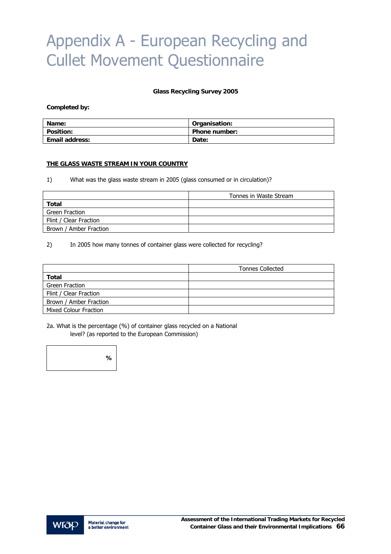# Appendix A - European Recycling and Cullet Movement Questionnaire

#### **Glass Recycling Survey 2005**

#### **Completed by:**

| Name:                 | Organisation:        |
|-----------------------|----------------------|
| <b>Position:</b>      | <b>Phone number:</b> |
| <b>Email address:</b> | Date:                |

#### **THE GLASS WASTE STREAM IN YOUR COUNTRY**

1) What was the glass waste stream in 2005 (glass consumed or in circulation)?

|                        | Tonnes in Waste Stream |
|------------------------|------------------------|
| Total                  |                        |
| Green Fraction         |                        |
| Flint / Clear Fraction |                        |
| Brown / Amber Fraction |                        |

#### 2) In 2005 how many tonnes of container glass were collected for recycling?

|                        | <b>Tonnes Collected</b> |
|------------------------|-------------------------|
| Total                  |                         |
| Green Fraction         |                         |
| Flint / Clear Fraction |                         |
| Brown / Amber Fraction |                         |
| Mixed Colour Fraction  |                         |

2a. What is the percentage (%) of container glass recycled on a National level? (as reported to the European Commission)



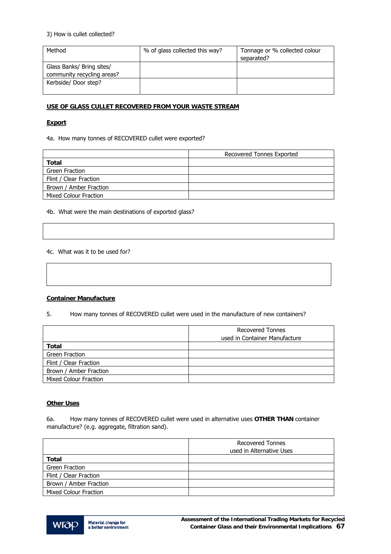#### 3) How is cullet collected?

| Method                     | % of glass collected this way? | Tonnage or % collected colour |
|----------------------------|--------------------------------|-------------------------------|
|                            |                                | separated?                    |
| Glass Banks/ Bring sites/  |                                |                               |
| community recycling areas? |                                |                               |
| Kerbside/ Door step?       |                                |                               |
|                            |                                |                               |

#### **USE OF GLASS CULLET RECOVERED FROM YOUR WASTE STREAM**

#### **Export**

4a. How many tonnes of RECOVERED cullet were exported?

|                        | Recovered Tonnes Exported |
|------------------------|---------------------------|
| Total                  |                           |
| Green Fraction         |                           |
| Flint / Clear Fraction |                           |
| Brown / Amber Fraction |                           |
| Mixed Colour Fraction  |                           |

4b. What were the main destinations of exported glass?

#### 4c. What was it to be used for?

#### **Container Manufacture**

5. How many tonnes of RECOVERED cullet were used in the manufacture of new containers?

|                              | <b>Recovered Tonnes</b><br>used in Container Manufacture |
|------------------------------|----------------------------------------------------------|
| Total                        |                                                          |
| Green Fraction               |                                                          |
| Flint / Clear Fraction       |                                                          |
| Brown / Amber Fraction       |                                                          |
| <b>Mixed Colour Fraction</b> |                                                          |

#### **Other Uses**

6a. How many tonnes of RECOVERED cullet were used in alternative uses **OTHER THAN** container manufacture? (e.g. aggregate, filtration sand).

|                              | <b>Recovered Tonnes</b><br>used in Alternative Uses |
|------------------------------|-----------------------------------------------------|
| Total                        |                                                     |
| Green Fraction               |                                                     |
| Flint / Clear Fraction       |                                                     |
| Brown / Amber Fraction       |                                                     |
| <b>Mixed Colour Fraction</b> |                                                     |

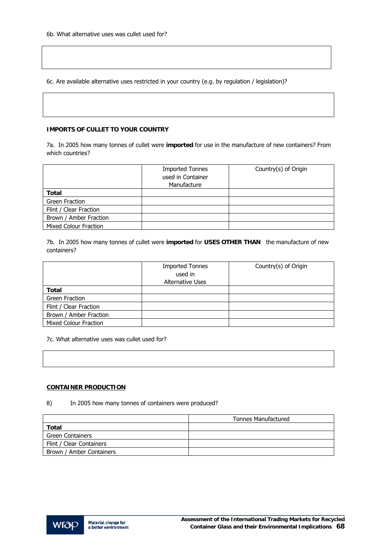6c. Are available alternative uses restricted in your country (e.g. by regulation / legislation)?

#### **IMPORTS OF CULLET TO YOUR COUNTRY**

7a. In 2005 how many tonnes of cullet were **imported** for use in the manufacture of new containers? From which countries?

|                              | <b>Imported Tonnes</b><br>used in Container<br>Manufacture | Country(s) of Origin |
|------------------------------|------------------------------------------------------------|----------------------|
| <b>Total</b>                 |                                                            |                      |
| <b>Green Fraction</b>        |                                                            |                      |
| Flint / Clear Fraction       |                                                            |                      |
| Brown / Amber Fraction       |                                                            |                      |
| <b>Mixed Colour Fraction</b> |                                                            |                      |

7b. In 2005 how many tonnes of cullet were **imported** for **USES OTHER THAN** the manufacture of new containers?

|                              | <b>Imported Tonnes</b><br>used in<br><b>Alternative Uses</b> | Country(s) of Origin |
|------------------------------|--------------------------------------------------------------|----------------------|
| Total                        |                                                              |                      |
| <b>Green Fraction</b>        |                                                              |                      |
| Flint / Clear Fraction       |                                                              |                      |
| Brown / Amber Fraction       |                                                              |                      |
| <b>Mixed Colour Fraction</b> |                                                              |                      |

7c. What alternative uses was cullet used for?

#### **CONTAINER PRODUCTION**

8) In 2005 how many tonnes of containers were produced?

|                          | <b>Tonnes Manufactured</b> |
|--------------------------|----------------------------|
| Total                    |                            |
| <b>Green Containers</b>  |                            |
| Flint / Clear Containers |                            |
| Brown / Amber Containers |                            |

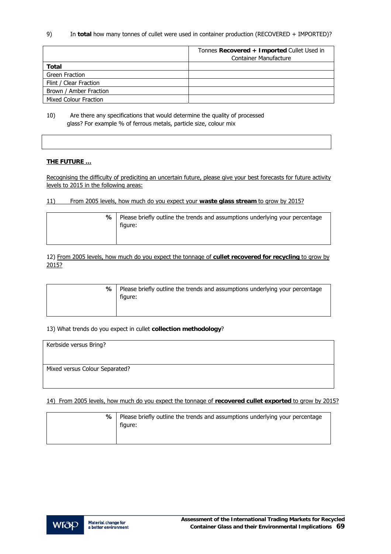9) In **total** how many tonnes of cullet were used in container production (RECOVERED + IMPORTED)?

|                              | Tonnes Recovered + Imported Cullet Used in<br><b>Container Manufacture</b> |
|------------------------------|----------------------------------------------------------------------------|
| Total                        |                                                                            |
| Green Fraction               |                                                                            |
| Flint / Clear Fraction       |                                                                            |
| Brown / Amber Fraction       |                                                                            |
| <b>Mixed Colour Fraction</b> |                                                                            |

10) Are there any specifications that would determine the quality of processed glass? For example % of ferrous metals, particle size, colour mix

#### **THE FUTURE …**

Recognising the difficulty of prediciting an uncertain future, please give your best forecasts for future activity levels to 2015 in the following areas:

#### 11) From 2005 levels, how much do you expect your **waste glass stream** to grow by 2015?

| ℅ | Please briefly outline the trends and assumptions underlying your percentage |  |
|---|------------------------------------------------------------------------------|--|
|   | figure:                                                                      |  |
|   |                                                                              |  |

12) From 2005 levels, how much do you expect the tonnage of **cullet recovered for recycling** to grow by 2015?

| ℅ | Please briefly outline the trends and assumptions underlying your percentage<br>figure: |
|---|-----------------------------------------------------------------------------------------|
|   |                                                                                         |

#### 13) What trends do you expect in cullet **collection methodology**?

| Kerbside versus Bring?         |  |
|--------------------------------|--|
| Mixed versus Colour Separated? |  |

14) From 2005 levels, how much do you expect the tonnage of **recovered cullet exported** to grow by 2015?

| % ∣ | Please briefly outline the trends and assumptions underlying your percentage<br>figure: |
|-----|-----------------------------------------------------------------------------------------|
|-----|-----------------------------------------------------------------------------------------|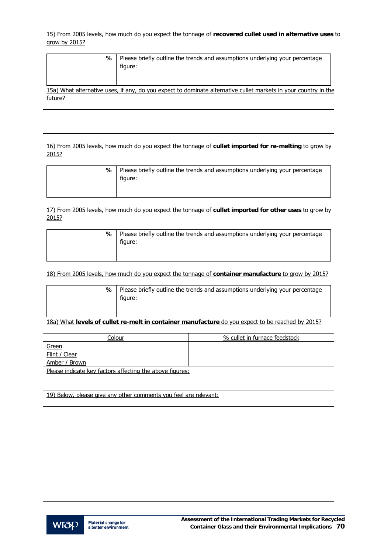15) From 2005 levels, how much do you expect the tonnage of **recovered cullet used in alternative uses** to grow by 2015?

| ℅       | Please briefly outline the trends and assumptions underlying your percentage<br>figure:                         |
|---------|-----------------------------------------------------------------------------------------------------------------|
|         | 15a) What alternative uses, if any, do you expect to dominate alternative cullet markets in your country in the |
| future? |                                                                                                                 |

16) From 2005 levels, how much do you expect the tonnage of **cullet imported for re-melting** to grow by 2015?

| % | Please briefly outline the trends and assumptions underlying your percentage<br>figure: |
|---|-----------------------------------------------------------------------------------------|
|   |                                                                                         |

17) From 2005 levels, how much do you expect the tonnage of **cullet imported for other uses** to grow by 2015?

| ℅ | Please briefly outline the trends and assumptions underlying your percentage<br>figure: |
|---|-----------------------------------------------------------------------------------------|
|   |                                                                                         |

18) From 2005 levels, how much do you expect the tonnage of **container manufacture** to grow by 2015?

| %   Please briefly outline the trends and assumptions underlying your percentage |
|----------------------------------------------------------------------------------|
| figure:                                                                          |
|                                                                                  |

18a) What **levels of cullet re-melt in container manufacture** do you expect to be reached by 2015?

| Colour                                                   | % cullet in furnace feedstock |  |
|----------------------------------------------------------|-------------------------------|--|
| Green                                                    |                               |  |
| Flint / Clear                                            |                               |  |
| Amber / Brown                                            |                               |  |
| Please indicate key factors affecting the above figures: |                               |  |
|                                                          |                               |  |

19) Below, please give any other comments you feel are relevant:

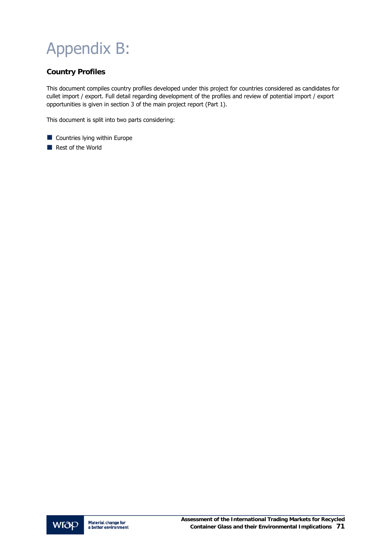# Appendix B:

# **Country Profiles**

This document compiles country profiles developed under this project for countries considered as candidates for cullet import / export. Full detail regarding development of the profiles and review of potential import / export opportunities is given in section 3 of the main project report (Part 1).

This document is split into two parts considering:

- **Countries lying within Europe**
- Rest of the World

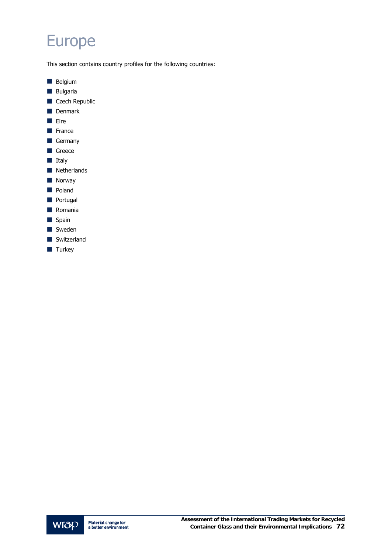# Europe

This section contains country profiles for the following countries:

- **Belgium**
- **Bulgaria**
- Czech Republic
- **Denmark**
- Eire
- **France**
- Germany
- Greece
- **Italy**
- **Netherlands**
- **Norway**
- **Poland**
- **Portugal**
- **Romania**
- Spain
- Sweden
- Switzerland
- $\blacksquare$  Turkey

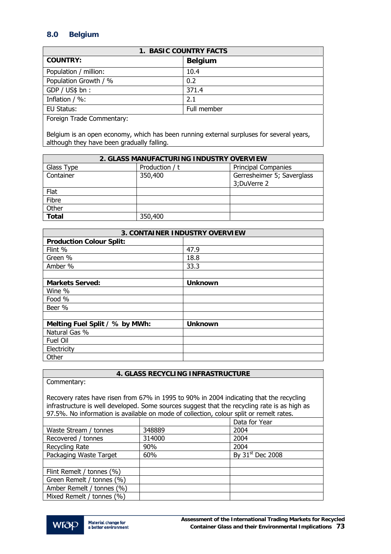# **8.0 Belgium**

| <b>1. BASIC COUNTRY FACTS</b>    |                |  |
|----------------------------------|----------------|--|
| <b>COUNTRY:</b>                  | <b>Belgium</b> |  |
| Population / million:            | 10.4           |  |
| Population Growth / %            | 0.2            |  |
| GDP / US\$ bh:                   | 371.4          |  |
| Inflation / %:                   | 2.1            |  |
| EU Status:                       | Full member    |  |
| <b>Eorgian Trade Commentary:</b> |                |  |

Foreign Trade Commentary:

Belgium is an open economy, which has been running external surpluses for several years, although they have been gradually falling.

| 2. GLASS MANUFACTURING INDUSTRY OVERVIEW |                |                            |
|------------------------------------------|----------------|----------------------------|
| Glass Type                               | Production / t | <b>Principal Companies</b> |
| Container                                | 350,400        | Gerresheimer 5; Saverglass |
|                                          |                | 3; DuVerre 2               |
| Flat                                     |                |                            |
| Fibre                                    |                |                            |
| Other                                    |                |                            |
| <b>Total</b>                             | 350,400        |                            |

| <b>3. CONTAINER INDUSTRY OVERVIEW</b> |                |  |
|---------------------------------------|----------------|--|
| <b>Production Colour Split:</b>       |                |  |
| Flint %                               | 47.9           |  |
| Green %                               | 18.8           |  |
| Amber %                               | 33.3           |  |
|                                       |                |  |
| <b>Markets Served:</b>                | <b>Unknown</b> |  |
| Wine %                                |                |  |
| Food %                                |                |  |
| Beer %                                |                |  |
|                                       |                |  |
| Melting Fuel Split / % by MWh:        | <b>Unknown</b> |  |
| Natural Gas %                         |                |  |
| <b>Fuel Oil</b>                       |                |  |
| Electricity                           |                |  |
| Other                                 |                |  |

## **4. GLASS RECYCLING INFRASTRUCTURE**

| Commentary:                                                                                                                                                                                                                                                                        |        |                              |  |
|------------------------------------------------------------------------------------------------------------------------------------------------------------------------------------------------------------------------------------------------------------------------------------|--------|------------------------------|--|
| Recovery rates have risen from 67% in 1995 to 90% in 2004 indicating that the recycling<br>infrastructure is well developed. Some sources suggest that the recycling rate is as high as<br>97.5%. No information is available on mode of collection, colour split or remelt rates. |        |                              |  |
|                                                                                                                                                                                                                                                                                    |        | Data for Year                |  |
| Waste Stream / tonnes                                                                                                                                                                                                                                                              | 348889 | 2004                         |  |
| Recovered / tonnes                                                                                                                                                                                                                                                                 | 314000 | 2004                         |  |
| Recycling Rate                                                                                                                                                                                                                                                                     | 90%    | 2004                         |  |
| Packaging Waste Target                                                                                                                                                                                                                                                             | 60%    | By 31 <sup>st</sup> Dec 2008 |  |
|                                                                                                                                                                                                                                                                                    |        |                              |  |
| Flint Remelt / tonnes (%)                                                                                                                                                                                                                                                          |        |                              |  |
| Green Remelt / tonnes (%)                                                                                                                                                                                                                                                          |        |                              |  |
| Amber Remelt / tonnes (%)                                                                                                                                                                                                                                                          |        |                              |  |
| Mixed Remelt / tonnes (%)                                                                                                                                                                                                                                                          |        |                              |  |

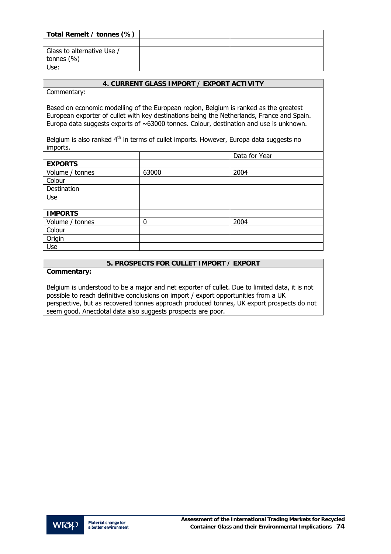| Total Remelt / tonnes (%)  |  |
|----------------------------|--|
|                            |  |
| Glass to alternative Use / |  |
| tonnes $(\% )$             |  |
| Use:                       |  |

Commentary:

Based on economic modelling of the European region, Belgium is ranked as the greatest European exporter of cullet with key destinations being the Netherlands, France and Spain. Europa data suggests exports of  $~\sim 63000$  tonnes. Colour, destination and use is unknown.

Belgium is also ranked  $4<sup>th</sup>$  in terms of cullet imports. However, Europa data suggests no imports.

|                 |       | Data for Year |
|-----------------|-------|---------------|
| <b>EXPORTS</b>  |       |               |
| Volume / tonnes | 63000 | 2004          |
| Colour          |       |               |
| Destination     |       |               |
| Use             |       |               |
|                 |       |               |
| <b>IMPORTS</b>  |       |               |
| Volume / tonnes | 0     | 2004          |
| Colour          |       |               |
| Origin          |       |               |
| Use             |       |               |

# **5. PROSPECTS FOR CULLET IMPORT / EXPORT**

## **Commentary:**

Belgium is understood to be a major and net exporter of cullet. Due to limited data, it is not possible to reach definitive conclusions on import / export opportunities from a UK perspective, but as recovered tonnes approach produced tonnes, UK export prospects do not seem good. Anecdotal data also suggests prospects are poor.

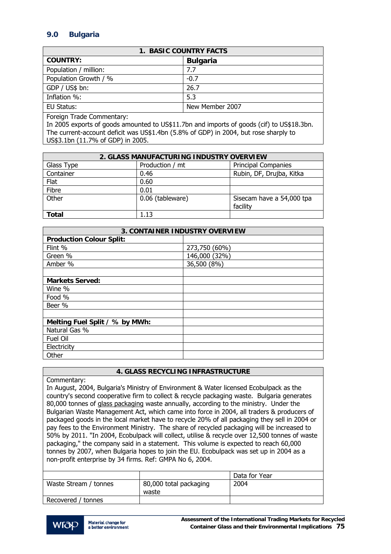# **9.0 Bulgaria**

| <b>1. BASIC COUNTRY FACTS</b> |                 |  |
|-------------------------------|-----------------|--|
| <b>COUNTRY:</b>               | <b>Bulgaria</b> |  |
| Population / million:         | 7.7             |  |
| Population Growth / %         | $-0.7$          |  |
| GDP / US\$ bn:                | 26.7            |  |
| Inflation %:                  | 5.3             |  |
| EU Status:                    | New Member 2007 |  |
|                               |                 |  |

Foreign Trade Commentary:

In 2005 exports of goods amounted to US\$11.7bn and imports of goods (cif) to US\$18.3bn. The current-account deficit was US\$1.4bn (5.8% of GDP) in 2004, but rose sharply to US\$3.1bn (11.7% of GDP) in 2005.

| 2. GLASS MANUFACTURING INDUSTRY OVERVIEW |                  |                                       |
|------------------------------------------|------------------|---------------------------------------|
| Glass Type                               | Production / mt  | <b>Principal Companies</b>            |
| Container                                | 0.46             | Rubin, DF, Drujba, Kitka              |
| Flat                                     | 0.60             |                                       |
| Fibre                                    | 0.01             |                                       |
| Other                                    | 0.06 (tableware) | Sisecam have a 54,000 tpa<br>facility |
| Total                                    | 1.13             |                                       |

| <b>3. CONTAINER INDUSTRY OVERVIEW</b> |               |  |
|---------------------------------------|---------------|--|
| <b>Production Colour Split:</b>       |               |  |
| Flint %                               | 273,750 (60%) |  |
| Green %                               | 146,000 (32%) |  |
| Amber %                               | 36,500 (8%)   |  |
|                                       |               |  |
| <b>Markets Served:</b>                |               |  |
| Wine %                                |               |  |
| Food %                                |               |  |
| Beer %                                |               |  |
|                                       |               |  |
| Melting Fuel Split / % by MWh:        |               |  |
| Natural Gas %                         |               |  |
| Fuel Oil                              |               |  |
| Electricity                           |               |  |
| Other                                 |               |  |

# **4. GLASS RECYCLING INFRASTRUCTURE**

Commentary:

In August, 2004, Bulgaria's Ministry of Environment & Water licensed Ecobulpack as the country's second cooperative firm to collect & recycle packaging waste. Bulgaria generates 80,000 tonnes of glass packaging waste annually, according to the ministry. Under the Bulgarian Waste Management Act, which came into force in 2004, all traders & producers of packaged goods in the local market have to recycle 20% of all packaging they sell in 2004 or pay fees to the Environment Ministry. The share of recycled packaging will be increased to 50% by 2011. "In 2004, Ecobulpack will collect, utilise & recycle over 12,500 tonnes of waste packaging," the company said in a statement. This volume is expected to reach 60,000 tonnes by 2007, when Bulgaria hopes to join the EU. Ecobulpack was set up in 2004 as a non-profit enterprise by 34 firms. Ref: GMPA No 6, 2004.

|                       |                                 | Data for Year |
|-----------------------|---------------------------------|---------------|
| Waste Stream / tonnes | 80,000 total packaging<br>waste | 2004          |
| Recovered / tonnes    |                                 |               |
|                       |                                 |               |

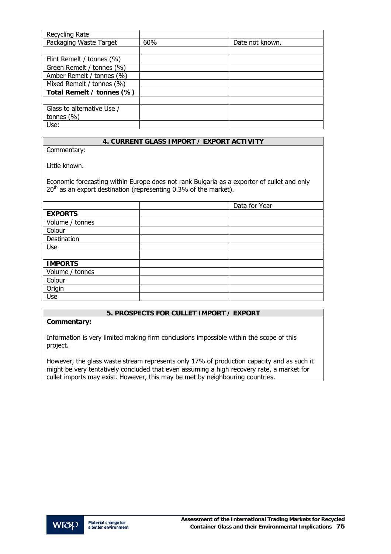| Recycling Rate             |     |                 |
|----------------------------|-----|-----------------|
| Packaging Waste Target     | 60% | Date not known. |
|                            |     |                 |
| Flint Remelt / tonnes (%)  |     |                 |
| Green Remelt / tonnes (%)  |     |                 |
| Amber Remelt / tonnes (%)  |     |                 |
| Mixed Remelt / tonnes (%)  |     |                 |
| Total Remelt / tonnes (%)  |     |                 |
|                            |     |                 |
| Glass to alternative Use / |     |                 |
| tonnes $(\% )$             |     |                 |
| Use:                       |     |                 |

Commentary:

Little known.

Economic forecasting within Europe does not rank Bulgaria as a exporter of cullet and only  $20<sup>th</sup>$  as an export destination (representing 0.3% of the market).

|                 | Data for Year |
|-----------------|---------------|
| <b>EXPORTS</b>  |               |
| Volume / tonnes |               |
| Colour          |               |
| Destination     |               |
| Use             |               |
|                 |               |
| <b>IMPORTS</b>  |               |
| Volume / tonnes |               |
| Colour          |               |
| Origin          |               |
| Use             |               |

# **5. PROSPECTS FOR CULLET IMPORT / EXPORT**

#### **Commentary:**

Information is very limited making firm conclusions impossible within the scope of this project.

However, the glass waste stream represents only 17% of production capacity and as such it might be very tentatively concluded that even assuming a high recovery rate, a market for cullet imports may exist. However, this may be met by neighbouring countries.

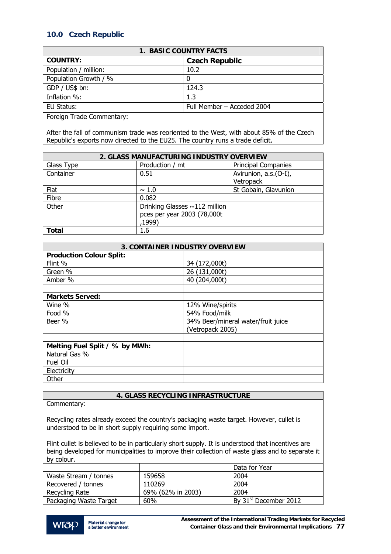# **10.0 Czech Republic**

| <b>1. BASIC COUNTRY FACTS</b> |                            |  |
|-------------------------------|----------------------------|--|
| <b>COUNTRY:</b>               | <b>Czech Republic</b>      |  |
| Population / million:         | 10.2                       |  |
| Population Growth / %         |                            |  |
| GDP / US\$ bn:                | 124.3                      |  |
| Inflation %:                  | 1.3                        |  |
| EU Status:                    | Full Member - Acceded 2004 |  |
| ___<br>— 1<br>$\sim$          |                            |  |

Foreign Trade Commentary:

After the fall of communism trade was reoriented to the West, with about 85% of the Czech Republic's exports now directed to the EU25. The country runs a trade deficit.

| 2. GLASS MANUFACTURING INDUSTRY OVERVIEW |                                     |                            |
|------------------------------------------|-------------------------------------|----------------------------|
| Glass Type                               | Production / mt                     | <b>Principal Companies</b> |
| Container                                | 0.51                                | Avirunion, a.s.(O-I),      |
|                                          |                                     | Vetropack                  |
| Flat                                     | $\sim$ 1.0                          | St Gobain, Glavunion       |
| Fibre                                    | 0.082                               |                            |
| Other                                    | Drinking Glasses $\sim$ 112 million |                            |
|                                          | pces per year 2003 (78,000t         |                            |
|                                          | ,1999)                              |                            |
| <b>Total</b>                             | 1.6                                 |                            |

| <b>3. CONTAINER INDUSTRY OVERVIEW</b> |                                    |  |
|---------------------------------------|------------------------------------|--|
| <b>Production Colour Split:</b>       |                                    |  |
| Flint %                               | 34 (172,000t)                      |  |
| Green %                               | 26 (131,000t)                      |  |
| Amber %                               | 40 (204,000t)                      |  |
|                                       |                                    |  |
| <b>Markets Served:</b>                |                                    |  |
| Wine %                                | 12% Wine/spirits                   |  |
| Food %                                | 54% Food/milk                      |  |
| Beer %                                | 34% Beer/mineral water/fruit juice |  |
|                                       | (Vetropack 2005)                   |  |
|                                       |                                    |  |
| Melting Fuel Split / % by MWh:        |                                    |  |
| Natural Gas %                         |                                    |  |
| Fuel Oil                              |                                    |  |
| Electricity                           |                                    |  |
| Other                                 |                                    |  |

# **4. GLASS RECYCLING INFRASTRUCTURE**

Commentary:

Recycling rates already exceed the country's packaging waste target. However, cullet is understood to be in short supply requiring some import.

Flint cullet is believed to be in particularly short supply. It is understood that incentives are being developed for municipalities to improve their collection of waste glass and to separate it by colour.

|                        |                   | Data for Year                     |
|------------------------|-------------------|-----------------------------------|
| Waste Stream / tonnes  | 159658            | 2004                              |
| Recovered / tonnes     | 110269            | 2004                              |
| Recycling Rate         | 69% (62% in 2003) | 2004                              |
| Packaging Waste Target | 60%               | By 31 <sup>st</sup> December 2012 |

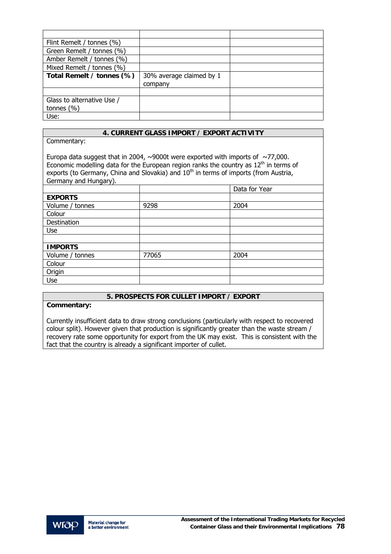| Flint Remelt / tonnes (%)  |                          |  |
|----------------------------|--------------------------|--|
| Green Remelt / tonnes (%)  |                          |  |
| Amber Remelt / tonnes (%)  |                          |  |
| Mixed Remelt / tonnes (%)  |                          |  |
| Total Remelt / tonnes (%)  | 30% average claimed by 1 |  |
|                            | company                  |  |
|                            |                          |  |
| Glass to alternative Use / |                          |  |
| tonnes $(\% )$             |                          |  |
| Use:                       |                          |  |

Commentary:

Europa data suggest that in 2004,  $\sim$ 9000t were exported with imports of  $\sim$ 77,000. Economic modelling data for the European region ranks the country as  $12<sup>th</sup>$  in terms of exports (to Germany, China and Slovakia) and  $10<sup>th</sup>$  in terms of imports (from Austria, Germany and Hungary).

|                 |       | Data for Year |
|-----------------|-------|---------------|
| <b>EXPORTS</b>  |       |               |
| Volume / tonnes | 9298  | 2004          |
| Colour          |       |               |
| Destination     |       |               |
| Use             |       |               |
|                 |       |               |
| <b>IMPORTS</b>  |       |               |
| Volume / tonnes | 77065 | 2004          |
| Colour          |       |               |
| Origin          |       |               |
| Use             |       |               |

# **5. PROSPECTS FOR CULLET IMPORT / EXPORT**

## **Commentary:**

Currently insufficient data to draw strong conclusions (particularly with respect to recovered colour split). However given that production is significantly greater than the waste stream / recovery rate some opportunity for export from the UK may exist. This is consistent with the fact that the country is already a significant importer of cullet.

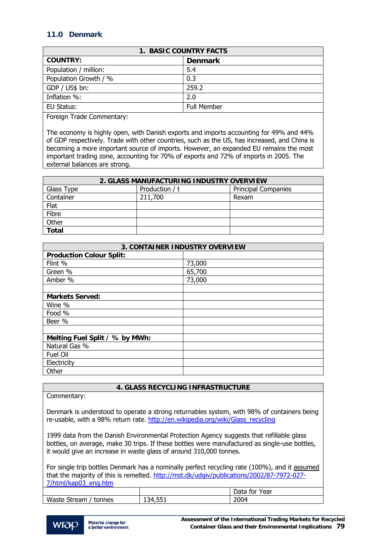# **11.0 Denmark**

| <b>1. BASIC COUNTRY FACTS</b> |                |  |
|-------------------------------|----------------|--|
| <b>COUNTRY:</b>               | <b>Denmark</b> |  |
| Population / million:         | 5.4            |  |
| Population Growth / %         | 0.3            |  |
| GDP / US\$ bn:                | 259.2          |  |
| Inflation %:                  | 2.0            |  |
| EU Status:                    | Full Member    |  |

Foreign Trade Commentary:

The economy is highly open, with Danish exports and imports accounting for 49% and 44% of GDP respectively. Trade with other countries, such as the US, has increased, and China is becoming a more important source of imports. However, an expanded EU remains the most important trading zone, accounting for 70% of exports and 72% of imports in 2005. The external balances are strong.

| 2. GLASS MANUFACTURING INDUSTRY OVERVIEW |                |                            |
|------------------------------------------|----------------|----------------------------|
| Glass Type                               | Production / t | <b>Principal Companies</b> |
| Container                                | 211,700        | Rexam                      |
| Flat                                     |                |                            |
| Fibre                                    |                |                            |
| Other                                    |                |                            |
| <b>Total</b>                             |                |                            |

| <b>3. CONTAINER INDUSTRY OVERVIEW</b> |        |  |
|---------------------------------------|--------|--|
| <b>Production Colour Split:</b>       |        |  |
| Flint %                               | 73,000 |  |
| Green %                               | 65,700 |  |
| Amber %                               | 73,000 |  |
|                                       |        |  |
| <b>Markets Served:</b>                |        |  |
| Wine %                                |        |  |
| Food %                                |        |  |
| Beer %                                |        |  |
|                                       |        |  |
| Melting Fuel Split / % by MWh:        |        |  |
| Natural Gas %                         |        |  |
| Fuel Oil                              |        |  |
| Electricity                           |        |  |
| Other                                 |        |  |

## **4. GLASS RECYCLING INFRASTRUCTURE**

Commentary:

Denmark is understood to operate a strong returnables system, with 98% of containers being re-usable, with a 98% return rate. http://en.wikipedia.org/wiki/Glass\_recycling

1999 data from the Danish Environmental Protection Agency suggests that refillable glass bottles, on average, make 30 trips. If these bottles were manufactured as single-use bottles, it would give an increase in waste glass of around 310,000 tonnes.

For single trip bottles Denmark has a nominally perfect recycling rate (100%), and it assumed that the majority of this is remelted. [http://mst.dk/udgiv/publications/2002/87-7972-027-](http://mst.dk/udgiv/publications/2002/87-7972-027-7/html/kap03_eng.htm) [7/html/kap03\\_eng.htm](http://mst.dk/udgiv/publications/2002/87-7972-027-7/html/kap03_eng.htm) 

|                         |                  | Data<br>Year<br>. for |
|-------------------------|------------------|-----------------------|
| Waste Stream,<br>tonnes | 4,551<br>≺4<br>∸ | 2004                  |
|                         |                  |                       |

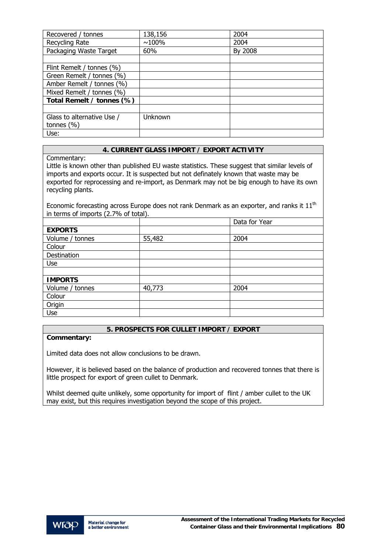| Recovered / tonnes         | 138,156  | 2004    |
|----------------------------|----------|---------|
| Recycling Rate             | $~100\%$ | 2004    |
| Packaging Waste Target     | 60%      | By 2008 |
|                            |          |         |
| Flint Remelt / tonnes (%)  |          |         |
| Green Remelt / tonnes (%)  |          |         |
| Amber Remelt / tonnes (%)  |          |         |
| Mixed Remelt / tonnes (%)  |          |         |
| Total Remelt / tonnes (%)  |          |         |
|                            |          |         |
| Glass to alternative Use / | Unknown  |         |
| tonnes $(\% )$             |          |         |
| Use:                       |          |         |

Commentary:

Little is known other than published EU waste statistics. These suggest that similar levels of imports and exports occur. It is suspected but not definately known that waste may be exported for reprocessing and re-import, as Denmark may not be big enough to have its own recycling plants.

Economic forecasting across Europe does not rank Denmark as an exporter, and ranks it  $11<sup>th</sup>$ in terms of imports (2.7% of total).

|                 |        | Data for Year |
|-----------------|--------|---------------|
| <b>EXPORTS</b>  |        |               |
| Volume / tonnes | 55,482 | 2004          |
| Colour          |        |               |
| Destination     |        |               |
| Use             |        |               |
|                 |        |               |
| <b>IMPORTS</b>  |        |               |
| Volume / tonnes | 40,773 | 2004          |
| Colour          |        |               |
| Origin          |        |               |
| Use             |        |               |

## **5. PROSPECTS FOR CULLET IMPORT / EXPORT**

## **Commentary:**

Limited data does not allow conclusions to be drawn.

However, it is believed based on the balance of production and recovered tonnes that there is little prospect for export of green cullet to Denmark.

Whilst deemed quite unlikely, some opportunity for import of flint / amber cullet to the UK may exist, but this requires investigation beyond the scope of this project.

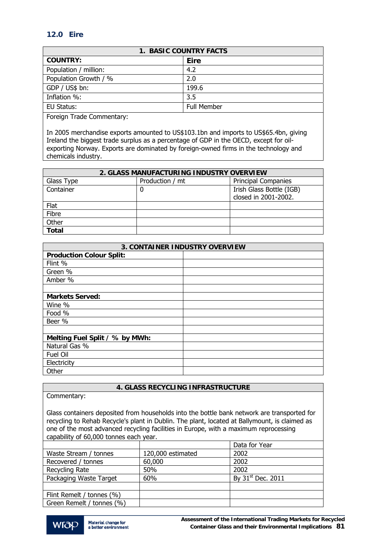# **12.0 Eire**

| <b>1. BASIC COUNTRY FACTS</b> |                    |  |
|-------------------------------|--------------------|--|
| <b>COUNTRY:</b>               | Eire               |  |
| Population / million:         | 4.2                |  |
| Population Growth / %         | 2.0                |  |
| GDP / US\$ bn:                | 199.6              |  |
| Inflation %:                  | 3.5                |  |
| EU Status:                    | <b>Full Member</b> |  |

Foreign Trade Commentary:

In 2005 merchandise exports amounted to US\$103.1bn and imports to US\$65.4bn, giving Ireland the biggest trade surplus as a percentage of GDP in the OECD, except for oilexporting Norway. Exports are dominated by foreign-owned firms in the technology and chemicals industry.

| 2. GLASS MANUFACTURING INDUSTRY OVERVIEW |                 |                                                  |  |
|------------------------------------------|-----------------|--------------------------------------------------|--|
| Glass Type                               | Production / mt | <b>Principal Companies</b>                       |  |
| Container                                | 0               | Irish Glass Bottle (IGB)<br>closed in 2001-2002. |  |
| Flat                                     |                 |                                                  |  |
| Fibre                                    |                 |                                                  |  |
| Other                                    |                 |                                                  |  |
| <b>Total</b>                             |                 |                                                  |  |

| <b>3. CONTAINER INDUSTRY OVERVIEW</b> |  |  |
|---------------------------------------|--|--|
| <b>Production Colour Split:</b>       |  |  |
| Flint %                               |  |  |
| Green %                               |  |  |
| Amber %                               |  |  |
|                                       |  |  |
| <b>Markets Served:</b>                |  |  |
| Wine %                                |  |  |
| Food %                                |  |  |
| Beer %                                |  |  |
|                                       |  |  |
| Melting Fuel Split / % by MWh:        |  |  |
| Natural Gas %                         |  |  |
| Fuel Oil                              |  |  |
| Electricity                           |  |  |
| Other                                 |  |  |

## **4. GLASS RECYCLING INFRASTRUCTURE**

Glass containers deposited from households into the bottle bank network are transported for recycling to Rehab Recycle's plant in Dublin. The plant, located at Ballymount, is claimed as one of the most advanced recycling facilities in Europe, with a maximum reprocessing capability of 60,000 tonnes each year.

|                           |                   | Data for Year                 |
|---------------------------|-------------------|-------------------------------|
| Waste Stream / tonnes     | 120,000 estimated | 2002                          |
| Recovered / tonnes        | 60,000            | 2002                          |
| Recycling Rate            | 50%               | 2002                          |
| Packaging Waste Target    | 60%               | By 31 <sup>st</sup> Dec. 2011 |
|                           |                   |                               |
| Flint Remelt / tonnes (%) |                   |                               |
| Green Remelt / tonnes (%) |                   |                               |

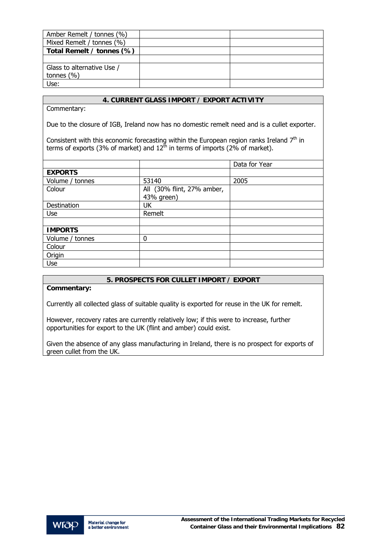| Amber Remelt / tonnes (%)  |  |
|----------------------------|--|
| Mixed Remelt / tonnes (%)  |  |
| Total Remelt / tonnes (%)  |  |
|                            |  |
| Glass to alternative Use / |  |
| tonnes $(\% )$             |  |
| Use:                       |  |

Commentary:

Due to the closure of IGB, Ireland now has no domestic remelt need and is a cullet exporter.

Consistent with this economic forecasting within the European region ranks Ireland  $7<sup>th</sup>$  in terms of exports (3% of market) and  $12<sup>th</sup>$  in terms of imports (2% of market).

|                 |                            | Data for Year |
|-----------------|----------------------------|---------------|
| <b>EXPORTS</b>  |                            |               |
| Volume / tonnes | 53140                      | 2005          |
| Colour          | All (30% flint, 27% amber, |               |
|                 | 43% green)                 |               |
| Destination     | UK                         |               |
| Use             | Remelt                     |               |
|                 |                            |               |
| <b>IMPORTS</b>  |                            |               |
| Volume / tonnes | 0                          |               |
| Colour          |                            |               |
| Origin          |                            |               |
| Use             |                            |               |

## **5. PROSPECTS FOR CULLET IMPORT / EXPORT**

**Commentary:** 

Currently all collected glass of suitable quality is exported for reuse in the UK for remelt.

However, recovery rates are currently relatively low; if this were to increase, further opportunities for export to the UK (flint and amber) could exist.

Given the absence of any glass manufacturing in Ireland, there is no prospect for exports of green cullet from the UK.

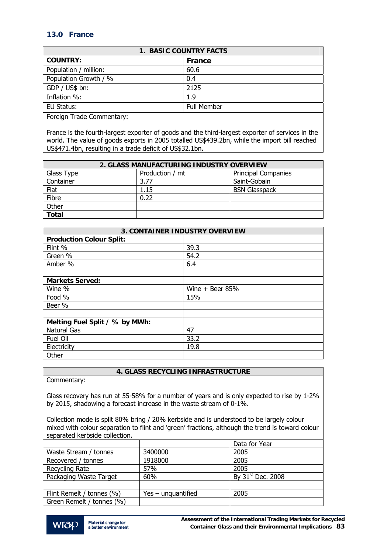# **13.0 France**

| <b>1. BASIC COUNTRY FACTS</b> |             |  |
|-------------------------------|-------------|--|
| <b>COUNTRY:</b>               | France      |  |
| Population / million:         | 60.6        |  |
| Population Growth / %         | 0.4         |  |
| GDP / US\$ bn:                | 2125        |  |
| Inflation %:                  | 1.9         |  |
| EU Status:                    | Full Member |  |
|                               |             |  |

Foreign Trade Commentary:

France is the fourth-largest exporter of goods and the third-largest exporter of services in the world. The value of goods exports in 2005 totalled US\$439.2bn, while the import bill reached US\$471.4bn, resulting in a trade deficit of US\$32.1bn.

| 2. GLASS MANUFACTURING INDUSTRY OVERVIEW |                 |                            |  |
|------------------------------------------|-----------------|----------------------------|--|
| Glass Type                               | Production / mt | <b>Principal Companies</b> |  |
| Container                                | 3.77            | Saint-Gobain               |  |
| Flat                                     | 1.15            | <b>BSN Glasspack</b>       |  |
| Fibre                                    | 0.22            |                            |  |
| Other                                    |                 |                            |  |
| <b>Total</b>                             |                 |                            |  |

| <b>3. CONTAINER INDUSTRY OVERVIEW</b> |                   |  |
|---------------------------------------|-------------------|--|
| <b>Production Colour Split:</b>       |                   |  |
| Flint %                               | 39.3              |  |
| Green %                               | 54.2              |  |
| Amber %                               | 6.4               |  |
|                                       |                   |  |
| <b>Markets Served:</b>                |                   |  |
| Wine %                                | Wine $+$ Beer 85% |  |
| Food %                                | 15%               |  |
| Beer %                                |                   |  |
|                                       |                   |  |
| Melting Fuel Split / % by MWh:        |                   |  |
| <b>Natural Gas</b>                    | 47                |  |
| Fuel Oil                              | 33.2              |  |
| Electricity                           | 19.8              |  |
| Other                                 |                   |  |

# **4. GLASS RECYCLING INFRASTRUCTURE**

Commentary:

Glass recovery has run at 55-58% for a number of years and is only expected to rise by 1-2% by 2015, shadowing a forecast increase in the waste stream of 0-1%.

Collection mode is split 80% bring / 20% kerbside and is understood to be largely colour mixed with colour separation to flint and 'green' fractions, although the trend is toward colour separated kerbside collection.

|                           |                    | Data for Year                 |
|---------------------------|--------------------|-------------------------------|
| Waste Stream / tonnes     | 3400000            | 2005                          |
| Recovered / tonnes        | 1918000            | 2005                          |
| Recycling Rate            | 57%                | 2005                          |
| Packaging Waste Target    | 60%                | By 31 <sup>st</sup> Dec. 2008 |
|                           |                    |                               |
| Flint Remelt / tonnes (%) | Yes – unguantified | 2005                          |
| Green Remelt / tonnes (%) |                    |                               |

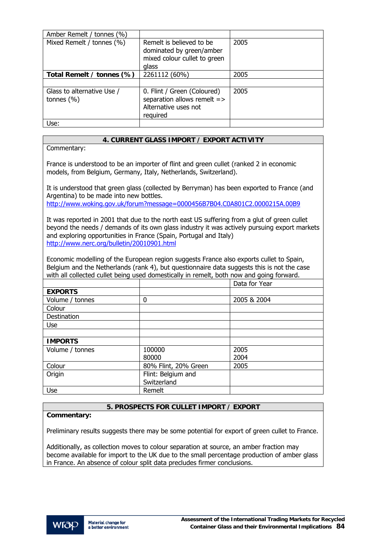| Amber Remelt / tonnes (%)                    |                                                                                                |      |
|----------------------------------------------|------------------------------------------------------------------------------------------------|------|
| Mixed Remelt / tonnes (%)                    | Remelt is believed to be<br>dominated by green/amber<br>mixed colour cullet to green<br>glass  | 2005 |
| Total Remelt / tonnes (%)                    | 2261112 (60%)                                                                                  | 2005 |
|                                              |                                                                                                |      |
| Glass to alternative Use /<br>tonnes $(\% )$ | 0. Flint / Green (Coloured)<br>separation allows remelt =><br>Alternative uses not<br>required | 2005 |
| Use:                                         |                                                                                                |      |

Commentary:

France is understood to be an importer of flint and green cullet (ranked 2 in economic models, from Belgium, Germany, Italy, Netherlands, Switzerland).

It is understood that green glass (collected by Berryman) has been exported to France (and Argentina) to be made into new bottles.

<http://www.woking.gov.uk/forum?message=0000456B7B04.C0A801C2.0000215A.00B9>

It was reported in 2001 that due to the north east US suffering from a glut of green cullet beyond the needs / demands of its own glass industry it was actively pursuing export markets and exploring opportunities in France (Spain, Portugal and Italy) <http://www.nerc.org/bulletin/20010901.html>

Economic modelling of the European region suggests France also exports cullet to Spain, Belgium and the Netherlands (rank 4), but questionnaire data suggests this is not the case with all collected cullet being used domestically in remelt, both now and going forward.

|                 |                      | Data for Year |
|-----------------|----------------------|---------------|
| <b>EXPORTS</b>  |                      |               |
| Volume / tonnes | 0                    | 2005 & 2004   |
| Colour          |                      |               |
| Destination     |                      |               |
| <b>Use</b>      |                      |               |
|                 |                      |               |
| <b>IMPORTS</b>  |                      |               |
| Volume / tonnes | 100000               | 2005          |
|                 | 80000                | 2004          |
| Colour          | 80% Flint, 20% Green | 2005          |
| Origin          | Flint: Belgium and   |               |
|                 | Switzerland          |               |
| Use             | Remelt               |               |

## **5. PROSPECTS FOR CULLET IMPORT / EXPORT**

## **Commentary:**

Preliminary results suggests there may be some potential for export of green cullet to France.

Additionally, as collection moves to colour separation at source, an amber fraction may become available for import to the UK due to the small percentage production of amber glass in France. An absence of colour split data precludes firmer conclusions.

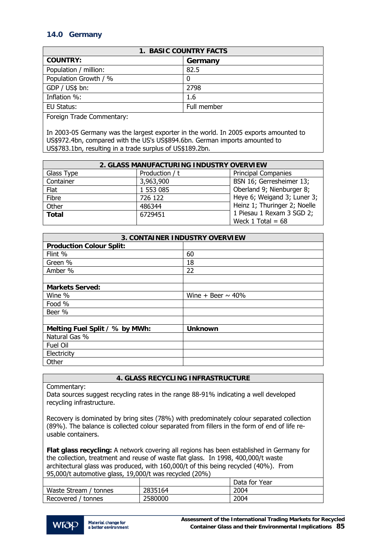# **14.0 Germany**

| <b>1. BASIC COUNTRY FACTS</b> |             |  |
|-------------------------------|-------------|--|
| <b>COUNTRY:</b>               | Germany     |  |
| Population / million:         | 82.5        |  |
| Population Growth / %         | 0           |  |
| GDP / US\$ bn:                | 2798        |  |
| Inflation %:                  | 1.6         |  |
| EU Status:                    | Full member |  |
| __<br>$\sim$                  |             |  |

Foreign Trade Commentary:

In 2003-05 Germany was the largest exporter in the world. In 2005 exports amounted to US\$972.4bn, compared with the US's US\$894.6bn. German imports amounted to US\$783.1bn, resulting in a trade surplus of US\$189.2bn.

| 2. GLASS MANUFACTURING INDUSTRY OVERVIEW |                |                              |
|------------------------------------------|----------------|------------------------------|
| Glass Type                               | Production / t | <b>Principal Companies</b>   |
| Container                                | 3,963,900      | BSN 16; Gerresheimer 13;     |
| Flat                                     | 1 553 085      | Oberland 9; Nienburger 8;    |
| Fibre                                    | 726 122        | Heye 6; Weigand 3; Luner 3;  |
| Other                                    | 486344         | Heinz 1; Thuringer 2; Noelle |
| <b>Total</b>                             | 6729451        | 1 Piesau 1 Rexam 3 SGD 2;    |
|                                          |                | Weck 1 Total = $68$          |

| <b>3. CONTAINER INDUSTRY OVERVIEW</b> |                        |  |
|---------------------------------------|------------------------|--|
| <b>Production Colour Split:</b>       |                        |  |
| Flint %                               | 60                     |  |
| Green %                               | 18                     |  |
| Amber %                               | 22                     |  |
|                                       |                        |  |
| <b>Markets Served:</b>                |                        |  |
| Wine %                                | Wine + Beer $\sim$ 40% |  |
| Food %                                |                        |  |
| Beer %                                |                        |  |
|                                       |                        |  |
| Melting Fuel Split / % by MWh:        | <b>Unknown</b>         |  |
| Natural Gas %                         |                        |  |
| Fuel Oil                              |                        |  |
| Electricity                           |                        |  |
| Other                                 |                        |  |

# **4. GLASS RECYCLING INFRASTRUCTURE**

Commentary:

Data sources suggest recycling rates in the range 88-91% indicating a well developed recycling infrastructure.

Recovery is dominated by bring sites (78%) with predominately colour separated collection (89%). The balance is collected colour separated from fillers in the form of end of life reusable containers.

**Flat glass recycling:** A network covering all regions has been established in Germany for the collection, treatment and reuse of waste flat glass. In 1998, 400,000/t waste architectural glass was produced, with 160,000/t of this being recycled (40%). From 95,000/t automotive glass, 19,000/t was recycled (20%)

|                       |         | Data for Year |
|-----------------------|---------|---------------|
| Waste Stream / tonnes | 2835164 | 2004          |
| Recovered / tonnes    | 2580000 | 2004          |

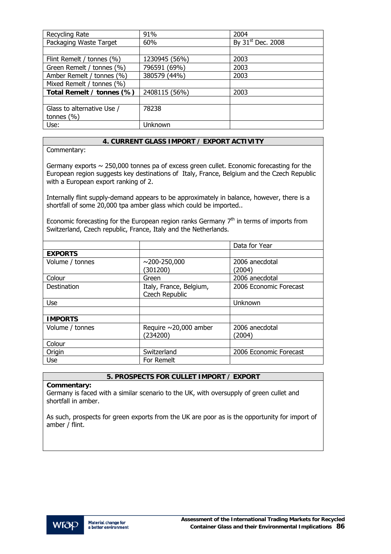| Recycling Rate             | 91%           | 2004                          |
|----------------------------|---------------|-------------------------------|
| Packaging Waste Target     | 60%           | By 31 <sup>st</sup> Dec. 2008 |
|                            |               |                               |
| Flint Remelt / tonnes (%)  | 1230945 (56%) | 2003                          |
| Green Remelt / tonnes (%)  | 796591 (69%)  | 2003                          |
| Amber Remelt / tonnes (%)  | 380579 (44%)  | 2003                          |
| Mixed Remelt / tonnes (%)  |               |                               |
| Total Remelt / tonnes (%)  | 2408115 (56%) | 2003                          |
|                            |               |                               |
| Glass to alternative Use / | 78238         |                               |
| tonnes $(\% )$             |               |                               |
| Use:                       | Unknown       |                               |

Commentary:

Germany exports  $\sim$  250,000 tonnes pa of excess green cullet. Economic forecasting for the European region suggests key destinations of Italy, France, Belgium and the Czech Republic with a European export ranking of 2.

Internally flint supply-demand appears to be approximately in balance, however, there is a shortfall of some 20,000 tpa amber glass which could be imported..

Economic forecasting for the European region ranks Germany  $7<sup>th</sup>$  in terms of imports from Switzerland, Czech republic, France, Italy and the Netherlands.

|                 |                                           | Data for Year            |
|-----------------|-------------------------------------------|--------------------------|
| <b>EXPORTS</b>  |                                           |                          |
| Volume / tonnes | $\sim$ 200-250,000<br>(301200)            | 2006 anecdotal<br>(2004) |
| Colour          | Green                                     | 2006 anecdotal           |
| Destination     | Italy, France, Belgium,<br>Czech Republic | 2006 Economic Forecast   |
| Use             |                                           | Unknown                  |
|                 |                                           |                          |
| <b>IMPORTS</b>  |                                           |                          |
| Volume / tonnes | Require $\sim$ 20,000 amber<br>(234200)   | 2006 anecdotal<br>(2004) |
| Colour          |                                           |                          |
| Origin          | Switzerland                               | 2006 Economic Forecast   |
| Use             | For Remelt                                |                          |

## **5. PROSPECTS FOR CULLET IMPORT / EXPORT**

**Commentary:** 

Germany is faced with a similar scenario to the UK, with oversupply of green cullet and shortfall in amber.

As such, prospects for green exports from the UK are poor as is the opportunity for import of amber / flint.

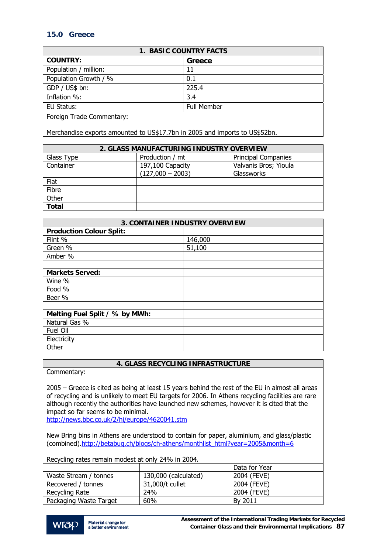# **15.0 Greece**

| <b>1. BASIC COUNTRY FACTS</b> |                    |  |
|-------------------------------|--------------------|--|
| <b>COUNTRY:</b>               | Greece             |  |
| Population / million:         | 11                 |  |
| Population Growth / %         | 0.1                |  |
| GDP / US\$ bn:                | 225.4              |  |
| Inflation %:                  | 3.4                |  |
| EU Status:                    | <b>Full Member</b> |  |
| Foreign Trade Commentary:     |                    |  |

Merchandise exports amounted to US\$17.7bn in 2005 and imports to US\$52bn.

| 2. GLASS MANUFACTURING INDUSTRY OVERVIEW |                    |                            |
|------------------------------------------|--------------------|----------------------------|
| Glass Type                               | Production / mt    | <b>Principal Companies</b> |
| Container                                | 197,100 Capacity   | Valvanis Bros; Yioula      |
|                                          | $(127,000 - 2003)$ | Glassworks                 |
| Flat                                     |                    |                            |
| Fibre                                    |                    |                            |
| Other                                    |                    |                            |
| <b>Total</b>                             |                    |                            |

| 3. CONTAINER INDUSTRY OVERVIEW  |         |  |
|---------------------------------|---------|--|
| <b>Production Colour Split:</b> |         |  |
| Flint %                         | 146,000 |  |
| Green %                         | 51,100  |  |
| Amber %                         |         |  |
|                                 |         |  |
| <b>Markets Served:</b>          |         |  |
| Wine %                          |         |  |
| Food %                          |         |  |
| Beer %                          |         |  |
|                                 |         |  |
| Melting Fuel Split / % by MWh:  |         |  |
| Natural Gas %                   |         |  |
| Fuel Oil                        |         |  |
| Electricity                     |         |  |
| Other                           |         |  |

## **4. GLASS RECYCLING INFRASTRUCTURE**

Commentary:

2005 – Greece is cited as being at least 15 years behind the rest of the EU in almost all areas of recycling and is unlikely to meet EU targets for 2006. In Athens recycling facilities are rare although recently the authorities have launched new schemes, however it is cited that the impact so far seems to be minimal.

<http://news.bbc.co.uk/2/hi/europe/4620041.stm>

New Bring bins in Athens are understood to contain for paper, aluminium, and glass/plastic (combined)[.http://betabug.ch/blogs/ch-athens/monthlist\\_html?year=2005&month=6](http://betabug.ch/blogs/ch-athens/monthlist_html?year=2005&month=6) 

Recycling rates remain modest at only 24% in 2004.

|                        |                      | Data for Year |
|------------------------|----------------------|---------------|
| Waste Stream / tonnes  | 130,000 (calculated) | 2004 (FEVE)   |
| Recovered / tonnes     | 31,000/t cullet      | 2004 (FEVE)   |
| Recycling Rate         | 24%                  | 2004 (FEVE)   |
| Packaging Waste Target | 60%                  | By 2011       |

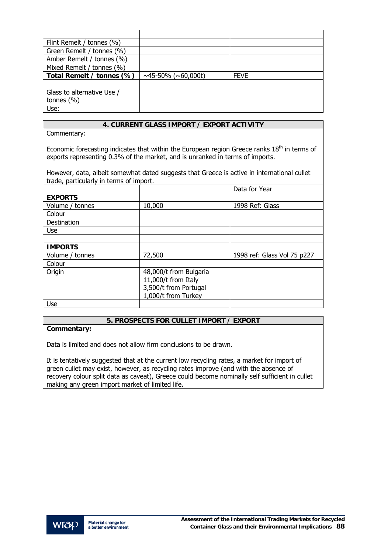| Flint Remelt / tonnes (%)  |                                 |             |
|----------------------------|---------------------------------|-------------|
| Green Remelt / tonnes (%)  |                                 |             |
| Amber Remelt / tonnes (%)  |                                 |             |
| Mixed Remelt / tonnes (%)  |                                 |             |
| Total Remelt / tonnes (%)  | $\sim$ 45-50% ( $\sim$ 60,000t) | <b>FEVE</b> |
|                            |                                 |             |
| Glass to alternative Use / |                                 |             |
| tonnes $(\% )$             |                                 |             |
| Use:                       |                                 |             |

Commentary:

Economic forecasting indicates that within the European region Greece ranks  $18<sup>th</sup>$  in terms of exports representing 0.3% of the market, and is unranked in terms of imports.

However, data, albeit somewhat dated suggests that Greece is active in international cullet trade, particularly in terms of import.

|                 |                        | Data for Year               |
|-----------------|------------------------|-----------------------------|
| <b>EXPORTS</b>  |                        |                             |
| Volume / tonnes | 10,000                 | 1998 Ref: Glass             |
| Colour          |                        |                             |
| Destination     |                        |                             |
| Use             |                        |                             |
|                 |                        |                             |
| <b>IMPORTS</b>  |                        |                             |
| Volume / tonnes | 72,500                 | 1998 ref: Glass Vol 75 p227 |
| Colour          |                        |                             |
| Origin          | 48,000/t from Bulgaria |                             |
|                 | 11,000/t from Italy    |                             |
|                 | 3,500/t from Portugal  |                             |
|                 | 1,000/t from Turkey    |                             |
| Use             |                        |                             |

## **5. PROSPECTS FOR CULLET IMPORT / EXPORT**

## **Commentary:**

Data is limited and does not allow firm conclusions to be drawn.

It is tentatively suggested that at the current low recycling rates, a market for import of green cullet may exist, however, as recycling rates improve (and with the absence of recovery colour split data as caveat), Greece could become nominally self sufficient in cullet making any green import market of limited life.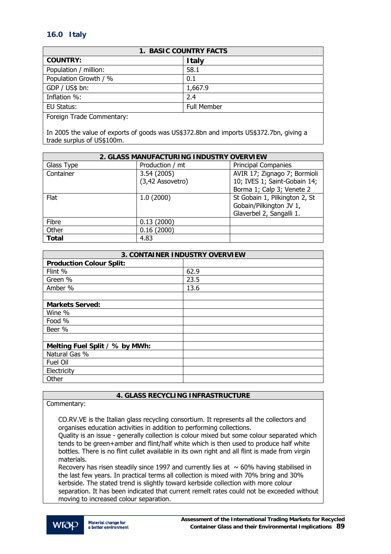# **16.0 Italy**

| <b>1. BASIC COUNTRY FACTS</b> |                    |  |
|-------------------------------|--------------------|--|
| <b>COUNTRY:</b>               | <b>Italy</b>       |  |
| Population / million:         | 58.1               |  |
| Population Growth / %         | 0.1                |  |
| GDP / US\$ bn:                | 1,667.9            |  |
| Inflation %:                  | 2.4                |  |
| EU Status:                    | <b>Full Member</b> |  |
| Eoroian Trado Commontary      |                    |  |

Foreign Trade Commentary:

In 2005 the value of exports of goods was US\$372.8bn and imports US\$372.7bn, giving a trade surplus of US\$100m.

| 2. GLASS MANUFACTURING INDUSTRY OVERVIEW |                  |                               |
|------------------------------------------|------------------|-------------------------------|
| Glass Type                               | Production / mt  | <b>Principal Companies</b>    |
| Container                                | 3.54 (2005)      | AVIR 17; Zignago 7; Bormioli  |
|                                          | (3,42 Assovetro) | 10; IVES 1; Saint-Gobain 14;  |
|                                          |                  | Borma 1; Calp 3; Venete 2     |
| Flat                                     | 1.0(2000)        | St Gobain 1, Pilkington 2, St |
|                                          |                  | Gobain/Pilkington JV 1,       |
|                                          |                  | Glaverbel 2, Sangalli 1.      |
| Fibre                                    | 0.13(2000)       |                               |
| Other                                    | 0.16(2000)       |                               |
| Total                                    | 4.83             |                               |

| <b>3. CONTAINER INDUSTRY OVERVIEW</b> |      |  |
|---------------------------------------|------|--|
| <b>Production Colour Split:</b>       |      |  |
| Flint %                               | 62.9 |  |
| Green %                               | 23.5 |  |
| Amber %                               | 13.6 |  |
|                                       |      |  |
| <b>Markets Served:</b>                |      |  |
| Wine %                                |      |  |
| Food %                                |      |  |
| Beer %                                |      |  |
|                                       |      |  |
| Melting Fuel Split / % by MWh:        |      |  |
| Natural Gas %                         |      |  |
| Fuel Oil                              |      |  |
| Electricity                           |      |  |
| Other                                 |      |  |

# **4. GLASS RECYCLING INFRASTRUCTURE**

Commentary:

CO.RV.VE is the Italian glass recycling consortium. It represents all the collectors and organises education activities in addition to performing collections.

Quality is an issue - generally collection is colour mixed but some colour separated which tends to be green+amber and flint/half white which is then used to produce half white bottles. There is no flint cullet available in its own right and all flint is made from virgin materials.

Recovery has risen steadily since 1997 and currently lies at  $~\sim 60\%$  having stabilised in the last few years. In practical terms all collection is mixed with 70% bring and 30% kerbside. The stated trend is slightly toward kerbside collection with more colour separation. It has been indicated that current remelt rates could not be exceeded without moving to increased colour separation.

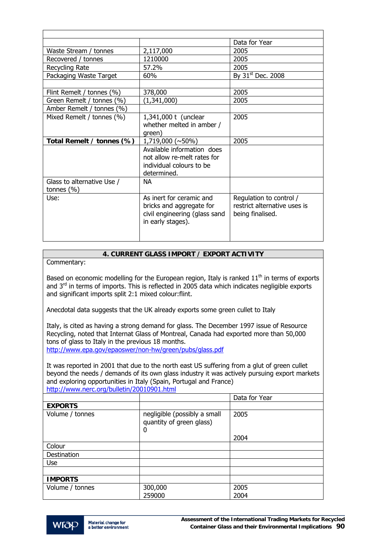|                                              |                                                                                                            | Data for Year                                                               |
|----------------------------------------------|------------------------------------------------------------------------------------------------------------|-----------------------------------------------------------------------------|
| Waste Stream / tonnes                        | 2,117,000                                                                                                  | 2005                                                                        |
| Recovered / tonnes                           | 1210000                                                                                                    | 2005                                                                        |
| Recycling Rate                               | 57.2%                                                                                                      | 2005                                                                        |
| Packaging Waste Target                       | 60%                                                                                                        | By $31st$ Dec. 2008                                                         |
|                                              |                                                                                                            |                                                                             |
| Flint Remelt / tonnes (%)                    | 378,000                                                                                                    | 2005                                                                        |
| Green Remelt / tonnes (%)                    | (1,341,000)                                                                                                | 2005                                                                        |
| Amber Remelt / tonnes (%)                    |                                                                                                            |                                                                             |
| Mixed Remelt / tonnes (%)                    | 1,341,000 t (unclear<br>whether melted in amber /<br>green)                                                | 2005                                                                        |
| Total Remelt / tonnes (%)                    | $1,719,000 \; (\sim 50\%)$                                                                                 | 2005                                                                        |
|                                              | Available information does<br>not allow re-melt rates for<br>individual colours to be<br>determined.       |                                                                             |
| Glass to alternative Use /<br>tonnes $(\% )$ | NA.                                                                                                        |                                                                             |
| Use:                                         | As inert for ceramic and<br>bricks and aggregate for<br>civil engineering (glass sand<br>in early stages). | Regulation to control /<br>restrict alternative uses is<br>being finalised. |

Commentary:

Based on economic modelling for the European region, Italy is ranked  $11<sup>th</sup>$  in terms of exports and  $3<sup>rd</sup>$  in terms of imports. This is reflected in 2005 data which indicates negligible exports and significant imports split 2:1 mixed colour:flint.

Anecdotal data suggests that the UK already exports some green cullet to Italy

Italy, is cited as having a strong demand for glass. The December 1997 issue of Resource Recycling, noted that Internat Glass of Montreal, Canada had exported more than 50,000 tons of glass to Italy in the previous 18 months. <http://www.epa.gov/epaoswer/non-hw/green/pubs/glass.pdf>

It was reported in 2001 that due to the north east US suffering from a glut of green cullet beyond the needs / demands of its own glass industry it was actively pursuing export markets and exploring opportunities in Italy (Spain, Portugal and France) <http://www.nerc.org/bulletin/20010901.html>

|                 |                                                               | Data for Year |
|-----------------|---------------------------------------------------------------|---------------|
| <b>EXPORTS</b>  |                                                               |               |
| Volume / tonnes | negligible (possibly a small<br>quantity of green glass)<br>0 | 2005          |
|                 |                                                               | 2004          |
| Colour          |                                                               |               |
| Destination     |                                                               |               |
| Use             |                                                               |               |
|                 |                                                               |               |
| <b>IMPORTS</b>  |                                                               |               |
| Volume / tonnes | 300,000<br>259000                                             | 2005<br>2004  |

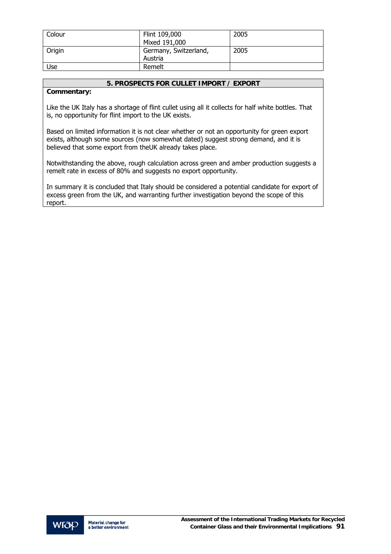| Colour | Flint 109,000         | 2005 |
|--------|-----------------------|------|
|        | Mixed 191,000         |      |
| Origin | Germany, Switzerland, | 2005 |
|        | Austria               |      |
| Use    | Remelt                |      |

## **5. PROSPECTS FOR CULLET IMPORT / EXPORT**

## **Commentary:**

Like the UK Italy has a shortage of flint cullet using all it collects for half white bottles. That is, no opportunity for flint import to the UK exists.

Based on limited information it is not clear whether or not an opportunity for green export exists, although some sources (now somewhat dated) suggest strong demand, and it is believed that some export from theUK already takes place.

Notwithstanding the above, rough calculation across green and amber production suggests a remelt rate in excess of 80% and suggests no export opportunity.

In summary it is concluded that Italy should be considered a potential candidate for export of excess green from the UK, and warranting further investigation beyond the scope of this report.

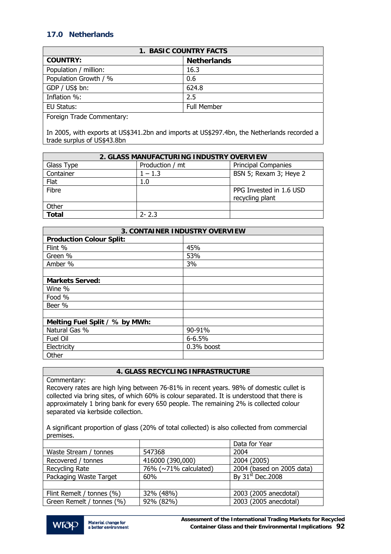# **17.0 Netherlands**

| <b>1. BASIC COUNTRY FACTS</b> |                    |  |
|-------------------------------|--------------------|--|
| <b>COUNTRY:</b>               | <b>Netherlands</b> |  |
| Population / million:         | 16.3               |  |
| Population Growth / %         | 0.6                |  |
| GDP / US\$ bn:                | 624.8              |  |
| Inflation %:                  | 2.5                |  |
| EU Status:                    | Full Member        |  |
| —<br>$\sim$                   |                    |  |

Foreign Trade Commentary:

In 2005, with exports at US\$341.2bn and imports at US\$297.4bn, the Netherlands recorded a trade surplus of US\$43.8bn

| 2. GLASS MANUFACTURING INDUSTRY OVERVIEW |                 |                                            |
|------------------------------------------|-----------------|--------------------------------------------|
| Glass Type                               | Production / mt | <b>Principal Companies</b>                 |
| Container                                | $1 - 1.3$       | BSN 5; Rexam 3; Heye 2                     |
| Flat                                     | 1.0             |                                            |
| Fibre                                    |                 | PPG Invested in 1.6 USD<br>recycling plant |
| Other                                    |                 |                                            |
| <b>Total</b>                             | $2 - 2.3$       |                                            |

| <b>3. CONTAINER INDUSTRY OVERVIEW</b> |              |  |
|---------------------------------------|--------------|--|
| <b>Production Colour Split:</b>       |              |  |
| Flint %                               | 45%          |  |
| Green %                               | 53%          |  |
| Amber %                               | 3%           |  |
|                                       |              |  |
| <b>Markets Served:</b>                |              |  |
| Wine %                                |              |  |
| Food %                                |              |  |
| Beer %                                |              |  |
|                                       |              |  |
| Melting Fuel Split / % by MWh:        |              |  |
| Natural Gas %                         | 90-91%       |  |
| Fuel Oil                              | $6 - 6.5%$   |  |
| Electricity                           | $0.3%$ boost |  |
| Other                                 |              |  |

## **4. GLASS RECYCLING INFRASTRUCTURE**

Commentary:

Recovery rates are high lying between 76-81% in recent years. 98% of domestic cullet is collected via bring sites, of which 60% is colour separated. It is understood that there is approximately 1 bring bank for every 650 people. The remaining 2% is collected colour separated via kerbside collection.

A significant proportion of glass (20% of total collected) is also collected from commercial premises.

|                           |                       | Data for Year                |
|---------------------------|-----------------------|------------------------------|
| Waste Stream / tonnes     | 547368                | 2004                         |
| Recovered / tonnes        | 416000 (390,000)      | 2004 (2005)                  |
| Recycling Rate            | 76% (~71% calculated) | 2004 (based on 2005 data)    |
| Packaging Waste Target    | 60%                   | By 31 <sup>st</sup> Dec.2008 |
|                           |                       |                              |
| Flint Remelt / tonnes (%) | 32% (48%)             | 2003 (2005 anecdotal)        |
| Green Remelt / tonnes (%) | 92% (82%)             | 2003 (2005 anecdotal)        |

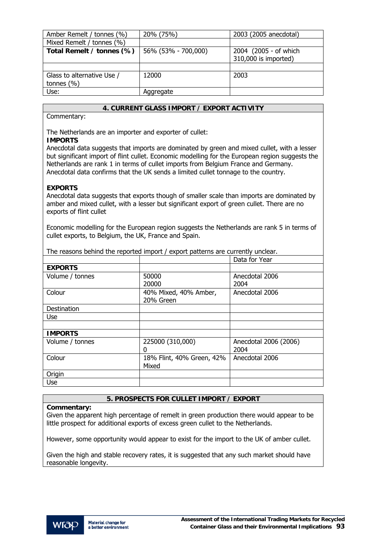| Amber Remelt / tonnes (%)  | 20% (75%)           | 2003 (2005 anecdotal) |
|----------------------------|---------------------|-----------------------|
| Mixed Remelt / tonnes (%)  |                     |                       |
| Total Remelt / tonnes (%)  | 56% (53% - 700,000) | 2004 (2005 - of which |
|                            |                     | 310,000 is imported)  |
|                            |                     |                       |
| Glass to alternative Use / | 12000               | 2003                  |
| tonnes $(% )$              |                     |                       |
| Use:                       | Aggregate           |                       |

## Commentary:

The Netherlands are an importer and exporter of cullet: **IMPORTS** 

Anecdotal data suggests that imports are dominated by green and mixed cullet, with a lesser but significant import of flint cullet. Economic modelling for the European region suggests the Netherlands are rank 1 in terms of cullet imports from Belgium France and Germany. Anecdotal data confirms that the UK sends a limited cullet tonnage to the country.

## **EXPORTS**

Anecdotal data suggests that exports though of smaller scale than imports are dominated by amber and mixed cullet, with a lesser but significant export of green cullet. There are no exports of flint cullet

Economic modelling for the European region suggests the Netherlands are rank 5 in terms of cullet exports, to Belgium, the UK, France and Spain.

The reasons behind the reported import / export patterns are currently unclear.

|                 |                           | Data for Year         |
|-----------------|---------------------------|-----------------------|
| <b>EXPORTS</b>  |                           |                       |
| Volume / tonnes | 50000                     | Anecdotal 2006        |
|                 | 20000                     | 2004                  |
| Colour          | 40% Mixed, 40% Amber,     | Anecdotal 2006        |
|                 | 20% Green                 |                       |
| Destination     |                           |                       |
| <b>Use</b>      |                           |                       |
|                 |                           |                       |
| <b>IMPORTS</b>  |                           |                       |
| Volume / tonnes | 225000 (310,000)          | Anecdotal 2006 (2006) |
|                 | 0                         | 2004                  |
| Colour          | 18% Flint, 40% Green, 42% | Anecdotal 2006        |
|                 | Mixed                     |                       |
| Origin          |                           |                       |
| Use             |                           |                       |

## **5. PROSPECTS FOR CULLET IMPORT / EXPORT**

## **Commentary:**

Given the apparent high percentage of remelt in green production there would appear to be little prospect for additional exports of excess green cullet to the Netherlands.

However, some opportunity would appear to exist for the import to the UK of amber cullet.

Given the high and stable recovery rates, it is suggested that any such market should have reasonable longevity.

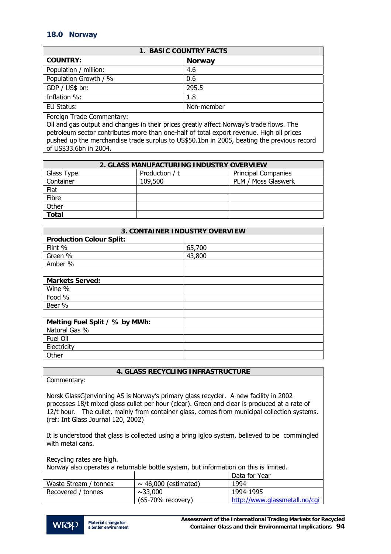## **18.0 Norway**

| <b>1. BASIC COUNTRY FACTS</b> |               |  |
|-------------------------------|---------------|--|
| <b>COUNTRY:</b>               | <b>Norway</b> |  |
| Population / million:         | 4.6           |  |
| Population Growth / %         | 0.6           |  |
| GDP / US\$ bn:                | 295.5         |  |
| Inflation %:                  | 1.8           |  |
| EU Status:                    | Non-member    |  |

Foreign Trade Commentary:

Oil and gas output and changes in their prices greatly affect Norway's trade flows. The petroleum sector contributes more than one-half of total export revenue. High oil prices pushed up the merchandise trade surplus to US\$50.1bn in 2005, beating the previous record of US\$33.6bn in 2004.

| 2. GLASS MANUFACTURING INDUSTRY OVERVIEW |                |                            |
|------------------------------------------|----------------|----------------------------|
| Glass Type                               | Production / t | <b>Principal Companies</b> |
| Container                                | 109,500        | PLM / Moss Glaswerk        |
| Flat                                     |                |                            |
| Fibre                                    |                |                            |
| Other                                    |                |                            |
| <b>Total</b>                             |                |                            |

| <b>3. CONTAINER INDUSTRY OVERVIEW</b> |        |  |
|---------------------------------------|--------|--|
| <b>Production Colour Split:</b>       |        |  |
| Flint %                               | 65,700 |  |
| Green %                               | 43,800 |  |
| Amber %                               |        |  |
|                                       |        |  |
| <b>Markets Served:</b>                |        |  |
| Wine %                                |        |  |
| Food %                                |        |  |
| Beer %                                |        |  |
|                                       |        |  |
| Melting Fuel Split / % by MWh:        |        |  |
| Natural Gas %                         |        |  |
| Fuel Oil                              |        |  |
| Electricity                           |        |  |
| Other                                 |        |  |

## **4. GLASS RECYCLING INFRASTRUCTURE**

Commentary:

Norsk GlassGjenvinning AS is Norway's primary glass recycler. A new facility in 2002 processes 18/t mixed glass cullet per hour (clear). Green and clear is produced at a rate of 12/t hour. The cullet, mainly from container glass, comes from municipal collection systems. (ref: Int Glass Journal 120, 2002)

It is understood that glass is collected using a bring igloo system, believed to be commingled with metal cans.

| Recycling rates are high. |                                                                                      |                               |
|---------------------------|--------------------------------------------------------------------------------------|-------------------------------|
|                           | Norway also operates a returnable bottle system, but information on this is limited. |                               |
|                           |                                                                                      | Data for Year                 |
| Waste Stream / tonnes     | $\sim$ 46,000 (estimated)                                                            | 1994                          |
| Recovered / tonnes        | ~1,000                                                                               | 1994-1995                     |
|                           | (65-70% recovery)                                                                    | http://www.glassmetall.no/cqi |

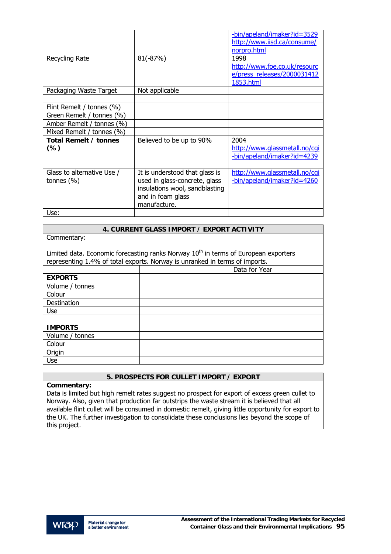|                                              |                                                                                                                                        | -bin/apeland/imaker?id=3529<br>http://www.iisd.ca/consume/<br>norpro.html        |
|----------------------------------------------|----------------------------------------------------------------------------------------------------------------------------------------|----------------------------------------------------------------------------------|
| Recycling Rate                               | $81(-87%)$                                                                                                                             | 1998<br>http://www.foe.co.uk/resourc<br>e/press releases/2000031412<br>1853.html |
| Packaging Waste Target                       | Not applicable                                                                                                                         |                                                                                  |
| Flint Remelt / tonnes (%)                    |                                                                                                                                        |                                                                                  |
| Green Remelt / tonnes (%)                    |                                                                                                                                        |                                                                                  |
| Amber Remelt / tonnes (%)                    |                                                                                                                                        |                                                                                  |
| Mixed Remelt / tonnes (%)                    |                                                                                                                                        |                                                                                  |
| Total Remelt / tonnes<br>$(\%)$              | Believed to be up to 90%                                                                                                               | 2004<br>http://www.glassmetall.no/cgi<br>-bin/apeland/imaker?id=4239             |
|                                              |                                                                                                                                        |                                                                                  |
| Glass to alternative Use /<br>tonnes $(\% )$ | It is understood that glass is<br>used in glass-concrete, glass<br>insulations wool, sandblasting<br>and in foam glass<br>manufacture. | http://www.glassmetall.no/cgi<br>-bin/apeland/imaker?id=4260                     |
| Use:                                         |                                                                                                                                        |                                                                                  |

Commentary:

Limited data. Economic forecasting ranks Norway  $10^{th}$  in terms of European exporters representing 1.4% of total exports. Norway is unranked in terms of imports.

| .               | - - | $\mathbf{r}$ $\mathbf{r}$ |
|-----------------|-----|---------------------------|
|                 |     | Data for Year             |
| <b>EXPORTS</b>  |     |                           |
| Volume / tonnes |     |                           |
| Colour          |     |                           |
| Destination     |     |                           |
| Use             |     |                           |
|                 |     |                           |
| <b>IMPORTS</b>  |     |                           |
| Volume / tonnes |     |                           |
| Colour          |     |                           |
| Origin          |     |                           |
| Use             |     |                           |

## **5. PROSPECTS FOR CULLET IMPORT / EXPORT**

## **Commentary:**

Data is limited but high remelt rates suggest no prospect for export of excess green cullet to Norway. Also, given that production far outstrips the waste stream it is believed that all available flint cullet will be consumed in domestic remelt, giving little opportunity for export to the UK. The further investigation to consolidate these conclusions lies beyond the scope of this project.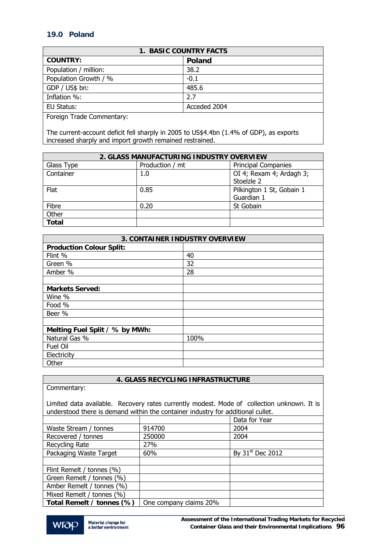# **19.0 Poland**

| <b>1. BASIC COUNTRY FACTS</b> |               |  |
|-------------------------------|---------------|--|
| <b>COUNTRY:</b>               | <b>Poland</b> |  |
| Population / million:         | 38.2          |  |
| Population Growth / %         | $-0.1$        |  |
| GDP / US\$ bn:                | 485.6         |  |
| Inflation %:                  | 2.7           |  |
| EU Status:                    | Acceded 2004  |  |
| — 1<br>$\sim$                 |               |  |

Foreign Trade Commentary:

The current-account deficit fell sharply in 2005 to US\$4.4bn (1.4% of GDP), as exports increased sharply and import growth remained restrained.

| 2. GLASS MANUFACTURING INDUSTRY OVERVIEW |                 |                            |
|------------------------------------------|-----------------|----------------------------|
| Glass Type                               | Production / mt | <b>Principal Companies</b> |
| Container                                | 1.0             | OI 4; Rexam 4; Ardagh 3;   |
|                                          |                 | Stoelzle 2                 |
| Flat                                     | 0.85            | Pilkington 1 St, Gobain 1  |
|                                          |                 | Guardian 1                 |
| Fibre                                    | 0.20            | St Gobain                  |
| Other                                    |                 |                            |
| <b>Total</b>                             |                 |                            |

| <b>3. CONTAINER INDUSTRY OVERVIEW</b> |      |  |
|---------------------------------------|------|--|
| <b>Production Colour Split:</b>       |      |  |
| Flint %                               | 40   |  |
| Green %                               | 32   |  |
| Amber %                               | 28   |  |
|                                       |      |  |
| <b>Markets Served:</b>                |      |  |
| Wine %                                |      |  |
| Food %                                |      |  |
| Beer %                                |      |  |
|                                       |      |  |
| Melting Fuel Split / % by MWh:        |      |  |
| Natural Gas %                         | 100% |  |
| Fuel Oil                              |      |  |
| Electricity                           |      |  |
| Other                                 |      |  |

# **4. GLASS RECYCLING INFRASTRUCTURE**

| Commentary:                                                                                                                                                                   |                        |                              |  |
|-------------------------------------------------------------------------------------------------------------------------------------------------------------------------------|------------------------|------------------------------|--|
| Limited data available. Recovery rates currently modest. Mode of collection unknown. It is<br>understood there is demand within the container industry for additional cullet. |                        |                              |  |
|                                                                                                                                                                               |                        | Data for Year                |  |
| Waste Stream / tonnes                                                                                                                                                         | 914700                 | 2004                         |  |
| Recovered / tonnes                                                                                                                                                            | 250000                 | 2004                         |  |
| Recycling Rate                                                                                                                                                                | 27%                    |                              |  |
| Packaging Waste Target                                                                                                                                                        | 60%                    | By 31 <sup>st</sup> Dec 2012 |  |
|                                                                                                                                                                               |                        |                              |  |
| Flint Remelt / tonnes (%)                                                                                                                                                     |                        |                              |  |
| Green Remelt / tonnes (%)                                                                                                                                                     |                        |                              |  |
| Amber Remelt / tonnes (%)                                                                                                                                                     |                        |                              |  |
| Mixed Remelt / tonnes (%)                                                                                                                                                     |                        |                              |  |
| Total Remelt / tonnes (%)                                                                                                                                                     | One company claims 20% |                              |  |

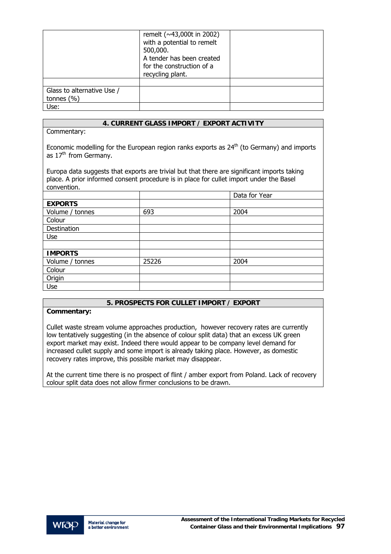|                            | remelt (~43,000t in 2002)<br>with a potential to remelt<br>500,000.<br>A tender has been created<br>for the construction of a<br>recycling plant. |  |
|----------------------------|---------------------------------------------------------------------------------------------------------------------------------------------------|--|
|                            |                                                                                                                                                   |  |
| Glass to alternative Use / |                                                                                                                                                   |  |
| tonnes $(% )$              |                                                                                                                                                   |  |
| Use:                       |                                                                                                                                                   |  |

Commentary:

Economic modelling for the European region ranks exports as  $24<sup>th</sup>$  (to Germany) and imports as  $17<sup>th</sup>$  from Germany.

Europa data suggests that exports are trivial but that there are significant imports taking place. A prior informed consent procedure is in place for cullet import under the Basel convention.

|                 |       | Data for Year |
|-----------------|-------|---------------|
| <b>EXPORTS</b>  |       |               |
| Volume / tonnes | 693   | 2004          |
| Colour          |       |               |
| Destination     |       |               |
| Use             |       |               |
|                 |       |               |
| <b>IMPORTS</b>  |       |               |
| Volume / tonnes | 25226 | 2004          |
| Colour          |       |               |
| Origin          |       |               |
| Use             |       |               |

# **5. PROSPECTS FOR CULLET IMPORT / EXPORT**

#### **Commentary:**

Cullet waste stream volume approaches production, however recovery rates are currently low tentatively suggesting (in the absence of colour split data) that an excess UK green export market may exist. Indeed there would appear to be company level demand for increased cullet supply and some import is already taking place. However, as domestic recovery rates improve, this possible market may disappear.

At the current time there is no prospect of flint / amber export from Poland. Lack of recovery colour split data does not allow firmer conclusions to be drawn.

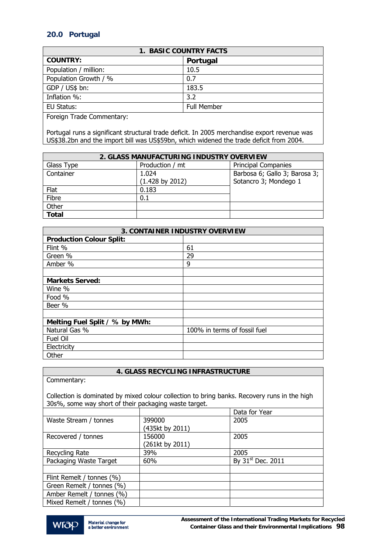# **20.0 Portugal**

| <b>1. BASIC COUNTRY FACTS</b> |             |  |
|-------------------------------|-------------|--|
| <b>COUNTRY:</b>               | Portugal    |  |
| Population / million:         | 10.5        |  |
| Population Growth / %         | 0.7         |  |
| GDP / US\$ bn:                | 183.5       |  |
| Inflation %:                  | 3.2         |  |
| EU Status:                    | Full Member |  |
| ___<br>$ -$<br>$\sim$<br>. .  |             |  |

Foreign Trade Commentary:

Portugal runs a significant structural trade deficit. In 2005 merchandise export revenue was US\$38.2bn and the import bill was US\$59bn, which widened the trade deficit from 2004.

| 2. GLASS MANUFACTURING INDUSTRY OVERVIEW |                            |                               |
|------------------------------------------|----------------------------|-------------------------------|
| Glass Type                               | Production / mt            | <b>Principal Companies</b>    |
| Container                                | 1.024                      | Barbosa 6; Gallo 3; Barosa 3; |
|                                          | $(1.428 \text{ by } 2012)$ | Sotancro 3; Mondego 1         |
| Flat                                     | 0.183                      |                               |
| Fibre                                    | 0.1                        |                               |
| Other                                    |                            |                               |
| <b>Total</b>                             |                            |                               |

| <b>3. CONTAINER INDUSTRY OVERVIEW</b> |                              |  |
|---------------------------------------|------------------------------|--|
| <b>Production Colour Split:</b>       |                              |  |
| Flint %                               | 61                           |  |
| Green %                               | 29                           |  |
| Amber %                               | 9                            |  |
|                                       |                              |  |
| <b>Markets Served:</b>                |                              |  |
| Wine %                                |                              |  |
| Food %                                |                              |  |
| Beer %                                |                              |  |
|                                       |                              |  |
| Melting Fuel Split / % by MWh:        |                              |  |
| Natural Gas %                         | 100% in terms of fossil fuel |  |
| Fuel Oil                              |                              |  |
| Electricity                           |                              |  |
| Other                                 |                              |  |

# **4. GLASS RECYCLING INFRASTRUCTURE**

| Commentary: |  |
|-------------|--|
|-------------|--|

Collection is dominated by mixed colour collection to bring banks. Recovery runs in the high 30s%, some way short of their packaging waste target.

|                           |                 | Data for Year                 |
|---------------------------|-----------------|-------------------------------|
| Waste Stream / tonnes     | 399000          | 2005                          |
|                           | (435kt by 2011) |                               |
| Recovered / tonnes        | 156000          | 2005                          |
|                           | (261kt by 2011) |                               |
| Recycling Rate            | 39%             | 2005                          |
| Packaging Waste Target    | 60%             | By 31 <sup>st</sup> Dec. 2011 |
|                           |                 |                               |
| Flint Remelt / tonnes (%) |                 |                               |
| Green Remelt / tonnes (%) |                 |                               |
| Amber Remelt / tonnes (%) |                 |                               |
| Mixed Remelt / tonnes (%) |                 |                               |

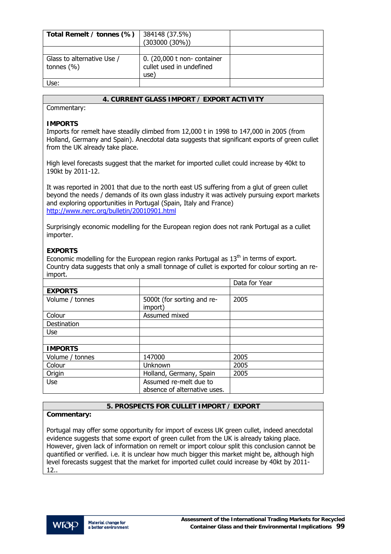| Total Remelt / tonnes (%)                   | 384148 (37.5%)<br>$(303000 (30\%)$                              |  |
|---------------------------------------------|-----------------------------------------------------------------|--|
|                                             |                                                                 |  |
| Glass to alternative Use /<br>tonnes $(% )$ | 0. (20,000 t non- container<br>cullet used in undefined<br>use) |  |
| Use:                                        |                                                                 |  |

Commentary:

## **IMPORTS**

Imports for remelt have steadily climbed from 12,000 t in 1998 to 147,000 in 2005 (from Holland, Germany and Spain). Anecdotal data suggests that significant exports of green cullet from the UK already take place.

High level forecasts suggest that the market for imported cullet could increase by 40kt to 190kt by 2011-12.

It was reported in 2001 that due to the north east US suffering from a glut of green cullet beyond the needs / demands of its own glass industry it was actively pursuing export markets and exploring opportunities in Portugal (Spain, Italy and France) <http://www.nerc.org/bulletin/20010901.html>

Surprisingly economic modelling for the European region does not rank Portugal as a cullet importer.

# **EXPORTS**

Economic modelling for the European region ranks Portugal as  $13<sup>th</sup>$  in terms of export. Country data suggests that only a small tonnage of cullet is exported for colour sorting an reimport.

|                 |                                       | Data for Year |
|-----------------|---------------------------------------|---------------|
| <b>EXPORTS</b>  |                                       |               |
| Volume / tonnes | 5000t (for sorting and re-<br>import) | 2005          |
| Colour          | Assumed mixed                         |               |
| Destination     |                                       |               |
| Use             |                                       |               |
|                 |                                       |               |
| <b>IMPORTS</b>  |                                       |               |
| Volume / tonnes | 147000                                | 2005          |
| Colour          | <b>Unknown</b>                        | 2005          |
| Origin          | Holland, Germany, Spain               | 2005          |
| Use             | Assumed re-melt due to                |               |
|                 | absence of alternative uses.          |               |

## **5. PROSPECTS FOR CULLET IMPORT / EXPORT**

## **Commentary:**

Portugal may offer some opportunity for import of excess UK green cullet, indeed anecdotal evidence suggests that some export of green cullet from the UK is already taking place. However, given lack of information on remelt or import colour split this conclusion cannot be quantified or verified. i.e. it is unclear how much bigger this market might be, although high level forecasts suggest that the market for imported cullet could increase by 40kt by 2011- 12..

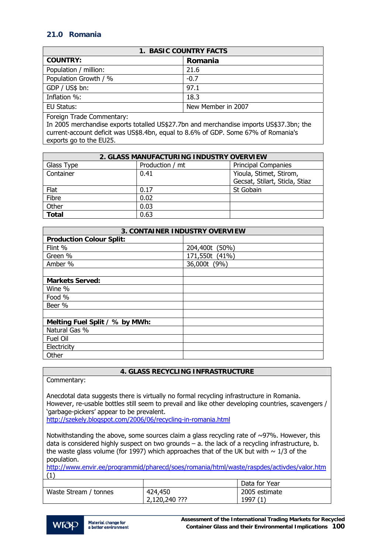# **21.0 Romania**

| 1. BASIC COUNTRY FACTS |                    |  |
|------------------------|--------------------|--|
| <b>COUNTRY:</b>        | Romania            |  |
| Population / million:  | 21.6               |  |
| Population Growth / %  | $-0.7$             |  |
| GDP / US\$ bn:         | 97.1               |  |
| Inflation %:           | 18.3               |  |
| EU Status:             | New Member in 2007 |  |

Foreign Trade Commentary:

In 2005 merchandise exports totalled US\$27.7bn and merchandise imports US\$37.3bn; the current-account deficit was US\$8.4bn, equal to 8.6% of GDP. Some 67% of Romania's exports go to the EU25.

| 2. GLASS MANUFACTURING INDUSTRY OVERVIEW |                 |                                |
|------------------------------------------|-----------------|--------------------------------|
| Glass Type                               | Production / mt | <b>Principal Companies</b>     |
| Container                                | 0.41            | Yioula, Stimet, Stirom,        |
|                                          |                 | Gecsat, Stilart, Sticla, Stiaz |
| Flat                                     | 0.17            | St Gobain                      |
| Fibre                                    | 0.02            |                                |
| Other                                    | 0.03            |                                |
| <b>Total</b>                             | 0.63            |                                |

| <b>3. CONTAINER INDUSTRY OVERVIEW</b> |                |  |
|---------------------------------------|----------------|--|
| <b>Production Colour Split:</b>       |                |  |
| Flint %                               | 204,400t (50%) |  |
| Green %                               | 171,550t (41%) |  |
| Amber %                               | 36,000t (9%)   |  |
|                                       |                |  |
| <b>Markets Served:</b>                |                |  |
| Wine %                                |                |  |
| Food %                                |                |  |
| Beer %                                |                |  |
|                                       |                |  |
| Melting Fuel Split / % by MWh:        |                |  |
| Natural Gas %                         |                |  |
| Fuel Oil                              |                |  |
| Electricity                           |                |  |
| Other                                 |                |  |

# **4. GLASS RECYCLING INFRASTRUCTURE**

Commentary:

Anecdotal data suggests there is virtually no formal recycling infrastructure in Romania. However, re-usable bottles still seem to prevail and like other developing countries, scavengers / 'garbage-pickers' appear to be prevalent.

<http://szekely.blogspot.com/2006/06/recycling-in-romania.html>

Notwithstanding the above, some sources claim a glass recycling rate of  $\sim$ 97%. However, this data is considered highly suspect on two grounds – a. the lack of a recycling infrastructure, b. the waste glass volume (for 1997) which approaches that of the UK but with  $\sim 1/3$  of the population.

<http://www.envir.ee/programmid/pharecd/soes/romania/html/waste/raspdes/activdes/valor.htm>  $(1)$ 

|                       |               | Data for Year |
|-----------------------|---------------|---------------|
| Waste Stream / tonnes | 424,450       | 2005 estimate |
|                       | 2,120,240 ??? | 1997 (1       |

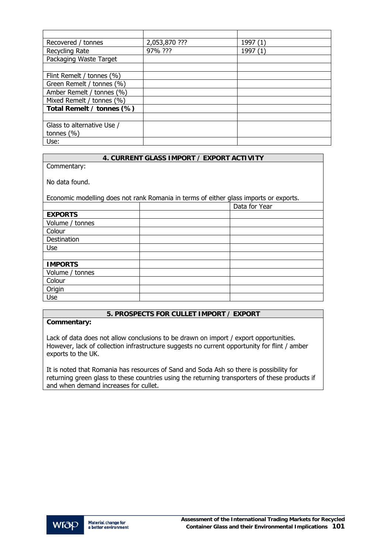| Recovered / tonnes         | 2,053,870 ??? | 1997 (1) |
|----------------------------|---------------|----------|
| Recycling Rate             | 97% ???       | 1997     |
| Packaging Waste Target     |               |          |
|                            |               |          |
| Flint Remelt / tonnes (%)  |               |          |
| Green Remelt / tonnes (%)  |               |          |
| Amber Remelt / tonnes (%)  |               |          |
| Mixed Remelt / tonnes (%)  |               |          |
| Total Remelt / tonnes (%)  |               |          |
|                            |               |          |
| Glass to alternative Use / |               |          |
| tonnes $(\% )$             |               |          |
| Use:                       |               |          |

Commentary:

No data found.

Economic modelling does not rank Romania in terms of either glass imports or exports.

|                 | Data for Year |
|-----------------|---------------|
| <b>EXPORTS</b>  |               |
| Volume / tonnes |               |
| Colour          |               |
| Destination     |               |
| <b>Use</b>      |               |
|                 |               |
| <b>IMPORTS</b>  |               |
| Volume / tonnes |               |
| Colour          |               |
| Origin          |               |
| Use             |               |

# **5. PROSPECTS FOR CULLET IMPORT / EXPORT**

**Commentary:** 

Lack of data does not allow conclusions to be drawn on import / export opportunities. However, lack of collection infrastructure suggests no current opportunity for flint / amber exports to the UK.

It is noted that Romania has resources of Sand and Soda Ash so there is possibility for returning green glass to these countries using the returning transporters of these products if and when demand increases for cullet.

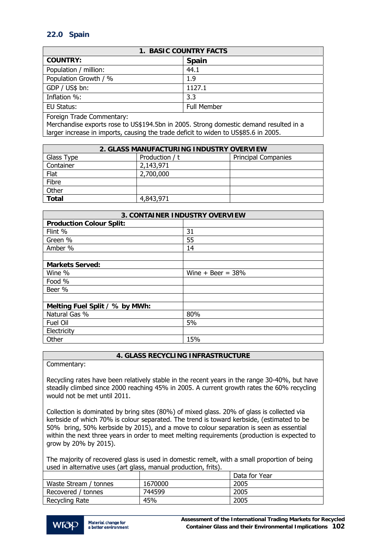# **22.0 Spain**

| <b>1. BASIC COUNTRY FACTS</b>                                                                                                |                    |  |
|------------------------------------------------------------------------------------------------------------------------------|--------------------|--|
| <b>COUNTRY:</b>                                                                                                              | <b>Spain</b>       |  |
| Population / million:                                                                                                        | 44.1               |  |
| Population Growth / %                                                                                                        | 1.9                |  |
| GDP / US\$ bn:                                                                                                               | 1127.1             |  |
| Inflation %:                                                                                                                 | 3.3                |  |
| EU Status:                                                                                                                   | <b>Full Member</b> |  |
| $\Gamma$ and $\Gamma$ and $\Gamma$ and $\Gamma$ are all $\Gamma$ and $\Gamma$ are all $\Gamma$ and $\Gamma$ are all $\Gamma$ |                    |  |

Foreign Trade Commentary:

Merchandise exports rose to US\$194.5bn in 2005. Strong domestic demand resulted in a larger increase in imports, causing the trade deficit to widen to US\$85.6 in 2005.

| 2. GLASS MANUFACTURING INDUSTRY OVERVIEW |                |                            |
|------------------------------------------|----------------|----------------------------|
| Glass Type                               | Production / t | <b>Principal Companies</b> |
| Container                                | 2,143,971      |                            |
| Flat                                     | 2,700,000      |                            |
| Fibre                                    |                |                            |
| Other                                    |                |                            |
| <b>Total</b>                             | 4,843,971      |                            |

| <b>3. CONTAINER INDUSTRY OVERVIEW</b> |                     |  |
|---------------------------------------|---------------------|--|
| <b>Production Colour Split:</b>       |                     |  |
| Flint %                               | 31                  |  |
| Green %                               | 55                  |  |
| Amber %                               | 14                  |  |
|                                       |                     |  |
| <b>Markets Served:</b>                |                     |  |
| Wine %                                | Wine $+$ Beer = 38% |  |
| Food %                                |                     |  |
| Beer %                                |                     |  |
|                                       |                     |  |
| Melting Fuel Split / % by MWh:        |                     |  |
| Natural Gas %                         | 80%                 |  |
| Fuel Oil                              | 5%                  |  |
| Electricity                           |                     |  |
| Other                                 | 15%                 |  |

## **4. GLASS RECYCLING INFRASTRUCTURE**

Commentary:

Recycling rates have been relatively stable in the recent years in the range 30-40%, but have steadily climbed since 2000 reaching 45% in 2005. A current growth rates the 60% recycling would not be met until 2011.

Collection is dominated by bring sites (80%) of mixed glass. 20% of glass is collected via kerbside of which 70% is colour separated. The trend is toward kerbside, (estimated to be 50% bring, 50% kerbside by 2015), and a move to colour separation is seen as essential within the next three years in order to meet melting requirements (production is expected to grow by 20% by 2015).

The majority of recovered glass is used in domestic remelt, with a small proportion of being used in alternative uses (art glass, manual production, frits).

|                       |         | Data for Year |
|-----------------------|---------|---------------|
| Waste Stream / tonnes | 1670000 | 2005          |
| Recovered / tonnes    | 744599  | 2005          |
| Recycling Rate        | 45%     | 2005          |

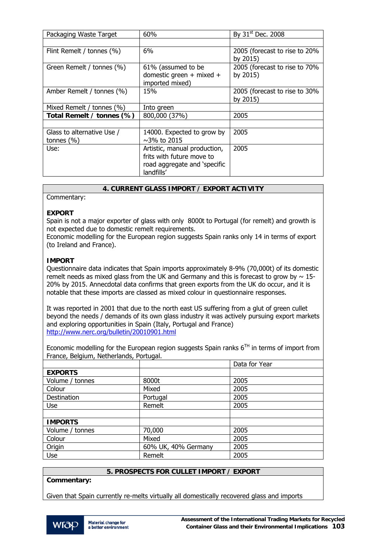| Packaging Waste Target     | 60%                          | By 31 <sup>st</sup> Dec. 2008 |
|----------------------------|------------------------------|-------------------------------|
|                            |                              |                               |
| Flint Remelt / tonnes (%)  | 6%                           | 2005 (forecast to rise to 20% |
|                            |                              | by 2015)                      |
| Green Remelt / tonnes (%)  | 61% (assumed to be           | 2005 (forecast to rise to 70% |
|                            | domestic green $+$ mixed $+$ | by 2015)                      |
|                            | imported mixed)              |                               |
| Amber Remelt / tonnes (%)  | 15%                          | 2005 (forecast to rise to 30% |
|                            |                              | by 2015)                      |
| Mixed Remelt / tonnes (%)  | Into green                   |                               |
| Total Remelt / tonnes (%)  | 800,000 (37%)                | 2005                          |
|                            |                              |                               |
| Glass to alternative Use / | 14000. Expected to grow by   | 2005                          |
| tonnes $(\% )$             | $\sim$ 3% to 2015            |                               |
| Use:                       | Artistic, manual production, | 2005                          |
|                            | frits with future move to    |                               |
|                            | road aggregate and 'specific |                               |
|                            | landfills'                   |                               |
|                            |                              |                               |

## Commentary:

## **EXPORT**

Spain is not a major exporter of glass with only 8000t to Portugal (for remelt) and growth is not expected due to domestic remelt requirements.

Economic modelling for the European region suggests Spain ranks only 14 in terms of export (to Ireland and France).

#### **IMPORT**

Questionnaire data indicates that Spain imports approximately 8-9% (70,000t) of its domestic remelt needs as mixed glass from the UK and Germany and this is forecast to grow by  $\sim 15$ -20% by 2015. Annecdotal data confirms that green exports from the UK do occur, and it is notable that these imports are classed as mixed colour in questionnaire responses.

It was reported in 2001 that due to the north east US suffering from a glut of green cullet beyond the needs / demands of its own glass industry it was actively pursuing export markets and exploring opportunities in Spain (Italy, Portugal and France) <http://www.nerc.org/bulletin/20010901.html>

Economic modelling for the European region suggests Spain ranks  $6<sup>TH</sup>$  in terms of import from France, Belgium, Netherlands, Portugal.

| <b>EXPORTS</b>                        |  |
|---------------------------------------|--|
|                                       |  |
| 2005<br>Volume / tonnes<br>8000t      |  |
| 2005<br>Colour<br>Mixed               |  |
| 2005<br>Destination<br>Portugal       |  |
| 2005<br>Remelt<br><b>Use</b>          |  |
|                                       |  |
| <b>IMPORTS</b>                        |  |
| 2005<br>70,000<br>Volume / tonnes     |  |
| Colour<br>2005<br>Mixed               |  |
| Origin<br>60% UK, 40% Germany<br>2005 |  |
| 2005<br>Remelt<br><b>Use</b>          |  |

# **5. PROSPECTS FOR CULLET IMPORT / EXPORT**

**Commentary:** 

Given that Spain currently re-melts virtually all domestically recovered glass and imports

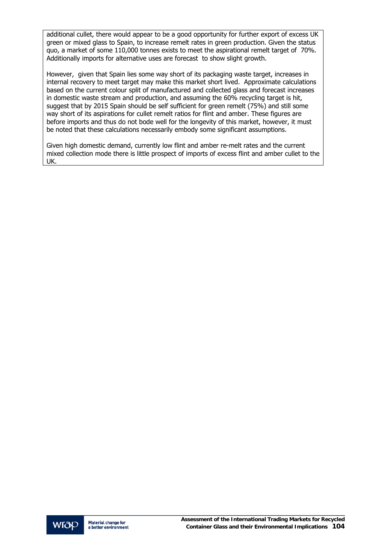additional cullet, there would appear to be a good opportunity for further export of excess UK green or mixed glass to Spain, to increase remelt rates in green production. Given the status quo, a market of some 110,000 tonnes exists to meet the aspirational remelt target of 70%. Additionally imports for alternative uses are forecast to show slight growth.

However, given that Spain lies some way short of its packaging waste target, increases in internal recovery to meet target may make this market short lived. Approximate calculations based on the current colour split of manufactured and collected glass and forecast increases in domestic waste stream and production, and assuming the 60% recycling target is hit, suggest that by 2015 Spain should be self sufficient for green remelt (75%) and still some way short of its aspirations for cullet remelt ratios for flint and amber. These figures are before imports and thus do not bode well for the longevity of this market, however, it must be noted that these calculations necessarily embody some significant assumptions.

Given high domestic demand, currently low flint and amber re-melt rates and the current mixed collection mode there is little prospect of imports of excess flint and amber cullet to the UK.

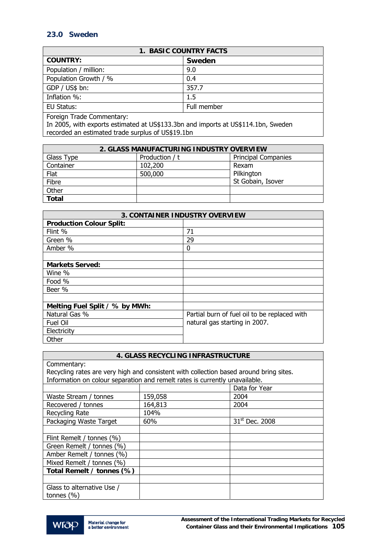# **23.0 Sweden**

| 1. BASIC COUNTRY FACTS    |             |  |
|---------------------------|-------------|--|
| <b>COUNTRY:</b>           | Sweden      |  |
| Population / million:     | 9.0         |  |
| Population Growth / %     | 0.4         |  |
| GDP / US\$ bn:            | 357.7       |  |
| Inflation %:              | $1.5\,$     |  |
| EU Status:                | Full member |  |
| Foreign Trade Commentary: |             |  |

In 2005, with exports estimated at US\$133.3bn and imports at US\$114.1bn, Sweden recorded an estimated trade surplus of US\$19.1bn

| 2. GLASS MANUFACTURING INDUSTRY OVERVIEW |                |                            |
|------------------------------------------|----------------|----------------------------|
| Glass Type                               | Production / t | <b>Principal Companies</b> |
| Container                                | 102,200        | Rexam                      |
| Flat                                     | 500,000        | Pilkington                 |
| Fibre                                    |                | St Gobain, Isover          |
| Other                                    |                |                            |
| <b>Total</b>                             |                |                            |

| <b>3. CONTAINER INDUSTRY OVERVIEW</b> |                                              |  |
|---------------------------------------|----------------------------------------------|--|
| <b>Production Colour Split:</b>       |                                              |  |
| Flint %                               | 71                                           |  |
| Green %                               | 29                                           |  |
| Amber %                               | 0                                            |  |
|                                       |                                              |  |
| <b>Markets Served:</b>                |                                              |  |
| Wine %                                |                                              |  |
| Food %                                |                                              |  |
| Beer %                                |                                              |  |
|                                       |                                              |  |
| Melting Fuel Split / % by MWh:        |                                              |  |
| Natural Gas %                         | Partial burn of fuel oil to be replaced with |  |
| Fuel Oil                              | natural gas starting in 2007.                |  |
| Electricity                           |                                              |  |
| Other                                 |                                              |  |

# **4. GLASS RECYCLING INFRASTRUCTURE**

| Commentary:                                                                            |         |                            |  |
|----------------------------------------------------------------------------------------|---------|----------------------------|--|
| Recycling rates are very high and consistent with collection based around bring sites. |         |                            |  |
| Information on colour separation and remelt rates is currently unavailable.            |         |                            |  |
|                                                                                        |         | Data for Year              |  |
| Waste Stream / tonnes                                                                  | 159,058 | 2004                       |  |
| Recovered / tonnes                                                                     | 164,813 | 2004                       |  |
| Recycling Rate                                                                         | 104%    |                            |  |
| Packaging Waste Target                                                                 | 60%     | 31 <sup>st</sup> Dec. 2008 |  |
|                                                                                        |         |                            |  |
| Flint Remelt / tonnes (%)                                                              |         |                            |  |
| Green Remelt / tonnes (%)                                                              |         |                            |  |
| Amber Remelt / tonnes (%)                                                              |         |                            |  |
| Mixed Remelt / tonnes (%)                                                              |         |                            |  |
| Total Remelt / tonnes (%)                                                              |         |                            |  |
|                                                                                        |         |                            |  |
| Glass to alternative Use /                                                             |         |                            |  |
| tonnes $(\% )$                                                                         |         |                            |  |

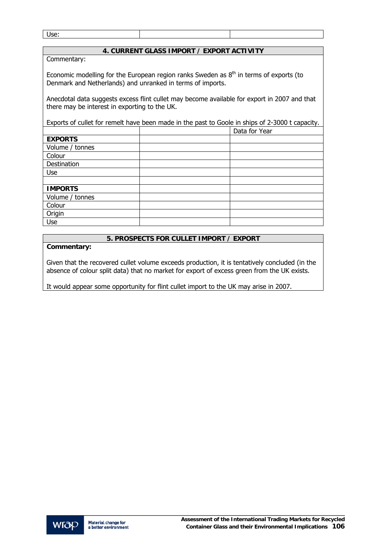Use:

## **4. CURRENT GLASS IMPORT / EXPORT ACTIVITY**

Commentary:

Economic modelling for the European region ranks Sweden as  $8<sup>th</sup>$  in terms of exports (to Denmark and Netherlands) and unranked in terms of imports.

Anecdotal data suggests excess flint cullet may become available for export in 2007 and that there may be interest in exporting to the UK.

Exports of cullet for remelt have been made in the past to Goole in ships of 2-3000 t capacity.

|                 | Data for Year |
|-----------------|---------------|
| <b>EXPORTS</b>  |               |
| Volume / tonnes |               |
| Colour          |               |
| Destination     |               |
| Use             |               |
|                 |               |
| <b>IMPORTS</b>  |               |
| Volume / tonnes |               |
| Colour          |               |
| Origin          |               |
| Use             |               |

## **5. PROSPECTS FOR CULLET IMPORT / EXPORT**

**Commentary:** 

Given that the recovered cullet volume exceeds production, it is tentatively concluded (in the absence of colour split data) that no market for export of excess green from the UK exists.

It would appear some opportunity for flint cullet import to the UK may arise in 2007.

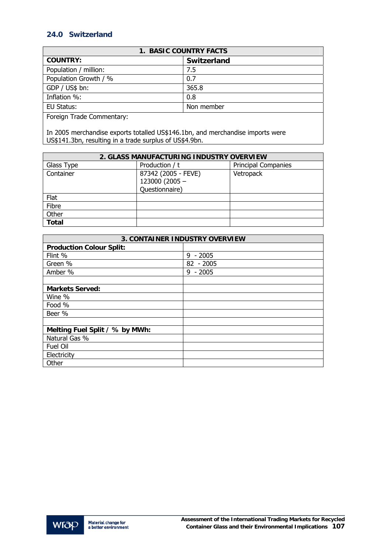# **24.0 Switzerland**

| <b>1. BASIC COUNTRY FACTS</b> |             |  |
|-------------------------------|-------------|--|
| <b>COUNTRY:</b>               | Switzerland |  |
| Population / million:         | 7.5         |  |
| Population Growth / %         | 0.7         |  |
| GDP / US\$ bn:                | 365.8       |  |
| Inflation %:                  | 0.8         |  |
| EU Status:                    | Non member  |  |
| Faraian Trade Cammantaru      |             |  |

Foreign Trade Commentary:

In 2005 merchandise exports totalled US\$146.1bn, and merchandise imports were US\$141.3bn, resulting in a trade surplus of US\$4.9bn.

| 2. GLASS MANUFACTURING INDUSTRY OVERVIEW |                     |                            |
|------------------------------------------|---------------------|----------------------------|
| Glass Type                               | Production / t      | <b>Principal Companies</b> |
| Container                                | 87342 (2005 - FEVE) | Vetropack                  |
|                                          | 123000 (2005 -      |                            |
|                                          | Questionnaire)      |                            |
| Flat                                     |                     |                            |
| Fibre                                    |                     |                            |
| Other                                    |                     |                            |
| <b>Total</b>                             |                     |                            |

| <b>3. CONTAINER INDUSTRY OVERVIEW</b> |             |  |
|---------------------------------------|-------------|--|
| <b>Production Colour Split:</b>       |             |  |
| Flint %                               | $9 - 2005$  |  |
| Green %                               | $82 - 2005$ |  |
| Amber %                               | $9 - 2005$  |  |
|                                       |             |  |
| <b>Markets Served:</b>                |             |  |
| Wine %                                |             |  |
| Food %                                |             |  |
| Beer %                                |             |  |
|                                       |             |  |
| Melting Fuel Split / % by MWh:        |             |  |
| Natural Gas %                         |             |  |
| Fuel Oil                              |             |  |
| Electricity                           |             |  |
| Other                                 |             |  |

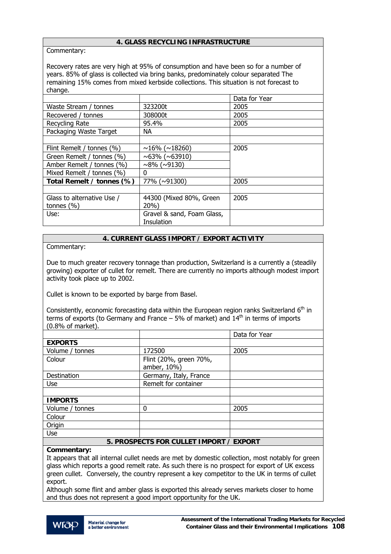## **4. GLASS RECYCLING INFRASTRUCTURE**

Commentary:

Recovery rates are very high at 95% of consumption and have been so for a number of years. 85% of glass is collected via bring banks, predominately colour separated The remaining 15% comes from mixed kerbside collections. This situation is not forecast to change.

|                            |                            | Data for Year |
|----------------------------|----------------------------|---------------|
| Waste Stream / tonnes      | 323200t                    | 2005          |
| Recovered / tonnes         | 308000t                    | 2005          |
| Recycling Rate             | 95.4%                      | 2005          |
| Packaging Waste Target     | NA.                        |               |
|                            |                            |               |
| Flint Remelt / tonnes (%)  | $\sim$ 16% ( $\sim$ 18260) | 2005          |
| Green Remelt / tonnes (%)  | $~100$ ( $~100$ )          |               |
| Amber Remelt / tonnes (%)  | $~100$ ( $~130$ )          |               |
| Mixed Remelt / tonnes (%)  | 0                          |               |
| Total Remelt / tonnes (%)  | 77% (~91300)               | 2005          |
|                            |                            |               |
| Glass to alternative Use / | 44300 (Mixed 80%, Green    | 2005          |
| tonnes $(\% )$             | $20%$ )                    |               |
| Use:                       | Gravel & sand, Foam Glass, |               |
|                            | Insulation                 |               |

## **4. CURRENT GLASS IMPORT / EXPORT ACTIVITY**

Commentary:

Due to much greater recovery tonnage than production, Switzerland is a currently a (steadily growing) exporter of cullet for remelt. There are currently no imports although modest import activity took place up to 2002.

Cullet is known to be exported by barge from Basel.

Consistently, economic forecasting data within the European region ranks Switzerland  $6<sup>th</sup>$  in terms of exports (to Germany and France  $-5\%$  of market) and  $14<sup>th</sup>$  in terms of imports (0.8% of market).

|                                         |                                       | Data for Year |
|-----------------------------------------|---------------------------------------|---------------|
| <b>EXPORTS</b>                          |                                       |               |
| Volume / tonnes                         | 172500                                | 2005          |
| Colour                                  | Flint (20%, green 70%,<br>amber, 10%) |               |
| Destination                             | Germany, Italy, France                |               |
| <b>Use</b>                              | Remelt for container                  |               |
|                                         |                                       |               |
| <b>IMPORTS</b>                          |                                       |               |
| Volume / tonnes                         | 0                                     | 2005          |
| Colour                                  |                                       |               |
| Origin                                  |                                       |               |
| <b>Use</b>                              |                                       |               |
| 5. PROSPECTS FOR CULLET IMPORT / EXPORT |                                       |               |

#### **Commentary:**

It appears that all internal cullet needs are met by domestic collection, most notably for green glass which reports a good remelt rate. As such there is no prospect for export of UK excess green cullet. Conversely, the country represent a key competitor to the UK in terms of cullet export.

Although some flint and amber glass is exported this already serves markets closer to home and thus does not represent a good import opportunity for the UK.

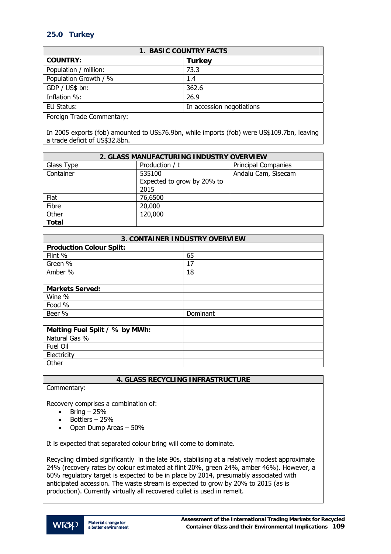# **25.0 Turkey**

| <b>1. BASIC COUNTRY FACTS</b> |                           |  |
|-------------------------------|---------------------------|--|
| <b>COUNTRY:</b>               | <b>Turkey</b>             |  |
| Population / million:         | 73.3                      |  |
| Population Growth / %         | 1.4                       |  |
| GDP / US\$ bn:                | 362.6                     |  |
| Inflation %:                  | 26.9                      |  |
| EU Status:                    | In accession negotiations |  |
| F · <b>F</b> I <b>C</b> I     |                           |  |

Foreign Trade Commentary:

In 2005 exports (fob) amounted to US\$76.9bn, while imports (fob) were US\$109.7bn, leaving a trade deficit of US\$32.8bn.

| 2. GLASS MANUFACTURING INDUSTRY OVERVIEW |                            |                            |
|------------------------------------------|----------------------------|----------------------------|
| Glass Type                               | Production / t             | <b>Principal Companies</b> |
| Container                                | 535100                     | Andalu Cam, Sisecam        |
|                                          | Expected to grow by 20% to |                            |
|                                          | 2015                       |                            |
| Flat                                     | 76,6500                    |                            |
| Fibre                                    | 20,000                     |                            |
| Other                                    | 120,000                    |                            |
| <b>Total</b>                             |                            |                            |

| <b>3. CONTAINER INDUSTRY OVERVIEW</b> |          |  |
|---------------------------------------|----------|--|
| <b>Production Colour Split:</b>       |          |  |
| Flint %                               | 65       |  |
| Green %                               | 17       |  |
| Amber %                               | 18       |  |
|                                       |          |  |
| <b>Markets Served:</b>                |          |  |
| Wine %                                |          |  |
| Food %                                |          |  |
| Beer %                                | Dominant |  |
|                                       |          |  |
| Melting Fuel Split / % by MWh:        |          |  |
| Natural Gas %                         |          |  |
| Fuel Oil                              |          |  |
| Electricity                           |          |  |
| Other                                 |          |  |

## **4. GLASS RECYCLING INFRASTRUCTURE**

```
Commentary:
```
Recovery comprises a combination of:

- $\bullet$  Bring 25%
- Bottlers 25%
- Open Dump Areas 50%

It is expected that separated colour bring will come to dominate.

Recycling climbed significantly in the late 90s, stabilising at a relatively modest approximate 24% (recovery rates by colour estimated at flint 20%, green 24%, amber 46%). However, a 60% regulatory target is expected to be in place by 2014, presumably associated with anticipated accession. The waste stream is expected to grow by 20% to 2015 (as is production). Currently virtually all recovered cullet is used in remelt.

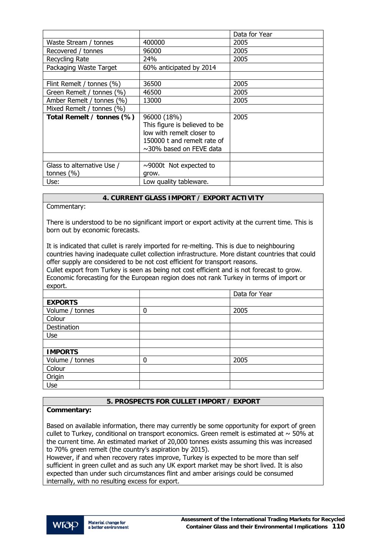|                            |                               | Data for Year |
|----------------------------|-------------------------------|---------------|
| Waste Stream / tonnes      | 400000                        | 2005          |
| Recovered / tonnes         | 96000                         | 2005          |
| Recycling Rate             | 24%                           | 2005          |
| Packaging Waste Target     | 60% anticipated by 2014       |               |
|                            |                               |               |
| Flint Remelt / tonnes (%)  | 36500                         | 2005          |
| Green Remelt / tonnes (%)  | 46500                         | 2005          |
| Amber Remelt / tonnes (%)  | 13000                         | 2005          |
| Mixed Remelt / tonnes (%)  |                               |               |
| Total Remelt / tonnes (%)  | 96000 (18%)                   | 2005          |
|                            | This figure is believed to be |               |
|                            | low with remelt closer to     |               |
|                            | 150000 t and remelt rate of   |               |
|                            | $\sim$ 30% based on FEVE data |               |
|                            |                               |               |
| Glass to alternative Use / | $\sim$ 9000t Not expected to  |               |
| tonnes $(\% )$             | grow.                         |               |
| Use:                       | Low quality tableware.        |               |

## **4. CURRENT GLASS IMPORT / EXPORT ACTIVITY**

Commentary:

There is understood to be no significant import or export activity at the current time. This is born out by economic forecasts.

It is indicated that cullet is rarely imported for re-melting. This is due to neighbouring countries having inadequate cullet collection infrastructure. More distant countries that could offer supply are considered to be not cost efficient for transport reasons. Cullet export from Turkey is seen as being not cost efficient and is not forecast to grow.

Economic forecasting for the European region does not rank Turkey in terms of import or export. **Data for Year Properties and Contract Contract of the United States of the United States of the United States of the United States of the United States of the United States of the United States of the United States of t** 

|                 |   | Dala for fear |
|-----------------|---|---------------|
| <b>EXPORTS</b>  |   |               |
| Volume / tonnes | 0 | 2005          |
| Colour          |   |               |
| Destination     |   |               |
| Use             |   |               |
|                 |   |               |
| <b>IMPORTS</b>  |   |               |
| Volume / tonnes | 0 | 2005          |
| Colour          |   |               |
| Origin          |   |               |
| Use             |   |               |

## **5. PROSPECTS FOR CULLET IMPORT / EXPORT**

## **Commentary:**

Based on available information, there may currently be some opportunity for export of green cullet to Turkey, conditional on transport economics. Green remelt is estimated at  $\sim$  50% at the current time. An estimated market of 20,000 tonnes exists assuming this was increased to 70% green remelt (the country's aspiration by 2015).

However, if and when recovery rates improve, Turkey is expected to be more than self sufficient in green cullet and as such any UK export market may be short lived. It is also expected than under such circumstances flint and amber arisings could be consumed internally, with no resulting excess for export.

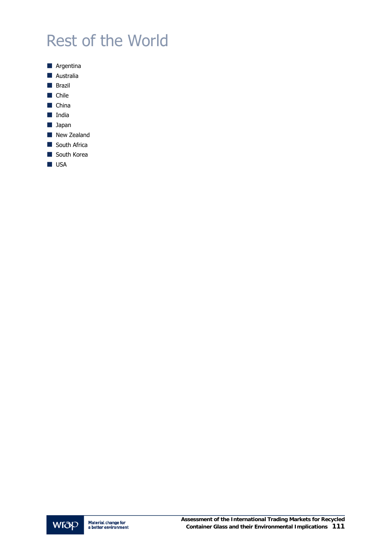# Rest of the World



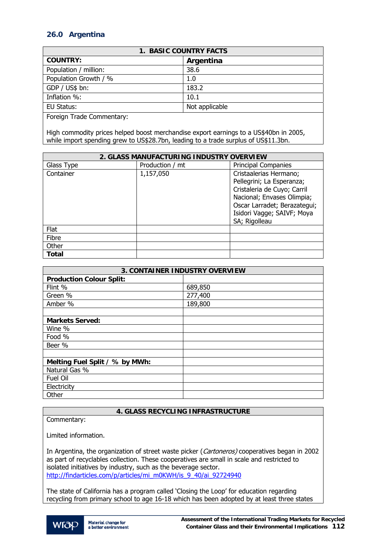# **26.0 Argentina**

| <b>1. BASIC COUNTRY FACTS</b>  |                |  |
|--------------------------------|----------------|--|
| <b>COUNTRY:</b>                | Argentina      |  |
| Population / million:          | 38.6           |  |
| Population Growth / %          | 1.0            |  |
| GDP / US\$ bn:                 | 183.2          |  |
| Inflation %:                   | 10.1           |  |
| EU Status:                     | Not applicable |  |
| $\sim$ $\sim$<br>$\sim$<br>. . |                |  |

Foreign Trade Commentary:

High commodity prices helped boost merchandise export earnings to a US\$40bn in 2005, while import spending grew to US\$28.7bn, leading to a trade surplus of US\$11.3bn.

| 2. GLASS MANUFACTURING INDUSTRY OVERVIEW |                 |                                                                                                                                                                                                 |
|------------------------------------------|-----------------|-------------------------------------------------------------------------------------------------------------------------------------------------------------------------------------------------|
| Glass Type                               | Production / mt | <b>Principal Companies</b>                                                                                                                                                                      |
| Container                                | 1,157,050       | Cristaalerias Hermano;<br>Pellegrini; La Esperanza;<br>Cristaleria de Cuyo; Carril<br>Nacional; Envases Olimpia;<br>Oscar Larradet; Berazategui;<br>Isidori Vagge; SAIVF; Moya<br>SA; Rigolleau |
| Flat                                     |                 |                                                                                                                                                                                                 |
| Fibre                                    |                 |                                                                                                                                                                                                 |
| Other                                    |                 |                                                                                                                                                                                                 |
| <b>Total</b>                             |                 |                                                                                                                                                                                                 |

| <b>3. CONTAINER INDUSTRY OVERVIEW</b> |         |  |
|---------------------------------------|---------|--|
| <b>Production Colour Split:</b>       |         |  |
| Flint %                               | 689,850 |  |
| Green %                               | 277,400 |  |
| Amber %                               | 189,800 |  |
|                                       |         |  |
| <b>Markets Served:</b>                |         |  |
| Wine %                                |         |  |
| Food %                                |         |  |
| Beer %                                |         |  |
|                                       |         |  |
| Melting Fuel Split / % by MWh:        |         |  |
| Natural Gas %                         |         |  |
| Fuel Oil                              |         |  |
| Electricity                           |         |  |
| Other                                 |         |  |

## **4. GLASS RECYCLING INFRASTRUCTURE**

Commentary:

Limited information.

In Argentina, the organization of street waste picker (Cartoneros) cooperatives began in 2002 as part of recyclables collection. These cooperatives are small in scale and restricted to isolated initiatives by industry, such as the beverage sector. [http://findarticles.com/p/articles/mi\\_m0KWH/is\\_9\\_40/ai\\_92724940](http://findarticles.com/p/articles/mi_m0KWH/is_9_40/ai_92724940)

The state of California has a program called 'Closing the Loop' for education regarding recycling from primary school to age 16-18 which has been adopted by at least three states

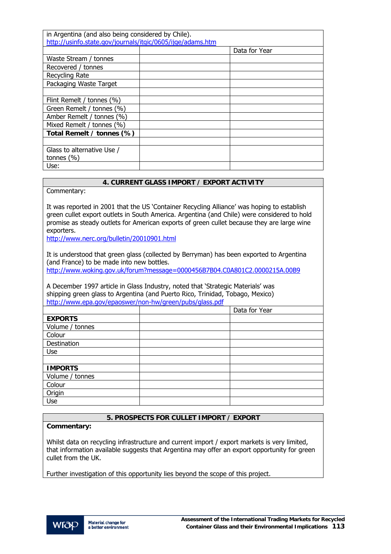| in Argentina (and also being considered by Chile).         |  |               |
|------------------------------------------------------------|--|---------------|
| http://usinfo.state.gov/journals/itgic/0605/ijge/adams.htm |  |               |
|                                                            |  | Data for Year |
| Waste Stream / tonnes                                      |  |               |
| Recovered / tonnes                                         |  |               |
| Recycling Rate                                             |  |               |
| Packaging Waste Target                                     |  |               |
|                                                            |  |               |
| Flint Remelt / tonnes (%)                                  |  |               |
| Green Remelt / tonnes (%)                                  |  |               |
| Amber Remelt / tonnes (%)                                  |  |               |
| Mixed Remelt / tonnes (%)                                  |  |               |
| Total Remelt / tonnes (%)                                  |  |               |
|                                                            |  |               |
| Glass to alternative Use /                                 |  |               |
| tonnes $(\% )$                                             |  |               |
| Use:                                                       |  |               |

## **4. CURRENT GLASS IMPORT / EXPORT ACTIVITY**

Commentary:

It was reported in 2001 that the US 'Container Recycling Alliance' was hoping to establish green cullet export outlets in South America. Argentina (and Chile) were considered to hold promise as steady outlets for American exports of green cullet because they are large wine exporters.

<http://www.nerc.org/bulletin/20010901.html>

It is understood that green glass (collected by Berryman) has been exported to Argentina (and France) to be made into new bottles. <http://www.woking.gov.uk/forum?message=0000456B7B04.C0A801C2.0000215A.00B9>

A December 1997 article in Glass Industry, noted that 'Strategic Materials' was shipping green glass to Argentina (and Puerto Rico, Trinidad, Tobago, Mexico) <http://www.epa.gov/epaoswer/non-hw/green/pubs/glass.pdf>

|                 | Data for Year |
|-----------------|---------------|
| <b>EXPORTS</b>  |               |
| Volume / tonnes |               |
| Colour          |               |
| Destination     |               |
| Use             |               |
|                 |               |
| <b>IMPORTS</b>  |               |
| Volume / tonnes |               |
| Colour          |               |
| Origin          |               |
| Use             |               |

## **5. PROSPECTS FOR CULLET IMPORT / EXPORT**

**Commentary:** 

Whilst data on recycling infrastructure and current import / export markets is very limited, that information available suggests that Argentina may offer an export opportunity for green cullet from the UK.

Further investigation of this opportunity lies beyond the scope of this project.

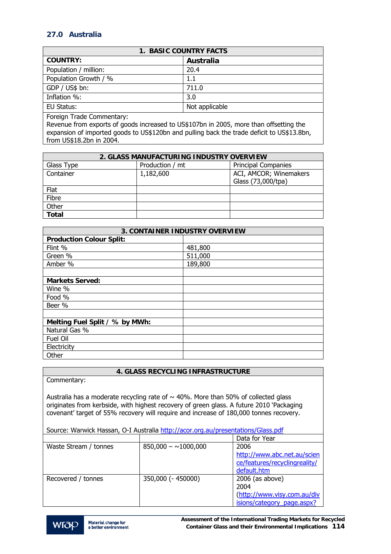# **27.0 Australia**

| <b>1. BASIC COUNTRY FACTS</b> |                |
|-------------------------------|----------------|
| <b>COUNTRY:</b>               | Australia      |
| Population / million:         | 20.4           |
| Population Growth / %         | 1.1            |
| GDP / US\$ bn:                | 711.0          |
| Inflation %:                  | 3.0            |
| EU Status:                    | Not applicable |
|                               |                |

Foreign Trade Commentary:

Revenue from exports of goods increased to US\$107bn in 2005, more than offsetting the expansion of imported goods to US\$120bn and pulling back the trade deficit to US\$13.8bn, from US\$18.2bn in 2004.

| 2. GLASS MANUFACTURING INDUSTRY OVERVIEW |                 |                            |
|------------------------------------------|-----------------|----------------------------|
| Glass Type                               | Production / mt | <b>Principal Companies</b> |
| Container                                | 1,182,600       | ACI, AMCOR; Winemakers     |
|                                          |                 | Glass (73,000/tpa)         |
| Flat                                     |                 |                            |
| Fibre                                    |                 |                            |
| Other                                    |                 |                            |
| <b>Total</b>                             |                 |                            |

| <b>3. CONTAINER INDUSTRY OVERVIEW</b> |         |  |
|---------------------------------------|---------|--|
| <b>Production Colour Split:</b>       |         |  |
| Flint %                               | 481,800 |  |
| Green %                               | 511,000 |  |
| Amber %                               | 189,800 |  |
|                                       |         |  |
| <b>Markets Served:</b>                |         |  |
| Wine %                                |         |  |
| Food %                                |         |  |
| Beer %                                |         |  |
|                                       |         |  |
| Melting Fuel Split / % by MWh:        |         |  |
| Natural Gas %                         |         |  |
| Fuel Oil                              |         |  |
| Electricity                           |         |  |
| Other                                 |         |  |

# **4. GLASS RECYCLING INFRASTRUCTURE**

|                                                                                                                                                                                                                                                                               | 4. GLASS RECYCLING INFRASTRUCTURE |                               |
|-------------------------------------------------------------------------------------------------------------------------------------------------------------------------------------------------------------------------------------------------------------------------------|-----------------------------------|-------------------------------|
| Commentary:                                                                                                                                                                                                                                                                   |                                   |                               |
| Australia has a moderate recycling rate of $\sim$ 40%. More than 50% of collected glass<br>originates from kerbside, with highest recovery of green glass. A future 2010 'Packaging<br>covenant' target of 55% recovery will require and increase of 180,000 tonnes recovery. |                                   |                               |
| Source: Warwick Hassan, O-I Australia http://acor.org.au/presentations/Glass.pdf                                                                                                                                                                                              |                                   |                               |
|                                                                                                                                                                                                                                                                               |                                   | Data for Year                 |
| Waste Stream / tonnes                                                                                                                                                                                                                                                         | $850,000 - 1000,000$              | 2006                          |
|                                                                                                                                                                                                                                                                               |                                   | http://www.abc.net.au/scien   |
|                                                                                                                                                                                                                                                                               |                                   | ce/features/recyclingreality/ |
|                                                                                                                                                                                                                                                                               |                                   | default.htm                   |

Recovered / tonnes 350,000 (- 450000) 2006 (as above)



(http://www.visy.com.au/div isions/category\_page.aspx?

2004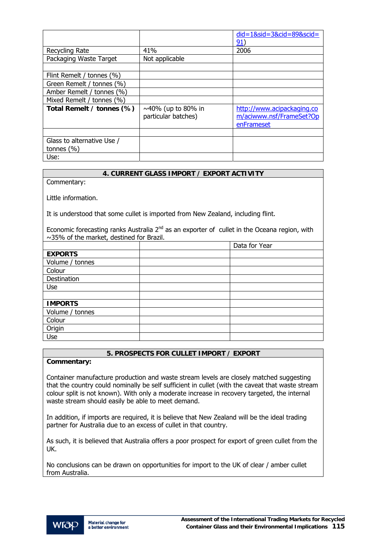|                            |                          | $did = 18$ sid = 38cid = 898scid =<br>91) |
|----------------------------|--------------------------|-------------------------------------------|
| Recycling Rate             | 41%                      | 2006                                      |
| Packaging Waste Target     | Not applicable           |                                           |
|                            |                          |                                           |
| Flint Remelt / tonnes (%)  |                          |                                           |
| Green Remelt / tonnes (%)  |                          |                                           |
| Amber Remelt / tonnes (%)  |                          |                                           |
| Mixed Remelt / tonnes (%)  |                          |                                           |
| Total Remelt / tonnes (%)  | $\sim$ 40% (up to 80% in | http://www.acipackaging.co                |
|                            | particular batches)      | m/aciwww.nsf/FrameSet?Op                  |
|                            |                          | enFrameset                                |
|                            |                          |                                           |
| Glass to alternative Use / |                          |                                           |
| tonnes $(\% )$             |                          |                                           |
| Use:                       |                          |                                           |

## **4. CURRENT GLASS IMPORT / EXPORT ACTIVITY**

Commentary:

Little information.

It is understood that some cullet is imported from New Zealand, including flint.

Economic forecasting ranks Australia  $2^{nd}$  as an exporter of cullet in the Oceana region, with  $\sim$ 35% of the market, destined for Brazil.

|                 | Data for Year |
|-----------------|---------------|
| <b>EXPORTS</b>  |               |
| Volume / tonnes |               |
| Colour          |               |
| Destination     |               |
| Use             |               |
|                 |               |
| <b>IMPORTS</b>  |               |
| Volume / tonnes |               |
| Colour          |               |
| Origin          |               |
| Use             |               |

## **5. PROSPECTS FOR CULLET IMPORT / EXPORT**

## **Commentary:**

Container manufacture production and waste stream levels are closely matched suggesting that the country could nominally be self sufficient in cullet (with the caveat that waste stream colour split is not known). With only a moderate increase in recovery targeted, the internal waste stream should easily be able to meet demand.

In addition, if imports are required, it is believe that New Zealand will be the ideal trading partner for Australia due to an excess of cullet in that country.

As such, it is believed that Australia offers a poor prospect for export of green cullet from the UK.

No conclusions can be drawn on opportunities for import to the UK of clear / amber cullet from Australia.

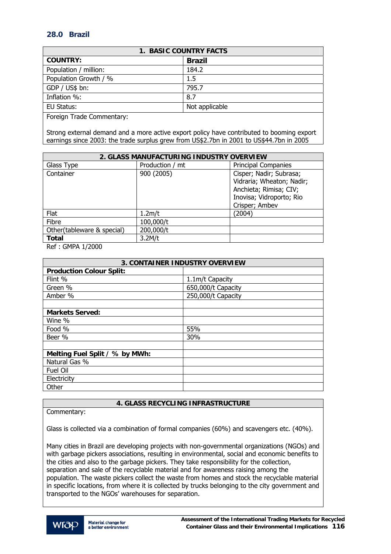# **28.0 Brazil**

| <b>1. BASIC COUNTRY FACTS</b> |                |  |
|-------------------------------|----------------|--|
| <b>COUNTRY:</b>               | <b>Brazil</b>  |  |
| Population / million:         | 184.2          |  |
| Population Growth / %         | $1.5\,$        |  |
| GDP / US\$ bn:                | 795.7          |  |
| Inflation %:                  | 8.7            |  |
| EU Status:                    | Not applicable |  |
| _ _ _                         |                |  |

Foreign Trade Commentary:

Strong external demand and a more active export policy have contributed to booming export earnings since 2003: the trade surplus grew from US\$2.7bn in 2001 to US\$44.7bn in 2005

| 2. GLASS MANUFACTURING INDUSTRY OVERVIEW |                 |                                                                                                                              |
|------------------------------------------|-----------------|------------------------------------------------------------------------------------------------------------------------------|
| Glass Type                               | Production / mt | <b>Principal Companies</b>                                                                                                   |
| Container                                | 900 (2005)      | Cisper; Nadir; Subrasa;<br>Vidraria; Wheaton; Nadir;<br>Anchieta; Rimisa; CIV;<br>Inovisa; Vidroporto; Rio<br>Crisper; Ambev |
| Flat                                     | 1.2m/t          | (2004)                                                                                                                       |
| Fibre                                    | 100,000/t       |                                                                                                                              |
| Other(tableware & special)               | 200,000/t       |                                                                                                                              |
| <b>Total</b>                             | 3.2M/t          |                                                                                                                              |

Ref : GMPA 1/2000

| <b>3. CONTAINER INDUSTRY OVERVIEW</b> |                    |  |
|---------------------------------------|--------------------|--|
| <b>Production Colour Split:</b>       |                    |  |
| Flint %                               | 1.1m/t Capacity    |  |
| Green %                               | 650,000/t Capacity |  |
| Amber %                               | 250,000/t Capacity |  |
|                                       |                    |  |
| <b>Markets Served:</b>                |                    |  |
| Wine %                                |                    |  |
| Food %                                | 55%                |  |
| Beer %                                | 30%                |  |
|                                       |                    |  |
| Melting Fuel Split / % by MWh:        |                    |  |
| Natural Gas %                         |                    |  |
| Fuel Oil                              |                    |  |
| Electricity                           |                    |  |
| Other                                 |                    |  |

## **4. GLASS RECYCLING INFRASTRUCTURE**

Commentary:

Glass is collected via a combination of formal companies (60%) and scavengers etc. (40%).

Many cities in Brazil are developing projects with non-governmental organizations (NGOs) and with garbage pickers associations, resulting in environmental, social and economic benefits to the cities and also to the garbage pickers. They take responsibility for the collection, separation and sale of the recyclable material and for awareness raising among the population. The waste pickers collect the waste from homes and stock the recyclable material in specific locations, from where it is collected by trucks belonging to the city government and transported to the NGOs' warehouses for separation.

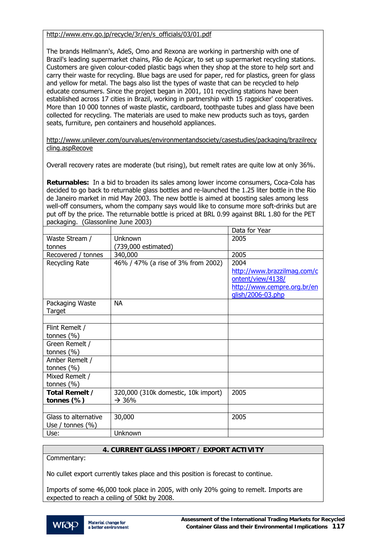## [http://www.env.go.jp/recycle/3r/en/s\\_officials/03/01.pdf](http://www.env.go.jp/recycle/3r/en/s_officials/03/01.pdf)

The brands Hellmann's, AdeS, Omo and Rexona are working in partnership with one of Brazil's leading supermarket chains, Pão de Açúcar, to set up supermarket recycling stations. Customers are given colour-coded plastic bags when they shop at the store to help sort and carry their waste for recycling. Blue bags are used for paper, red for plastics, green for glass and yellow for metal. The bags also list the types of waste that can be recycled to help educate consumers. Since the project began in 2001, 101 recycling stations have been established across 17 cities in Brazil, working in partnership with 15 ragpicker' cooperatives. More than 10 000 tonnes of waste plastic, cardboard, toothpaste tubes and glass have been collected for recycling. The materials are used to make new products such as toys, garden seats, furniture, pen containers and household appliances.

[http://www.unilever.com/ourvalues/environmentandsociety/casestudies/packaging/brazilrecy](http://www.unilever.com/ourvalues/environmentandsociety/casestudies/packaging/brazilrecycling.aspRecove) [cling.aspRecove](http://www.unilever.com/ourvalues/environmentandsociety/casestudies/packaging/brazilrecycling.aspRecove)

Overall recovery rates are moderate (but rising), but remelt rates are quite low at only 36%.

**Returnables:** In a bid to broaden its sales among lower income consumers, Coca-Cola has decided to go back to returnable glass bottles and re-launched the 1.25 liter bottle in the Rio de Janeiro market in mid May 2003. The new bottle is aimed at boosting sales among less well-off consumers, whom the company says would like to consume more soft-drinks but are put off by the price. The returnable bottle is priced at BRL 0.99 against BRL 1.80 for the PET packaging. (Glassonline June 2003)

|                      |                                     | Data for Year               |
|----------------------|-------------------------------------|-----------------------------|
| Waste Stream /       | Unknown                             | 2005                        |
| tonnes               | (739,000 estimated)                 |                             |
| Recovered / tonnes   | 340,000                             | 2005                        |
| Recycling Rate       | 46% / 47% (a rise of 3% from 2002)  | 2004                        |
|                      |                                     | http://www.brazzilmag.com/c |
|                      |                                     | ontent/view/4138/           |
|                      |                                     | http://www.cempre.org.br/en |
|                      |                                     | glish/2006-03.php           |
| Packaging Waste      | <b>NA</b>                           |                             |
| Target               |                                     |                             |
|                      |                                     |                             |
| Flint Remelt /       |                                     |                             |
| tonnes $(\% )$       |                                     |                             |
| Green Remelt /       |                                     |                             |
| tonnes $(\% )$       |                                     |                             |
| Amber Remelt /       |                                     |                             |
| tonnes $(\% )$       |                                     |                             |
| Mixed Remelt /       |                                     |                             |
| tonnes $(\% )$       |                                     |                             |
| Total Remelt /       | 320,000 (310k domestic, 10k import) | 2005                        |
| tonnes $(\%)$        | $\rightarrow$ 36%                   |                             |
|                      |                                     |                             |
| Glass to alternative | 30,000                              | 2005                        |
| Use / tonnes $(\% )$ |                                     |                             |
| Use:                 | Unknown                             |                             |

## **4. CURRENT GLASS IMPORT / EXPORT ACTIVITY**

Commentary:

No cullet export currently takes place and this position is forecast to continue.

Imports of some 46,000 took place in 2005, with only 20% going to remelt. Imports are expected to reach a ceiling of 50kt by 2008.

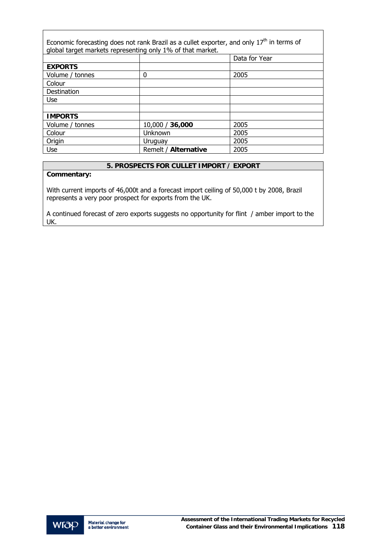| Economic forecasting does not rank Brazil as a cullet exporter, and only $17th$ in terms of<br>global target markets representing only 1% of that market. |                      |               |  |
|-----------------------------------------------------------------------------------------------------------------------------------------------------------|----------------------|---------------|--|
|                                                                                                                                                           |                      | Data for Year |  |
| <b>EXPORTS</b>                                                                                                                                            |                      |               |  |
| Volume / tonnes                                                                                                                                           | 0                    | 2005          |  |
| Colour                                                                                                                                                    |                      |               |  |
| Destination                                                                                                                                               |                      |               |  |
| Use                                                                                                                                                       |                      |               |  |
|                                                                                                                                                           |                      |               |  |
| <b>IMPORTS</b>                                                                                                                                            |                      |               |  |
| Volume / tonnes                                                                                                                                           | 10,000 / 36,000      | 2005          |  |
| Colour                                                                                                                                                    | Unknown              | 2005          |  |
| Origin                                                                                                                                                    | Uruguay              | 2005          |  |
| Use                                                                                                                                                       | Remelt / Alternative | 2005          |  |

## **5. PROSPECTS FOR CULLET IMPORT / EXPORT**

## **Commentary:**

 $\overline{1}$ 

With current imports of 46,000t and a forecast import ceiling of 50,000 t by 2008, Brazil represents a very poor prospect for exports from the UK.

A continued forecast of zero exports suggests no opportunity for flint / amber import to the UK.

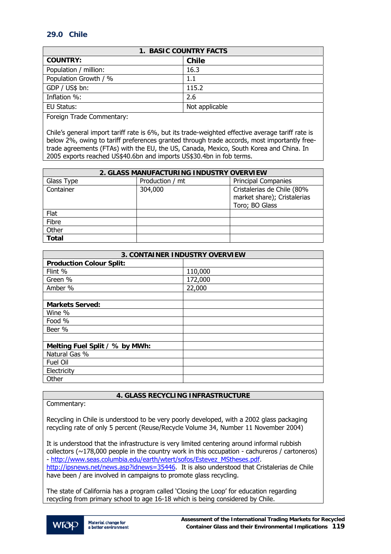# **29.0 Chile**

| <b>1. BASIC COUNTRY FACTS</b> |                |  |
|-------------------------------|----------------|--|
| <b>COUNTRY:</b>               | <b>Chile</b>   |  |
| Population / million:         | 16.3           |  |
| Population Growth / %         | 1.1            |  |
| GDP / US\$ bn:                | 115.2          |  |
| Inflation %:                  | 2.6            |  |
| EU Status:                    | Not applicable |  |

Foreign Trade Commentary:

Chile's general import tariff rate is 6%, but its trade-weighted effective average tariff rate is below 2%, owing to tariff preferences granted through trade accords, most importantly freetrade agreements (FTAs) with the EU, the US, Canada, Mexico, South Korea and China. In 2005 exports reached US\$40.6bn and imports US\$30.4bn in fob terms.

| 2. GLASS MANUFACTURING INDUSTRY OVERVIEW |                 |                                                                             |  |
|------------------------------------------|-----------------|-----------------------------------------------------------------------------|--|
| Glass Type                               | Production / mt | <b>Principal Companies</b>                                                  |  |
| Container                                | 304,000         | Cristalerias de Chile (80%<br>market share); Cristalerias<br>Toro; BO Glass |  |
| Flat                                     |                 |                                                                             |  |
| Fibre                                    |                 |                                                                             |  |
| Other                                    |                 |                                                                             |  |
| <b>Total</b>                             |                 |                                                                             |  |

| <b>3. CONTAINER INDUSTRY OVERVIEW</b> |         |  |
|---------------------------------------|---------|--|
| <b>Production Colour Split:</b>       |         |  |
| Flint %                               | 110,000 |  |
| Green %                               | 172,000 |  |
| Amber %                               | 22,000  |  |
|                                       |         |  |
| <b>Markets Served:</b>                |         |  |
| Wine %                                |         |  |
| Food %                                |         |  |
| Beer %                                |         |  |
|                                       |         |  |
| Melting Fuel Split / % by MWh:        |         |  |
| Natural Gas %                         |         |  |
| Fuel Oil                              |         |  |
| Electricity                           |         |  |
| Other                                 |         |  |

## **4. GLASS RECYCLING INFRASTRUCTURE**

Commentary:

Recycling in Chile is understood to be very poorly developed, with a 2002 glass packaging recycling rate of only 5 percent (Reuse/Recycle Volume 34, Number 11 November 2004)

It is understood that the infrastructure is very limited centering around informal rubbish collectors ( $\sim$ 178,000 people in the country work in this occupation - cachureros / cartoneros) - [http://www.seas.columbia.edu/earth/wtert/sofos/Estevez\\_MStheses.pdf](http://www.seas.columbia.edu/earth/wtert/sofos/Estevez_MStheses.pdf). [http://ipsnews.net/news.asp?idnews=35446.](http://ipsnews.net/news.asp?idnews=35446) It is also understood that Cristalerias de Chile have been / are involved in campaigns to promote glass recycling.

The state of California has a program called 'Closing the Loop' for education regarding recycling from primary school to age 16-18 which is being considered by Chile.

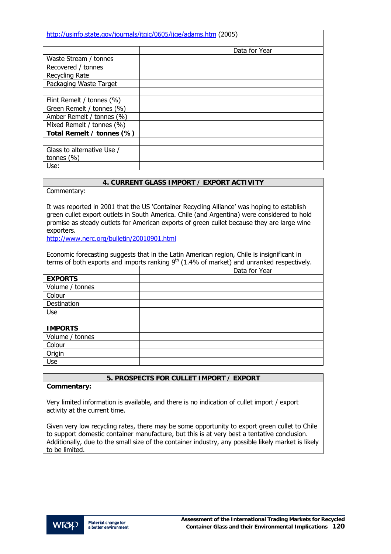| http://usinfo.state.gov/journals/itgic/0605/ijge/adams.htm (2005) |  |               |
|-------------------------------------------------------------------|--|---------------|
|                                                                   |  | Data for Year |
| Waste Stream / tonnes                                             |  |               |
| Recovered / tonnes                                                |  |               |
| Recycling Rate                                                    |  |               |
| Packaging Waste Target                                            |  |               |
|                                                                   |  |               |
| Flint Remelt / tonnes (%)                                         |  |               |
| Green Remelt / tonnes (%)                                         |  |               |
| Amber Remelt / tonnes (%)                                         |  |               |
| Mixed Remelt / tonnes (%)                                         |  |               |
| Total Remelt / tonnes (%)                                         |  |               |
|                                                                   |  |               |
| Glass to alternative Use /                                        |  |               |
| tonnes $(\% )$                                                    |  |               |
| Use:                                                              |  |               |

## **4. CURRENT GLASS IMPORT / EXPORT ACTIVITY**

Commentary:

It was reported in 2001 that the US 'Container Recycling Alliance' was hoping to establish green cullet export outlets in South America. Chile (and Argentina) were considered to hold promise as steady outlets for American exports of green cullet because they are large wine exporters.

<http://www.nerc.org/bulletin/20010901.html>

Economic forecasting suggests that in the Latin American region, Chile is insignificant in terms of both exports and imports ranking  $9<sup>th</sup>$  (1.4% of market) and unranked respectively.

|                 | Data for Year |
|-----------------|---------------|
| <b>EXPORTS</b>  |               |
| Volume / tonnes |               |
| Colour          |               |
| Destination     |               |
| Use             |               |
|                 |               |
| <b>IMPORTS</b>  |               |
| Volume / tonnes |               |
| Colour          |               |
| Origin          |               |
| Use             |               |

## **5. PROSPECTS FOR CULLET IMPORT / EXPORT**

#### **Commentary:**

Very limited information is available, and there is no indication of cullet import / export activity at the current time.

Given very low recycling rates, there may be some opportunity to export green cullet to Chile to support domestic container manufacture, but this is at very best a tentative conclusion. Additionally, due to the small size of the container industry, any possible likely market is likely to be limited.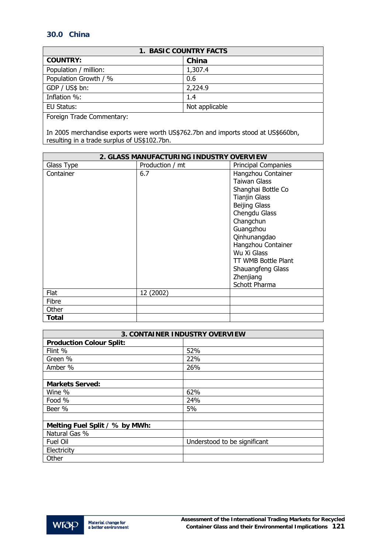# **30.0 China**

| <b>1. BASIC COUNTRY FACTS</b> |                |  |
|-------------------------------|----------------|--|
| <b>COUNTRY:</b>               | China          |  |
| Population / million:         | 1,307.4        |  |
| Population Growth / %         | 0.6            |  |
| GDP / US\$ bn:                | 2,224.9        |  |
| Inflation %:                  | 1.4            |  |
| EU Status:                    | Not applicable |  |
| Eoreian Trade Commentary      |                |  |

Foreign Trade Commentary:

In 2005 merchandise exports were worth US\$762.7bn and imports stood at US\$660bn, resulting in a trade surplus of US\$102.7bn.

| 2. GLASS MANUFACTURING INDUSTRY OVERVIEW |                 |                            |
|------------------------------------------|-----------------|----------------------------|
| Glass Type                               | Production / mt | <b>Principal Companies</b> |
| Container                                | 6.7             | Hangzhou Container         |
|                                          |                 | Taiwan Glass               |
|                                          |                 | Shanghai Bottle Co         |
|                                          |                 | <b>Tianjin Glass</b>       |
|                                          |                 | <b>Beijing Glass</b>       |
|                                          |                 | Chengdu Glass              |
|                                          |                 | Changchun                  |
|                                          |                 | Guangzhou                  |
|                                          |                 | Qinhunangdao               |
|                                          |                 | Hangzhou Container         |
|                                          |                 | Wu Xi Glass                |
|                                          |                 | TT WMB Bottle Plant        |
|                                          |                 | Shauangfeng Glass          |
|                                          |                 | Zhenjiang                  |
|                                          |                 | Schott Pharma              |
| Flat                                     | 12 (2002)       |                            |
| Fibre                                    |                 |                            |
| Other                                    |                 |                            |
| Total                                    |                 |                            |

| <b>3. CONTAINER INDUSTRY OVERVIEW</b> |                              |  |
|---------------------------------------|------------------------------|--|
| <b>Production Colour Split:</b>       |                              |  |
| Flint %                               | 52%                          |  |
| Green %                               | 22%                          |  |
| Amber %                               | 26%                          |  |
|                                       |                              |  |
| <b>Markets Served:</b>                |                              |  |
| Wine %                                | 62%                          |  |
| Food %                                | 24%                          |  |
| Beer %                                | 5%                           |  |
|                                       |                              |  |
| Melting Fuel Split / % by MWh:        |                              |  |
| Natural Gas %                         |                              |  |
| Fuel Oil                              | Understood to be significant |  |
| Electricity                           |                              |  |
| Other                                 |                              |  |

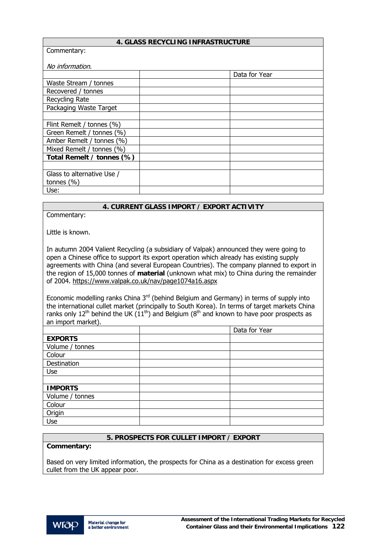| 4. GLASS RECYCLING INFRASTRUCTURE |
|-----------------------------------|
|-----------------------------------|

| Commentary:                |  |               |  |
|----------------------------|--|---------------|--|
| No information.            |  |               |  |
|                            |  | Data for Year |  |
| Waste Stream / tonnes      |  |               |  |
| Recovered / tonnes         |  |               |  |
| Recycling Rate             |  |               |  |
| Packaging Waste Target     |  |               |  |
|                            |  |               |  |
| Flint Remelt / tonnes (%)  |  |               |  |
| Green Remelt / tonnes (%)  |  |               |  |
| Amber Remelt / tonnes (%)  |  |               |  |
| Mixed Remelt / tonnes (%)  |  |               |  |
| Total Remelt / tonnes (%)  |  |               |  |
|                            |  |               |  |
| Glass to alternative Use / |  |               |  |
| tonnes $(\% )$             |  |               |  |
| Use:                       |  |               |  |

## **4. CURRENT GLASS IMPORT / EXPORT ACTIVITY**

Commentary:

Little is known.

In autumn 2004 Valient Recycling (a subsidiary of Valpak) announced they were going to open a Chinese office to support its export operation which already has existing supply agreements with China (and several European Countries). The company planned to export in the region of 15,000 tonnes of **material** (unknown what mix) to China during the remainder of 2004. <https://www.valpak.co.uk/nav/page1074a16.aspx>

Economic modelling ranks China  $3<sup>rd</sup>$  (behind Belgium and Germany) in terms of supply into the international cullet market (principally to South Korea). In terms of target markets China ranks only  $12<sup>th</sup>$  behind the UK  $(11<sup>th</sup>)$  and Belgium ( $8<sup>th</sup>$  and known to have poor prospects as an import market).

|                 | Data for Year |
|-----------------|---------------|
| <b>EXPORTS</b>  |               |
| Volume / tonnes |               |
| Colour          |               |
| Destination     |               |
| Use             |               |
|                 |               |
| <b>IMPORTS</b>  |               |
| Volume / tonnes |               |
| Colour          |               |
| Origin          |               |
| Use             |               |

#### **5. PROSPECTS FOR CULLET IMPORT / EXPORT**

#### **Commentary:**

Based on very limited information, the prospects for China as a destination for excess green cullet from the UK appear poor.

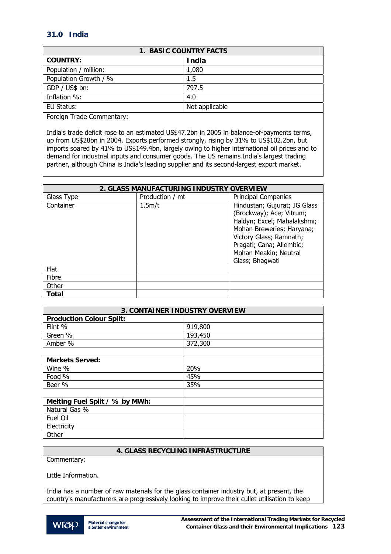# **31.0 India**

| 1. BASIC COUNTRY FACTS |                |  |
|------------------------|----------------|--|
| <b>COUNTRY:</b>        | <b>India</b>   |  |
| Population / million:  | 1,080          |  |
| Population Growth / %  | 1.5            |  |
| GDP / US\$ bn:         | 797.5          |  |
| Inflation %:           | 4.0            |  |
| EU Status:             | Not applicable |  |

Foreign Trade Commentary:

India's trade deficit rose to an estimated US\$47.2bn in 2005 in balance-of-payments terms, up from US\$28bn in 2004. Exports performed strongly, rising by 31% to US\$102.2bn, but imports soared by 41% to US\$149.4bn, largely owing to higher international oil prices and to demand for industrial inputs and consumer goods. The US remains India's largest trading partner, although China is India's leading supplier and its second-largest export market.

| 2. GLASS MANUFACTURING INDUSTRY OVERVIEW |                 |                                                                                                                                                                                                                         |
|------------------------------------------|-----------------|-------------------------------------------------------------------------------------------------------------------------------------------------------------------------------------------------------------------------|
| Glass Type                               | Production / mt | <b>Principal Companies</b>                                                                                                                                                                                              |
| Container                                | 1.5m/t          | Hindustan; Gujurat; JG Glass<br>(Brockway); Ace; Vitrum;<br>Haldyn; Excel; Mahalakshmi;<br>Mohan Breweries; Haryana;<br>Victory Glass; Ramnath;<br>Pragati; Cana; Allembic;<br>Mohan Meakin; Neutral<br>Glass; Bhagwati |
| Flat                                     |                 |                                                                                                                                                                                                                         |
| Fibre                                    |                 |                                                                                                                                                                                                                         |
| Other                                    |                 |                                                                                                                                                                                                                         |
| <b>Total</b>                             |                 |                                                                                                                                                                                                                         |

| <b>3. CONTAINER INDUSTRY OVERVIEW</b> |         |  |
|---------------------------------------|---------|--|
| <b>Production Colour Split:</b>       |         |  |
| Flint %                               | 919,800 |  |
| Green %                               | 193,450 |  |
| Amber %                               | 372,300 |  |
|                                       |         |  |
| <b>Markets Served:</b>                |         |  |
| Wine %                                | 20%     |  |
| Food %                                | 45%     |  |
| Beer %                                | 35%     |  |
|                                       |         |  |
| Melting Fuel Split / % by MWh:        |         |  |
| Natural Gas %                         |         |  |
| Fuel Oil                              |         |  |
| Electricity                           |         |  |
| Other                                 |         |  |

## **4. GLASS RECYCLING INFRASTRUCTURE**

Commentary:

Little Information.

India has a number of raw materials for the glass container industry but, at present, the country's manufacturers are progressively looking to improve their cullet utilisation to keep

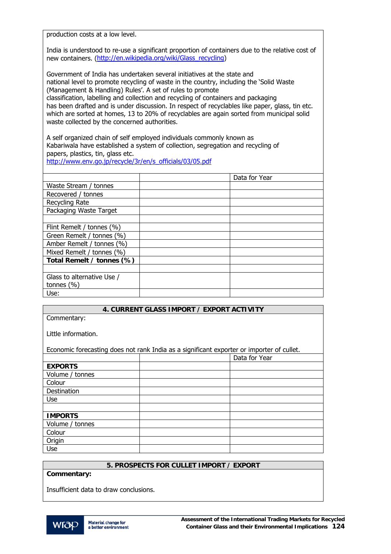production costs at a low level.

India is understood to re-use a significant proportion of containers due to the relative cost of new containers. ([http://en.wikipedia.org/wiki/Glass\\_recycling\)](http://en.wikipedia.org/wiki/Glass_recycling)

Government of India has undertaken several initiatives at the state and national level to promote recycling of waste in the country, including the 'Solid Waste (Management & Handling) Rules'. A set of rules to promote classification, labelling and collection and recycling of containers and packaging has been drafted and is under discussion. In respect of recyclables like paper, glass, tin etc. which are sorted at homes, 13 to 20% of recyclables are again sorted from municipal solid waste collected by the concerned authorities.

A self organized chain of self employed individuals commonly known as Kabariwala have established a system of collection, segregation and recycling of papers, plastics, tin, glass etc.

[http://www.env.go.jp/recycle/3r/en/s\\_officials/03/05.pdf](http://www.env.go.jp/recycle/3r/en/s_officials/03/05.pdf) 

|                            | Data for Year |
|----------------------------|---------------|
| Waste Stream / tonnes      |               |
| Recovered / tonnes         |               |
| Recycling Rate             |               |
| Packaging Waste Target     |               |
|                            |               |
| Flint Remelt / tonnes (%)  |               |
| Green Remelt / tonnes (%)  |               |
| Amber Remelt / tonnes (%)  |               |
| Mixed Remelt / tonnes (%)  |               |
| Total Remelt / tonnes (%)  |               |
|                            |               |
| Glass to alternative Use / |               |
| tonnes $(\% )$             |               |
| Use:                       |               |

|                                                                                           | 4. CURRENT GLASS IMPORT / EXPORT ACTIVITY |               |
|-------------------------------------------------------------------------------------------|-------------------------------------------|---------------|
| Commentary:                                                                               |                                           |               |
|                                                                                           |                                           |               |
| Little information.                                                                       |                                           |               |
|                                                                                           |                                           |               |
| Economic forecasting does not rank India as a significant exporter or importer of cullet. |                                           |               |
|                                                                                           |                                           | Data for Year |
| <b>EXPORTS</b>                                                                            |                                           |               |
| Volume / tonnes                                                                           |                                           |               |
| Colour                                                                                    |                                           |               |
| Destination                                                                               |                                           |               |
| Use                                                                                       |                                           |               |
|                                                                                           |                                           |               |
| <b>IMPORTS</b>                                                                            |                                           |               |
| Volume / tonnes                                                                           |                                           |               |
| Colour                                                                                    |                                           |               |
| Origin                                                                                    |                                           |               |
| Use                                                                                       |                                           |               |

## **5. PROSPECTS FOR CULLET IMPORT / EXPORT**

**Commentary:** 

Insufficient data to draw conclusions.

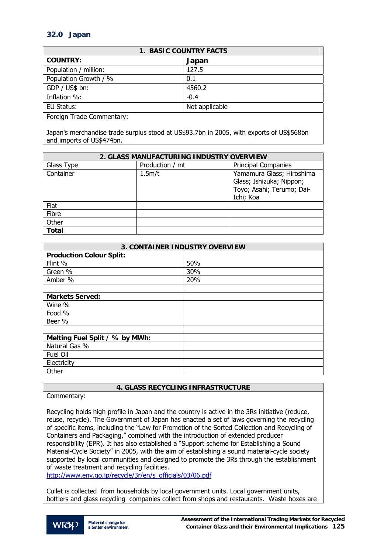# **32.0 Japan**

| <b>1. BASIC COUNTRY FACTS</b> |                |
|-------------------------------|----------------|
| <b>COUNTRY:</b>               | Japan          |
| Population / million:         | 127.5          |
| Population Growth / %         | 0.1            |
| GDP / US\$ bn:                | 4560.2         |
| Inflation %:                  | $-0.4$         |
| EU Status:                    | Not applicable |
| Escaigo Trado Commontany      |                |

Foreign Trade Commentary:

Japan's merchandise trade surplus stood at US\$93.7bn in 2005, with exports of US\$568bn and imports of US\$474bn.

| 2. GLASS MANUFACTURING INDUSTRY OVERVIEW |                 |                            |
|------------------------------------------|-----------------|----------------------------|
| Glass Type                               | Production / mt | <b>Principal Companies</b> |
| Container                                | 1.5m/t          | Yamamura Glass; Hiroshima  |
|                                          |                 | Glass; Ishizuka; Nippon;   |
|                                          |                 | Toyo; Asahi; Terumo; Dai-  |
|                                          |                 | Ichi; Koa                  |
| Flat                                     |                 |                            |
| Fibre                                    |                 |                            |
| Other                                    |                 |                            |
| <b>Total</b>                             |                 |                            |

| <b>3. CONTAINER INDUSTRY OVERVIEW</b> |     |  |
|---------------------------------------|-----|--|
| <b>Production Colour Split:</b>       |     |  |
| Flint %                               | 50% |  |
| Green %                               | 30% |  |
| Amber %                               | 20% |  |
|                                       |     |  |
| <b>Markets Served:</b>                |     |  |
| Wine %                                |     |  |
| Food %                                |     |  |
| Beer %                                |     |  |
|                                       |     |  |
| Melting Fuel Split / % by MWh:        |     |  |
| Natural Gas %                         |     |  |
| Fuel Oil                              |     |  |
| Electricity                           |     |  |
| Other                                 |     |  |

## **4. GLASS RECYCLING INFRASTRUCTURE**

## Commentary:

Recycling holds high profile in Japan and the country is active in the 3Rs initiative (reduce, reuse, recycle). The Government of Japan has enacted a set of laws governing the recycling of specific items, including the "Law for Promotion of the Sorted Collection and Recycling of Containers and Packaging," combined with the introduction of extended producer responsibility (EPR). It has also established a "Support scheme for Establishing a Sound Material-Cycle Society" in 2005, with the aim of establishing a sound material-cycle society supported by local communities and designed to promote the 3Rs through the establishment of waste treatment and recycling facilities.

[http://www.env.go.jp/recycle/3r/en/s\\_officials/03/06.pdf](http://www.env.go.jp/recycle/3r/en/s_officials/03/06.pdf) 

Cullet is collected from households by local government units. Local government units, bottlers and glass recycling companies collect from shops and restaurants. Waste boxes are

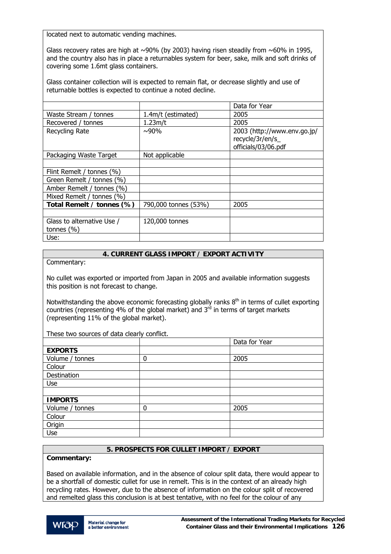located next to automatic vending machines.

Glass recovery rates are high at  $\sim$ 90% (by 2003) having risen steadily from  $\sim$ 60% in 1995, and the country also has in place a returnables system for beer, sake, milk and soft drinks of covering some 1.6mt glass containers.

Glass container collection will is expected to remain flat, or decrease slightly and use of returnable bottles is expected to continue a noted decline.

|                                              |                      | Data for Year                                                         |
|----------------------------------------------|----------------------|-----------------------------------------------------------------------|
| Waste Stream / tonnes                        | 1.4m/t (estimated)   | 2005                                                                  |
| Recovered / tonnes                           | 1.23m/t              | 2005                                                                  |
| Recycling Rate                               | $~10\%$              | 2003 (http://www.env.go.jp/<br>recycle/3r/en/s<br>officials/03/06.pdf |
| Packaging Waste Target                       | Not applicable       |                                                                       |
|                                              |                      |                                                                       |
| Flint Remelt / tonnes (%)                    |                      |                                                                       |
| Green Remelt / tonnes (%)                    |                      |                                                                       |
| Amber Remelt / tonnes (%)                    |                      |                                                                       |
| Mixed Remelt / tonnes (%)                    |                      |                                                                       |
| Total Remelt / tonnes (%)                    | 790,000 tonnes (53%) | 2005                                                                  |
|                                              |                      |                                                                       |
| Glass to alternative Use /<br>tonnes $(\% )$ | 120,000 tonnes       |                                                                       |
| Use:                                         |                      |                                                                       |

## **4. CURRENT GLASS IMPORT / EXPORT ACTIVITY**

Commentary:

No cullet was exported or imported from Japan in 2005 and available information suggests this position is not forecast to change.

Notwithstanding the above economic forecasting globally ranks  $8<sup>th</sup>$  in terms of cullet exporting countries (representing 4% of the global market) and  $3<sup>rd</sup>$  in terms of target markets (representing 11% of the global market).

These two sources of data clearly conflict.

|                 |   | Data for Year |
|-----------------|---|---------------|
| <b>EXPORTS</b>  |   |               |
| Volume / tonnes | 0 | 2005          |
| Colour          |   |               |
| Destination     |   |               |
| Use             |   |               |
|                 |   |               |
| <b>IMPORTS</b>  |   |               |
| Volume / tonnes | 0 | 2005          |
| Colour          |   |               |
| Origin          |   |               |
| Use             |   |               |

## **5. PROSPECTS FOR CULLET IMPORT / EXPORT**

## **Commentary:**

Based on available information, and in the absence of colour split data, there would appear to be a shortfall of domestic cullet for use in remelt. This is in the context of an already high recycling rates. However, due to the absence of information on the colour split of recovered and remelted glass this conclusion is at best tentative, with no feel for the colour of any

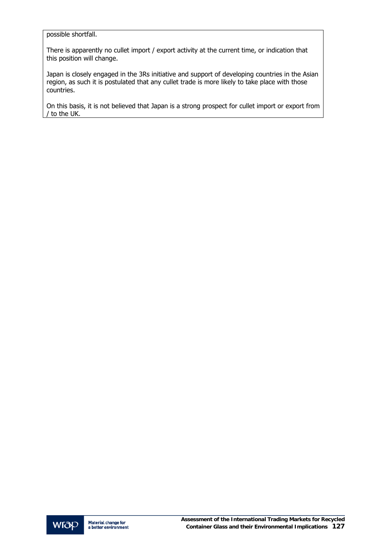possible shortfall.

There is apparently no cullet import / export activity at the current time, or indication that this position will change.

Japan is closely engaged in the 3Rs initiative and support of developing countries in the Asian region, as such it is postulated that any cullet trade is more likely to take place with those countries.

On this basis, it is not believed that Japan is a strong prospect for cullet import or export from / to the UK.

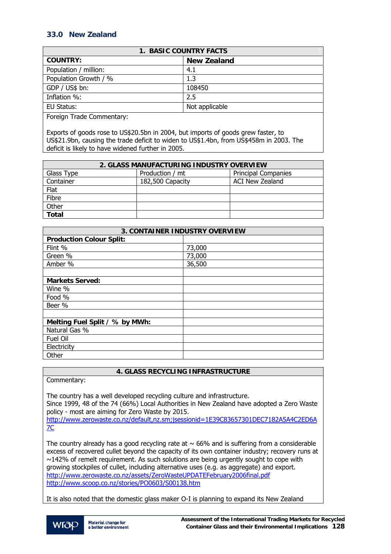# **33.0 New Zealand**

| <b>1. BASIC COUNTRY FACTS</b> |                    |  |
|-------------------------------|--------------------|--|
| <b>COUNTRY:</b>               | <b>New Zealand</b> |  |
| Population / million:         | 4.1                |  |
| Population Growth / %         | 1.3                |  |
| GDP / US\$ bn:                | 108450             |  |
| Inflation %:                  | 2.5                |  |
| EU Status:                    | Not applicable     |  |
|                               |                    |  |

Foreign Trade Commentary:

Exports of goods rose to US\$20.5bn in 2004, but imports of goods grew faster, to US\$21.9bn, causing the trade deficit to widen to US\$1.4bn, from US\$458m in 2003. The deficit is likely to have widened further in 2005.

| 2. GLASS MANUFACTURING INDUSTRY OVERVIEW |                  |                            |
|------------------------------------------|------------------|----------------------------|
| Glass Type                               | Production / mt  | <b>Principal Companies</b> |
| Container                                | 182,500 Capacity | ACI New Zealand            |
| Flat                                     |                  |                            |
| Fibre                                    |                  |                            |
| Other                                    |                  |                            |
| <b>Total</b>                             |                  |                            |

| <b>3. CONTAINER INDUSTRY OVERVIEW</b> |        |  |
|---------------------------------------|--------|--|
| <b>Production Colour Split:</b>       |        |  |
| Flint %                               | 73,000 |  |
| Green %                               | 73,000 |  |
| Amber %                               | 36,500 |  |
|                                       |        |  |
| <b>Markets Served:</b>                |        |  |
| Wine %                                |        |  |
| Food %                                |        |  |
| Beer %                                |        |  |
|                                       |        |  |
| Melting Fuel Split / % by MWh:        |        |  |
| Natural Gas %                         |        |  |
| Fuel Oil                              |        |  |
| Electricity                           |        |  |
| Other                                 |        |  |

**4. GLASS RECYCLING INFRASTRUCTURE** 

Commentary:

The country has a well developed recycling culture and infrastructure. Since 1999, 48 of the 74 (66%) Local Authorities in New Zealand have adopted a Zero Waste policy - most are aiming for Zero Waste by 2015. [http://www.zerowaste.co.nz/default,nz.sm;jsessionid=1E39C83657301DEC7182A5A4C2ED6A](http://www.zerowaste.co.nz/default,nz.sm;jsessionid=1E39C83657301DEC7182A5A4C2ED6A7C) [7C](http://www.zerowaste.co.nz/default,nz.sm;jsessionid=1E39C83657301DEC7182A5A4C2ED6A7C)

The country already has a good recycling rate at  $\sim$  66% and is suffering from a considerable excess of recovered cullet beyond the capacity of its own container industry; recovery runs at  $\sim$ 142% of remelt requirement. As such solutions are being urgently sought to cope with growing stockpiles of cullet, including alternative uses (e.g. as aggregate) and export. <http://www.zerowaste.co.nz/assets/ZeroWasteUPDATEFebruary2006final.pdf> <http://www.scoop.co.nz/stories/PO0603/S00138.htm>

It is also noted that the domestic glass maker O-I is planning to expand its New Zealand

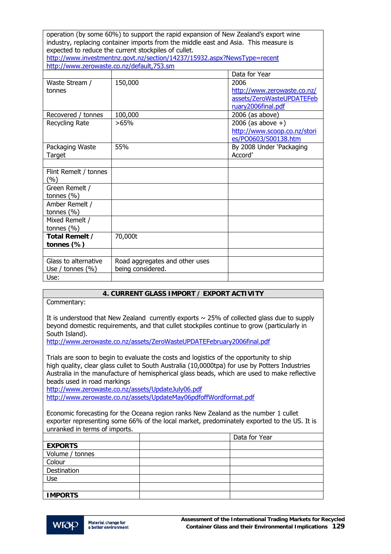| operation (by some 60%) to support the rapid expansion of New Zealand's export wine<br>industry, replacing container imports from the middle east and Asia. This measure is |                                           |                              |
|-----------------------------------------------------------------------------------------------------------------------------------------------------------------------------|-------------------------------------------|------------------------------|
| expected to reduce the current stockpiles of cullet.<br>http://www.investmentnz.govt.nz/section/14237/15932.aspx?NewsType=recent                                            |                                           |                              |
|                                                                                                                                                                             | http://www.zerowaste.co.nz/default,753.sm |                              |
|                                                                                                                                                                             |                                           | Data for Year                |
| Waste Stream /                                                                                                                                                              | 150,000                                   | 2006                         |
| tonnes                                                                                                                                                                      |                                           | http://www.zerowaste.co.nz/  |
|                                                                                                                                                                             |                                           | assets/ZeroWasteUPDATEFeb    |
|                                                                                                                                                                             |                                           | ruary2006final.pdf           |
| Recovered / tonnes                                                                                                                                                          | 100,000                                   | $2006$ (as above)            |
| Recycling Rate                                                                                                                                                              | >65%                                      | 2006 (as above $+)$          |
|                                                                                                                                                                             |                                           | http://www.scoop.co.nz/stori |
|                                                                                                                                                                             |                                           | es/PO0603/S00138.htm         |
| Packaging Waste                                                                                                                                                             | 55%                                       | By 2008 Under 'Packaging     |
| Target                                                                                                                                                                      |                                           | Accord'                      |
|                                                                                                                                                                             |                                           |                              |
| Flint Remelt / tonnes<br>(%)                                                                                                                                                |                                           |                              |
| Green Remelt /                                                                                                                                                              |                                           |                              |
| tonnes $(% )$                                                                                                                                                               |                                           |                              |
| Amber Remelt /                                                                                                                                                              |                                           |                              |
| tonnes $(\% )$                                                                                                                                                              |                                           |                              |
| Mixed Remelt /                                                                                                                                                              |                                           |                              |
| tonnes (%)                                                                                                                                                                  |                                           |                              |
| Total Remelt /                                                                                                                                                              | 70,000t                                   |                              |
| tonnes (%)                                                                                                                                                                  |                                           |                              |
|                                                                                                                                                                             |                                           |                              |
| Glass to alternative                                                                                                                                                        | Road aggregates and other uses            |                              |
| Use / tonnes $(\% )$                                                                                                                                                        | being considered.                         |                              |
| Use:                                                                                                                                                                        |                                           |                              |

## **4. CURRENT GLASS IMPORT / EXPORT ACTIVITY**

Commentary:

It is understood that New Zealand currently exports  $\sim$  25% of collected glass due to supply beyond domestic requirements, and that cullet stockpiles continue to grow (particularly in South Island).

<http://www.zerowaste.co.nz/assets/ZeroWasteUPDATEFebruary2006final.pdf>

Trials are soon to begin to evaluate the costs and logistics of the opportunity to ship high quality, clear glass cullet to South Australia (10,0000tpa) for use by Potters Industries Australia in the manufacture of hemispherical glass beads, which are used to make reflective beads used in road markings

<http://www.zerowaste.co.nz/assets/UpdateJuly06.pdf> <http://www.zerowaste.co.nz/assets/UpdateMay06pdfoffWordformat.pdf>

Economic forecasting for the Oceana region ranks New Zealand as the number 1 cullet exporter representing some 66% of the local market, predominately exported to the US. It is unranked in terms of imports.

|                 | Data for Year |
|-----------------|---------------|
| <b>EXPORTS</b>  |               |
| Volume / tonnes |               |
| Colour          |               |
| Destination     |               |
| Use             |               |
|                 |               |
| <b>IMPORTS</b>  |               |

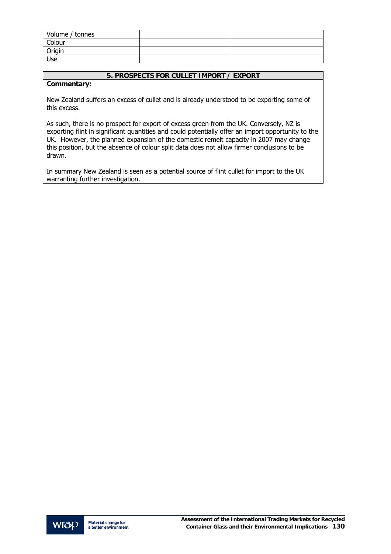| Volume / tonnes |  |
|-----------------|--|
| Colour          |  |
| Origin          |  |
| Use             |  |

## **5. PROSPECTS FOR CULLET IMPORT / EXPORT**

## **Commentary:**

New Zealand suffers an excess of cullet and is already understood to be exporting some of this excess.

As such, there is no prospect for export of excess green from the UK. Conversely, NZ is exporting flint in significant quantities and could potentially offer an import opportunity to the UK. However, the planned expansion of the domestic remelt capacity in 2007 may change this position, but the absence of colour split data does not allow firmer conclusions to be drawn.

In summary New Zealand is seen as a potential source of flint cullet for import to the UK warranting further investigation.

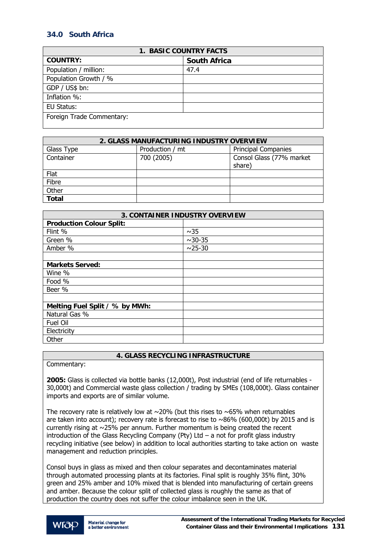# **34.0 South Africa**

| <b>1. BASIC COUNTRY FACTS</b> |                     |  |
|-------------------------------|---------------------|--|
| <b>COUNTRY:</b>               | <b>South Africa</b> |  |
| Population / million:         | 47.4                |  |
| Population Growth / %         |                     |  |
| GDP / US\$ bn:                |                     |  |
| Inflation %:                  |                     |  |
| EU Status:                    |                     |  |
| Foreign Trade Commentary:     |                     |  |

| 2. GLASS MANUFACTURING INDUSTRY OVERVIEW |                 |                            |
|------------------------------------------|-----------------|----------------------------|
| Glass Type                               | Production / mt | <b>Principal Companies</b> |
| Container                                | 700 (2005)      | Consol Glass (77% market   |
|                                          |                 | share)                     |
| Flat                                     |                 |                            |
| Fibre                                    |                 |                            |
| Other                                    |                 |                            |
| <b>Total</b>                             |                 |                            |

| <b>3. CONTAINER INDUSTRY OVERVIEW</b> |            |  |
|---------------------------------------|------------|--|
| <b>Production Colour Split:</b>       |            |  |
| Flint %                               | ~1sim35    |  |
| Green %                               | $~10 - 35$ |  |
| Amber %                               | $~25 - 30$ |  |
|                                       |            |  |
| <b>Markets Served:</b>                |            |  |
| Wine %                                |            |  |
| Food %                                |            |  |
| Beer %                                |            |  |
|                                       |            |  |
| Melting Fuel Split / % by MWh:        |            |  |
| Natural Gas %                         |            |  |
| <b>Fuel Oil</b>                       |            |  |
| Electricity                           |            |  |
| Other                                 |            |  |

## **4. GLASS RECYCLING INFRASTRUCTURE**

Commentary:

**2005:** Glass is collected via bottle banks (12,000t), Post industrial (end of life returnables - 30,000t) and Commercial waste glass collection / trading by SMEs (108,000t). Glass container imports and exports are of similar volume.

The recovery rate is relatively low at  $\sim$  20% (but this rises to  $\sim$  65% when returnables are taken into account); recovery rate is forecast to rise to  $\sim86\%$  (600,000t) by 2015 and is currently rising at ~25% per annum. Further momentum is being created the recent introduction of the Glass Recycling Company (Pty) Ltd – a not for profit glass industry recycling initiative (see below) in addition to local authorities starting to take action on waste management and reduction principles.

Consol buys in glass as mixed and then colour separates and decontaminates material through automated processing plants at its factories. Final split is roughly 35% flint, 30% green and 25% amber and 10% mixed that is blended into manufacturing of certain greens and amber. Because the colour split of collected glass is roughly the same as that of production the country does not suffer the colour imbalance seen in the UK.

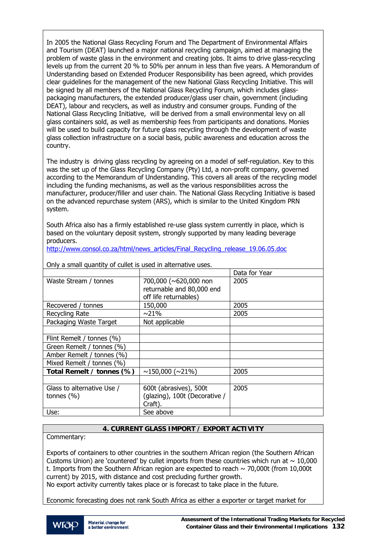In 2005 the National Glass Recycling Forum and The Department of Environmental Affairs and Tourism (DEAT) launched a major national recycling campaign, aimed at managing the problem of waste glass in the environment and creating jobs. It aims to drive glass-recycling levels up from the current 20 % to 50% per annum in less than five years. A Memorandum of Understanding based on Extended Producer Responsibility has been agreed, which provides clear guidelines for the management of the new National Glass Recycling Initiative. This will be signed by all members of the National Glass Recycling Forum, which includes glasspackaging manufacturers, the extended producer/glass user chain, government (including DEAT), labour and recyclers, as well as industry and consumer groups. Funding of the National Glass Recycling Initiative, will be derived from a small environmental levy on all glass containers sold, as well as membership fees from participants and donations. Monies will be used to build capacity for future glass recycling through the development of waste glass collection infrastructure on a social basis, public awareness and education across the country.

The industry is driving glass recycling by agreeing on a model of self-regulation. Key to this was the set up of the Glass Recycling Company (Pty) Ltd, a non-profit company, governed according to the Memorandum of Understanding. This covers all areas of the recycling model including the funding mechanisms, as well as the various responsibilities across the manufacturer, producer/filler and user chain. The National Glass Recycling Initiative is based on the advanced repurchase system (ARS), which is similar to the United Kingdom PRN system.

South Africa also has a firmly established re-use glass system currently in place, which is based on the voluntary deposit system, strongly supported by many leading beverage producers.

[http://www.consol.co.za/html/news\\_articles/Final\\_Recycling\\_release\\_19.06.05.doc](http://www.consol.co.za/html/news_articles/Final_Recycling_release_19.06.05.doc)

| $\sigma$ or $\sigma$ stright quartity of cullet is used in alternative uses. |                               |               |
|------------------------------------------------------------------------------|-------------------------------|---------------|
|                                                                              |                               | Data for Year |
| Waste Stream / tonnes                                                        | 700,000 (~620,000 non         | 2005          |
|                                                                              | returnable and 80,000 end     |               |
|                                                                              | off life returnables)         |               |
| Recovered / tonnes                                                           | 150,000                       | 2005          |
| Recycling Rate                                                               | $\sim$ 21%                    | 2005          |
| Packaging Waste Target                                                       | Not applicable                |               |
|                                                                              |                               |               |
| Flint Remelt / tonnes (%)                                                    |                               |               |
| Green Remelt / tonnes (%)                                                    |                               |               |
| Amber Remelt / tonnes (%)                                                    |                               |               |
| Mixed Remelt / tonnes (%)                                                    |                               |               |
| Total Remelt / tonnes (%)                                                    | $\sim$ 150,000 ( $\sim$ 21%)  | 2005          |
|                                                                              |                               |               |
| Glass to alternative Use /                                                   | 600t (abrasives), 500t        | 2005          |
| tonnes $(\% )$                                                               | (glazing), 100t (Decorative / |               |
|                                                                              | Craft).                       |               |
| Use:                                                                         | See above                     |               |

Only a small quantity of cullet is used in alternative uses.

## **4. CURRENT GLASS IMPORT / EXPORT ACTIVITY**

Commentary:

Exports of containers to other countries in the southern African region (the Southern African Customs Union) are 'countered' by cullet imports from these countries which run at  $\sim 10,000$ t. Imports from the Southern African region are expected to reach  $\sim$  70,000t (from 10,000t current) by 2015, with distance and cost precluding further growth.

No export activity currently takes place or is forecast to take place in the future.

Economic forecasting does not rank South Africa as either a exporter or target market for

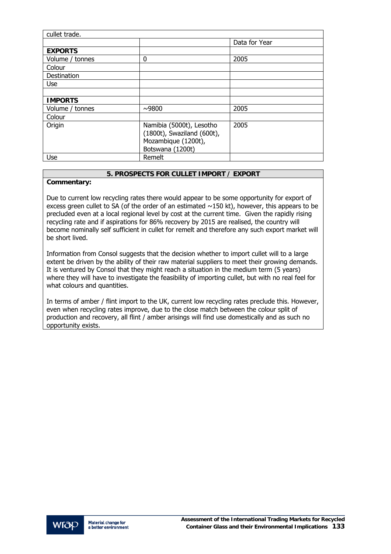| cullet trade.   |                                                                                                   |               |
|-----------------|---------------------------------------------------------------------------------------------------|---------------|
|                 |                                                                                                   | Data for Year |
| <b>EXPORTS</b>  |                                                                                                   |               |
| Volume / tonnes | 0                                                                                                 | 2005          |
| Colour          |                                                                                                   |               |
| Destination     |                                                                                                   |               |
| <b>Use</b>      |                                                                                                   |               |
|                 |                                                                                                   |               |
| <b>IMPORTS</b>  |                                                                                                   |               |
| Volume / tonnes | ~1000                                                                                             | 2005          |
| Colour          |                                                                                                   |               |
| Origin          | Namibia (5000t), Lesotho<br>(1800t), Swaziland (600t),<br>Mozambique (1200t),<br>Botswana (1200t) | 2005          |
| <b>Use</b>      | Remelt                                                                                            |               |

## **5. PROSPECTS FOR CULLET IMPORT / EXPORT**

## **Commentary:**

Due to current low recycling rates there would appear to be some opportunity for export of excess green cullet to SA (of the order of an estimated  $\sim$ 150 kt), however, this appears to be precluded even at a local regional level by cost at the current time. Given the rapidly rising recycling rate and if aspirations for 86% recovery by 2015 are realised, the country will become nominally self sufficient in cullet for remelt and therefore any such export market will be short lived.

Information from Consol suggests that the decision whether to import cullet will to a large extent be driven by the ability of their raw material suppliers to meet their growing demands. It is ventured by Consol that they might reach a situation in the medium term (5 years) where they will have to investigate the feasibility of importing cullet, but with no real feel for what colours and quantities.

In terms of amber / flint import to the UK, current low recycling rates preclude this. However, even when recycling rates improve, due to the close match between the colour split of production and recovery, all flint / amber arisings will find use domestically and as such no opportunity exists.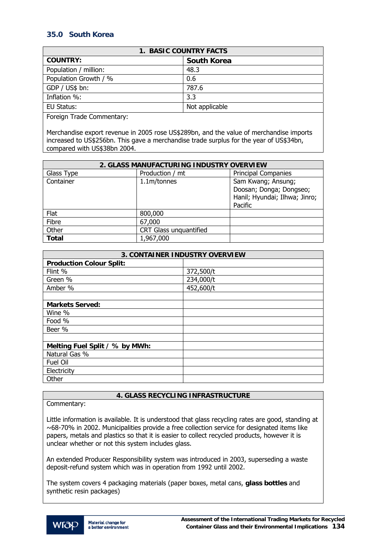# **35.0 South Korea**

| <b>1. BASIC COUNTRY FACTS</b> |                    |  |
|-------------------------------|--------------------|--|
| <b>COUNTRY:</b>               | <b>South Korea</b> |  |
| Population / million:         | 48.3               |  |
| Population Growth / %         | 0.6                |  |
| GDP / US\$ bn:                | 787.6              |  |
| Inflation %:                  | 3.3                |  |
| EU Status:                    | Not applicable     |  |
|                               |                    |  |

Foreign Trade Commentary:

Merchandise export revenue in 2005 rose US\$289bn, and the value of merchandise imports increased to US\$256bn. This gave a merchandise trade surplus for the year of US\$34bn, compared with US\$38bn 2004.

| 2. GLASS MANUFACTURING INDUSTRY OVERVIEW |                        |                                                                                           |
|------------------------------------------|------------------------|-------------------------------------------------------------------------------------------|
| Glass Type                               | Production / mt        | <b>Principal Companies</b>                                                                |
| Container                                | 1.1m/tonnes            | Sam Kwang; Ansung;<br>Doosan; Donga; Dongseo;<br>Hanil; Hyundai; Ilhwa; Jinro;<br>Pacific |
| Flat                                     | 800,000                |                                                                                           |
| Fibre                                    | 67,000                 |                                                                                           |
| Other                                    | CRT Glass unquantified |                                                                                           |
| <b>Total</b>                             | 1,967,000              |                                                                                           |

| <b>3. CONTAINER INDUSTRY OVERVIEW</b> |           |  |
|---------------------------------------|-----------|--|
| <b>Production Colour Split:</b>       |           |  |
| Flint %                               | 372,500/t |  |
| Green %                               | 234,000/t |  |
| Amber %                               | 452,600/t |  |
|                                       |           |  |
| <b>Markets Served:</b>                |           |  |
| Wine %                                |           |  |
| Food %                                |           |  |
| Beer %                                |           |  |
|                                       |           |  |
| Melting Fuel Split / % by MWh:        |           |  |
| Natural Gas %                         |           |  |
| Fuel Oil                              |           |  |
| Electricity                           |           |  |
| Other                                 |           |  |

## **4. GLASS RECYCLING INFRASTRUCTURE**

Commentary:

Little information is available. It is understood that glass recycling rates are good, standing at ~68-70% in 2002. Municipalities provide a free collection service for designated items like papers, metals and plastics so that it is easier to collect recycled products, however it is unclear whether or not this system includes glass.

An extended Producer Responsibility system was introduced in 2003, superseding a waste deposit-refund system which was in operation from 1992 until 2002.

The system covers 4 packaging materials (paper boxes, metal cans, **glass bottles** and synthetic resin packages)

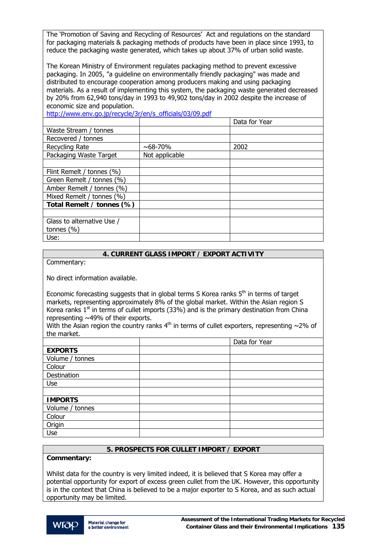The 'Promotion of Saving and Recycling of Resources' Act and regulations on the standard for packaging materials & packaging methods of products have been in place since 1993, to reduce the packaging waste generated, which takes up about 37% of urban solid waste.

The Korean Ministry of Environment regulates packaging method to prevent excessive packaging. In 2005, "a guideline on environmentally friendly packaging" was made and distributed to encourage cooperation among producers making and using packaging materials. As a result of implementing this system, the packaging waste generated decreased by 20% from 62,940 tons/day in 1993 to 49,902 tons/day in 2002 despite the increase of economic size and population.

[http://www.env.go.jp/recycle/3r/en/s\\_officials/03/09.pdf](http://www.env.go.jp/recycle/3r/en/s_officials/03/09.pdf) 

|                            |                | Data for Year |
|----------------------------|----------------|---------------|
| Waste Stream / tonnes      |                |               |
| Recovered / tonnes         |                |               |
| Recycling Rate             | ~100           | 2002          |
| Packaging Waste Target     | Not applicable |               |
|                            |                |               |
| Flint Remelt / tonnes (%)  |                |               |
| Green Remelt / tonnes (%)  |                |               |
| Amber Remelt / tonnes (%)  |                |               |
| Mixed Remelt / tonnes (%)  |                |               |
| Total Remelt / tonnes (%)  |                |               |
|                            |                |               |
| Glass to alternative Use / |                |               |
| tonnes $(\% )$             |                |               |
| Use:                       |                |               |

## **4. CURRENT GLASS IMPORT / EXPORT ACTIVITY**

Commentary:

No direct information available.

Economic forecasting suggests that in global terms S Korea ranks  $5<sup>th</sup>$  in terms of target markets, representing approximately 8% of the global market. Within the Asian region S Korea ranks  $1<sup>st</sup>$  in terms of cullet imports (33%) and is the primary destination from China representing  $\sim$ 49% of their exports.

With the Asian region the country ranks  $4<sup>th</sup>$  in terms of cullet exporters, representing  $\sim$ 2% of the market.

|                 | Data for Year |
|-----------------|---------------|
| <b>EXPORTS</b>  |               |
| Volume / tonnes |               |
| Colour          |               |
| Destination     |               |
| Use             |               |
|                 |               |
| <b>IMPORTS</b>  |               |
| Volume / tonnes |               |
| Colour          |               |
| Origin          |               |
| Use             |               |

## **5. PROSPECTS FOR CULLET IMPORT / EXPORT**

**Commentary:** 

Whilst data for the country is very limited indeed, it is believed that S Korea may offer a potential opportunity for export of excess green cullet from the UK. However, this opportunity is in the context that China is believed to be a major exporter to S Korea, and as such actual opportunity may be limited.

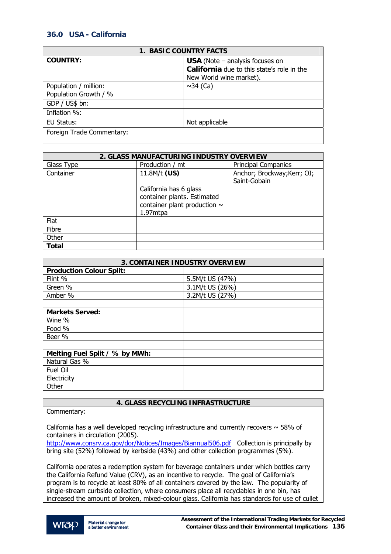# **36.0 USA - California**

| <b>1. BASIC COUNTRY FACTS</b> |                                            |  |
|-------------------------------|--------------------------------------------|--|
| <b>COUNTRY:</b>               | <b>USA</b> (Note $-$ analysis focuses on   |  |
|                               | California due to this state's role in the |  |
|                               | New World wine market).                    |  |
| Population / million:         | $\sim$ 34 (Ca)                             |  |
| Population Growth / %         |                                            |  |
| GDP / US\$ bn:                |                                            |  |
| Inflation %:                  |                                            |  |
| EU Status:                    | Not applicable                             |  |
| Foreign Trade Commentary:     |                                            |  |

| 2. GLASS MANUFACTURING INDUSTRY OVERVIEW |                                                                                                        |                                             |
|------------------------------------------|--------------------------------------------------------------------------------------------------------|---------------------------------------------|
| Glass Type                               | Production / mt                                                                                        | <b>Principal Companies</b>                  |
| Container                                | 11.8M/t (US)                                                                                           | Anchor; Brockway; Kerr; OI;<br>Saint-Gobain |
|                                          | California has 6 glass<br>container plants. Estimated<br>container plant production $\sim$<br>1.97mtpa |                                             |
| Flat                                     |                                                                                                        |                                             |
| Fibre                                    |                                                                                                        |                                             |
| Other                                    |                                                                                                        |                                             |
| <b>Total</b>                             |                                                                                                        |                                             |

| <b>3. CONTAINER INDUSTRY OVERVIEW</b> |                 |  |
|---------------------------------------|-----------------|--|
| <b>Production Colour Split:</b>       |                 |  |
| Flint %                               | 5.5M/t US (47%) |  |
| Green %                               | 3.1M/t US (26%) |  |
| Amber %                               | 3.2M/t US (27%) |  |
|                                       |                 |  |
| <b>Markets Served:</b>                |                 |  |
| Wine %                                |                 |  |
| Food %                                |                 |  |
| Beer %                                |                 |  |
|                                       |                 |  |
| Melting Fuel Split / % by MWh:        |                 |  |
| Natural Gas %                         |                 |  |
| Fuel Oil                              |                 |  |
| Electricity                           |                 |  |
| Other                                 |                 |  |

## **4. GLASS RECYCLING INFRASTRUCTURE**

Commentary:

California has a well developed recycling infrastructure and currently recovers  $\sim$  58% of containers in circulation (2005).

<http://www.consrv.ca.gov/dor/Notices/Images/Biannual506.pdf>Collection is principally by bring site (52%) followed by kerbside (43%) and other collection programmes (5%).

California operates a redemption system for beverage containers under which bottles carry the California Refund Value (CRV), as an incentive to recycle. The goal of California's program is to recycle at least 80% of all containers covered by the law. The popularity of single-stream curbside collection, where consumers place all recyclables in one bin, has increased the amount of broken, mixed-colour glass. California has standards for use of cullet

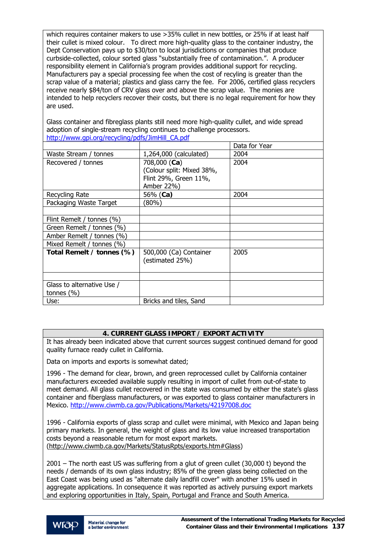which requires container makers to use >35% cullet in new bottles, or 25% if at least half their cullet is mixed colour. To direct more high-quality glass to the container industry, the Dept Conservation pays up to \$30/ton to local jurisdictions or companies that produce curbside-collected, colour sorted glass "substantially free of contamination.". A producer responsibility element in California's program provides additional support for recycling. Manufacturers pay a special processing fee when the cost of recyling is greater than the scrap value of a material; plastics and glass carry the fee. For 2006, certified glass recyclers receive nearly \$84/ton of CRV glass over and above the scrap value. The monies are intended to help recyclers recover their costs, but there is no legal requirement for how they are used.

Glass container and fibreglass plants still need more high-quality cullet, and wide spread adoption of single-stream recycling continues to challenge processors. [http://www.gpi.org/recycling/pdfs/JimHill\\_CA.pdf](http://www.gpi.org/recycling/pdfs/JimHill_CA.pdf)

|                            |                           | Data for Year |
|----------------------------|---------------------------|---------------|
| Waste Stream / tonnes      | 1,264,000 (calculated)    | 2004          |
| Recovered / tonnes         | 708,000 (Ca)              | 2004          |
|                            | (Colour split: Mixed 38%, |               |
|                            | Flint 29%, Green 11%,     |               |
|                            | Amber 22%)                |               |
| Recycling Rate             | 56% (Ca)                  | 2004          |
| Packaging Waste Target     | 80%)                      |               |
|                            |                           |               |
| Flint Remelt / tonnes (%)  |                           |               |
| Green Remelt / tonnes (%)  |                           |               |
| Amber Remelt / tonnes (%)  |                           |               |
| Mixed Remelt / tonnes (%)  |                           |               |
| Total Remelt / tonnes (%)  | 500,000 (Ca) Container    | 2005          |
|                            | (estimated 25%)           |               |
|                            |                           |               |
|                            |                           |               |
| Glass to alternative Use / |                           |               |
| tonnes $(\% )$             |                           |               |
| Use:                       | Bricks and tiles, Sand    |               |

## **4. CURRENT GLASS IMPORT / EXPORT ACTIVITY**

It has already been indicated above that current sources suggest continued demand for good quality furnace ready cullet in California.

Data on imports and exports is somewhat dated;

1996 - The demand for clear, brown, and green reprocessed cullet by California container manufacturers exceeded available supply resulting in import of cullet from out-of-state to meet demand. All glass cullet recovered in the state was consumed by either the state's glass container and fiberglass manufacturers, or was exported to glass container manufacturers in Mexico.<http://www.ciwmb.ca.gov/Publications/Markets/42197008.doc>

1996 - California exports of glass scrap and cullet were minimal, with Mexico and Japan being primary markets. In general, the weight of glass and its low value increased transportation costs beyond a reasonable return for most export markets. ([http://www.ciwmb.ca.gov/Markets/StatusRpts/exports.htm#Glass\)](http://www.ciwmb.ca.gov/Markets/StatusRpts/exports.htm#Glass)

2001 – The north east US was suffering from a glut of green cullet (30,000 t) beyond the needs / demands of its own glass industry; 85% of the green glass being collected on the East Coast was being used as "alternate daily landfill cover" with another 15% used in aggregate applications. In consequence it was reported as actively pursuing export markets and exploring opportunities in Italy, Spain, Portugal and France and South America.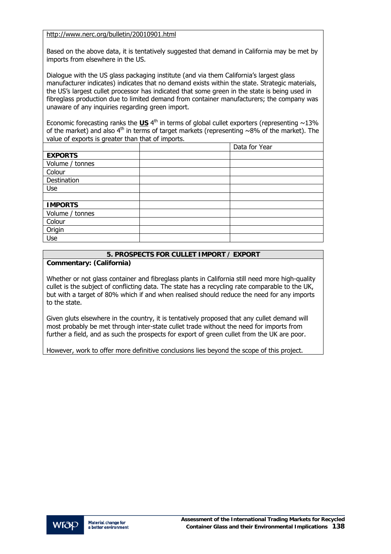<http://www.nerc.org/bulletin/20010901.html>

Based on the above data, it is tentatively suggested that demand in California may be met by imports from elsewhere in the US.

Dialogue with the US glass packaging institute (and via them California's largest glass manufacturer indicates) indicates that no demand exists within the state. Strategic materials, the US's largest cullet processor has indicated that some green in the state is being used in fibreglass production due to limited demand from container manufacturers; the company was unaware of any inquiries regarding green import.

Economic forecasting ranks the  $US$  <sup>4th</sup> in terms of global cullet exporters (representing  $\sim$ 13% of the market) and also  $4<sup>th</sup>$  in terms of target markets (representing ~8% of the market). The value of exports is greater than that of imports.

|                 | Data for Year |
|-----------------|---------------|
| <b>EXPORTS</b>  |               |
| Volume / tonnes |               |
| Colour          |               |
| Destination     |               |
| <b>Use</b>      |               |
|                 |               |
| <b>IMPORTS</b>  |               |
| Volume / tonnes |               |
| Colour          |               |
| Origin          |               |
| Use             |               |

## **5. PROSPECTS FOR CULLET IMPORT / EXPORT**

**Commentary: (California)** 

Whether or not glass container and fibreglass plants in California still need more high-quality cullet is the subject of conflicting data. The state has a recycling rate comparable to the UK, but with a target of 80% which if and when realised should reduce the need for any imports to the state.

Given gluts elsewhere in the country, it is tentatively proposed that any cullet demand will most probably be met through inter-state cullet trade without the need for imports from further a field, and as such the prospects for export of green cullet from the UK are poor.

However, work to offer more definitive conclusions lies beyond the scope of this project.